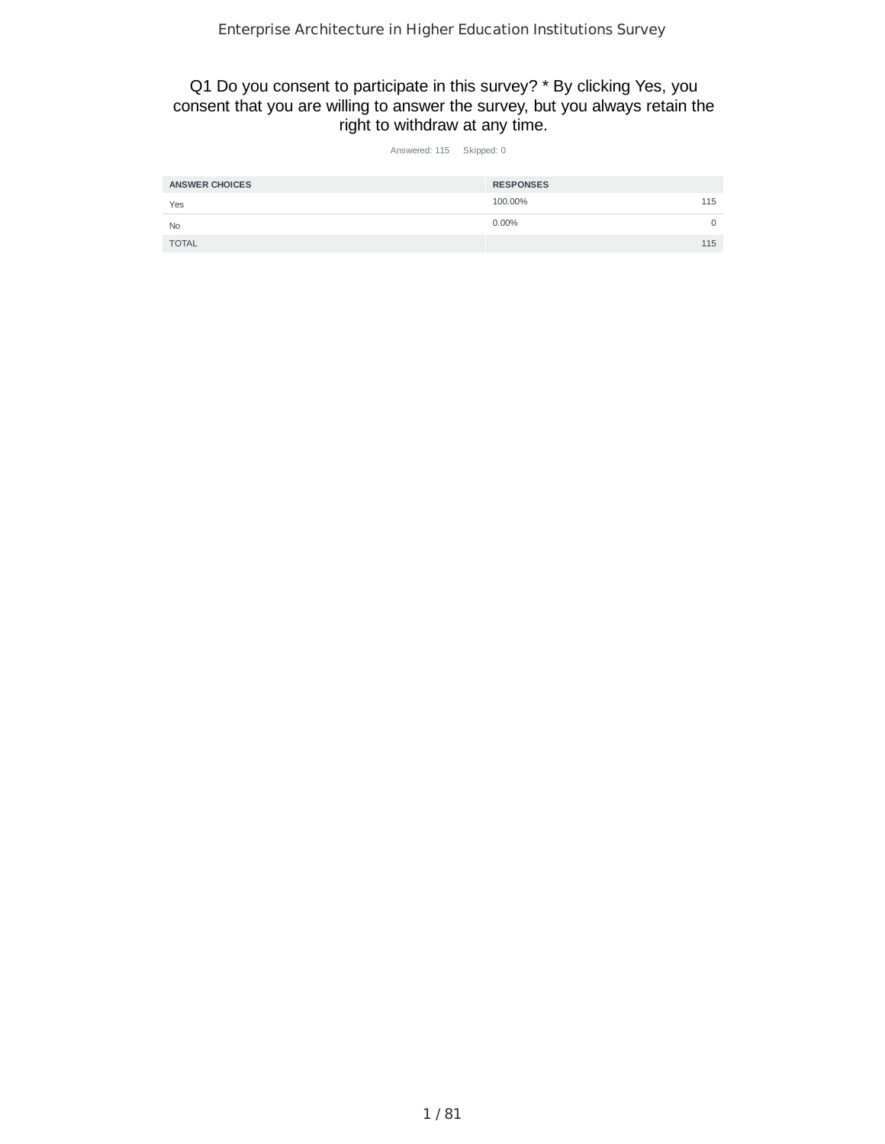Q1 Do you consent to participate in this survey? \* By clicking Yes, you consent that you are willing to answer the survey, but you always retain the right to withdraw at any time.

| Answered: 115 | Skipped: 0 |
|---------------|------------|
|               |            |

| <b>ANSWER CHOICES</b> | <b>RESPONSES</b> |     |
|-----------------------|------------------|-----|
| Yes                   | 100.00%          | 115 |
| <b>No</b>             | $0.00\%$         |     |
| <b>TOTAL</b>          |                  | 115 |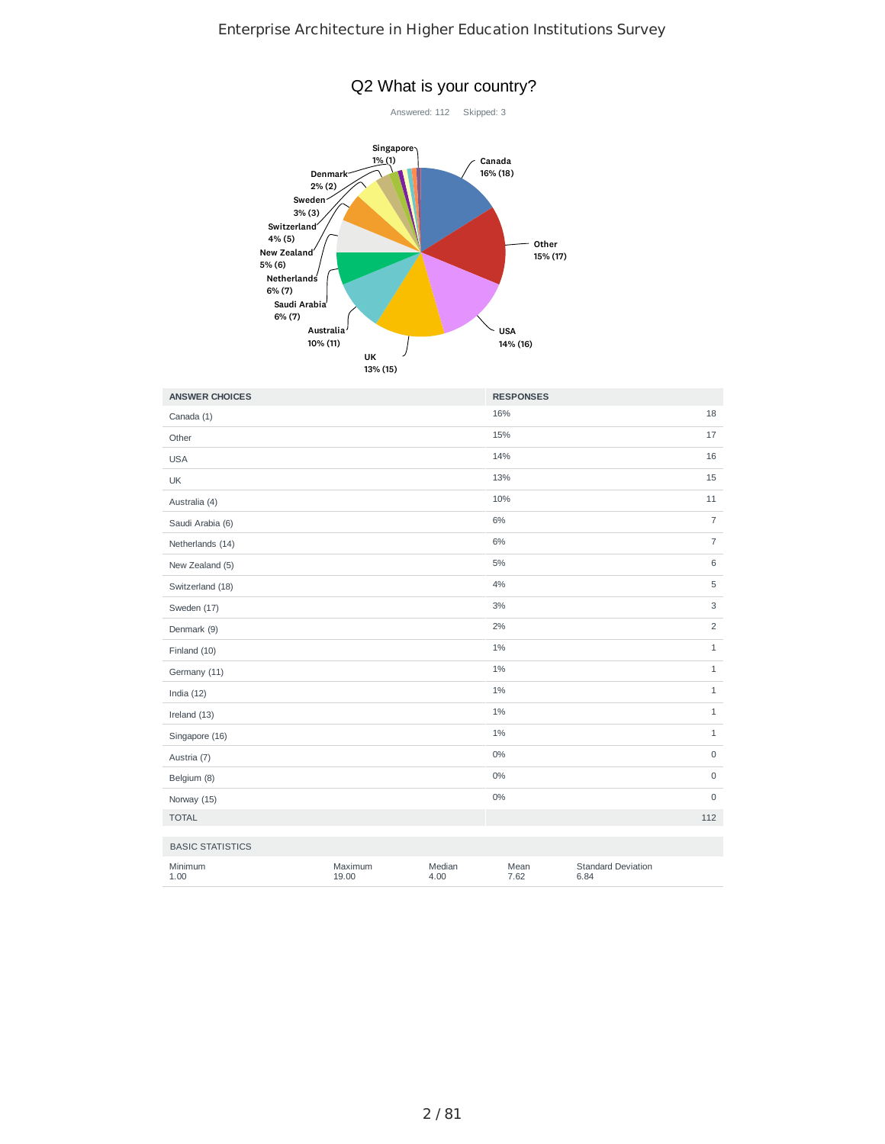

| <b>ANSWER CHOICES</b>   |                  |                | <b>RESPONSES</b> |                                   |                |
|-------------------------|------------------|----------------|------------------|-----------------------------------|----------------|
| Canada (1)              |                  |                | 16%              |                                   | 18             |
| Other                   |                  |                | 15%              |                                   | 17             |
| <b>USA</b>              |                  |                | 14%              |                                   | 16             |
| UK                      |                  |                | 13%              |                                   | 15             |
| Australia (4)           |                  |                | 10%              |                                   | 11             |
| Saudi Arabia (6)        |                  |                | 6%               |                                   | $\overline{7}$ |
| Netherlands (14)        |                  |                | 6%               |                                   | $\overline{7}$ |
| New Zealand (5)         |                  |                | 5%               |                                   | 6              |
| Switzerland (18)        |                  |                | 4%               |                                   | 5              |
| Sweden (17)             |                  |                | 3%               |                                   | 3              |
| Denmark (9)             |                  |                | 2%               |                                   | $\overline{c}$ |
| Finland (10)            |                  |                | 1%               |                                   | $\mathbf{1}$   |
| Germany (11)            |                  |                | 1%               |                                   | $\mathbf{1}$   |
| India $(12)$            |                  |                | 1%               |                                   | $\mathbf 1$    |
| Ireland (13)            |                  |                | 1%               |                                   | $1\,$          |
| Singapore (16)          |                  |                | 1%               |                                   | $\,1\,$        |
| Austria (7)             |                  |                | 0%               |                                   | $\mathsf 0$    |
| Belgium (8)             |                  |                | $0\%$            |                                   | $\mathsf 0$    |
| Norway (15)             |                  |                | $0\%$            |                                   | $\mathsf 0$    |
| <b>TOTAL</b>            |                  |                |                  |                                   | 112            |
| <b>BASIC STATISTICS</b> |                  |                |                  |                                   |                |
| Minimum<br>1.00         | Maximum<br>19.00 | Median<br>4.00 | Mean<br>7.62     | <b>Standard Deviation</b><br>6.84 |                |

## Q2 What is your country?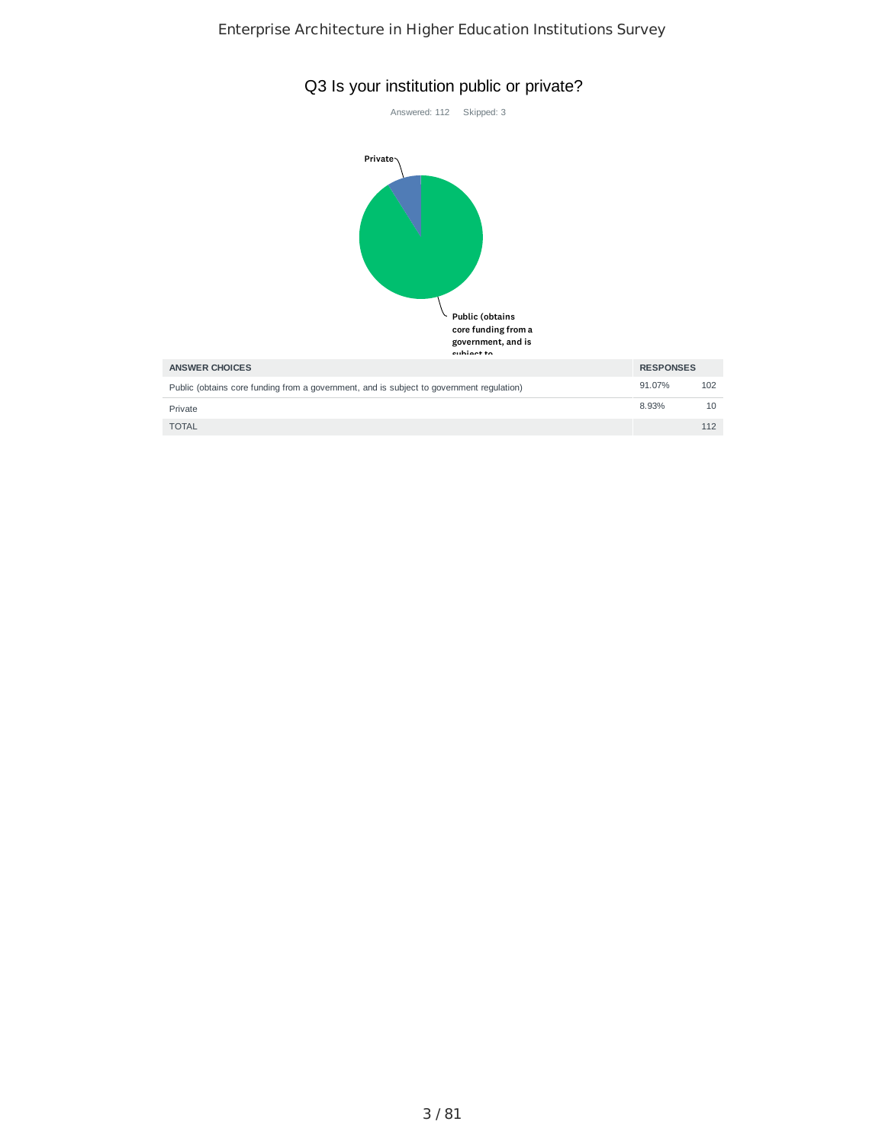



| <b>AINJWER UNUILS</b>                                                                    | <b>INLUTUINJLJ</b> |     |
|------------------------------------------------------------------------------------------|--------------------|-----|
| Public (obtains core funding from a government, and is subject to government regulation) | 91.07%             | 102 |
| Private                                                                                  | 8.93%              | 10  |
| <b>TOTAL</b>                                                                             |                    | 112 |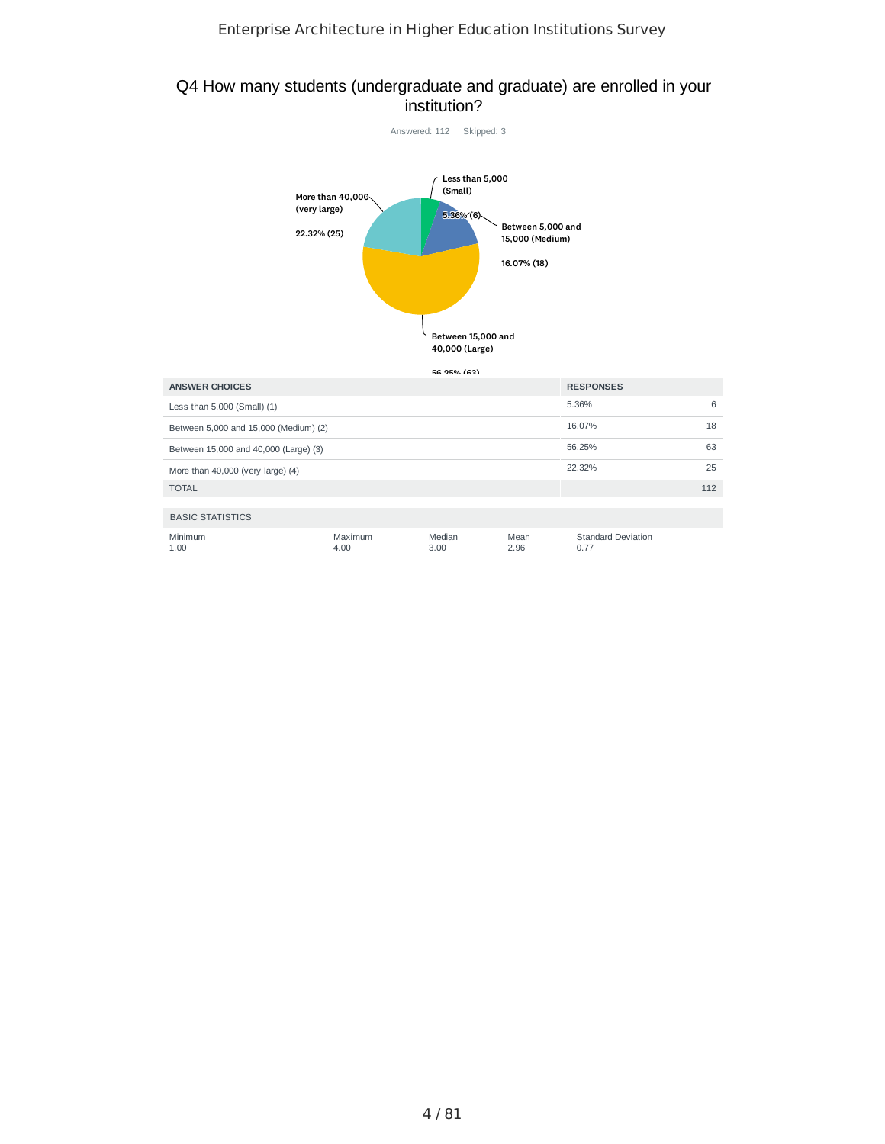## Q4 How many students (undergraduate and graduate) are enrolled in your institution?



| <b>ANSWER CHOICES</b>                 |                 | <b>RESPONSES</b> |              |                                   |     |
|---------------------------------------|-----------------|------------------|--------------|-----------------------------------|-----|
| Less than 5,000 (Small) (1)           |                 |                  |              | 5.36%                             | 6   |
| Between 5,000 and 15,000 (Medium) (2) | 16.07%          | 18               |              |                                   |     |
| Between 15,000 and 40,000 (Large) (3) | 56.25%          | 63               |              |                                   |     |
| More than 40,000 (very large) (4)     |                 | 22.32%           | 25           |                                   |     |
| <b>TOTAL</b>                          |                 |                  |              |                                   | 112 |
| <b>BASIC STATISTICS</b>               |                 |                  |              |                                   |     |
| Minimum<br>1.00                       | Maximum<br>4.00 | Median<br>3.00   | Mean<br>2.96 | <b>Standard Deviation</b><br>0.77 |     |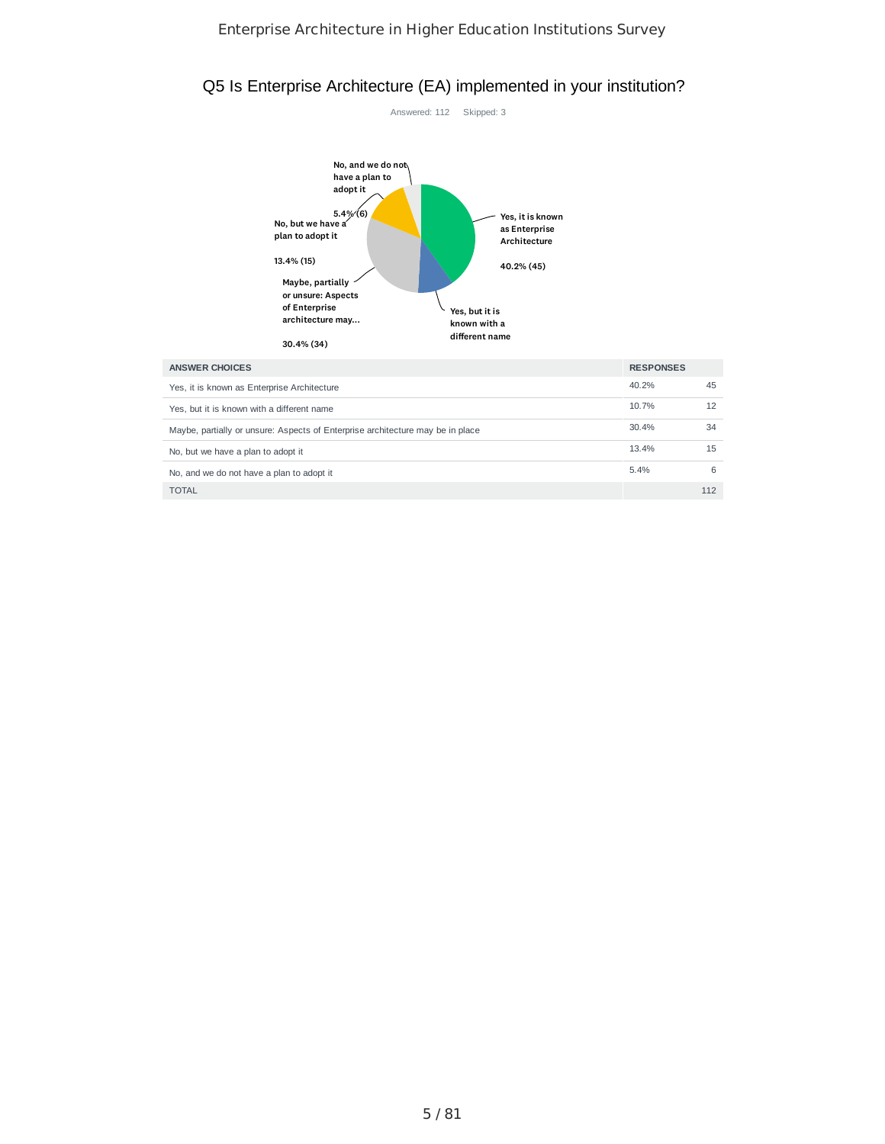# Q5 Is Enterprise Architecture (EA) implemented in your institution?



| <b>ANSWER CHOICES</b>                                                          | <b>RESPONSES</b> |     |
|--------------------------------------------------------------------------------|------------------|-----|
| Yes, it is known as Enterprise Architecture                                    | 40.2%            | 45  |
| Yes, but it is known with a different name                                     | 10.7%            | 12  |
| Maybe, partially or unsure: Aspects of Enterprise architecture may be in place | 30.4%            | 34  |
| No, but we have a plan to adopt it                                             | 13.4%            | 15  |
| No, and we do not have a plan to adopt it                                      | 5.4%             | 6   |
| <b>TOTAL</b>                                                                   |                  | 112 |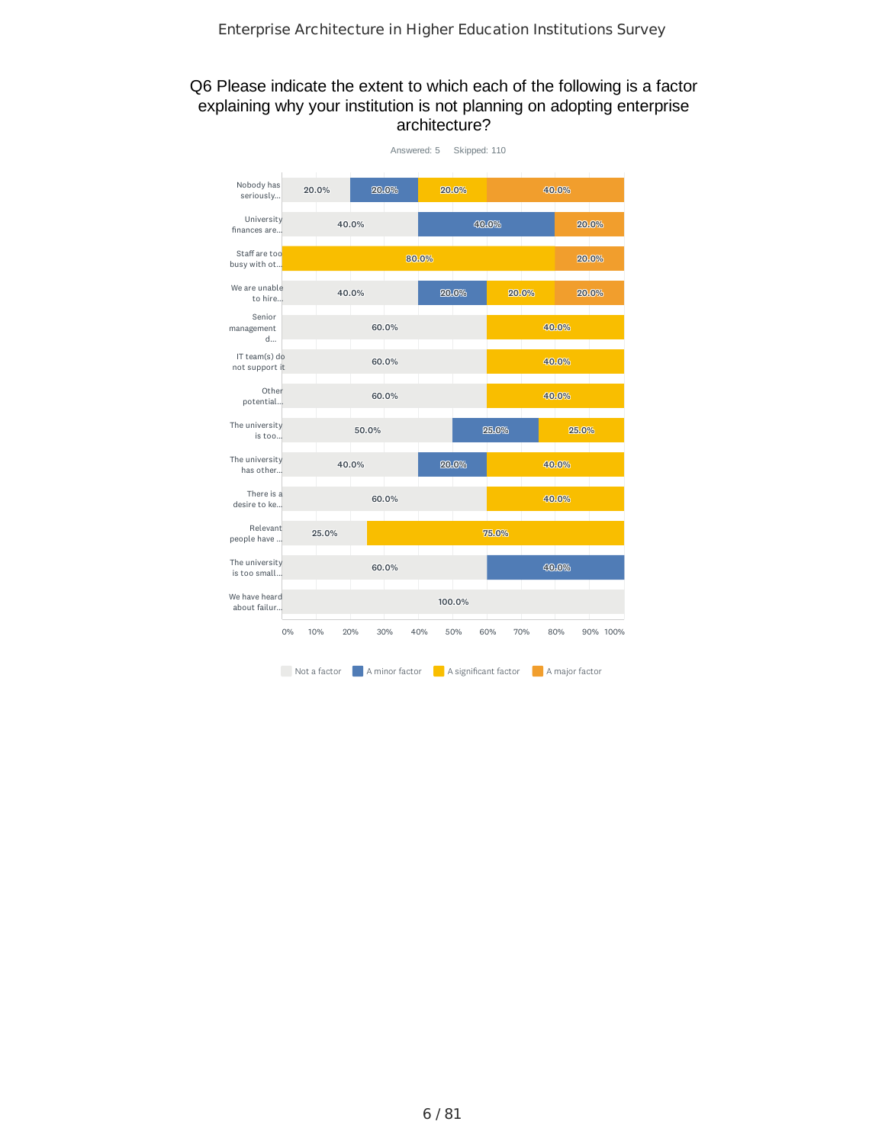## Q6 Please indicate the extent to which each of the following is a factor explaining why your institution is not planning on adopting enterprise architecture?

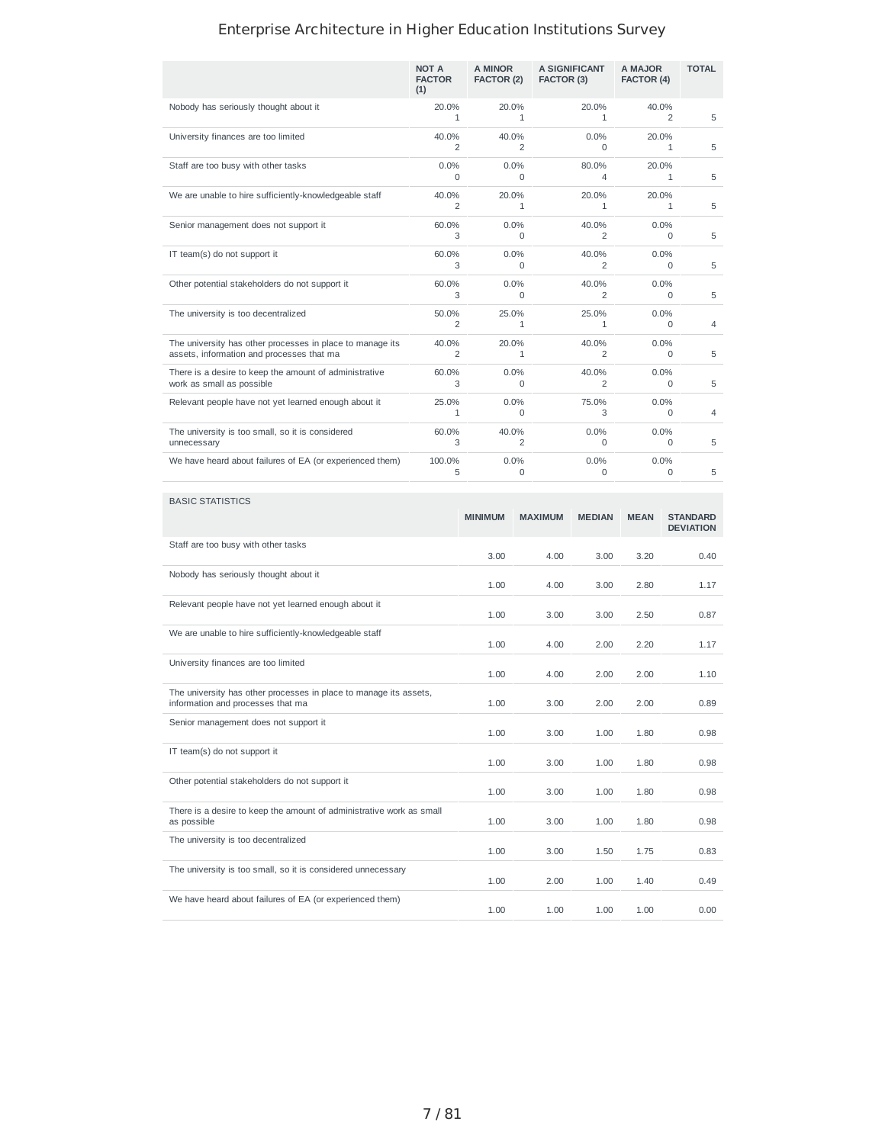|                                                                                                        | NOT A<br><b>FACTOR</b><br>(1) | A MINOR<br>FACTOR (2) | A SIGNIFICANT<br>FACTOR (3) | A MAJOR<br>FACTOR (4) | <b>TOTAL</b> |
|--------------------------------------------------------------------------------------------------------|-------------------------------|-----------------------|-----------------------------|-----------------------|--------------|
| Nobody has seriously thought about it                                                                  | 20.0%<br>1                    | 20.0%<br>1            | 20.0%<br>$\mathbf{1}$       | 40.0%<br>2            | 5            |
| University finances are too limited                                                                    | 40.0%<br>2                    | 40.0%<br>2            | 0.0%<br>$\Omega$            | 20.0%<br>1            | 5            |
| Staff are too busy with other tasks                                                                    | 0.0%<br>$\Omega$              | 0.0%<br>$\Omega$      | 80.0%<br>4                  | 20.0%<br>1            | 5            |
| We are unable to hire sufficiently-knowledgeable staff                                                 | 40.0%<br>2                    | 20.0%<br>1            | 20.0%<br>$\mathbf{1}$       | 20.0%<br>1            | 5            |
| Senior management does not support it                                                                  | 60.0%<br>3                    | 0.0%<br>$\Omega$      | 40.0%<br>2                  | 0.0%<br>$\Omega$      | 5            |
| IT team(s) do not support it                                                                           | 60.0%<br>3                    | 0.0%<br>$\Omega$      | 40.0%<br>2                  | 0.0%<br>$\Omega$      | 5            |
| Other potential stakeholders do not support it                                                         | 60.0%<br>3                    | 0.0%<br>0             | 40.0%<br>2                  | 0.0%<br>0             | 5            |
| The university is too decentralized                                                                    | 50.0%<br>2                    | 25.0%<br>1            | 25.0%<br>1                  | 0.0%<br>$\Omega$      | 4            |
| The university has other processes in place to manage its<br>assets, information and processes that ma | 40.0%<br>2                    | 20.0%<br>$\mathbf{1}$ | 40.0%<br>2                  | 0.0%<br>$\Omega$      | 5            |
| There is a desire to keep the amount of administrative<br>work as small as possible                    | 60.0%<br>3                    | 0.0%<br>0             | 40.0%<br>2                  | 0.0%<br>0             | 5            |
| Relevant people have not yet learned enough about it                                                   | 25.0%<br>1                    | 0.0%<br>0             | 75.0%<br>3                  | 0.0%<br>0             | 4            |
| The university is too small, so it is considered<br>unnecessary                                        | 60.0%<br>3                    | 40.0%<br>2            | 0.0%<br>$\Omega$            | 0.0%<br>$\Omega$      | 5            |
| We have heard about failures of EA (or experienced them)                                               | 100.0%<br>5                   | 0.0%<br>$\Omega$      | 0.0%<br>$\Omega$            | 0.0%<br>$\Omega$      | 5            |

| <b>BASIC STATISTICS</b>                                                                                |                |                |               |             |                                     |
|--------------------------------------------------------------------------------------------------------|----------------|----------------|---------------|-------------|-------------------------------------|
|                                                                                                        | <b>MINIMUM</b> | <b>MAXIMUM</b> | <b>MEDIAN</b> | <b>MEAN</b> | <b>STANDARD</b><br><b>DEVIATION</b> |
| Staff are too busy with other tasks                                                                    | 3.00           | 4.00           | 3.00          | 3.20        | 0.40                                |
| Nobody has seriously thought about it                                                                  | 1.00           | 4.00           | 3.00          | 2.80        | 1.17                                |
| Relevant people have not yet learned enough about it                                                   | 1.00           | 3.00           | 3.00          | 2.50        | 0.87                                |
| We are unable to hire sufficiently-knowledgeable staff                                                 | 1.00           | 4.00           | 2.00          | 2.20        | 1.17                                |
| University finances are too limited                                                                    | 1.00           | 4.00           | 2.00          | 2.00        | 1.10                                |
| The university has other processes in place to manage its assets,<br>information and processes that ma | 1.00           | 3.00           | 2.00          | 2.00        | 0.89                                |
| Senior management does not support it                                                                  | 1.00           | 3.00           | 1.00          | 1.80        | 0.98                                |
| IT team(s) do not support it                                                                           | 1.00           | 3.00           | 1.00          | 1.80        | 0.98                                |
| Other potential stakeholders do not support it                                                         | 1.00           | 3.00           | 1.00          | 1.80        | 0.98                                |
| There is a desire to keep the amount of administrative work as small<br>as possible                    | 1.00           | 3.00           | 1.00          | 1.80        | 0.98                                |
| The university is too decentralized                                                                    | 1.00           | 3.00           | 1.50          | 1.75        | 0.83                                |
| The university is too small, so it is considered unnecessary                                           | 1.00           | 2.00           | 1.00          | 1.40        | 0.49                                |
| We have heard about failures of EA (or experienced them)                                               | 1.00           | 1.00           | 1.00          | 1.00        | 0.00                                |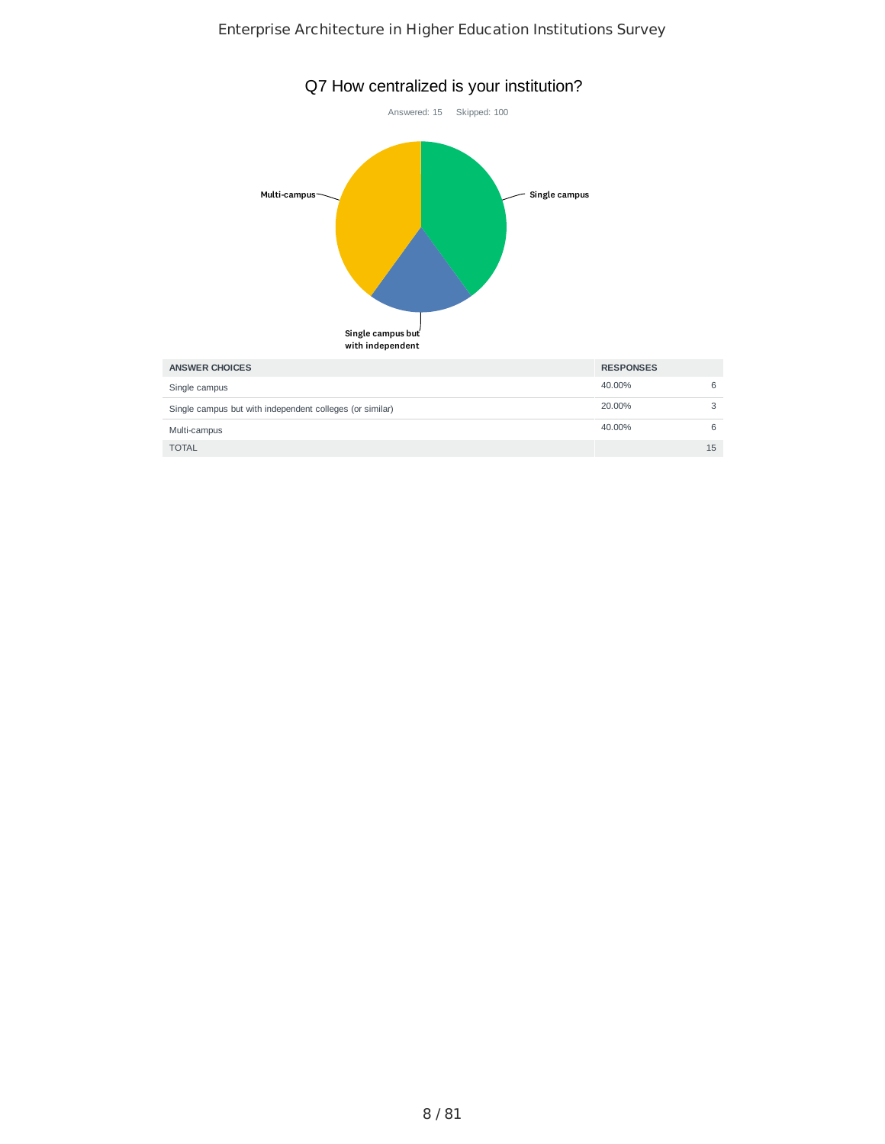

8 / 81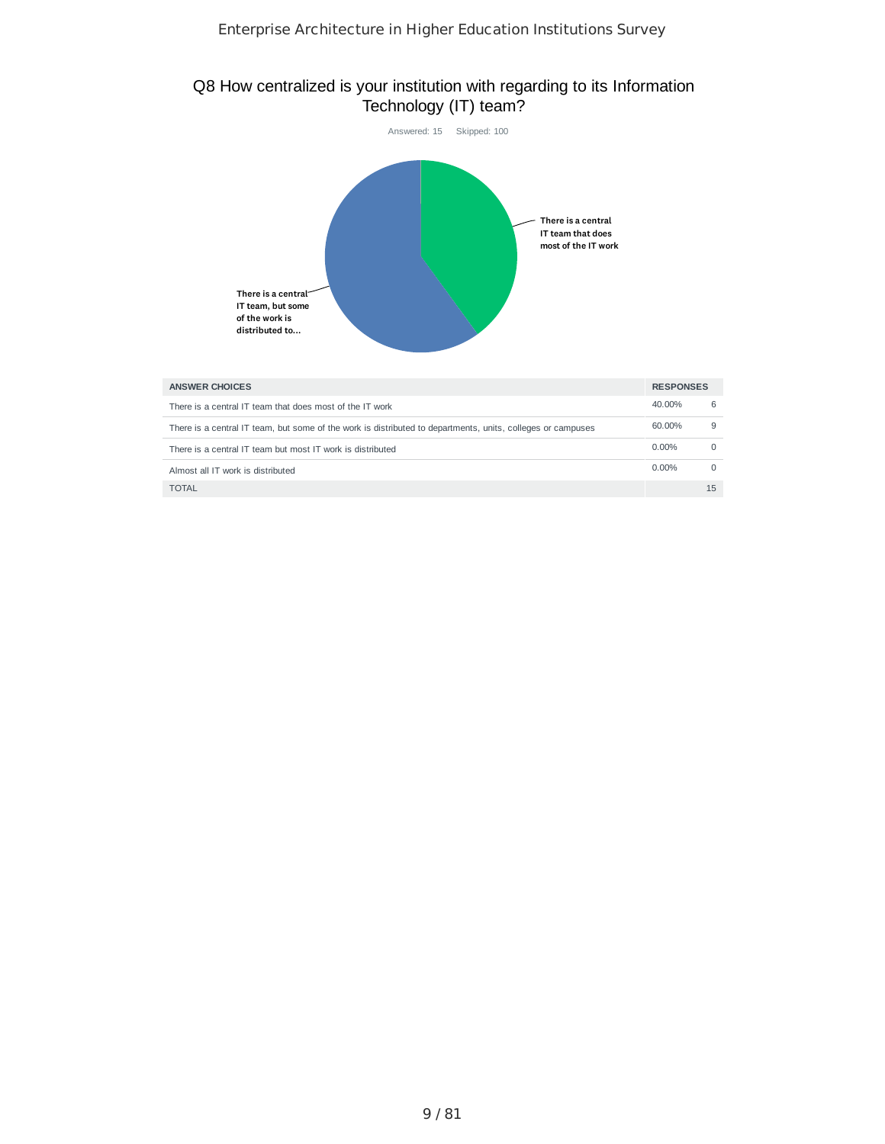## Q8 How centralized is your institution with regarding to its Information Technology (IT) team?



| <b>ANSWER CHOICES</b>                                                                                       | <b>RESPONSES</b> |    |
|-------------------------------------------------------------------------------------------------------------|------------------|----|
| There is a central IT team that does most of the IT work                                                    | 40.00%           | 6  |
| There is a central IT team, but some of the work is distributed to departments, units, colleges or campuses | 60.00%           | g  |
| There is a central IT team but most IT work is distributed                                                  | $0.00\%$         |    |
| Almost all IT work is distributed                                                                           | $0.00\%$         |    |
| <b>TOTAL</b>                                                                                                |                  | 15 |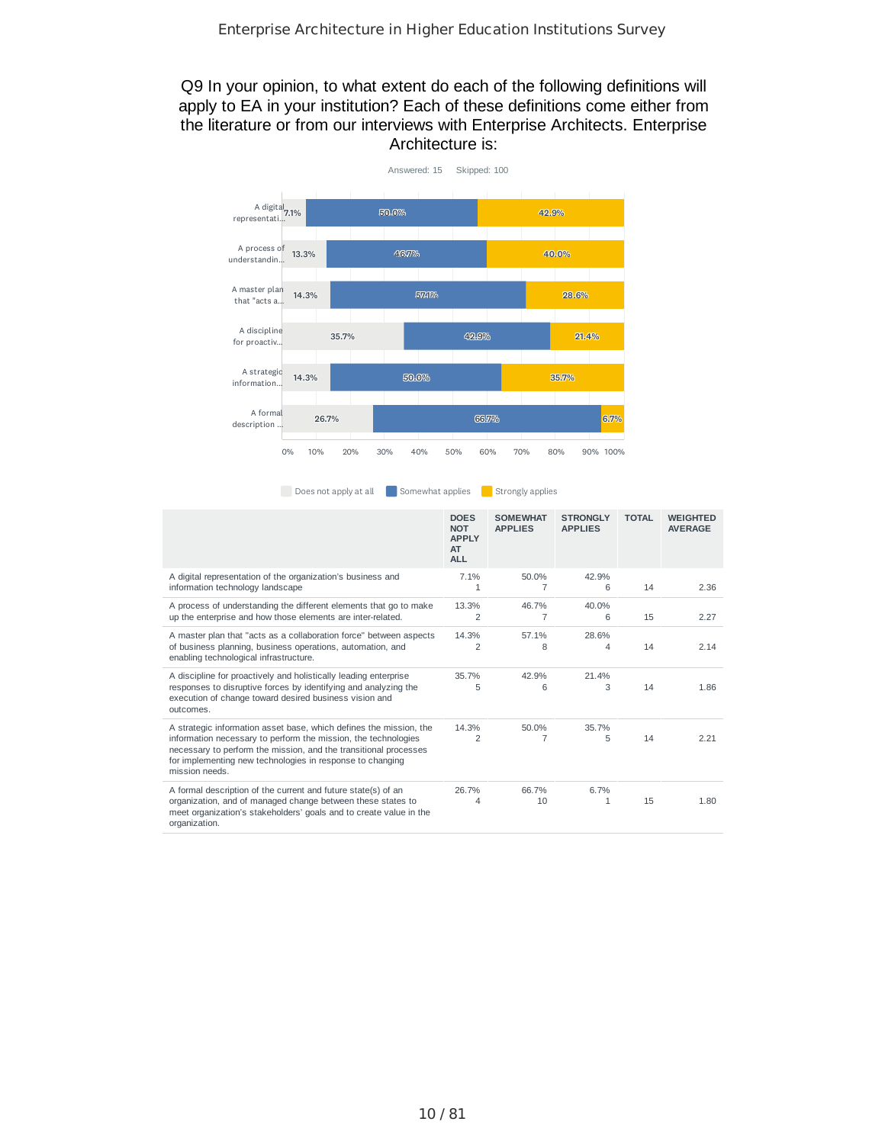## Q9 In your opinion, to what extent do each of the following definitions will apply to EA in your institution? Each of these definitions come either from the literature or from our interviews with Enterprise Architects. Enterprise Architecture is:



Does not apply at all Somewhat applies Strongly applies

|                                                                                                                                                                                                                                                                                         | <b>DOES</b><br><b>NOT</b><br><b>APPLY</b><br>AT<br><b>ALL</b> | <b>SOMEWHAT</b><br><b>APPLIES</b> | <b>STRONGLY</b><br><b>APPLIES</b> | <b>TOTAL</b> | <b>WEIGHTED</b><br><b>AVERAGE</b> |
|-----------------------------------------------------------------------------------------------------------------------------------------------------------------------------------------------------------------------------------------------------------------------------------------|---------------------------------------------------------------|-----------------------------------|-----------------------------------|--------------|-----------------------------------|
| A digital representation of the organization's business and<br>information technology landscape                                                                                                                                                                                         | 7.1%<br>1                                                     | 50.0%                             | 42.9%<br>6                        | 14           | 2.36                              |
| A process of understanding the different elements that go to make<br>up the enterprise and how those elements are inter-related.                                                                                                                                                        | 13.3%<br>$\overline{2}$                                       | 46.7%<br>7                        | 40.0%<br>6                        | 15           | 2.27                              |
| A master plan that "acts as a collaboration force" between aspects<br>of business planning, business operations, automation, and<br>enabling technological infrastructure.                                                                                                              | 14.3%<br>$\overline{c}$                                       | 57.1%<br>8                        | 28.6%<br>$\overline{4}$           | 14           | 2.14                              |
| A discipline for proactively and holistically leading enterprise<br>responses to disruptive forces by identifying and analyzing the<br>execution of change toward desired business vision and<br>outcomes.                                                                              | 35.7%<br>5                                                    | 42.9%<br>6                        | 21.4%<br>3                        | 14           | 1.86                              |
| A strategic information asset base, which defines the mission, the<br>information necessary to perform the mission, the technologies<br>necessary to perform the mission, and the transitional processes<br>for implementing new technologies in response to changing<br>mission needs. | 14.3%<br>$\overline{c}$                                       | 50.0%<br>7                        | 35.7%<br>5                        | 14           | 2.21                              |
| A formal description of the current and future state(s) of an<br>organization, and of managed change between these states to<br>meet organization's stakeholders' goals and to create value in the<br>organization.                                                                     | 26.7%<br>4                                                    | 66.7%<br>10                       | 6.7%<br>$\mathbf{1}$              | 15           | 1.80                              |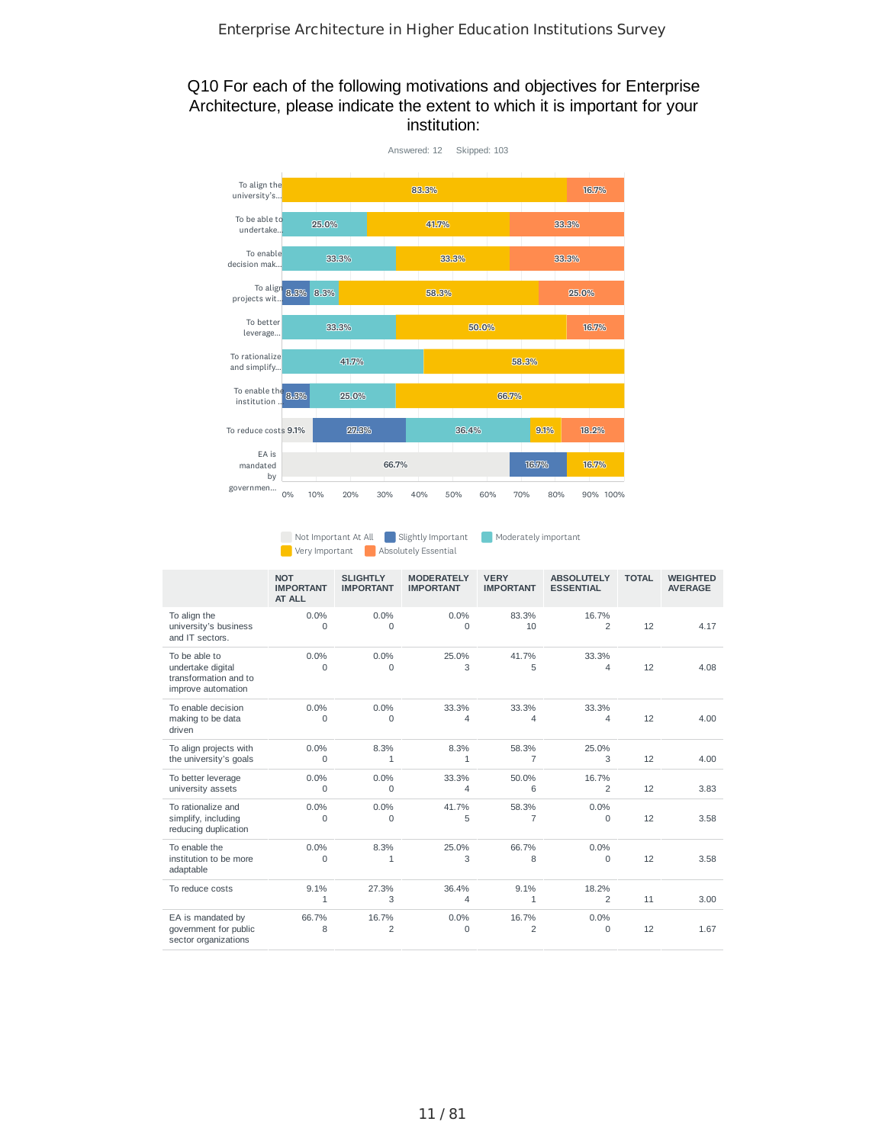## Q10 For each of the following motivations and objectives for Enterprise Architecture, please indicate the extent to which it is important for your institution:



Not Important At All Slightly Important Moderately important **Absolutely Essential** 

|                                                                                   | <b>NOT</b><br><b>IMPORTANT</b><br>AT ALL | <b>SLIGHTLY</b><br><b>IMPORTANT</b> | <b>MODERATELY</b><br><b>IMPORTANT</b> | <b>VERY</b><br><b>IMPORTANT</b> | <b>ABSOLUTELY</b><br><b>ESSENTIAL</b> | <b>TOTAL</b> | <b>WEIGHTED</b><br><b>AVERAGE</b> |
|-----------------------------------------------------------------------------------|------------------------------------------|-------------------------------------|---------------------------------------|---------------------------------|---------------------------------------|--------------|-----------------------------------|
| To align the<br>university's business<br>and IT sectors.                          | 0.0%<br>$\Omega$                         | 0.0%<br>$\Omega$                    | 0.0%<br>$\Omega$                      | 83.3%<br>10                     | 16.7%<br>$\overline{2}$               | 12           | 4.17                              |
| To be able to<br>undertake digital<br>transformation and to<br>improve automation | 0.0%<br>$\Omega$                         | 0.0%<br>$\Omega$                    | 25.0%<br>3                            | 41.7%<br>5                      | 33.3%<br>$\overline{4}$               | 12           | 4.08                              |
| To enable decision<br>making to be data<br>driven                                 | 0.0%<br>$\Omega$                         | 0.0%<br>$\Omega$                    | 33.3%<br>4                            | 33.3%<br>4                      | 33.3%<br>$\overline{4}$               | 12           | 4.00                              |
| To align projects with<br>the university's goals                                  | 0.0%<br>$\mathbf 0$                      | 8.3%<br>1                           | 8.3%<br>$\mathbf{1}$                  | 58.3%<br>7                      | 25.0%<br>3                            | 12           | 4.00                              |
| To better leverage<br>university assets                                           | 0.0%<br>$\mathbf 0$                      | 0.0%<br>0                           | 33.3%<br>$\overline{4}$               | 50.0%<br>6                      | 16.7%<br>$\overline{2}$               | 12           | 3.83                              |
| To rationalize and<br>simplify, including<br>reducing duplication                 | 0.0%<br>$\Omega$                         | 0.0%<br>0                           | 41.7%<br>5                            | 58.3%<br>$\overline{7}$         | 0.0%<br>0                             | 12           | 3.58                              |
| To enable the<br>institution to be more<br>adaptable                              | 0.0%<br>$\Omega$                         | 8.3%<br>1                           | 25.0%<br>3                            | 66.7%<br>8                      | 0.0%<br>0                             | 12           | 3.58                              |
| To reduce costs                                                                   | 9.1%<br>$\mathbf{1}$                     | 27.3%<br>3                          | 36.4%<br>4                            | 9.1%<br>1                       | 18.2%<br>$\overline{2}$               | 11           | 3.00                              |
| EA is mandated by<br>government for public<br>sector organizations                | 66.7%<br>8                               | 16.7%<br>2                          | 0.0%<br>$\mathbf 0$                   | 16.7%<br>$\overline{2}$         | 0.0%<br>0                             | 12           | 1.67                              |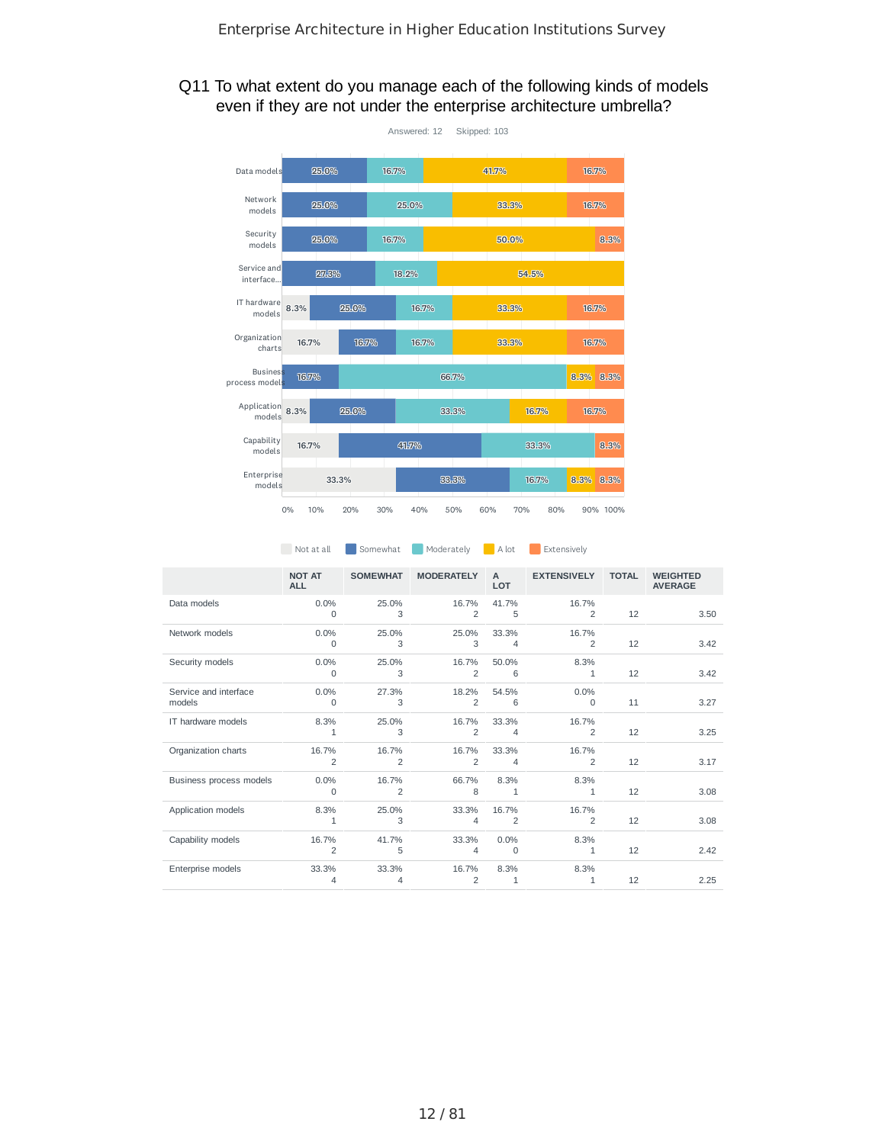## Q11 To what extent do you manage each of the following kinds of models even if they are not under the enterprise architecture umbrella?



|                                 | <b>NOT AT</b><br><b>ALL</b> | <b>SOMEWHAT</b> | <b>MODERATELY</b>       | $\mathsf{A}$<br>LOT     | <b>EXTENSIVELY</b>      | <b>TOTAL</b> | <b>WEIGHTED</b><br><b>AVERAGE</b> |
|---------------------------------|-----------------------------|-----------------|-------------------------|-------------------------|-------------------------|--------------|-----------------------------------|
| Data models                     | 0.0%<br><sup>0</sup>        | 25.0%<br>3      | 16.7%<br>2              | 41.7%<br>5              | 16.7%<br>2              | 12           | 3.50                              |
| Network models                  | 0.0%<br>0                   | 25.0%<br>3      | 25.0%<br>3              | 33.3%<br>4              | 16.7%<br>$\overline{2}$ | 12           | 3.42                              |
| Security models                 | 0.0%<br>0                   | 25.0%<br>3      | 16.7%<br>2              | 50.0%<br>6              | 8.3%<br>1               | 12           | 3.42                              |
| Service and interface<br>models | $0.0\%$<br>$\Omega$         | 27.3%<br>3      | 18.2%<br>$\overline{2}$ | 54.5%<br>6              | $0.0\%$<br>$\Omega$     | 11           | 3.27                              |
| IT hardware models              | 8.3%<br>1                   | 25.0%<br>3      | 16.7%<br>2              | 33.3%<br>4              | 16.7%<br>2              | 12           | 3.25                              |
| Organization charts             | 16.7%<br>$\overline{c}$     | 16.7%<br>2      | 16.7%<br>2              | 33.3%<br>4              | 16.7%<br>2              | 12           | 3.17                              |
| Business process models         | $0.0\%$<br>$\Omega$         | 16.7%<br>2      | 66.7%<br>8              | 8.3%<br>1               | 8.3%<br>1               | 12           | 3.08                              |
| Application models              | 8.3%<br>1                   | 25.0%<br>3      | 33.3%<br>4              | 16.7%<br>$\overline{c}$ | 16.7%<br>2              | 12           | 3.08                              |
| Capability models               | 16.7%<br>$\overline{c}$     | 41.7%<br>5      | 33.3%<br>4              | 0.0%<br>0               | 8.3%<br>1               | 12           | 2.42                              |
| Enterprise models               | 33.3%<br>4                  | 33.3%<br>4      | 16.7%<br>2              | 8.3%<br>1               | 8.3%<br>1               | 12           | 2.25                              |

Not at all Somewhat Moderately A lot Extensively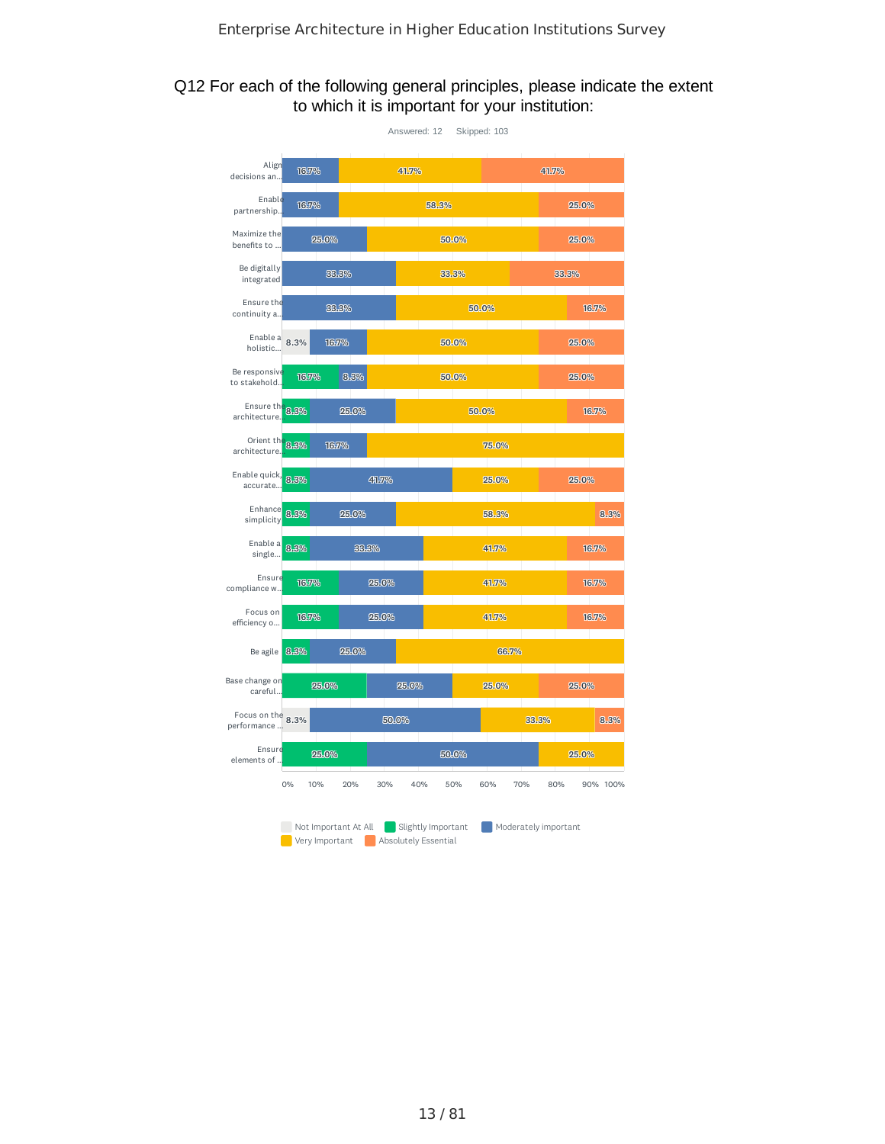#### Q12 For each of the following general principles, please indicate the extent to which it is important for your institution:

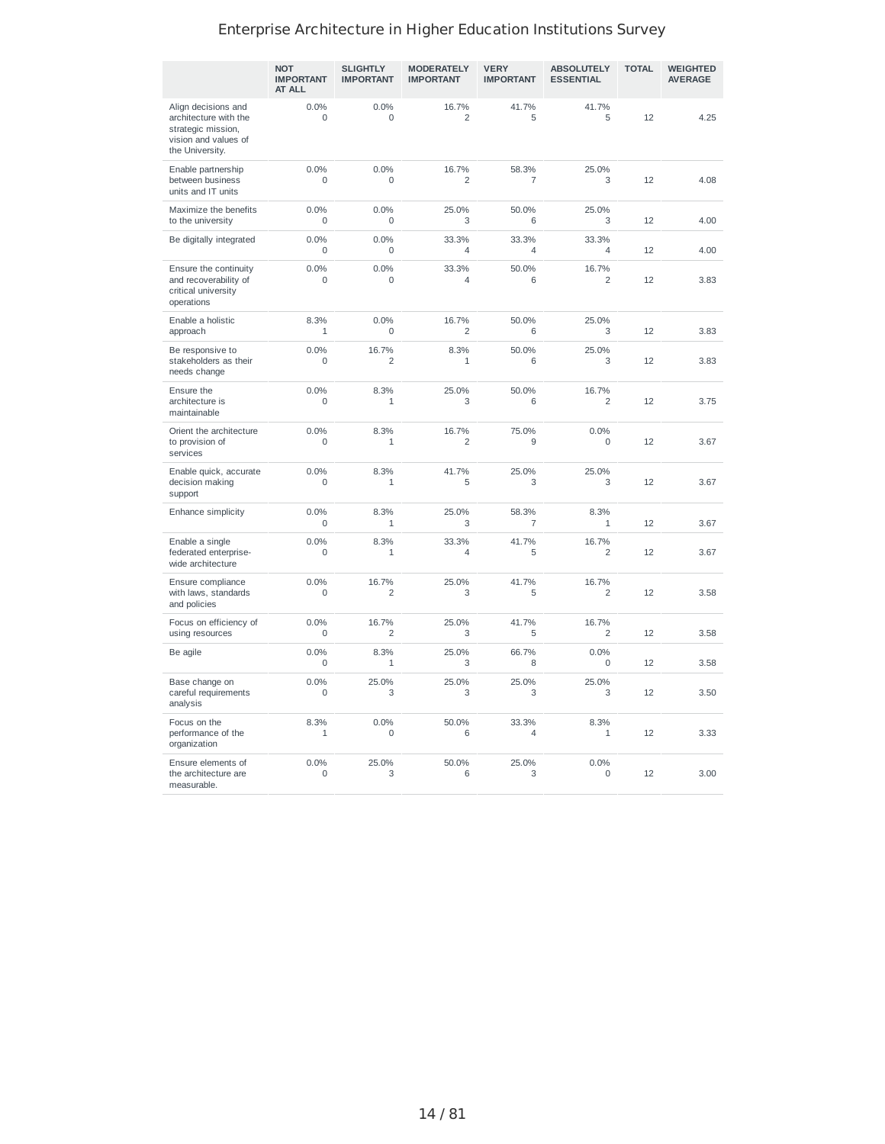|                                                                                                               | <b>NOT</b><br><b>IMPORTANT</b><br><b>AT ALL</b> | <b>SLIGHTLY</b><br><b>IMPORTANT</b> | <b>MODERATELY</b><br><b>IMPORTANT</b> | <b>VERY</b><br><b>IMPORTANT</b> | <b>ABSOLUTELY</b><br><b>ESSENTIAL</b> | <b>TOTAL</b> | <b>WEIGHTED</b><br><b>AVERAGE</b> |
|---------------------------------------------------------------------------------------------------------------|-------------------------------------------------|-------------------------------------|---------------------------------------|---------------------------------|---------------------------------------|--------------|-----------------------------------|
| Align decisions and<br>architecture with the<br>strategic mission,<br>vision and values of<br>the University. | 0.0%<br>$\Omega$                                | 0.0%<br>$\Omega$                    | 16.7%<br>$\overline{c}$               | 41.7%<br>5                      | 41.7%<br>5                            | 12           | 4.25                              |
| Enable partnership<br>between business<br>units and IT units                                                  | 0.0%<br>$\Omega$                                | 0.0%<br>$\mathbf 0$                 | 16.7%<br>$\overline{c}$               | 58.3%<br>7                      | 25.0%<br>3                            | 12           | 4.08                              |
| Maximize the benefits<br>to the university                                                                    | 0.0%<br>$\mathbf 0$                             | 0.0%<br>0                           | 25.0%<br>3                            | 50.0%<br>6                      | 25.0%<br>3                            | 12           | 4.00                              |
| Be digitally integrated                                                                                       | 0.0%<br>$\mathbf 0$                             | 0.0%<br>$\mathbf 0$                 | 33.3%<br>$\overline{4}$               | 33.3%<br>$\overline{4}$         | 33.3%<br>$\overline{4}$               | 12           | 4.00                              |
| Ensure the continuity<br>and recoverability of<br>critical university<br>operations                           | 0.0%<br>$\Omega$                                | 0.0%<br>0                           | 33.3%<br>$\overline{4}$               | 50.0%<br>6                      | 16.7%<br>$\overline{c}$               | 12           | 3.83                              |
| Enable a holistic<br>approach                                                                                 | 8.3%<br>$\mathbf{1}$                            | 0.0%<br>$\Omega$                    | 16.7%<br>$\overline{2}$               | 50.0%<br>6                      | 25.0%<br>3                            | 12           | 3.83                              |
| Be responsive to<br>stakeholders as their<br>needs change                                                     | 0.0%<br>$\mathbf 0$                             | 16.7%<br>2                          | 8.3%<br>$\mathbf{1}$                  | 50.0%<br>6                      | 25.0%<br>3                            | 12           | 3.83                              |
| Ensure the<br>architecture is<br>maintainable                                                                 | 0.0%<br>$\Omega$                                | 8.3%<br>1                           | 25.0%<br>3                            | 50.0%<br>6                      | 16.7%<br>$\overline{c}$               | 12           | 3.75                              |
| Orient the architecture<br>to provision of<br>services                                                        | 0.0%<br>$\Omega$                                | 8.3%<br>$\mathbf{1}$                | 16.7%<br>$\overline{2}$               | 75.0%<br>9                      | 0.0%<br>$\Omega$                      | 12           | 3.67                              |
| Enable quick, accurate<br>decision making<br>support                                                          | 0.0%<br>$\mathbf 0$                             | 8.3%<br>$\mathbf{1}$                | 41.7%<br>5                            | 25.0%<br>3                      | 25.0%<br>3                            | 12           | 3.67                              |
| Enhance simplicity                                                                                            | 0.0%<br>$\Omega$                                | 8.3%<br>$\mathbf{1}$                | 25.0%<br>3                            | 58.3%<br>$\overline{7}$         | 8.3%<br>$\mathbf{1}$                  | 12           | 3.67                              |
| Enable a single<br>federated enterprise-<br>wide architecture                                                 | 0.0%<br>$\Omega$                                | 8.3%<br>$\mathbf{1}$                | 33.3%<br>$\overline{4}$               | 41.7%<br>5                      | 16.7%<br>$\overline{2}$               | 12           | 3.67                              |
| Ensure compliance<br>with laws, standards<br>and policies                                                     | 0.0%<br>$\Omega$                                | 16.7%<br>2                          | 25.0%<br>3                            | 41.7%<br>5                      | 16.7%<br>2                            | 12           | 3.58                              |
| Focus on efficiency of<br>using resources                                                                     | 0.0%<br>$\mathbf 0$                             | 16.7%<br>2                          | 25.0%<br>3                            | 41.7%<br>5                      | 16.7%<br>$\overline{c}$               | 12           | 3.58                              |
| Be agile                                                                                                      | 0.0%<br>$\mathbf 0$                             | 8.3%<br>$\mathbf{1}$                | 25.0%<br>3                            | 66.7%<br>8                      | 0.0%<br>$\mathbf 0$                   | 12           | 3.58                              |
| Base change on<br>careful requirements<br>analysis                                                            | 0.0%<br>$\mathbf 0$                             | 25.0%<br>3                          | 25.0%<br>3                            | 25.0%<br>3                      | 25.0%<br>3                            | 12           | 3.50                              |
| Focus on the<br>performance of the<br>organization                                                            | 8.3%<br>$\mathbf{1}$                            | 0.0%<br>0                           | 50.0%<br>6                            | 33.3%<br>$\overline{4}$         | 8.3%<br>$\mathbf{1}$                  | 12           | 3.33                              |
| Ensure elements of<br>the architecture are<br>measurable.                                                     | 0.0%<br>$\Omega$                                | 25.0%<br>3                          | 50.0%<br>6                            | 25.0%<br>3                      | 0.0%<br>$\Omega$                      | 12           | 3.00                              |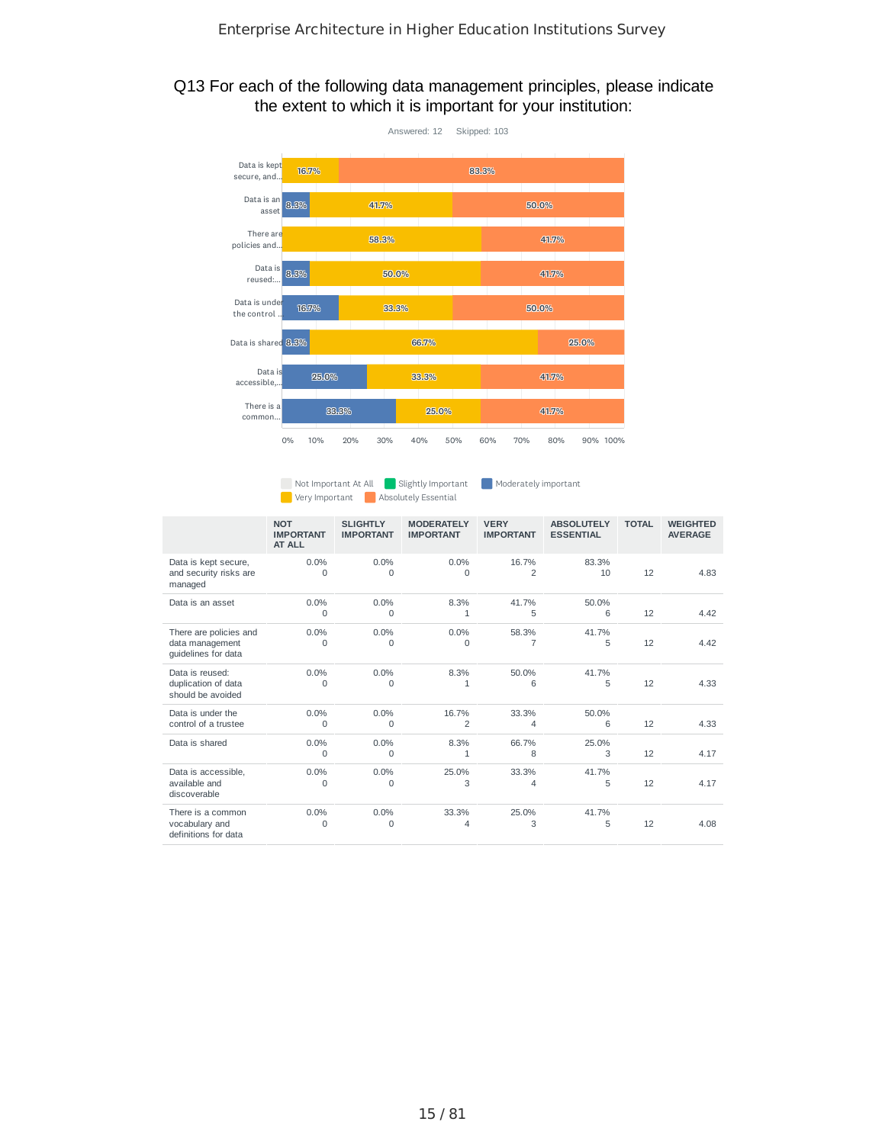## Q13 For each of the following data management principles, please indicate the extent to which it is important for your institution:



Not Important At All Slightly Important Moderately important **Very Important Absolutely Essential** 

|                                                                  | <b>NOT</b><br><b>IMPORTANT</b><br>AT ALL | <b>SLIGHTLY</b><br><b>IMPORTANT</b> | <b>MODERATELY</b><br><b>IMPORTANT</b> | <b>VERY</b><br><b>IMPORTANT</b> | <b>ABSOLUTELY</b><br><b>ESSENTIAL</b> | <b>TOTAL</b> | <b>WEIGHTED</b><br><b>AVERAGE</b> |
|------------------------------------------------------------------|------------------------------------------|-------------------------------------|---------------------------------------|---------------------------------|---------------------------------------|--------------|-----------------------------------|
| Data is kept secure,<br>and security risks are<br>managed        | 0.0%<br>$\Omega$                         | 0.0%<br>$\Omega$                    | 0.0%<br>$\Omega$                      | 16.7%<br>$\overline{2}$         | 83.3%<br>10                           | 12           | 4.83                              |
| Data is an asset                                                 | $0.0\%$<br>$\Omega$                      | 0.0%<br>$\Omega$                    | 8.3%<br>$\mathbf{1}$                  | 41.7%<br>5                      | 50.0%<br>6                            | 12           | 4.42                              |
| There are policies and<br>data management<br>quidelines for data | 0.0%<br>$\Omega$                         | 0.0%<br>$\Omega$                    | 0.0%<br>$\Omega$                      | 58.3%<br>$\overline{7}$         | 41.7%<br>5                            | 12           | 4.42                              |
| Data is reused:<br>duplication of data<br>should be avoided      | 0.0%<br>$\Omega$                         | 0.0%<br>$\Omega$                    | 8.3%<br>$\mathbf{1}$                  | 50.0%<br>6                      | 41.7%<br>5                            | 12           | 4.33                              |
| Data is under the<br>control of a trustee                        | 0.0%<br>0                                | 0.0%<br>0                           | 16.7%<br>$\overline{2}$               | 33.3%<br>4                      | 50.0%<br>6                            | 12           | 4.33                              |
| Data is shared                                                   | 0.0%<br>$\Omega$                         | 0.0%<br>$\Omega$                    | 8.3%<br>$\mathbf{1}$                  | 66.7%<br>8                      | 25.0%<br>3                            | 12           | 4.17                              |
| Data is accessible.<br>available and<br>discoverable             | 0.0%<br>$\Omega$                         | 0.0%<br>$\Omega$                    | 25.0%<br>3                            | 33.3%<br>$\overline{4}$         | 41.7%<br>5                            | 12           | 4.17                              |
| There is a common<br>vocabulary and<br>definitions for data      | $0.0\%$<br>$\Omega$                      | 0.0%<br>$\Omega$                    | 33.3%<br>Δ                            | 25.0%<br>3                      | 41.7%<br>5                            | 12           | 4.08                              |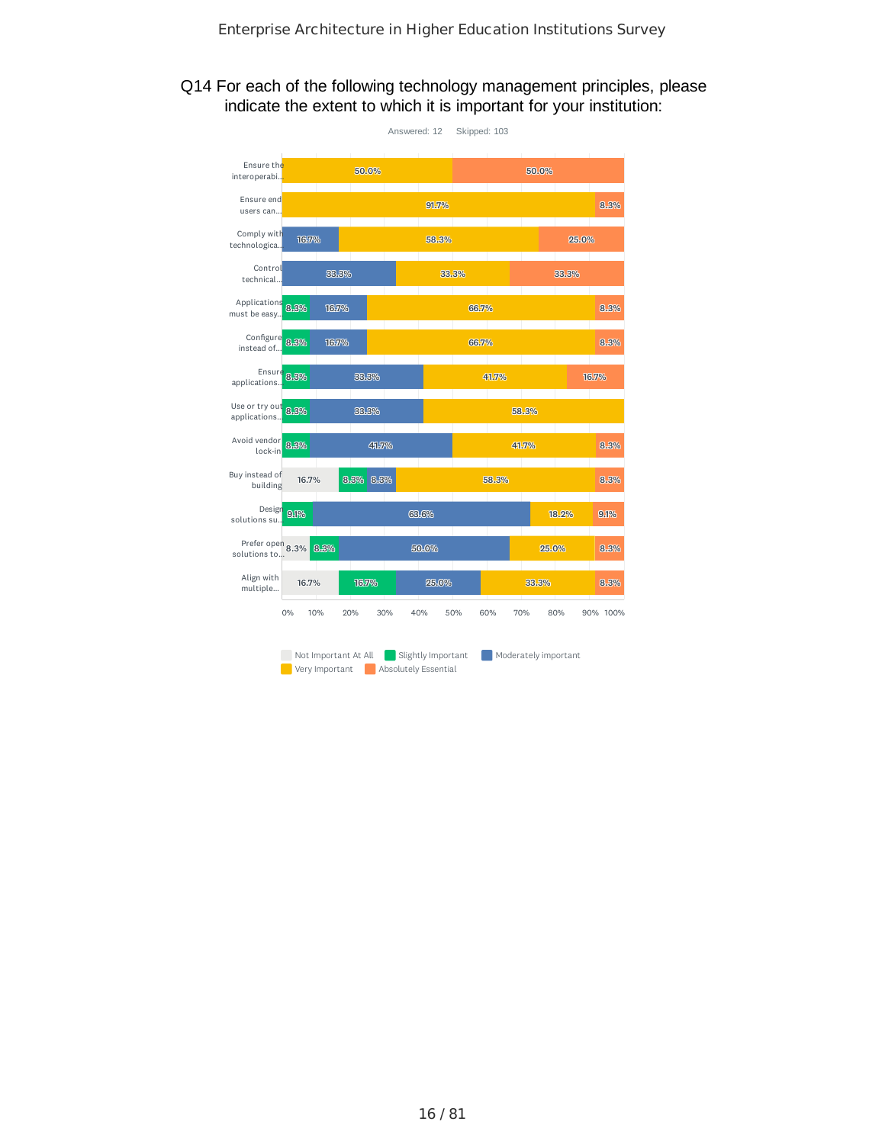## Q14 For each of the following technology management principles, please indicate the extent to which it is important for your institution:

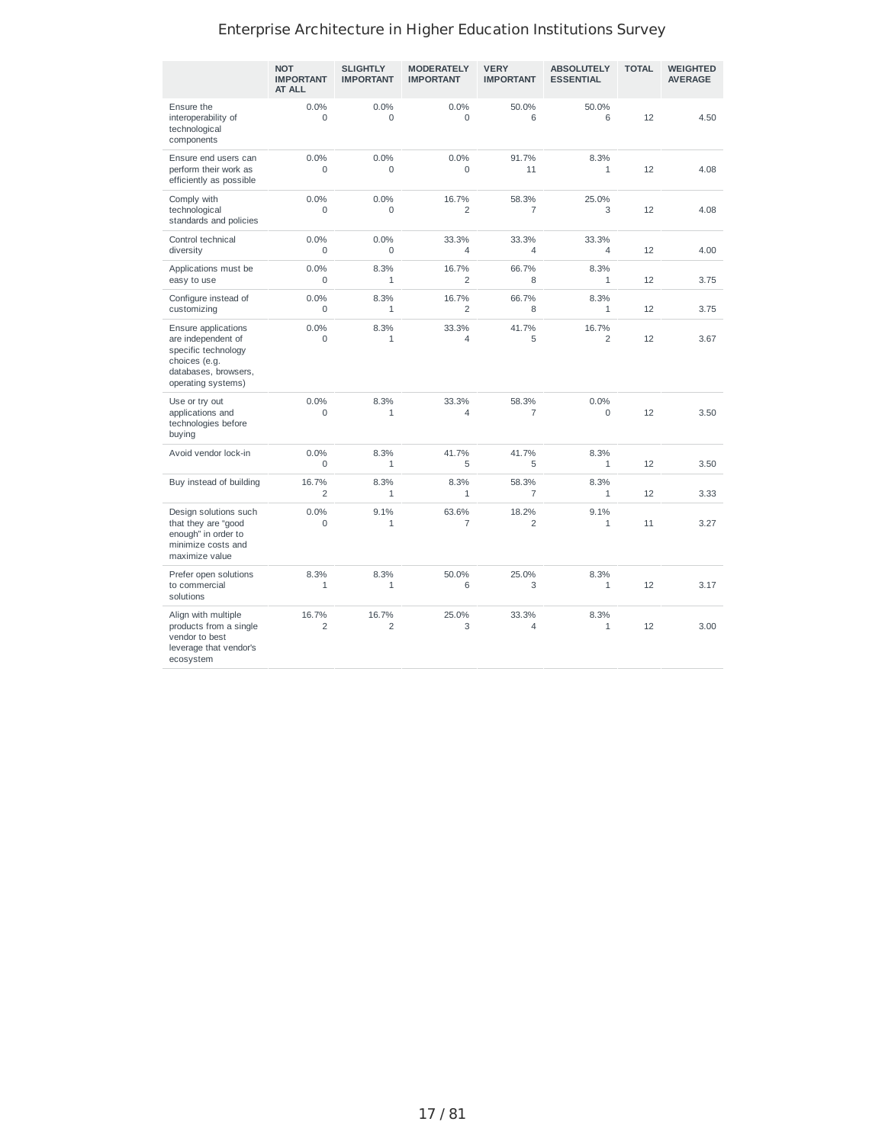|                                                                                                                                 | <b>NOT</b><br><b>IMPORTANT</b><br><b>AT ALL</b> | <b>SLIGHTLY</b><br><b>IMPORTANT</b> | <b>MODERATELY</b><br><b>IMPORTANT</b> | <b>VERY</b><br><b>IMPORTANT</b> | <b>ABSOLUTELY</b><br><b>ESSENTIAL</b> | <b>TOTAL</b> | <b>WEIGHTED</b><br><b>AVERAGE</b> |
|---------------------------------------------------------------------------------------------------------------------------------|-------------------------------------------------|-------------------------------------|---------------------------------------|---------------------------------|---------------------------------------|--------------|-----------------------------------|
| Ensure the<br>interoperability of<br>technological<br>components                                                                | 0.0%<br>$\Omega$                                | 0.0%<br>$\Omega$                    | 0.0%<br>$\mathbf 0$                   | 50.0%<br>6                      | 50.0%<br>6                            | 12           | 4.50                              |
| Ensure end users can<br>perform their work as<br>efficiently as possible                                                        | 0.0%<br>$\Omega$                                | 0.0%<br>$\Omega$                    | 0.0%<br>$\Omega$                      | 91.7%<br>11                     | 8.3%<br>1                             | 12           | 4.08                              |
| Comply with<br>technological<br>standards and policies                                                                          | 0.0%<br>$\Omega$                                | 0.0%<br>0                           | 16.7%<br>$\overline{2}$               | 58.3%<br>$\overline{7}$         | 25.0%<br>3                            | 12           | 4.08                              |
| Control technical<br>diversity                                                                                                  | 0.0%<br>$\Omega$                                | 0.0%<br>$\Omega$                    | 33.3%<br>$\overline{4}$               | 33.3%<br>$\overline{4}$         | 33.3%<br>4                            | 12           | 4.00                              |
| Applications must be<br>easy to use                                                                                             | 0.0%<br>$\mathbf 0$                             | 8.3%<br>$\mathbf{1}$                | 16.7%<br>$\overline{2}$               | 66.7%<br>8                      | 8.3%<br>1                             | 12           | 3.75                              |
| Configure instead of<br>customizing                                                                                             | 0.0%<br>$\Omega$                                | 8.3%<br>$\mathbf{1}$                | 16.7%<br>$\overline{2}$               | 66.7%<br>8                      | 8.3%<br>$\mathbf{1}$                  | 12           | 3.75                              |
| Ensure applications<br>are independent of<br>specific technology<br>choices (e.g.<br>databases, browsers,<br>operating systems) | 0.0%<br>$\Omega$                                | 8.3%<br>$\mathbf{1}$                | 33.3%<br>$\overline{4}$               | 41.7%<br>5                      | 16.7%<br>$\overline{c}$               | 12           | 3.67                              |
| Use or try out<br>applications and<br>technologies before<br>buying                                                             | 0.0%<br>$\mathbf 0$                             | 8.3%<br>$\mathbf{1}$                | 33.3%<br>$\overline{4}$               | 58.3%<br>$\overline{7}$         | 0.0%<br>$\mathbf 0$                   | 12           | 3.50                              |
| Avoid vendor lock-in                                                                                                            | 0.0%<br>$\mathbf 0$                             | 8.3%<br>$\mathbf{1}$                | 41.7%<br>5                            | 41.7%<br>5                      | 8.3%<br>$\mathbf{1}$                  | 12           | 3.50                              |
| Buy instead of building                                                                                                         | 16.7%<br>2                                      | 8.3%<br>1                           | 8.3%<br>$\mathbf{1}$                  | 58.3%<br>7                      | 8.3%<br>1                             | 12           | 3.33                              |
| Design solutions such<br>that they are "good<br>enough" in order to<br>minimize costs and<br>maximize value                     | 0.0%<br>$\mathbf 0$                             | 9.1%<br>$\mathbf{1}$                | 63.6%<br>$\overline{7}$               | 18.2%<br>$\overline{2}$         | 9.1%<br>1                             | 11           | 3.27                              |
| Prefer open solutions<br>to commercial<br>solutions                                                                             | 8.3%<br>$\mathbf{1}$                            | 8.3%<br>$\mathbf{1}$                | 50.0%<br>6                            | 25.0%<br>3                      | 8.3%<br>1                             | 12           | 3.17                              |
| Align with multiple<br>products from a single<br>vendor to best<br>leverage that vendor's<br>ecosystem                          | 16.7%<br>$\overline{2}$                         | 16.7%<br>$\overline{c}$             | 25.0%<br>3                            | 33.3%<br>4                      | 8.3%<br>1                             | 12           | 3.00                              |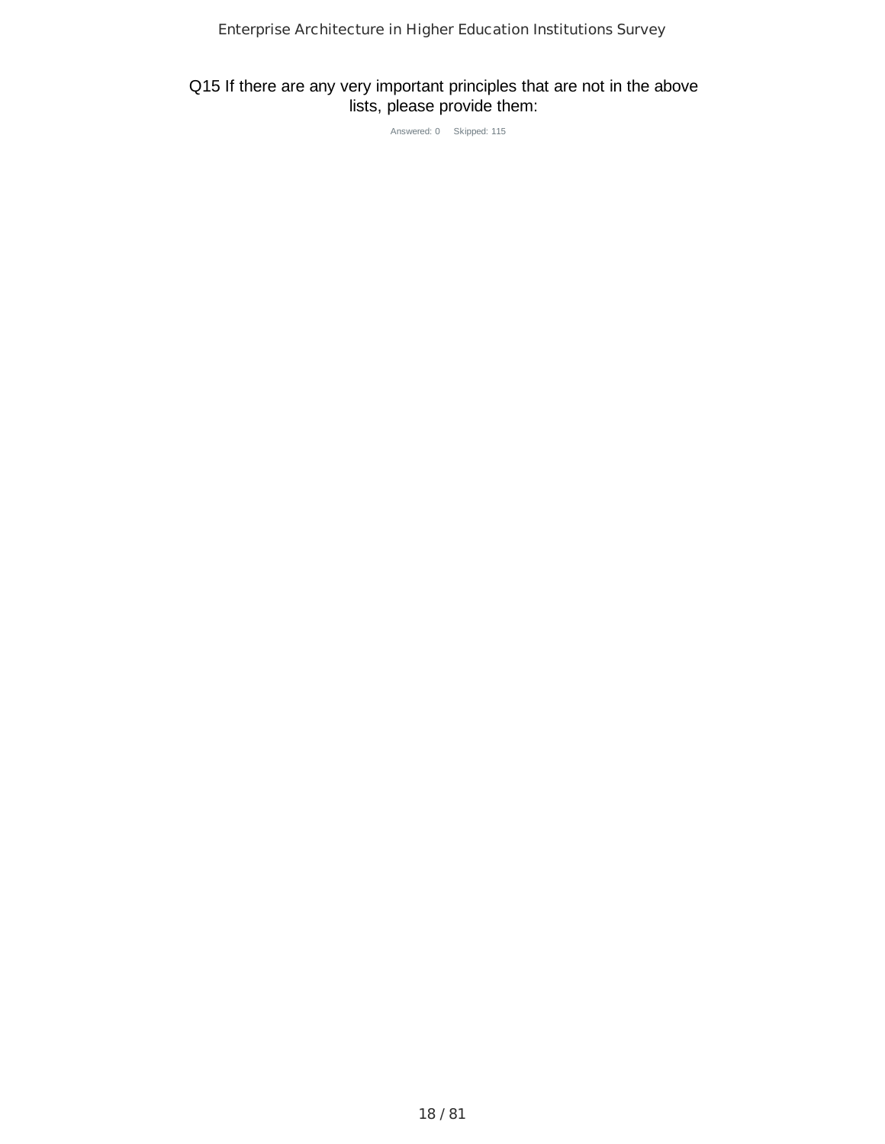# Q15 If there are any very important principles that are not in the above lists, please provide them:

Answered: 0 Skipped: 115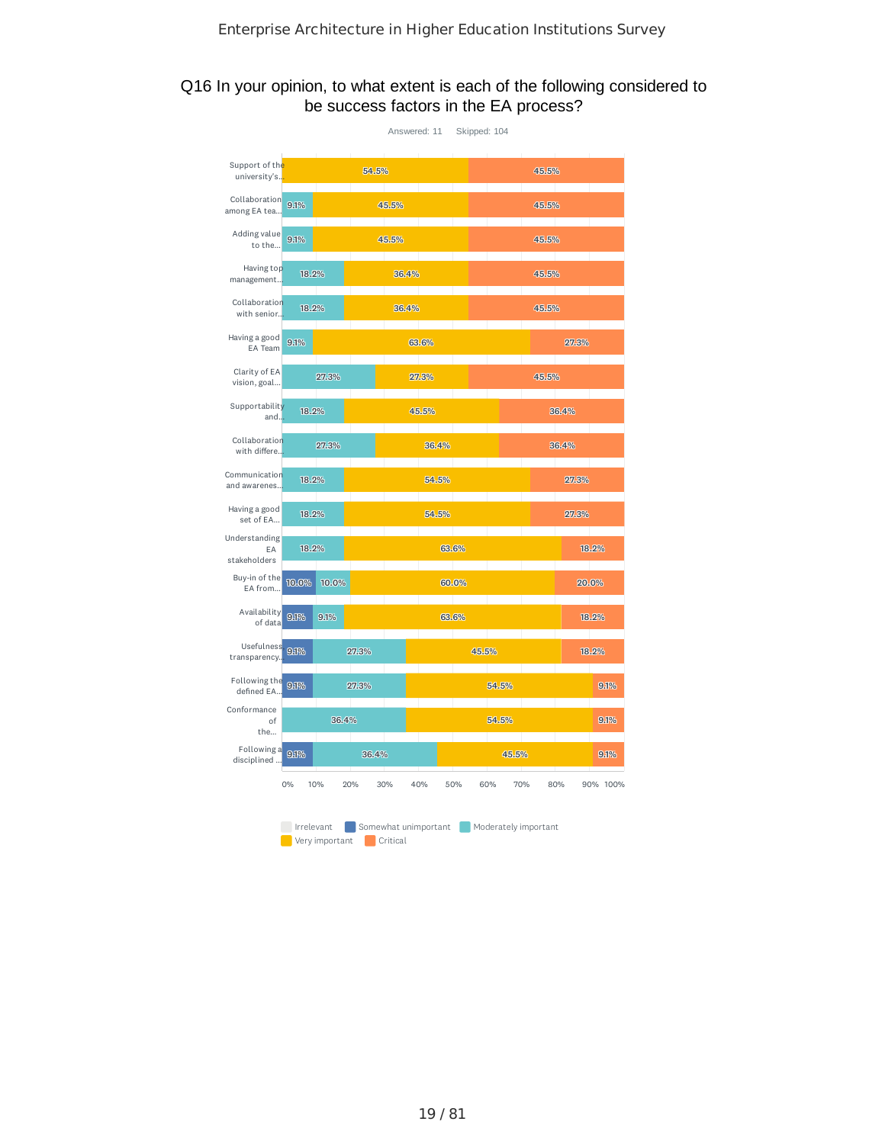# Q16 In your opinion, to what extent is each of the following considered to be success factors in the EA process?

|                                     |            |                |       | Answered: 11 |                      | Skipped: 104 |                      |       |       |          |
|-------------------------------------|------------|----------------|-------|--------------|----------------------|--------------|----------------------|-------|-------|----------|
| Support of the<br>university's.     |            |                | 54.5% |              |                      |              |                      | 45.5% |       |          |
| Collaboration<br>among EA tea       | 9.1%       |                |       | 45.5%        |                      |              |                      | 45.5% |       |          |
| Adding value<br>to the              | 9.1%       |                |       | 45.5%        |                      |              |                      | 45.5% |       |          |
| Having top<br>management            | 18.2%      |                |       | 36.4%        |                      |              |                      | 45.5% |       |          |
| Collaboration<br>with senior        | 18.2%      |                |       | 36.4%        |                      |              |                      | 45.5% |       |          |
| Having a good<br>EA Team            | 9.1%       |                |       |              | 63.6%                |              |                      |       | 27.3% |          |
| Clarity of EA<br>vision, goal       |            | 27.3%          |       |              | 27.3%                |              |                      | 45.5% |       |          |
| Supportability<br>and               | 18.2%      |                |       |              | 45.5%                |              |                      |       | 36.4% |          |
| Collaboration<br>with differe       |            | 27.3%          |       |              | 36.4%                |              |                      |       | 36.4% |          |
| Communication<br>and awarenes       | 18.2%      |                |       |              | 54.5%                |              |                      |       | 27.3% |          |
| Having a good<br>set of EA          | 18.2%      |                |       |              | 54.5%                |              |                      |       | 27.3% |          |
| Understanding<br>EA<br>stakeholders | 18.2%      |                |       |              | 63.6%                |              |                      |       |       | 18.2%    |
| Buy-in of the<br>EA from            | 10.0%      | 10.0%          |       |              |                      | 60.0%        |                      |       | 20.0% |          |
| Availability<br>of data             | 9.1%       | 9.1%           |       |              | 63.6%                |              |                      |       |       | 18.2%    |
| Usefulness<br>transparency.         | 9.1%       |                | 27.3% |              |                      | 45.5%        |                      |       |       | 18.2%    |
| Following the<br>defined EA         | 9.1%       |                | 27.3% |              |                      |              | 54.5%                |       |       | 9.1%     |
| Conformance<br>of<br>the            |            | 36.4%          |       |              |                      |              | 54.5%                |       |       | 9.1%     |
| Following a<br>disciplined          | 9.1%       |                | 36.4% |              |                      |              | 45.5%                |       |       | 9.1%     |
|                                     | 0%         | 10%            | 20%   | 30%          | 40%                  | 50%          | 60%<br>70%           | 80%   |       | 90% 100% |
|                                     | Irrelevant | Very important |       | Critical     | Somewhat unimportant |              | Moderately important |       |       |          |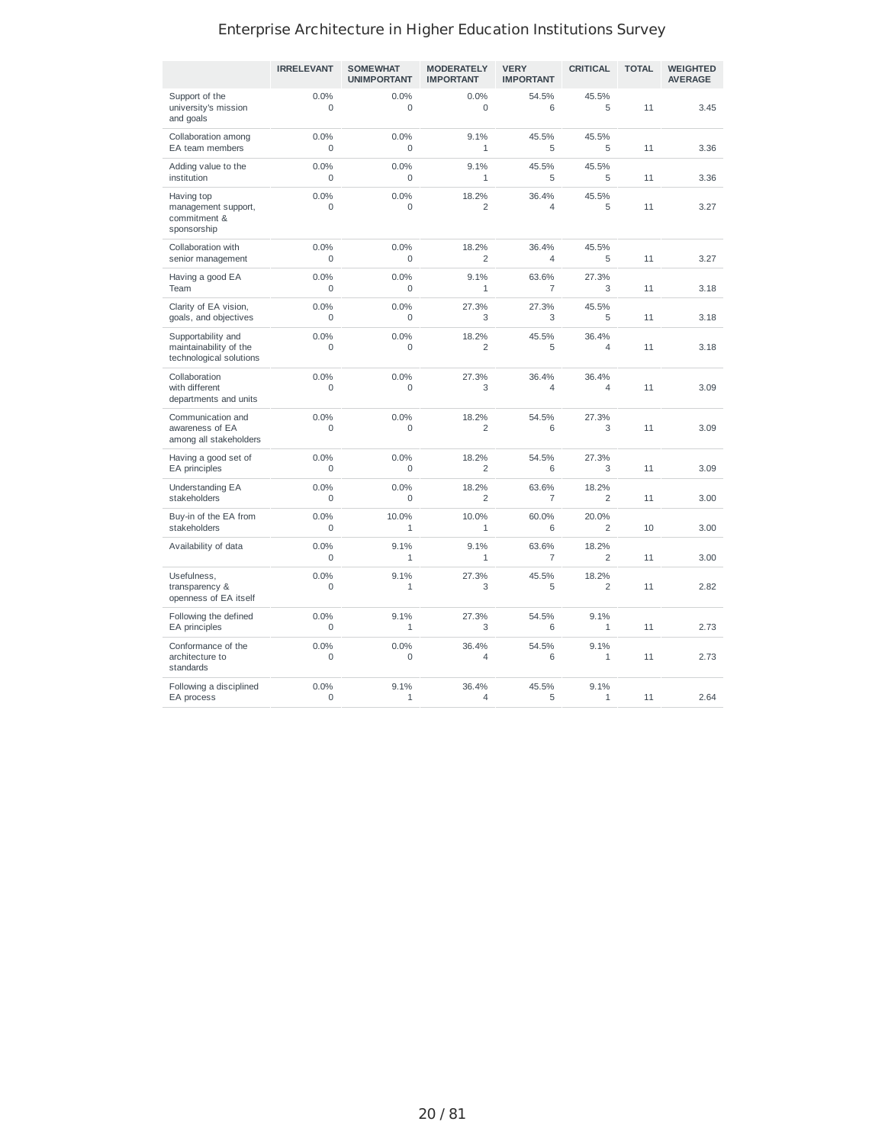|                                                                         | <b>IRRELEVANT</b>   | <b>SOMEWHAT</b><br><b>UNIMPORTANT</b> | <b>MODERATELY</b><br><b>IMPORTANT</b> | <b>VERY</b><br><b>IMPORTANT</b> | <b>CRITICAL</b>         | <b>TOTAL</b> | <b>WEIGHTED</b><br><b>AVERAGE</b> |
|-------------------------------------------------------------------------|---------------------|---------------------------------------|---------------------------------------|---------------------------------|-------------------------|--------------|-----------------------------------|
| Support of the<br>university's mission<br>and goals                     | 0.0%<br>$\Omega$    | 0.0%<br>$\Omega$                      | 0.0%<br>$\Omega$                      | 54.5%<br>6                      | 45.5%<br>5              | 11           | 3.45                              |
| Collaboration among<br>EA team members                                  | 0.0%<br>0           | 0.0%<br>$\mathbf 0$                   | 9.1%<br>1                             | 45.5%<br>5                      | 45.5%<br>5              | 11           | 3.36                              |
| Adding value to the<br>institution                                      | 0.0%<br>$\Omega$    | 0.0%<br>$\Omega$                      | 9.1%<br>$\mathbf{1}$                  | 45.5%<br>5                      | 45.5%<br>5              | 11           | 3.36                              |
| Having top<br>management support,<br>commitment &<br>sponsorship        | 0.0%<br>$\Omega$    | 0.0%<br>$\mathbf 0$                   | 18.2%<br>$\overline{c}$               | 36.4%<br>$\overline{4}$         | 45.5%<br>5              | 11           | 3.27                              |
| Collaboration with<br>senior management                                 | 0.0%<br>0           | 0.0%<br>0                             | 18.2%<br>$\overline{2}$               | 36.4%<br>$\overline{4}$         | 45.5%<br>5              | 11           | 3.27                              |
| Having a good EA<br>Team                                                | 0.0%<br>$\Omega$    | 0.0%<br>$\Omega$                      | 9.1%<br>$\mathbf{1}$                  | 63.6%<br>$\overline{7}$         | 27.3%<br>3              | 11           | 3.18                              |
| Clarity of EA vision,<br>goals, and objectives                          | 0.0%<br>$\mathbf 0$ | 0.0%<br>$\mathbf 0$                   | 27.3%<br>3                            | 27.3%<br>3                      | 45.5%<br>5              | 11           | 3.18                              |
| Supportability and<br>maintainability of the<br>technological solutions | 0.0%<br>$\mathbf 0$ | 0.0%<br>0                             | 18.2%<br>$\overline{c}$               | 45.5%<br>5                      | 36.4%<br>$\overline{4}$ | 11           | 3.18                              |
| Collaboration<br>with different<br>departments and units                | 0.0%<br>$\Omega$    | 0.0%<br>$\overline{0}$                | 27.3%<br>3                            | 36.4%<br>$\overline{4}$         | 36.4%<br>$\overline{4}$ | 11           | 3.09                              |
| Communication and<br>awareness of EA<br>among all stakeholders          | 0.0%<br>$\Omega$    | 0.0%<br>$\Omega$                      | 18.2%<br>$\overline{2}$               | 54.5%<br>6                      | 27.3%<br>3              | 11           | 3.09                              |
| Having a good set of<br>EA principles                                   | 0.0%<br>0           | 0.0%<br>0                             | 18.2%<br>$\overline{c}$               | 54.5%<br>6                      | 27.3%<br>3              | 11           | 3.09                              |
| Understanding EA<br>stakeholders                                        | 0.0%<br>$\Omega$    | 0.0%<br>$\Omega$                      | 18.2%<br>$\overline{c}$               | 63.6%<br>$\overline{7}$         | 18.2%<br>$\overline{2}$ | 11           | 3.00                              |
| Buy-in of the EA from<br>stakeholders                                   | 0.0%<br>$\Omega$    | 10.0%<br>1                            | 10.0%<br>1                            | 60.0%<br>6                      | 20.0%<br>$\overline{2}$ | 10           | 3.00                              |
| Availability of data                                                    | 0.0%<br>$\mathbf 0$ | 9.1%<br>$\mathbf{1}$                  | 9.1%<br>1                             | 63.6%<br>$\overline{7}$         | 18.2%<br>$\overline{c}$ | 11           | 3.00                              |
| Usefulness,<br>transparency &<br>openness of EA itself                  | 0.0%<br>0           | 9.1%<br>$\mathbf 1$                   | 27.3%<br>3                            | 45.5%<br>5                      | 18.2%<br>$\overline{c}$ | 11           | 2.82                              |
| Following the defined<br>EA principles                                  | 0.0%<br>$\Omega$    | 9.1%<br>$\mathbf{1}$                  | 27.3%<br>3                            | 54.5%<br>6                      | 9.1%<br>1               | 11           | 2.73                              |
| Conformance of the<br>architecture to<br>standards                      | 0.0%<br>0           | 0.0%<br>$\mathbf 0$                   | 36.4%<br>$\overline{4}$               | 54.5%<br>6                      | 9.1%<br>$\mathbf 1$     | 11           | 2.73                              |
| Following a disciplined<br>EA process                                   | 0.0%<br>0           | 9.1%<br>1                             | 36.4%<br>$\overline{4}$               | 45.5%<br>5                      | 9.1%<br>1               | 11           | 2.64                              |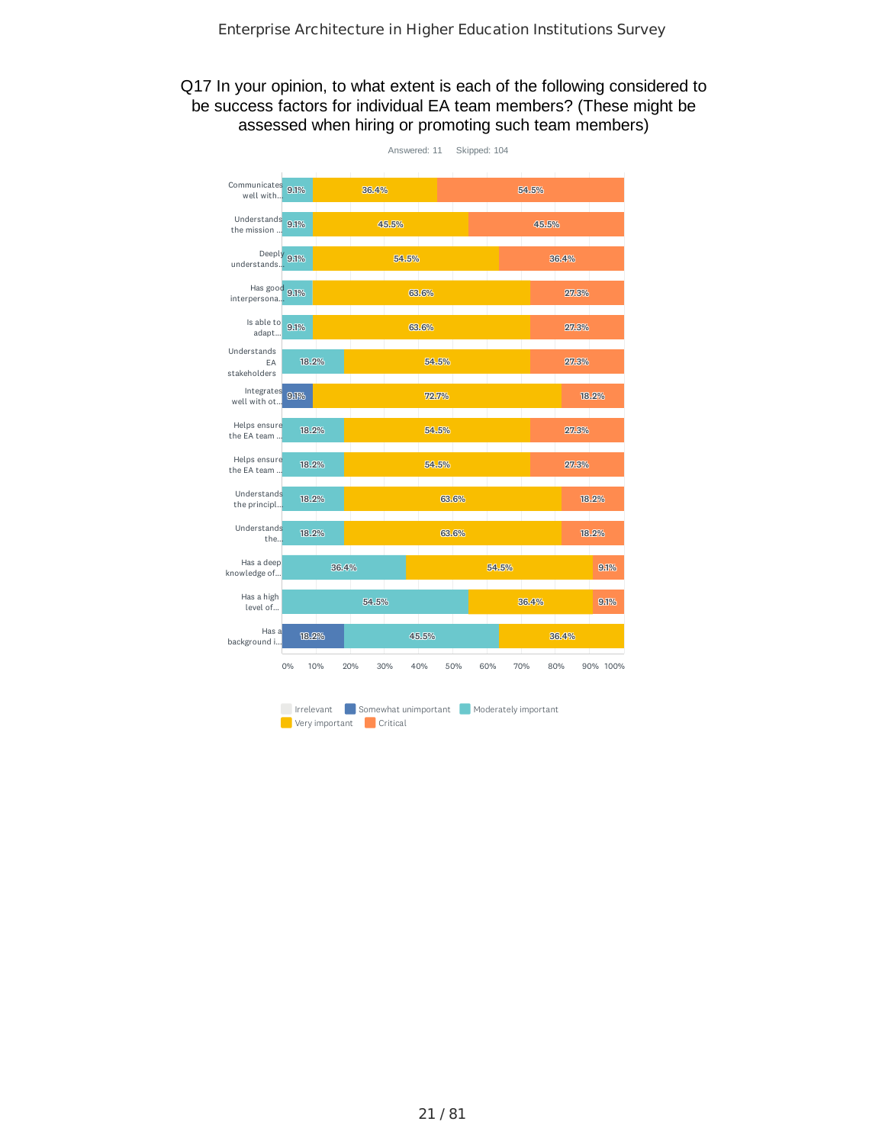## Q17 In your opinion, to what extent is each of the following considered to be success factors for individual EA team members? (These might be assessed when hiring or promoting such team members)

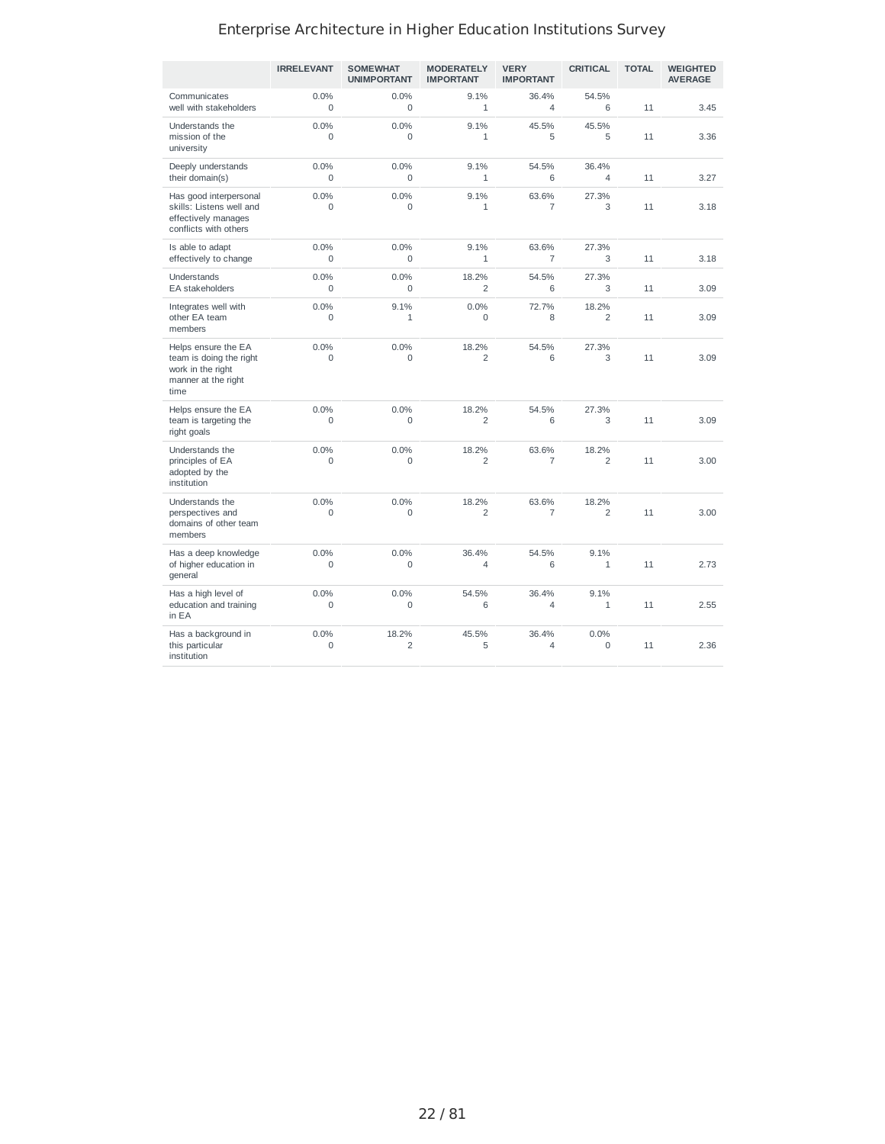|                                                                                                    | <b>IRRELEVANT</b> | <b>SOMEWHAT</b><br><b>UNIMPORTANT</b> | <b>MODERATELY</b><br><b>IMPORTANT</b> | <b>VERY</b><br><b>IMPORTANT</b> | <b>CRITICAL</b>         | <b>TOTAL</b> | <b>WEIGHTED</b><br><b>AVERAGE</b> |
|----------------------------------------------------------------------------------------------------|-------------------|---------------------------------------|---------------------------------------|---------------------------------|-------------------------|--------------|-----------------------------------|
| Communicates<br>well with stakeholders                                                             | 0.0%<br>$\Omega$  | 0.0%<br>$\Omega$                      | 9.1%<br>$\mathbf{1}$                  | 36.4%<br>$\overline{4}$         | 54.5%<br>6              | 11           | 3.45                              |
| Understands the<br>mission of the<br>university                                                    | 0.0%<br>0         | 0.0%<br>$\mathbf 0$                   | 9.1%<br>$\mathbf{1}$                  | 45.5%<br>5                      | 45.5%<br>5              | 11           | 3.36                              |
| Deeply understands<br>their domain(s)                                                              | 0.0%<br>$\Omega$  | 0.0%<br>$\Omega$                      | 9.1%<br>$\mathbf{1}$                  | 54.5%<br>6                      | 36.4%<br>4              | 11           | 3.27                              |
| Has good interpersonal<br>skills: Listens well and<br>effectively manages<br>conflicts with others | 0.0%<br>$\Omega$  | 0.0%<br>$\Omega$                      | 9.1%<br>$\mathbf{1}$                  | 63.6%<br>$\overline{7}$         | 27.3%<br>3              | 11           | 3.18                              |
| Is able to adapt<br>effectively to change                                                          | 0.0%<br>$\Omega$  | 0.0%<br>$\Omega$                      | 9.1%<br>$\mathbf{1}$                  | 63.6%<br>$\overline{7}$         | 27.3%<br>3              | 11           | 3.18                              |
| Understands<br><b>EA</b> stakeholders                                                              | 0.0%<br>$\Omega$  | 0.0%<br>$\Omega$                      | 18.2%<br>$\overline{2}$               | 54.5%<br>6                      | 27.3%<br>3              | 11           | 3.09                              |
| Integrates well with<br>other EA team<br>members                                                   | 0.0%<br>$\Omega$  | 9.1%<br>$\mathbf{1}$                  | 0.0%<br>$\Omega$                      | 72.7%<br>8                      | 18.2%<br>$\overline{2}$ | 11           | 3.09                              |
| Helps ensure the EA<br>team is doing the right<br>work in the right<br>manner at the right<br>time | 0.0%<br>$\Omega$  | $0.0\%$<br>$\Omega$                   | 18.2%<br>$\overline{2}$               | 54.5%<br>6                      | 27.3%<br>3              | 11           | 3.09                              |
| Helps ensure the EA<br>team is targeting the<br>right goals                                        | 0.0%<br>0         | 0.0%<br>$\Omega$                      | 18.2%<br>$\overline{2}$               | 54.5%<br>6                      | 27.3%<br>3              | 11           | 3.09                              |
| Understands the<br>principles of EA<br>adopted by the<br>institution                               | 0.0%<br>0         | 0.0%<br>$\mathbf 0$                   | 18.2%<br>$\overline{2}$               | 63.6%<br>$\overline{7}$         | 18.2%<br>$\overline{c}$ | 11           | 3.00                              |
| Understands the<br>perspectives and<br>domains of other team<br>members                            | 0.0%<br>$\Omega$  | 0.0%<br>$\Omega$                      | 18.2%<br>$\overline{c}$               | 63.6%<br>$\overline{7}$         | 18.2%<br>$\overline{2}$ | 11           | 3.00                              |
| Has a deep knowledge<br>of higher education in<br>general                                          | 0.0%<br>0         | 0.0%<br>$\Omega$                      | 36.4%<br>$\overline{\mathcal{L}}$     | 54.5%<br>6                      | 9.1%<br>$\mathbf{1}$    | 11           | 2.73                              |
| Has a high level of<br>education and training<br>in EA                                             | 0.0%<br>0         | 0.0%<br>$\Omega$                      | 54.5%<br>6                            | 36.4%<br>$\overline{4}$         | 9.1%<br>1               | 11           | 2.55                              |
| Has a background in<br>this particular<br>institution                                              | 0.0%<br>0         | 18.2%<br>2                            | 45.5%<br>5                            | 36.4%<br>4                      | 0.0%<br>0               | 11           | 2.36                              |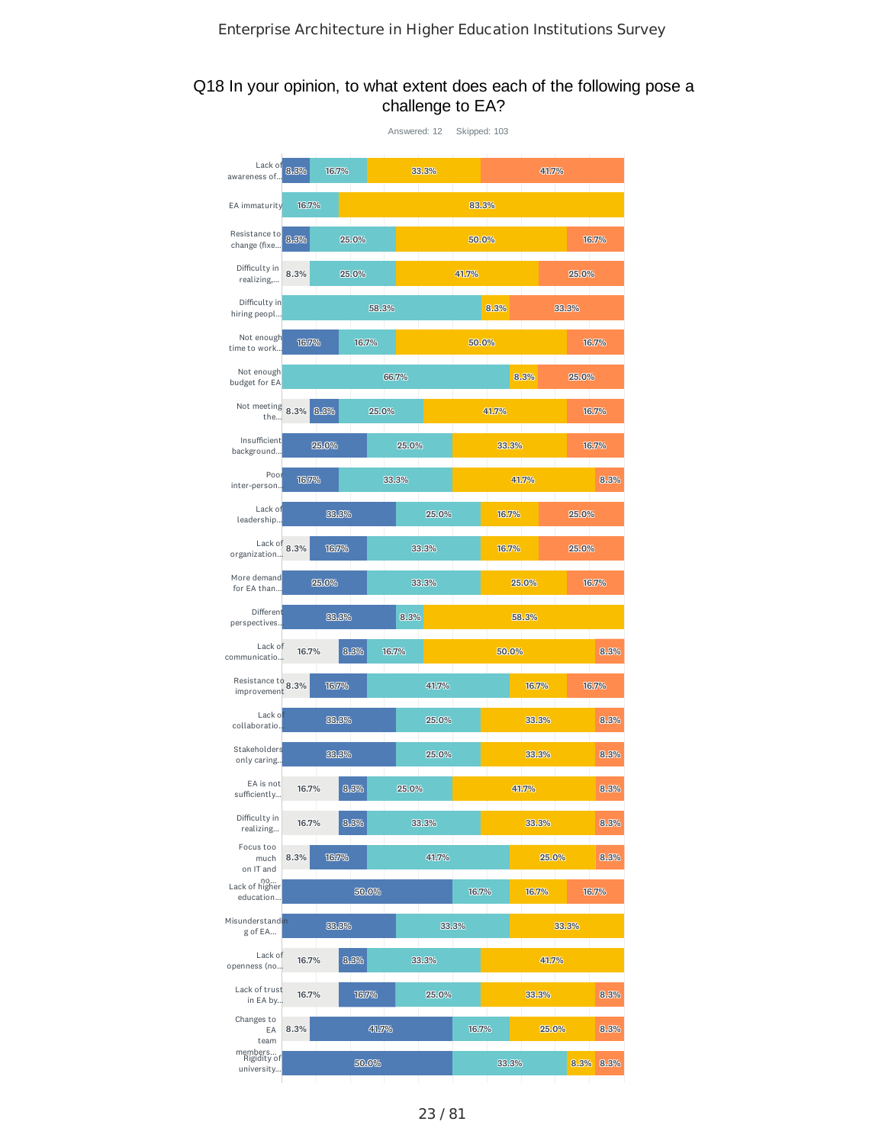#### Q18 In your opinion, to what extent does each of the following pose a challenge to EA?

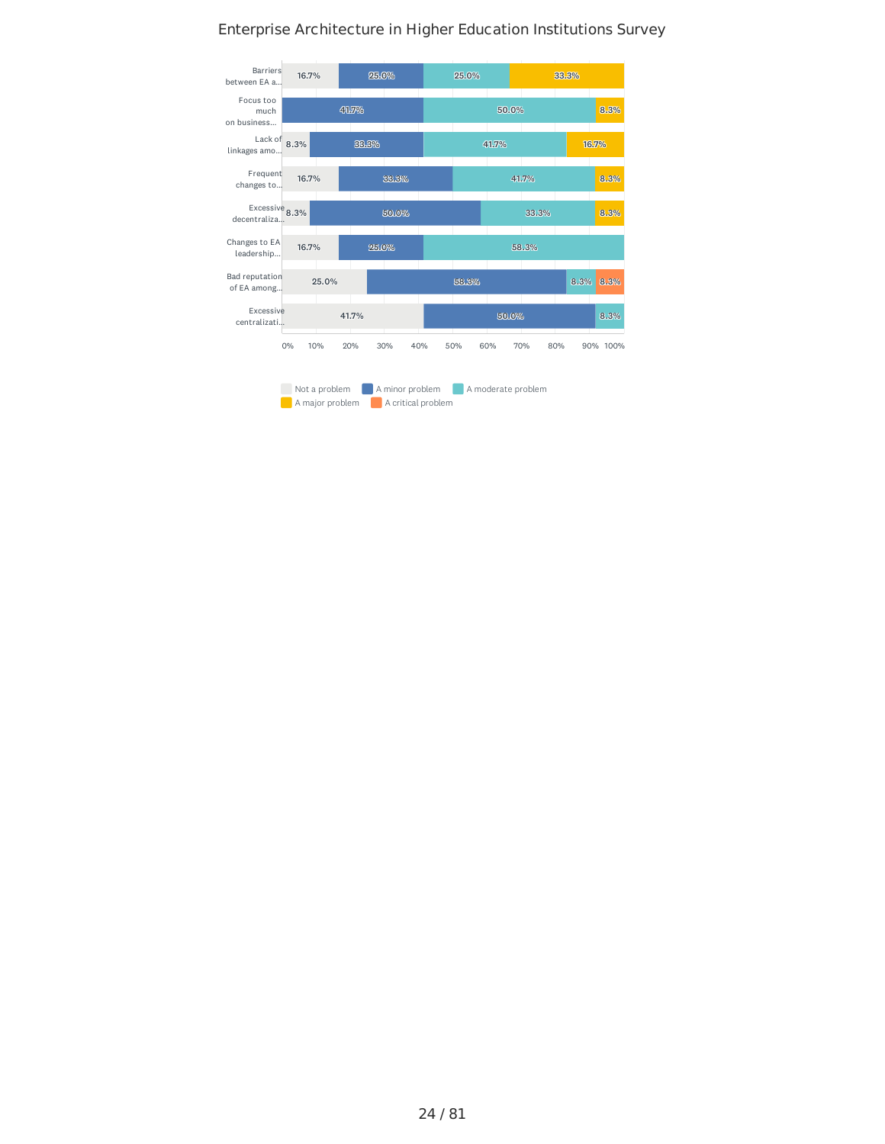#### Not a problem A minor problem A moderate problem A major problem A critical problem Barriers between EA a... Focus too much on business... Lack of **8.3%** Frequent changes to...  $\frac{1}{2}$  Excessive 8.3% decentraliza... Changes to EA leadership... Bad reputation of EA among... Excessive centralizati... 0% 10% 20% 30% 40% 50% 60% 70% 80% 90% 100% 8.3% 8.3% 33.3% 8.3% 16.7% 8. .. .3% 8.3% 25. .. .0% 50. .. .0% 41.7% 41.7% 33. .. .3% 58. .. .3% 8. .. .3% 25. .. .0% 41111. .. .7% 33. .. .3% 33. .. .3% 50. .. .0% 25. .. .0% 58. .. .3% 50. .. .0% 16.7% 16.7% 16.7% 25. .. .0% 41.7%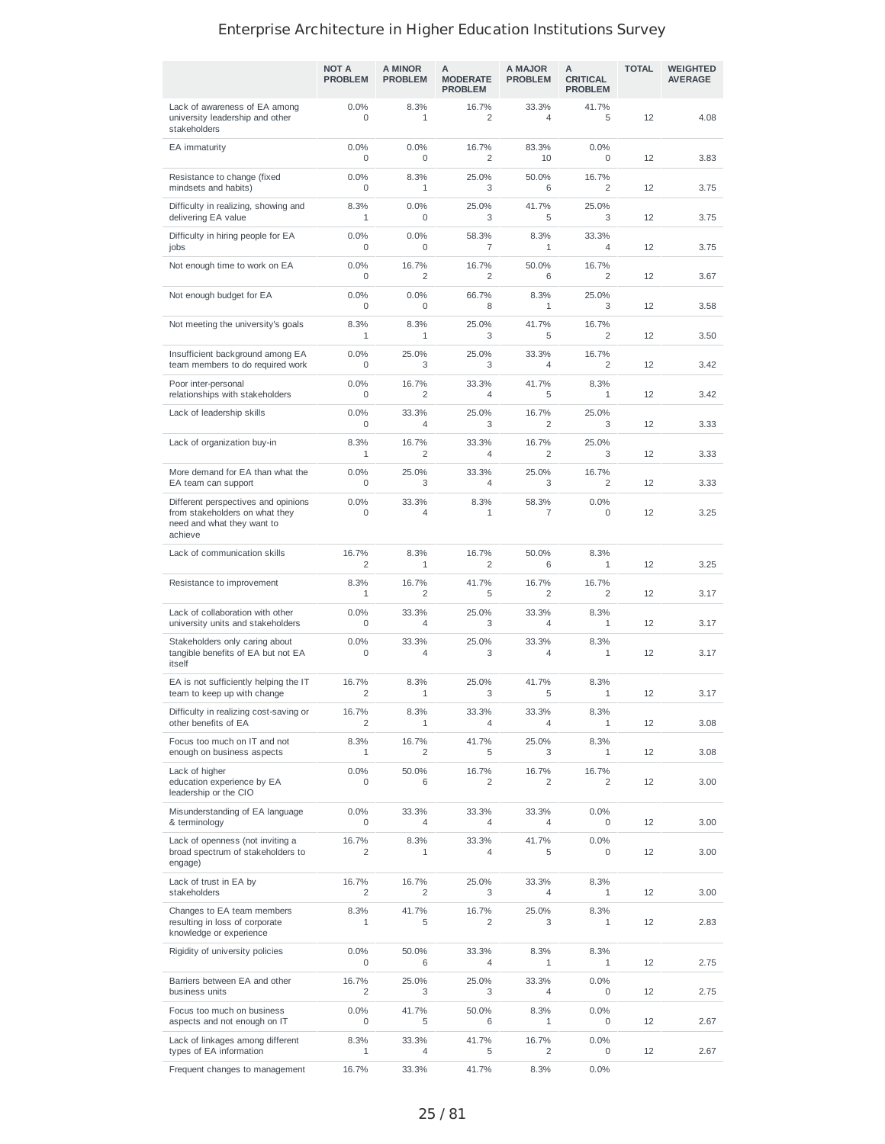|                                                                                                                | <b>NOT A</b><br><b>PROBLEM</b> | A MINOR<br><b>PROBLEM</b> | A<br><b>MODERATE</b><br><b>PROBLEM</b> | A MAJOR<br><b>PROBLEM</b> | А<br><b>CRITICAL</b><br><b>PROBLEM</b> | <b>TOTAL</b> | <b>WEIGHTED</b><br><b>AVERAGE</b> |
|----------------------------------------------------------------------------------------------------------------|--------------------------------|---------------------------|----------------------------------------|---------------------------|----------------------------------------|--------------|-----------------------------------|
| Lack of awareness of EA among<br>university leadership and other<br>stakeholders                               | 0.0%<br>0                      | 8.3%<br>$\mathbf{1}$      | 16.7%<br>$\overline{2}$                | 33.3%<br>$\overline{4}$   | 41.7%<br>5                             | 12           | 4.08                              |
| EA immaturity                                                                                                  | 0.0%<br>0                      | 0.0%<br>0                 | 16.7%<br>$\overline{2}$                | 83.3%<br>10               | 0.0%<br>0                              | 12           | 3.83                              |
| Resistance to change (fixed<br>mindsets and habits)                                                            | 0.0%<br>0                      | 8.3%<br>$\mathbf{1}$      | 25.0%<br>3                             | 50.0%<br>6                | 16.7%<br>2                             | 12           | 3.75                              |
| Difficulty in realizing, showing and<br>delivering EA value                                                    | 8.3%<br>1                      | 0.0%<br>0                 | 25.0%<br>3                             | 41.7%<br>5                | 25.0%<br>3                             | 12           | 3.75                              |
| Difficulty in hiring people for EA<br>jobs                                                                     | 0.0%<br>0                      | 0.0%<br>0                 | 58.3%<br>$\overline{7}$                | 8.3%<br>$\mathbf{1}$      | 33.3%<br>4                             | 12           | 3.75                              |
| Not enough time to work on EA                                                                                  | 0.0%<br>0                      | 16.7%<br>2                | 16.7%<br>$\overline{2}$                | 50.0%<br>6                | 16.7%<br>2                             | 12           | 3.67                              |
| Not enough budget for EA                                                                                       | 0.0%<br>0                      | 0.0%<br>0                 | 66.7%<br>8                             | 8.3%<br>1                 | 25.0%<br>3                             | 12           | 3.58                              |
| Not meeting the university's goals                                                                             | 8.3%<br>$\mathbf{1}$           | 8.3%<br>$\mathbf{1}$      | 25.0%<br>3                             | 41.7%<br>5                | 16.7%<br>2                             | 12           | 3.50                              |
| Insufficient background among EA<br>team members to do required work                                           | 0.0%<br>0                      | 25.0%<br>3                | 25.0%<br>3                             | 33.3%<br>$\overline{4}$   | 16.7%<br>2                             | 12           | 3.42                              |
| Poor inter-personal<br>relationships with stakeholders                                                         | 0.0%<br>$\mathbf 0$            | 16.7%<br>2                | 33.3%<br>$\overline{4}$                | 41.7%<br>5                | 8.3%<br>$\mathbf{1}$                   | 12           | 3.42                              |
| Lack of leadership skills                                                                                      | 0.0%<br>0                      | 33.3%<br>4                | 25.0%<br>3                             | 16.7%<br>$\overline{2}$   | 25.0%<br>3                             | 12           | 3.33                              |
| Lack of organization buy-in                                                                                    | 8.3%<br>1                      | 16.7%<br>2                | 33.3%<br>4                             | 16.7%<br>$\overline{2}$   | 25.0%<br>3                             | 12           | 3.33                              |
| More demand for EA than what the<br>EA team can support                                                        | 0.0%<br>0                      | 25.0%<br>3                | 33.3%<br>4                             | 25.0%<br>3                | 16.7%<br>2                             | 12           | 3.33                              |
| Different perspectives and opinions<br>from stakeholders on what they<br>need and what they want to<br>achieve | 0.0%<br>0                      | 33.3%<br>$\overline{4}$   | 8.3%<br>$\mathbf{1}$                   | 58.3%<br>$\overline{7}$   | 0.0%<br>0                              | 12           | 3.25                              |
| Lack of communication skills                                                                                   | 16.7%<br>2                     | 8.3%<br>1                 | 16.7%<br>$\overline{2}$                | 50.0%<br>6                | 8.3%<br>1                              | 12           | 3.25                              |
| Resistance to improvement                                                                                      | 8.3%<br>$\mathbf{1}$           | 16.7%<br>2                | 41.7%<br>5                             | 16.7%<br>2                | 16.7%<br>2                             | 12           | 3.17                              |
| Lack of collaboration with other<br>university units and stakeholders                                          | 0.0%<br>0                      | 33.3%<br>4                | 25.0%<br>3                             | 33.3%<br>4                | 8.3%<br>$\mathbf{1}$                   | 12           | 3.17                              |
| Stakeholders only caring about<br>tangible benefits of EA but not EA<br>itself                                 | 0.0%<br>0                      | 33.3%<br>4                | 25.0%<br>3                             | 33.3%<br>$\overline{4}$   | 8.3%<br>1                              | 12           | 3.17                              |
| EA is not sufficiently helping the IT<br>team to keep up with change                                           | 16.7%<br>$\overline{2}$        | 8.3%<br>$\mathbf{1}$      | 25.0%<br>3                             | 41.7%<br>5                | 8.3%<br>$\mathbf{1}$                   | 12           | 3.17                              |
| Difficulty in realizing cost-saving or<br>other benefits of EA                                                 | 16.7%<br>2                     | 8.3%<br>1                 | 33.3%<br>4                             | 33.3%<br>4                | 8.3%<br>1                              | 12           | 3.08                              |
| Focus too much on IT and not<br>enough on business aspects                                                     | 8.3%<br>1                      | 16.7%<br>2                | 41.7%<br>5                             | 25.0%<br>3                | 8.3%<br>1                              | 12           | 3.08                              |
| Lack of higher<br>education experience by EA<br>leadership or the CIO                                          | 0.0%<br>0                      | 50.0%<br>6                | 16.7%<br>2                             | 16.7%<br>2                | 16.7%<br>2                             | 12           | 3.00                              |
| Misunderstanding of EA language<br>& terminology                                                               | 0.0%<br>0                      | 33.3%<br>4                | 33.3%<br>4                             | 33.3%<br>4                | 0.0%<br>0                              | 12           | 3.00                              |
| Lack of openness (not inviting a<br>broad spectrum of stakeholders to<br>engage)                               | 16.7%<br>2                     | 8.3%<br>1                 | 33.3%<br>4                             | 41.7%<br>5                | 0.0%<br>0                              | 12           | 3.00                              |
| Lack of trust in EA by<br>stakeholders                                                                         | 16.7%<br>2                     | 16.7%<br>2                | 25.0%<br>3                             | 33.3%<br>4                | 8.3%<br>$\mathbf{1}$                   | 12           | 3.00                              |
| Changes to EA team members<br>resulting in loss of corporate<br>knowledge or experience                        | 8.3%<br>1                      | 41.7%<br>5                | 16.7%<br>2                             | 25.0%<br>3                | 8.3%<br>1                              | 12           | 2.83                              |
| Rigidity of university policies                                                                                | 0.0%<br>0                      | 50.0%<br>6                | 33.3%<br>4                             | 8.3%<br>1                 | 8.3%<br>1                              | 12           | 2.75                              |
| Barriers between EA and other<br>business units                                                                | 16.7%<br>2                     | 25.0%<br>3                | 25.0%<br>3                             | 33.3%<br>4                | 0.0%<br>0                              | 12           | 2.75                              |
| Focus too much on business<br>aspects and not enough on IT                                                     | 0.0%<br>0                      | 41.7%<br>5                | 50.0%<br>6                             | 8.3%<br>$\mathbf{1}$      | 0.0%<br>0                              | 12           | 2.67                              |
| Lack of linkages among different<br>types of EA information                                                    | 8.3%<br>1                      | 33.3%<br>4                | 41.7%<br>5                             | 16.7%<br>2                | 0.0%<br>0                              | 12           | 2.67                              |
| Frequent changes to management                                                                                 | 16.7%                          | 33.3%                     | 41.7%                                  | 8.3%                      | 0.0%                                   |              |                                   |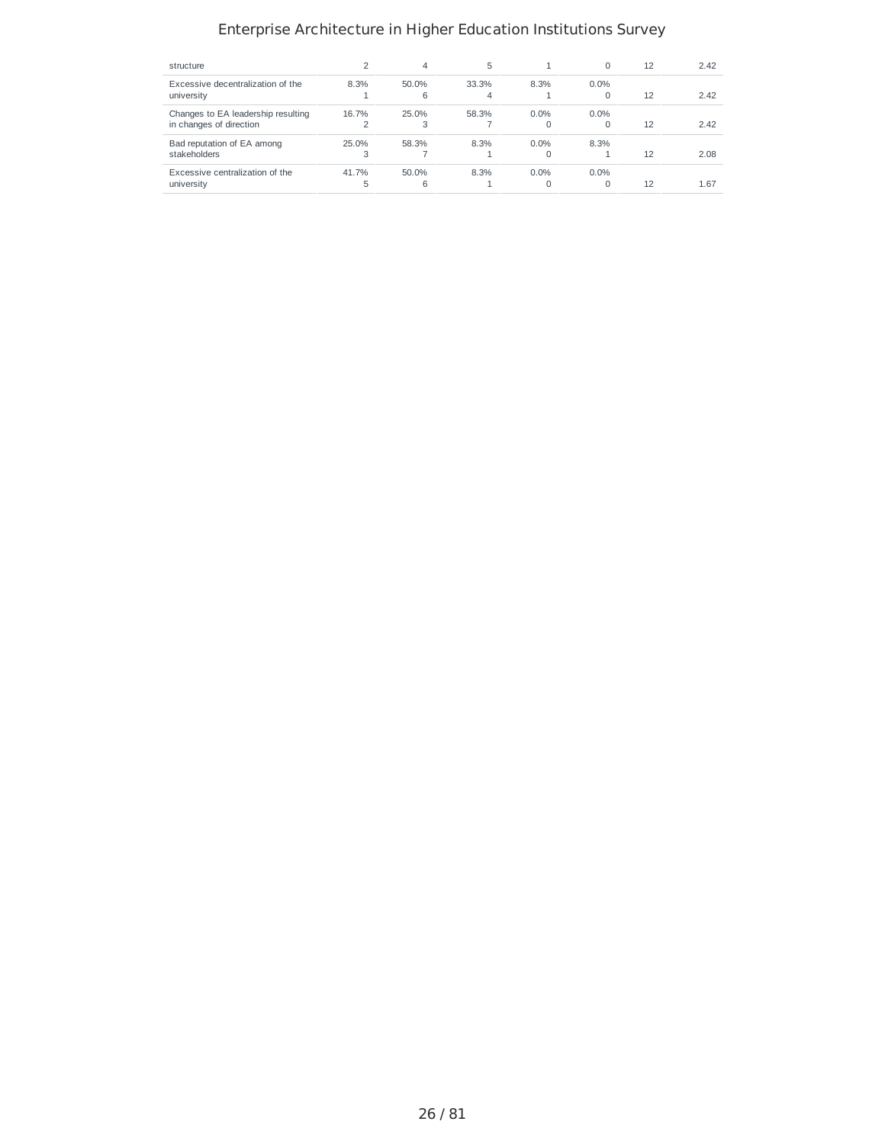| structure                          |       | 4     | 5     |          | $\Omega$ | 12 | 2.42 |
|------------------------------------|-------|-------|-------|----------|----------|----|------|
| Excessive decentralization of the  | 8.3%  | 50.0% | 33.3% | 8.3%     | $0.0\%$  |    |      |
| university                         |       | 6     | 4     |          | $\Omega$ | 12 | 2.42 |
| Changes to EA leadership resulting | 16.7% | 25.0% | 58.3% | 0.0%     | $0.0\%$  |    |      |
| in changes of direction            |       | З     |       | $\Omega$ | O        | 12 | 2.42 |
| Bad reputation of EA among         | 25.0% | 58.3% | 8.3%  | $0.0\%$  | 8.3%     |    |      |
| stakeholders                       | 3     |       |       | $\Omega$ |          | 12 | 2.08 |
| Excessive centralization of the    | 41.7% | 50.0% | 8.3%  | $0.0\%$  | $0.0\%$  |    |      |
| university                         | 5     | 6     |       | $\Omega$ | O        | 12 | 1.67 |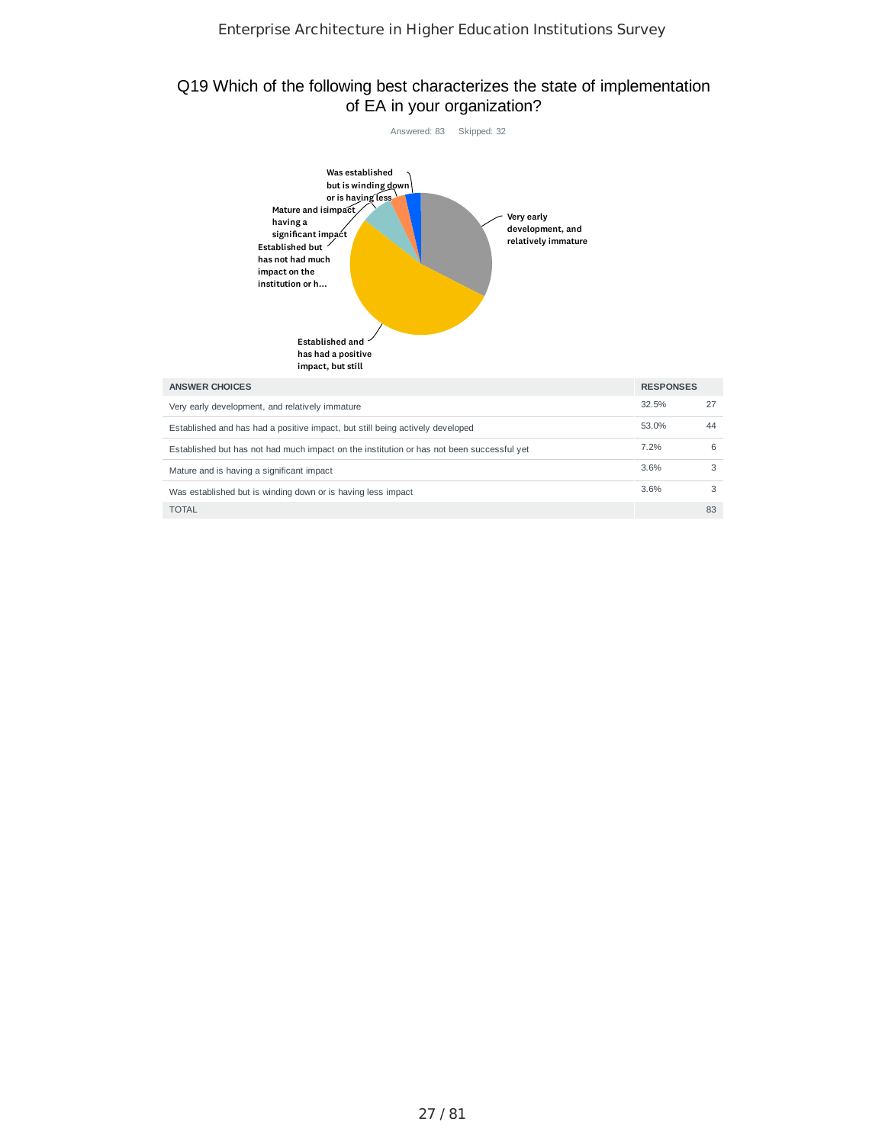## Q19 Which of the following best characterizes the state of implementation of EA in your organization?

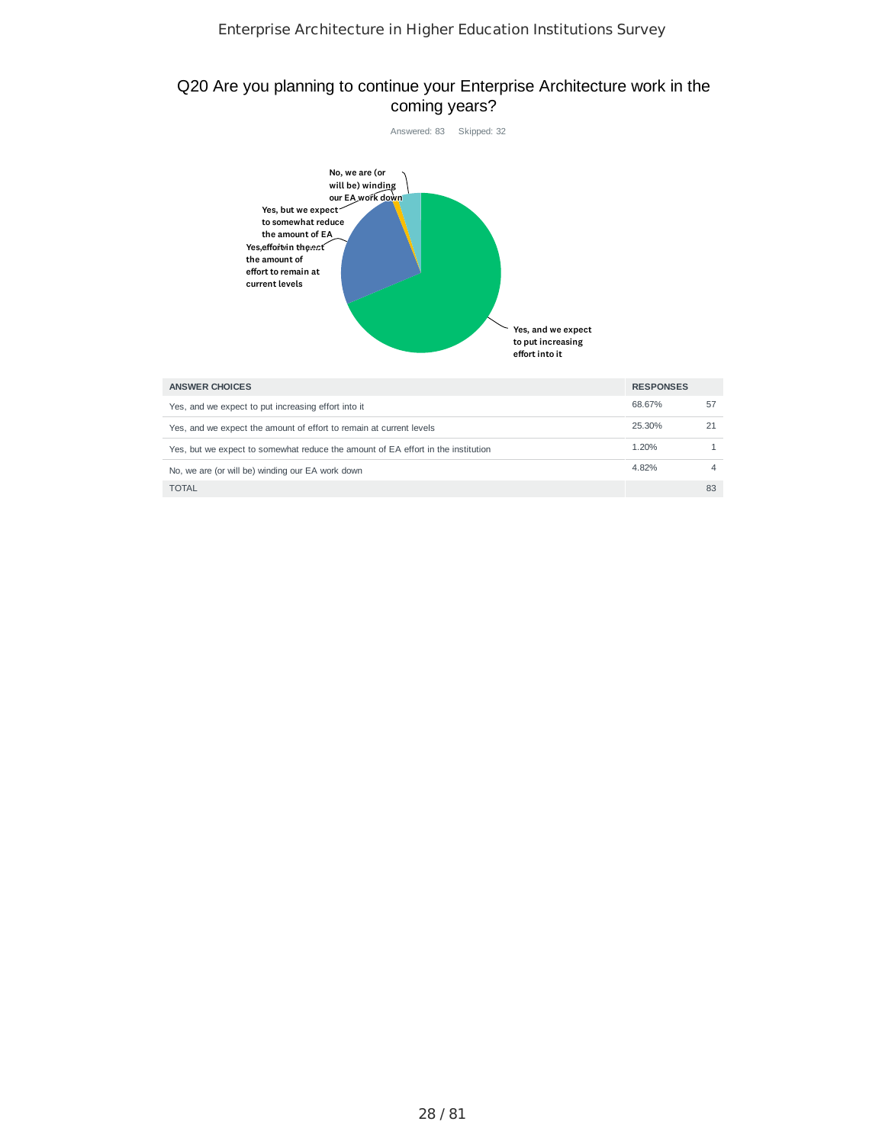## Q20 Are you planning to continue your Enterprise Architecture work in the coming years?



| ANSWER CHOICES                                                                   | <b>RESPONSES</b> |    |
|----------------------------------------------------------------------------------|------------------|----|
| Yes, and we expect to put increasing effort into it                              | 68.67%           | 57 |
| Yes, and we expect the amount of effort to remain at current levels              | 25.30%           |    |
| Yes, but we expect to somewhat reduce the amount of EA effort in the institution | 1.20%            |    |
| No, we are (or will be) winding our EA work down                                 | 4.82%            |    |
| <b>TOTAL</b>                                                                     |                  | 83 |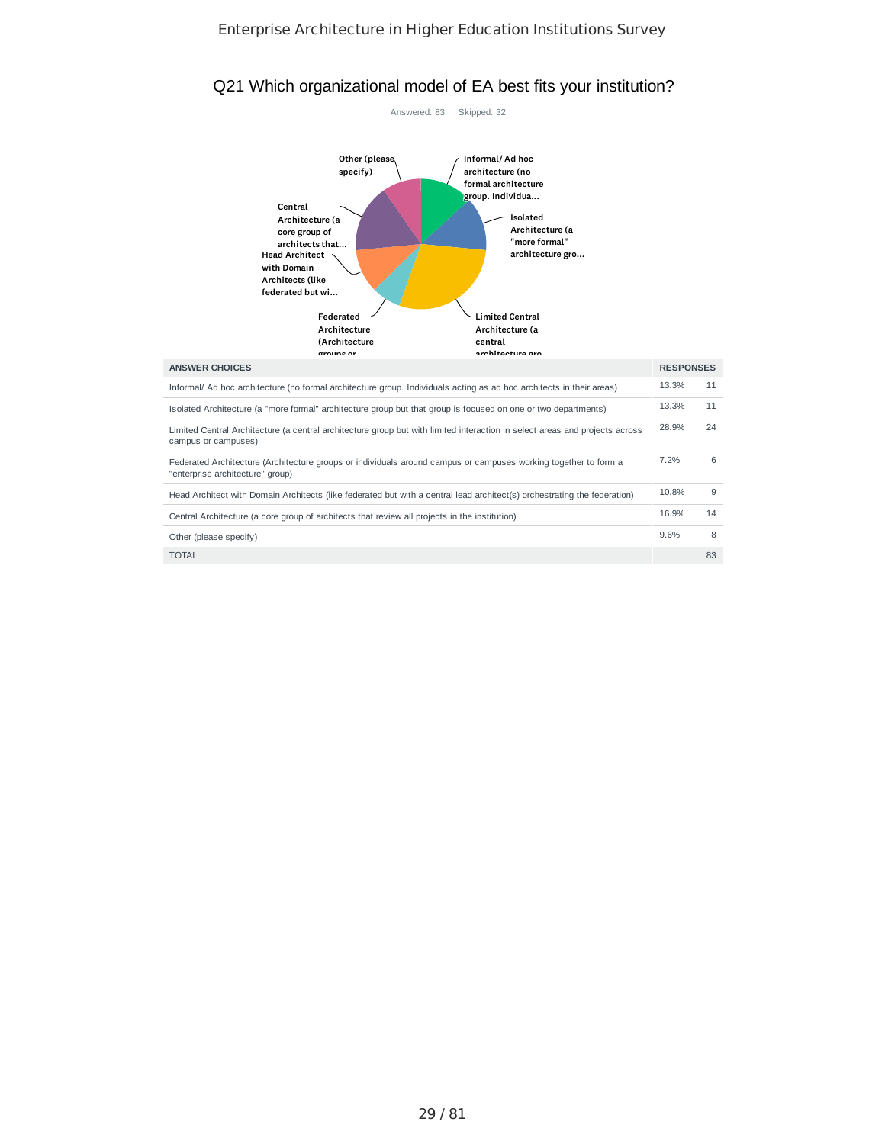#### Q21 Which organizational model of EA best fits your institution?

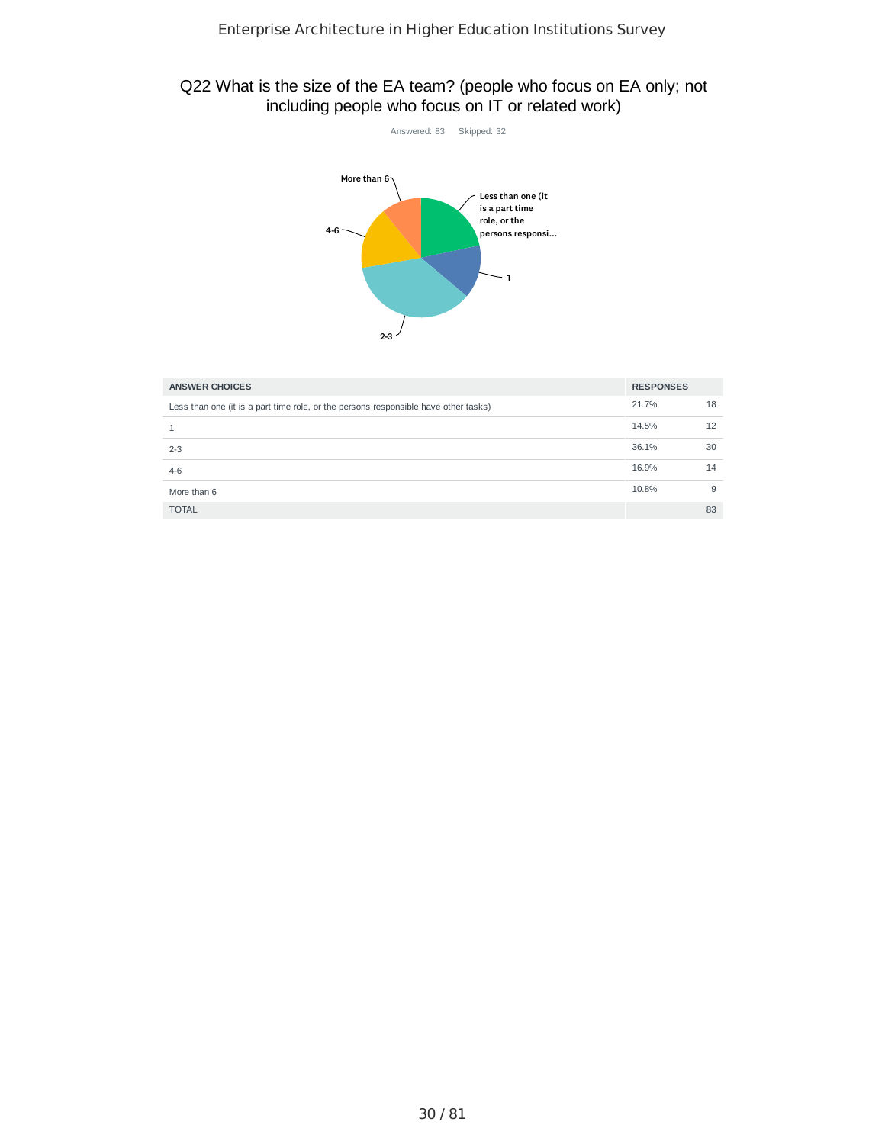# Q22 What is the size of the EA team? (people who focus on EA only; not including people who focus on IT or related work)



| <b>ANSWER CHOICES</b>                                                               | <b>RESPONSES</b> |    |
|-------------------------------------------------------------------------------------|------------------|----|
| Less than one (it is a part time role, or the persons responsible have other tasks) | 21.7%            | 18 |
|                                                                                     | 14.5%            | 12 |
| $2 - 3$                                                                             | 36.1%            | 30 |
| $4-6$                                                                               | 16.9%            | 14 |
| More than 6                                                                         | 10.8%            | 9  |
| <b>TOTAL</b>                                                                        |                  | 83 |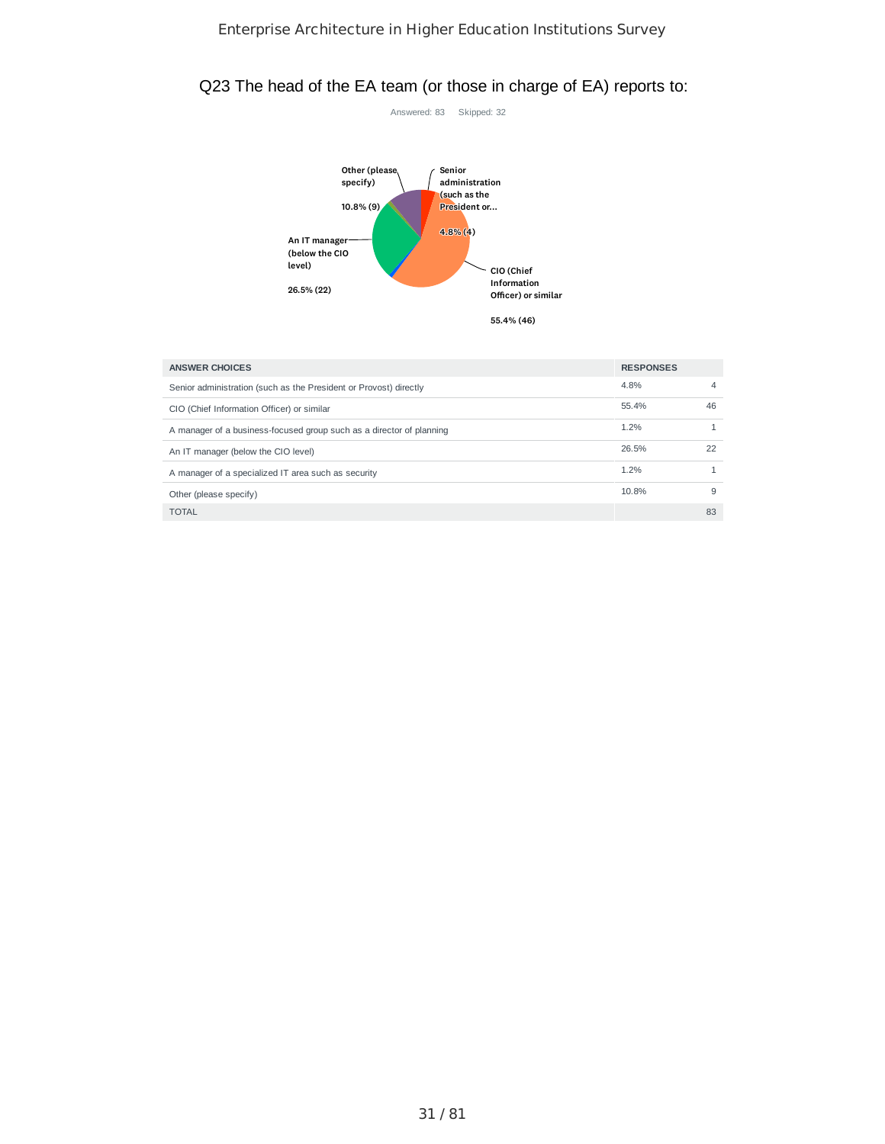# Q23 The head of the EA team (or those in charge of EA) reports to:



| <b>ANSWER CHOICES</b>                                                | <b>RESPONSES</b> |    |
|----------------------------------------------------------------------|------------------|----|
| Senior administration (such as the President or Provost) directly    | 4.8%             | 4  |
| CIO (Chief Information Officer) or similar                           | 55.4%            | 46 |
| A manager of a business-focused group such as a director of planning | 1.2%             |    |
| An IT manager (below the CIO level)                                  | 26.5%            | 22 |
| A manager of a specialized IT area such as security                  | 1.2%             |    |
| Other (please specify)                                               | 10.8%            | 9  |
| <b>TOTAL</b>                                                         |                  | 83 |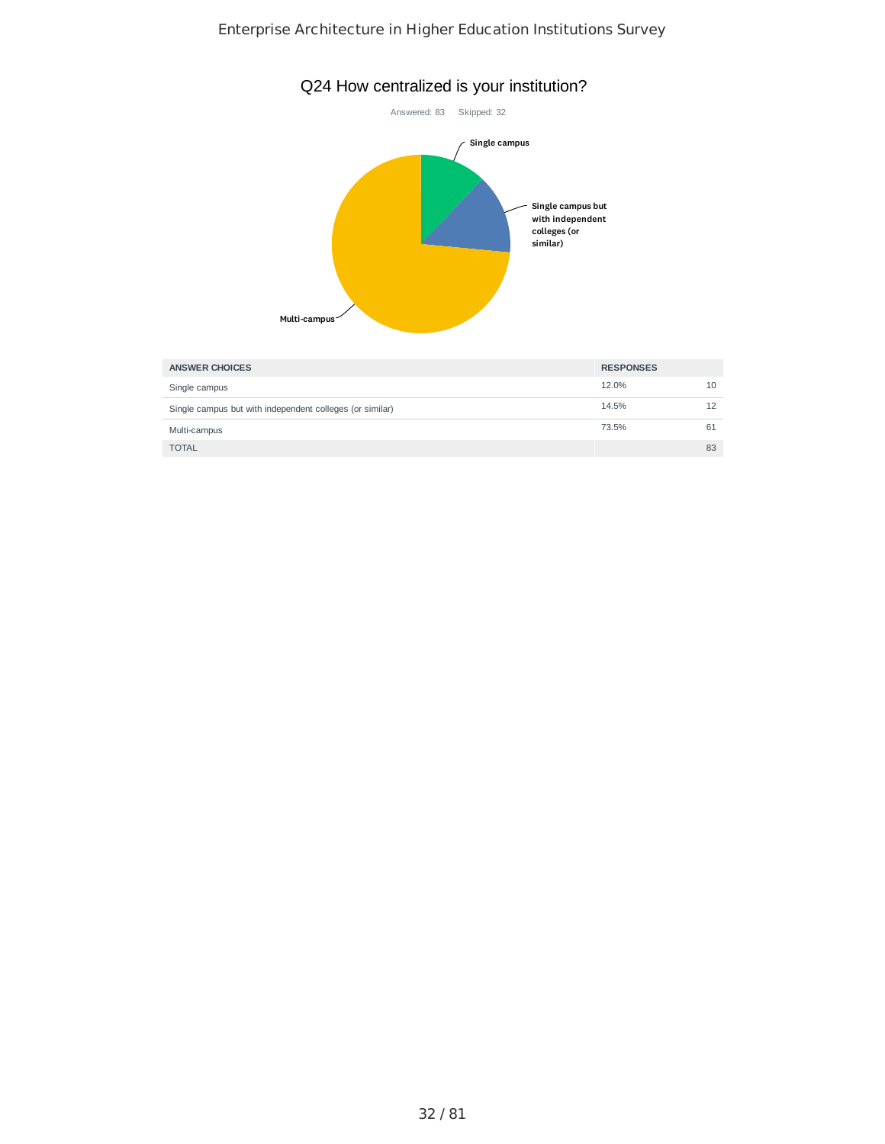

| <b>ANSWER CHOICES</b>                                    | <b>RESPONSES</b> |    |
|----------------------------------------------------------|------------------|----|
| Single campus                                            | 12.0%            | 10 |
| Single campus but with independent colleges (or similar) | 14.5%            |    |
| Multi-campus                                             | 73.5%            | 61 |
| <b>TOTAL</b>                                             |                  | 83 |

# Q24 How centralized is your institution?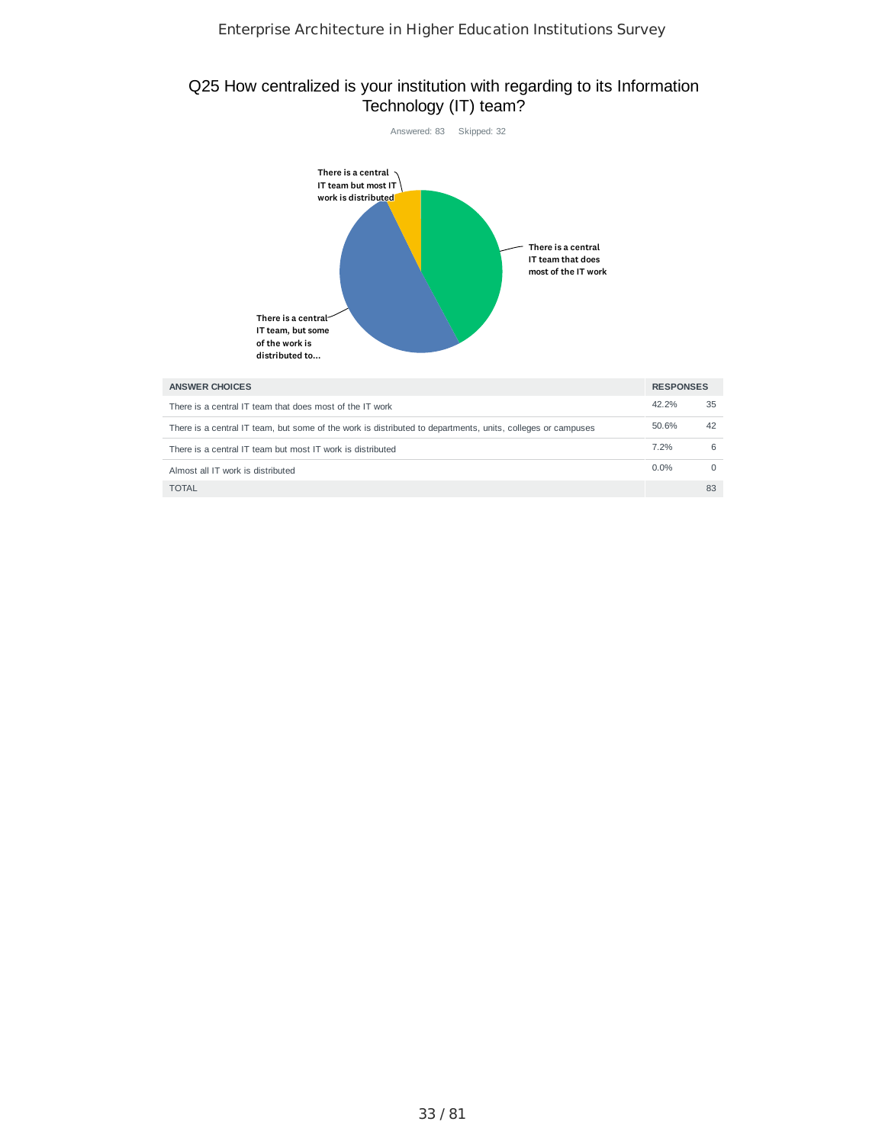## Q25 How centralized is your institution with regarding to its Information Technology (IT) team?



| <b>ANSWER CHOICES</b>                                                                                       | <b>RESPONSES</b> |    |
|-------------------------------------------------------------------------------------------------------------|------------------|----|
| There is a central IT team that does most of the IT work                                                    | 42.2%            | 35 |
| There is a central IT team, but some of the work is distributed to departments, units, colleges or campuses | 50.6%            | 42 |
| There is a central IT team but most IT work is distributed                                                  | 7.2%             |    |
| Almost all IT work is distributed                                                                           | $0.0\%$          |    |
| <b>TOTAL</b>                                                                                                |                  | 83 |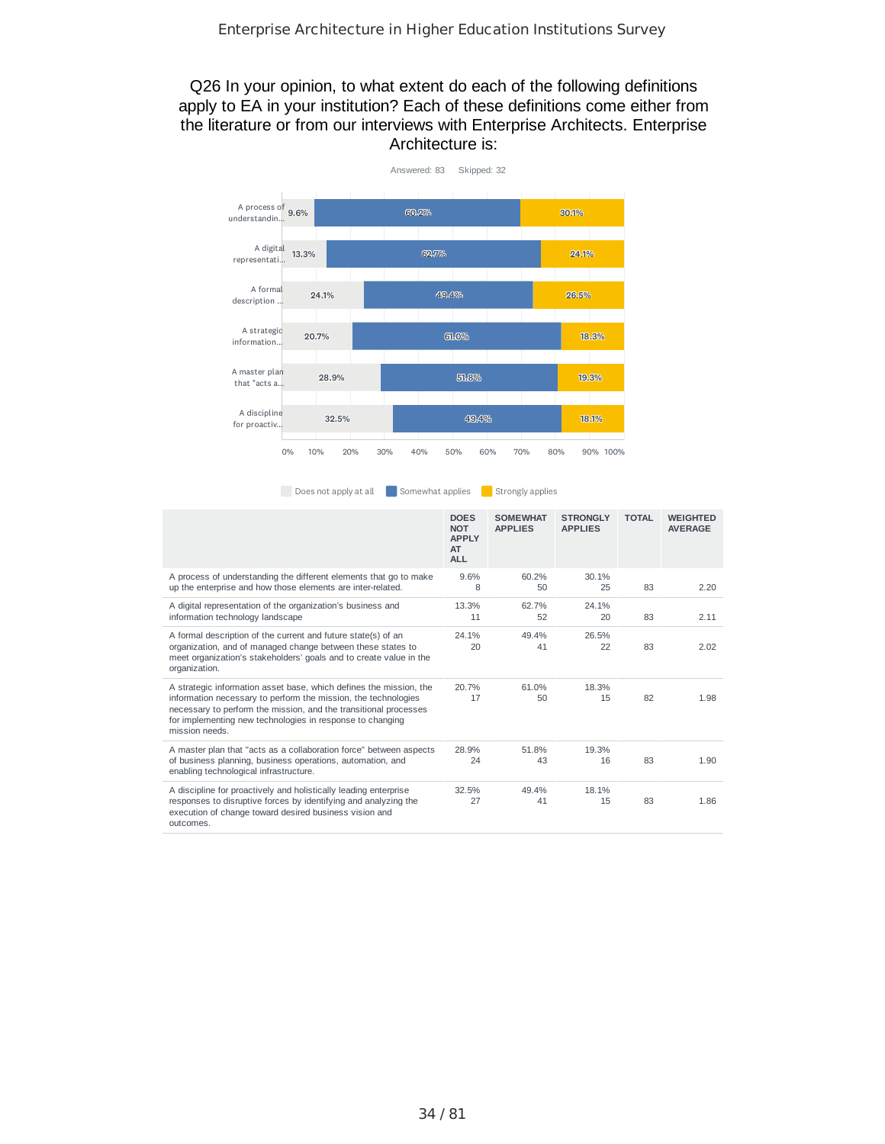## Q26 In your opinion, to what extent do each of the following definitions apply to EA in your institution? Each of these definitions come either from the literature or from our interviews with Enterprise Architects. Enterprise Architecture is:



Does not apply at all Somewhat applies Strongly applies

|                                                                                                                                                                                                                                                                                         | <b>DOES</b><br><b>NOT</b><br><b>APPLY</b><br>AT<br><b>ALL</b> | <b>SOMEWHAT</b><br><b>APPLIES</b> | <b>STRONGLY</b><br><b>APPLIES</b> | <b>TOTAL</b> | <b>WEIGHTED</b><br><b>AVERAGE</b> |
|-----------------------------------------------------------------------------------------------------------------------------------------------------------------------------------------------------------------------------------------------------------------------------------------|---------------------------------------------------------------|-----------------------------------|-----------------------------------|--------------|-----------------------------------|
| A process of understanding the different elements that go to make<br>up the enterprise and how those elements are inter-related.                                                                                                                                                        | 9.6%<br>8                                                     | 60.2%<br>50                       | 30.1%<br>25                       | 83           | 2.20                              |
| A digital representation of the organization's business and<br>information technology landscape                                                                                                                                                                                         | 13.3%<br>11                                                   | 62.7%<br>52                       | 24.1%<br>20                       | 83           | 2.11                              |
| A formal description of the current and future state(s) of an<br>organization, and of managed change between these states to<br>meet organization's stakeholders' goals and to create value in the<br>organization.                                                                     | 24.1%<br>20                                                   | 49.4%<br>41                       | 26.5%<br>22                       | 83           | 2.02                              |
| A strategic information asset base, which defines the mission, the<br>information necessary to perform the mission, the technologies<br>necessary to perform the mission, and the transitional processes<br>for implementing new technologies in response to changing<br>mission needs. | 20.7%<br>17                                                   | 61.0%<br>50                       | 18.3%<br>15                       | 82           | 1.98                              |
| A master plan that "acts as a collaboration force" between aspects<br>of business planning, business operations, automation, and<br>enabling technological infrastructure.                                                                                                              | 28.9%<br>24                                                   | 51.8%<br>43                       | 19.3%<br>16                       | 83           | 1.90                              |
| A discipline for proactively and holistically leading enterprise<br>responses to disruptive forces by identifying and analyzing the<br>execution of change toward desired business vision and<br>outcomes.                                                                              | 32.5%<br>27                                                   | 49.4%<br>41                       | 18.1%<br>15                       | 83           | 1.86                              |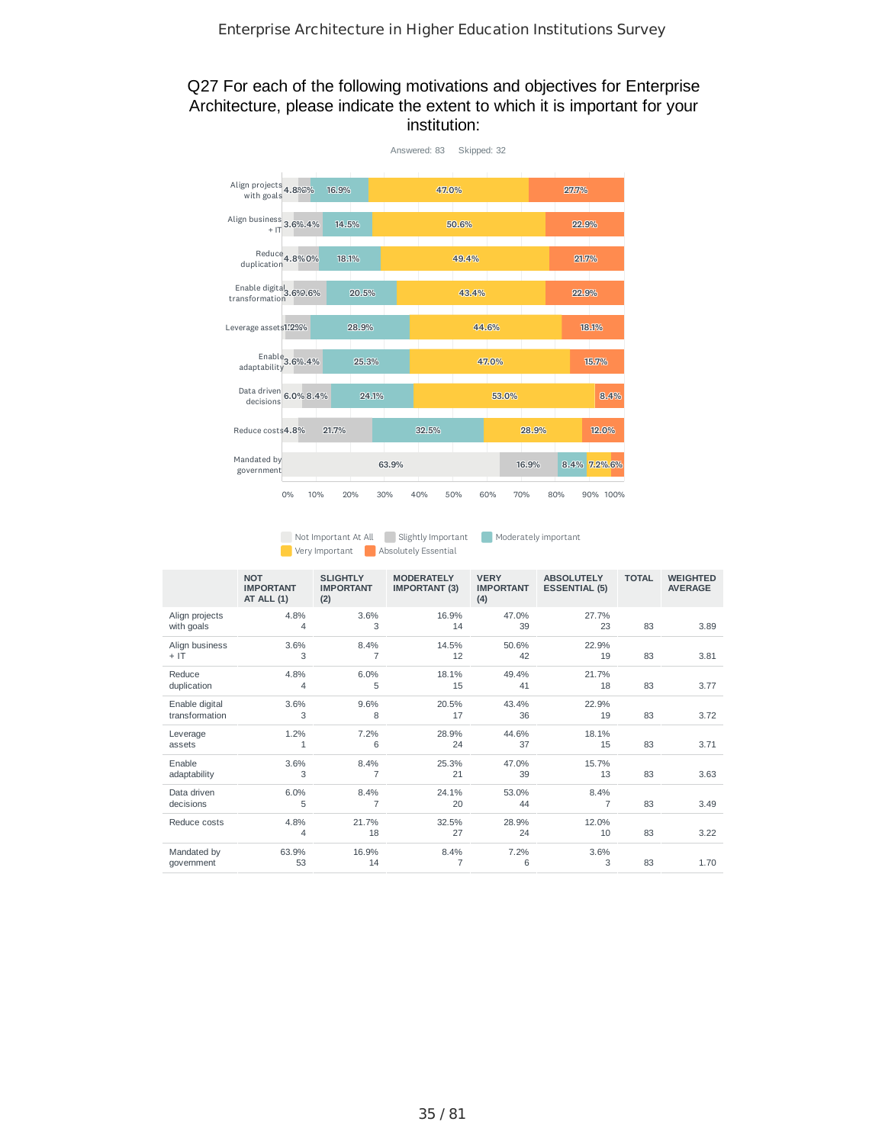## Q27 For each of the following motivations and objectives for Enterprise Architecture, please indicate the extent to which it is important for your institution:



Not Important At All Slightly Important Moderately important **Absolutely Essential** 

|                                  | <b>NOT</b><br><b>IMPORTANT</b><br>AT ALL (1) | <b>SLIGHTLY</b><br><b>IMPORTANT</b><br>(2) | <b>MODERATELY</b><br><b>IMPORTANT (3)</b> | <b>VERY</b><br><b>IMPORTANT</b><br>(4) | <b>ABSOLUTELY</b><br><b>ESSENTIAL (5)</b> | <b>TOTAL</b> | <b>WEIGHTED</b><br><b>AVERAGE</b> |
|----------------------------------|----------------------------------------------|--------------------------------------------|-------------------------------------------|----------------------------------------|-------------------------------------------|--------------|-----------------------------------|
| Align projects<br>with goals     | 4.8%<br>4                                    | 3.6%<br>3                                  | 16.9%<br>14                               | 47.0%<br>39                            | 27.7%<br>23                               | 83           | 3.89                              |
| Align business<br>$+$ IT         | 3.6%<br>3                                    | 8.4%<br>$\overline{7}$                     | 14.5%<br>12                               | 50.6%<br>42                            | 22.9%<br>19                               | 83           | 3.81                              |
| Reduce<br>duplication            | 4.8%<br>4                                    | 6.0%<br>5                                  | 18.1%<br>15                               | 49.4%<br>41                            | 21.7%<br>18                               | 83           | 3.77                              |
| Enable digital<br>transformation | 3.6%<br>3                                    | 9.6%<br>8                                  | 20.5%<br>17                               | 43.4%<br>36                            | 22.9%<br>19                               | 83           | 3.72                              |
| Leverage<br>assets               | 1.2%<br>1                                    | 7.2%<br>6                                  | 28.9%<br>24                               | 44.6%<br>37                            | 18.1%<br>15                               | 83           | 3.71                              |
| Enable<br>adaptability           | 3.6%<br>3                                    | 8.4%<br>$\overline{7}$                     | 25.3%<br>21                               | 47.0%<br>39                            | 15.7%<br>13                               | 83           | 3.63                              |
| Data driven<br>decisions         | 6.0%<br>5                                    | 8.4%<br>$\overline{7}$                     | 24.1%<br>20                               | 53.0%<br>44                            | 8.4%<br>$\overline{7}$                    | 83           | 3.49                              |
| Reduce costs                     | 4.8%<br>4                                    | 21.7%<br>18                                | 32.5%<br>27                               | 28.9%<br>24                            | 12.0%<br>10                               | 83           | 3.22                              |
| Mandated by<br>government        | 63.9%<br>53                                  | 16.9%<br>14                                | 8.4%<br>7                                 | 7.2%<br>6                              | 3.6%<br>3                                 | 83           | 1.70                              |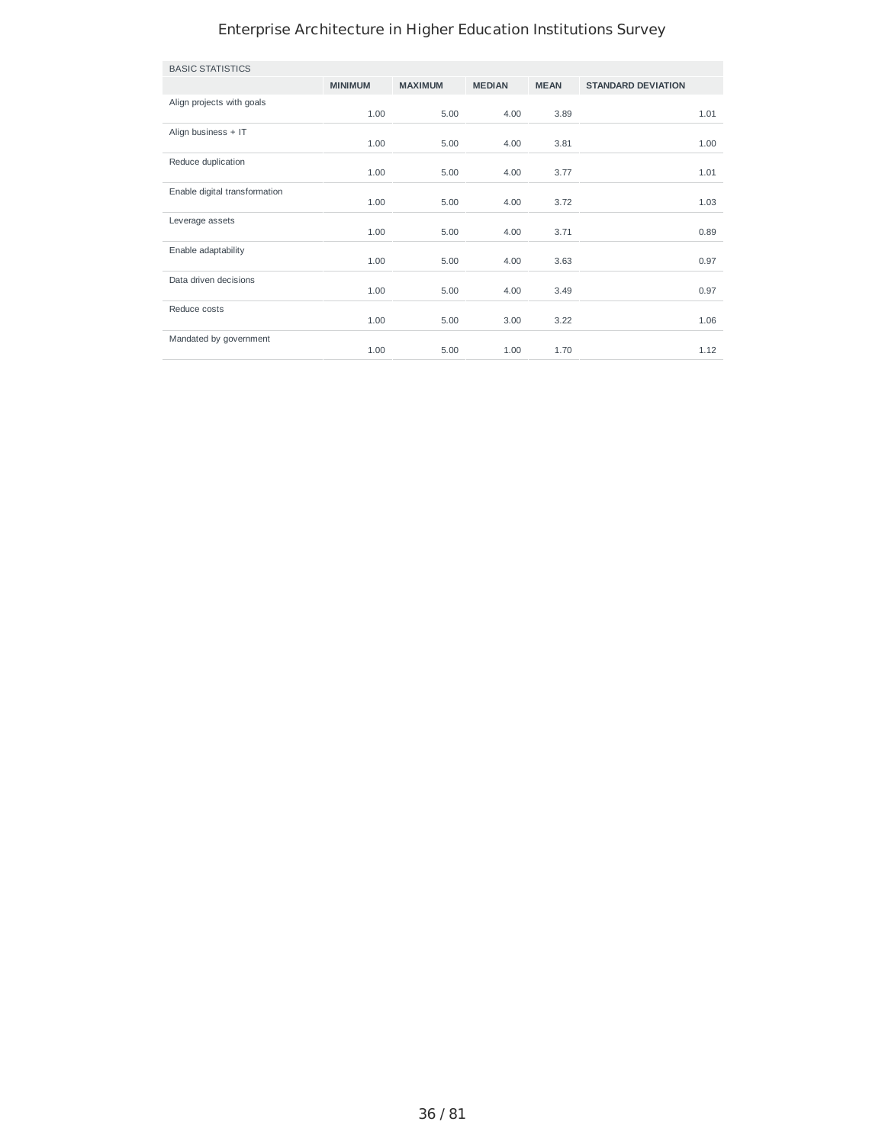| <b>BASIC STATISTICS</b>       |                |                |               |             |                           |      |
|-------------------------------|----------------|----------------|---------------|-------------|---------------------------|------|
|                               | <b>MINIMUM</b> | <b>MAXIMUM</b> | <b>MEDIAN</b> | <b>MEAN</b> | <b>STANDARD DEVIATION</b> |      |
| Align projects with goals     | 1.00           | 5.00           | 4.00          | 3.89        |                           | 1.01 |
| Align business + IT           | 1.00           | 5.00           | 4.00          | 3.81        |                           | 1.00 |
| Reduce duplication            | 1.00           | 5.00           | 4.00          | 3.77        |                           | 1.01 |
| Enable digital transformation | 1.00           | 5.00           | 4.00          | 3.72        |                           | 1.03 |
| Leverage assets               | 1.00           | 5.00           | 4.00          | 3.71        |                           | 0.89 |
| Enable adaptability           | 1.00           | 5.00           | 4.00          | 3.63        |                           | 0.97 |
| Data driven decisions         | 1.00           | 5.00           | 4.00          | 3.49        |                           | 0.97 |
| Reduce costs                  | 1.00           | 5.00           | 3.00          | 3.22        |                           | 1.06 |
| Mandated by government        | 1.00           | 5.00           | 1.00          | 1.70        |                           | 1.12 |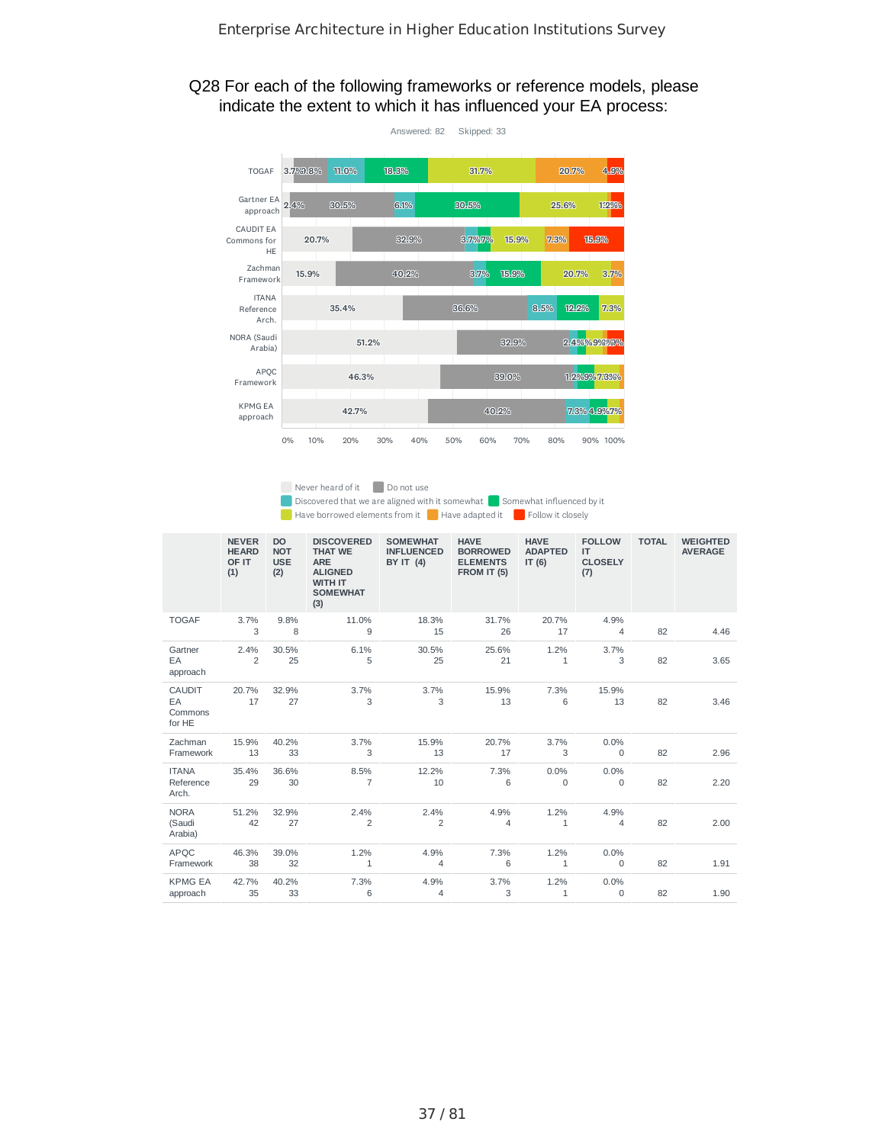#### Q28 For each of the following frameworks or reference models, please indicate the extent to which it has influenced your EA process:



Never heard of it Do not use

 $\Box$  Discovered that we are aligned with it somewhat  $\Box$  Somewhat influenced by it

Have borrowed elements from it Have adapted it Follow it closely

|                                          | <b>NEVER</b><br><b>HEARD</b><br>OF IT<br>(1) | <b>DO</b><br><b>NOT</b><br><b>USE</b><br>(2) | <b>DISCOVERED</b><br><b>THAT WE</b><br><b>ARE</b><br><b>ALIGNED</b><br><b>WITH IT</b><br><b>SOMEWHAT</b><br>(3) | <b>SOMEWHAT</b><br><b>INFLUENCED</b><br><b>BY IT (4)</b> | <b>HAVE</b><br><b>BORROWED</b><br><b>ELEMENTS</b><br>FROM IT (5) | <b>HAVE</b><br><b>ADAPTED</b><br>IT(6) | <b>FOLLOW</b><br>IT.<br><b>CLOSELY</b><br>(7) | <b>TOTAL</b> | <b>WEIGHTED</b><br><b>AVERAGE</b> |
|------------------------------------------|----------------------------------------------|----------------------------------------------|-----------------------------------------------------------------------------------------------------------------|----------------------------------------------------------|------------------------------------------------------------------|----------------------------------------|-----------------------------------------------|--------------|-----------------------------------|
| <b>TOGAF</b>                             | 3.7%<br>3                                    | 9.8%<br>8                                    | 11.0%<br>9                                                                                                      | 18.3%<br>15                                              | 31.7%<br>26                                                      | 20.7%<br>17                            | 4.9%<br>4                                     | 82           | 4.46                              |
| Gartner<br>EA<br>approach                | 2.4%<br>$\overline{2}$                       | 30.5%<br>25                                  | 6.1%<br>5                                                                                                       | 30.5%<br>25                                              | 25.6%<br>21                                                      | 1.2%<br>$\mathbf{1}$                   | 3.7%<br>3                                     | 82           | 3.65                              |
| <b>CAUDIT</b><br>EA<br>Commons<br>for HE | 20.7%<br>17                                  | 32.9%<br>27                                  | 3.7%<br>3                                                                                                       | 3.7%<br>3                                                | 15.9%<br>13                                                      | 7.3%<br>6                              | 15.9%<br>13                                   | 82           | 3.46                              |
| Zachman<br>Framework                     | 15.9%<br>13                                  | 40.2%<br>33                                  | 3.7%<br>3                                                                                                       | 15.9%<br>13                                              | 20.7%<br>17                                                      | 3.7%<br>3                              | 0.0%<br>$\mathbf 0$                           | 82           | 2.96                              |
| <b>ITANA</b><br>Reference<br>Arch.       | 35.4%<br>29                                  | 36.6%<br>30                                  | 8.5%<br>$\overline{7}$                                                                                          | 12.2%<br>10                                              | 7.3%<br>6                                                        | 0.0%<br>$\mathbf{0}$                   | 0.0%<br>$\mathbf 0$                           | 82           | 2.20                              |
| <b>NORA</b><br>(Saudi<br>Arabia)         | 51.2%<br>42                                  | 32.9%<br>27                                  | 2.4%<br>2                                                                                                       | 2.4%<br>$\overline{2}$                                   | 4.9%<br>$\overline{4}$                                           | 1.2%<br>$\mathbf{1}$                   | 4.9%<br>4                                     | 82           | 2.00                              |
| <b>APOC</b><br>Framework                 | 46.3%<br>38                                  | 39.0%<br>32                                  | 1.2%<br>$\mathbf{1}$                                                                                            | 4.9%<br>4                                                | 7.3%<br>6                                                        | 1.2%<br>$\mathbf{1}$                   | 0.0%<br>$\mathbf 0$                           | 82           | 1.91                              |
| <b>KPMG EA</b><br>approach               | 42.7%<br>35                                  | 40.2%<br>33                                  | 7.3%<br>6                                                                                                       | 4.9%<br>$\overline{4}$                                   | 3.7%<br>3                                                        | 1.2%<br>$\mathbf{1}$                   | 0.0%<br>$\mathbf 0$                           | 82           | 1.90                              |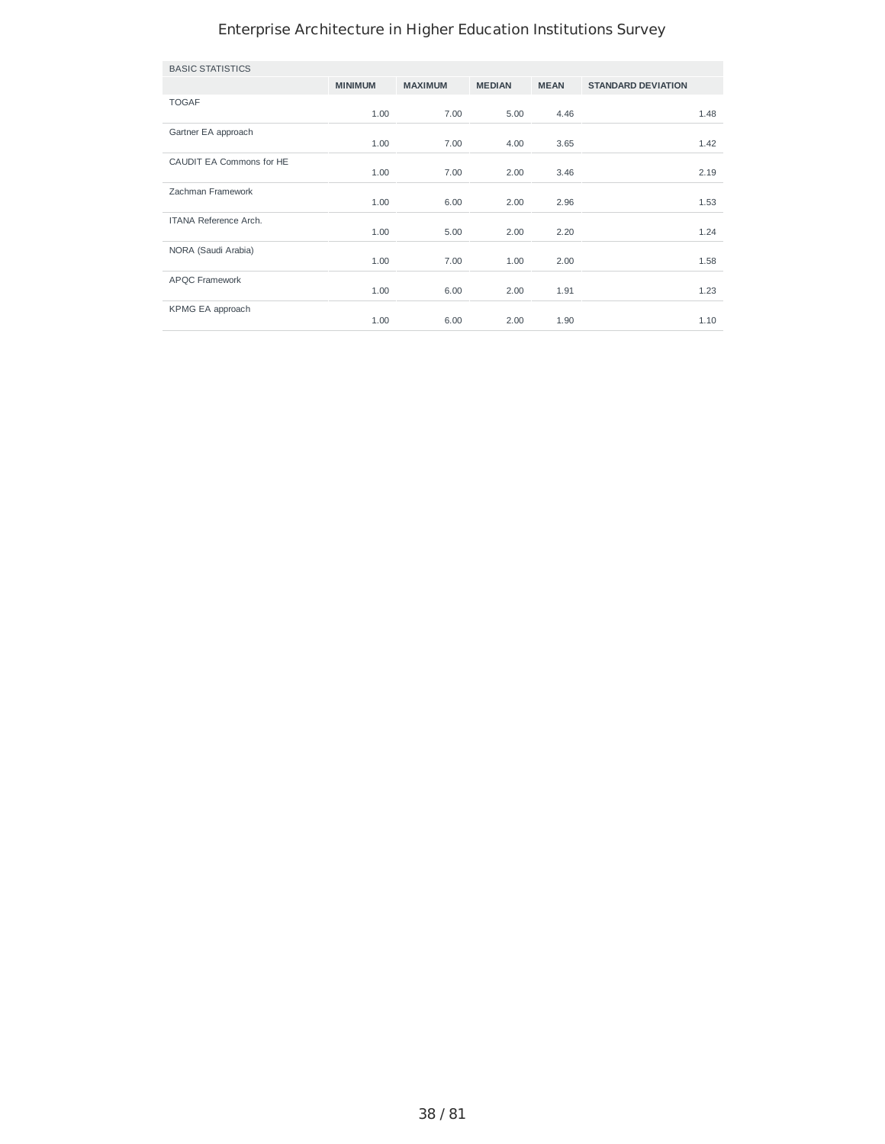| <b>BASIC STATISTICS</b>      |                |                |               |             |                           |      |
|------------------------------|----------------|----------------|---------------|-------------|---------------------------|------|
|                              | <b>MINIMUM</b> | <b>MAXIMUM</b> | <b>MEDIAN</b> | <b>MEAN</b> | <b>STANDARD DEVIATION</b> |      |
| <b>TOGAF</b>                 | 1.00           | 7.00           | 5.00          | 4.46        |                           | 1.48 |
| Gartner EA approach          | 1.00           | 7.00           | 4.00          | 3.65        |                           | 1.42 |
| CAUDIT EA Commons for HE     | 1.00           | 7.00           | 2.00          | 3.46        |                           | 2.19 |
| Zachman Framework            | 1.00           | 6.00           | 2.00          | 2.96        |                           | 1.53 |
| <b>ITANA Reference Arch.</b> | 1.00           | 5.00           | 2.00          | 2.20        |                           | 1.24 |
| NORA (Saudi Arabia)          | 1.00           | 7.00           | 1.00          | 2.00        |                           | 1.58 |
| APQC Framework               | 1.00           | 6.00           | 2.00          | 1.91        |                           | 1.23 |
| KPMG EA approach             | 1.00           | 6.00           | 2.00          | 1.90        |                           | 1.10 |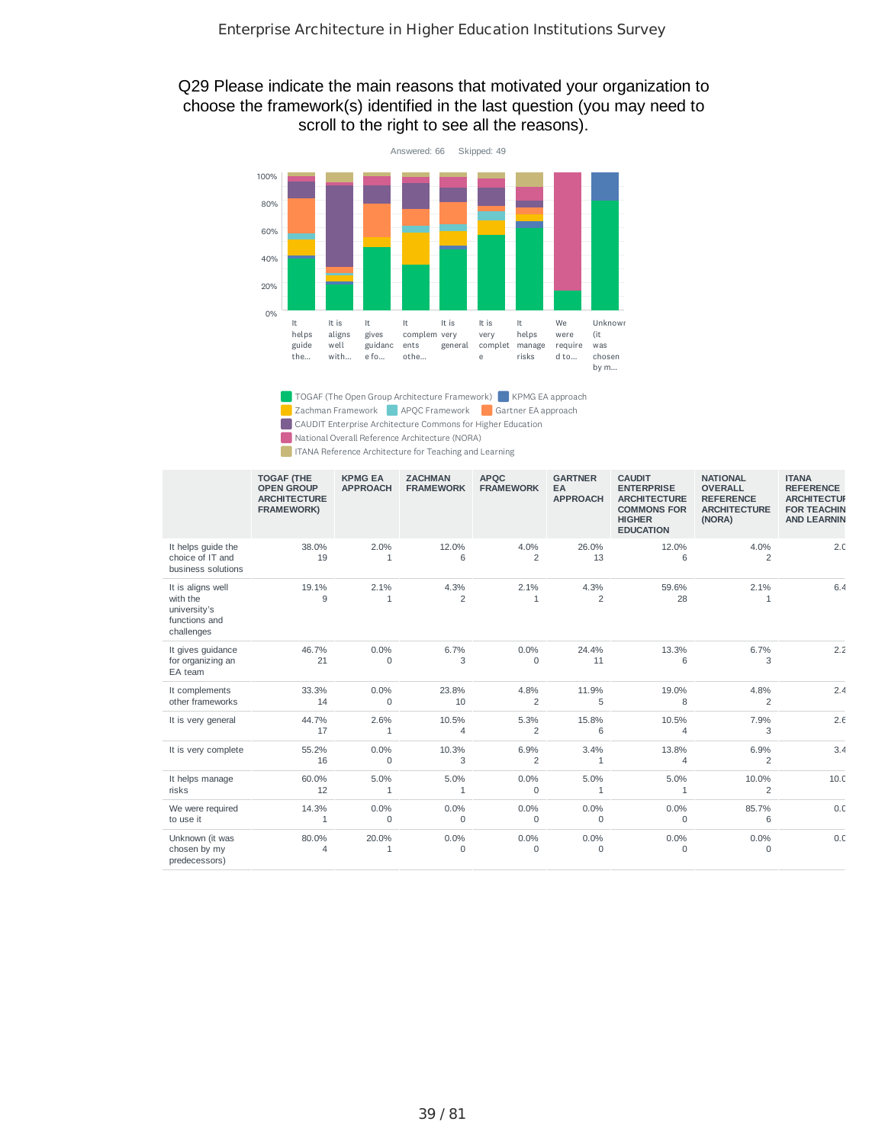### Q29 Please indicate the main reasons that motivated your organization to choose the framework(s) identified in the last question (you may need to scroll to the right to see all the reasons).



TOGAF (The Open Group Architecture Framework) KPMG EA approach

**APQC Framework APQC Framework** Gartner EA approach CAUDIT Enterprise Architecture Commons for Higher Education

National Overall Reference Architecture (NORA)

**ITANA Reference Architecture for Teaching and Learning** 

|                                                                              | <b>TOGAF (THE</b><br><b>OPEN GROUP</b><br><b>ARCHITECTURE</b><br><b>FRAMEWORK)</b> | <b>KPMG EA</b><br><b>APPROACH</b> | <b>ZACHMAN</b><br><b>FRAMEWORK</b> | <b>APOC</b><br><b>FRAMEWORK</b> | <b>GARTNER</b><br>EA<br><b>APPROACH</b> | <b>CAUDIT</b><br><b>ENTERPRISE</b><br><b>ARCHITECTURE</b><br><b>COMMONS FOR</b><br><b>HIGHER</b><br><b>EDUCATION</b> | <b>NATIONAL</b><br><b>OVERALL</b><br><b>REFERENCE</b><br><b>ARCHITECTURE</b><br>(NORA) | <b>ITANA</b><br><b>REFERENCE</b><br><b>ARCHITECTUF</b><br><b>FOR TEACHIN</b><br><b>AND LEARNIN</b> |
|------------------------------------------------------------------------------|------------------------------------------------------------------------------------|-----------------------------------|------------------------------------|---------------------------------|-----------------------------------------|----------------------------------------------------------------------------------------------------------------------|----------------------------------------------------------------------------------------|----------------------------------------------------------------------------------------------------|
| It helps guide the<br>choice of IT and<br>business solutions                 | 38.0%<br>19                                                                        | 2.0%<br>1                         | 12.0%<br>6                         | 4.0%<br>$\overline{c}$          | 26.0%<br>13                             | 12.0%<br>6                                                                                                           | 4.0%<br>$\overline{c}$                                                                 | 2.C                                                                                                |
| It is aligns well<br>with the<br>university's<br>functions and<br>challenges | 19.1%<br>9                                                                         | 2.1%<br>$\mathbf{1}$              | 4.3%<br>2                          | 2.1%<br>1                       | 4.3%<br>$\overline{c}$                  | 59.6%<br>28                                                                                                          | 2.1%<br>1                                                                              | 6.4                                                                                                |
| It gives guidance<br>for organizing an<br>EA team                            | 46.7%<br>21                                                                        | 0.0%<br>$\Omega$                  | 6.7%<br>3                          | 0.0%<br>$\mathbf 0$             | 24.4%<br>11                             | 13.3%<br>6                                                                                                           | 6.7%<br>3                                                                              | 2.2                                                                                                |
| It complements<br>other frameworks                                           | 33.3%<br>14                                                                        | 0.0%<br>$\mathbf 0$               | 23.8%<br>10                        | 4.8%<br>$\overline{2}$          | 11.9%<br>5                              | 19.0%<br>8                                                                                                           | 4.8%<br>2                                                                              | 2.4                                                                                                |
| It is very general                                                           | 44.7%<br>17                                                                        | 2.6%<br>1                         | 10.5%<br>4                         | 5.3%<br>$\overline{2}$          | 15.8%<br>6                              | 10.5%<br>$\overline{4}$                                                                                              | 7.9%<br>3                                                                              | 2.6                                                                                                |
| It is very complete                                                          | 55.2%<br>16                                                                        | 0.0%<br>$\mathbf 0$               | 10.3%<br>3                         | 6.9%<br>$\overline{2}$          | 3.4%<br>$\mathbf{1}$                    | 13.8%<br>4                                                                                                           | 6.9%<br>$\overline{c}$                                                                 | 3.4                                                                                                |
| It helps manage<br>risks                                                     | 60.0%<br>12                                                                        | 5.0%<br>1                         | 5.0%<br>1                          | 0.0%<br>0                       | 5.0%<br>$\mathbf{1}$                    | 5.0%<br>$\mathbf{1}$                                                                                                 | 10.0%<br>2                                                                             | 10 <sub>c</sub>                                                                                    |
| We were required<br>to use it                                                | 14.3%<br>1                                                                         | 0.0%<br>0                         | 0.0%<br>$\mathbf 0$                | 0.0%<br>0                       | 0.0%<br>0                               | 0.0%<br>$\mathbf 0$                                                                                                  | 85.7%<br>6                                                                             | 0. <sub>C</sub>                                                                                    |
| Unknown (it was<br>chosen by my<br>predecessors)                             | 80.0%<br>4                                                                         | 20.0%<br>1                        | 0.0%<br>0                          | 0.0%<br>$\mathsf{O}\xspace$     | 0.0%<br>$\mathbf 0$                     | 0.0%<br>0                                                                                                            | 0.0%<br>$\Omega$                                                                       | 0. <sub>C</sub>                                                                                    |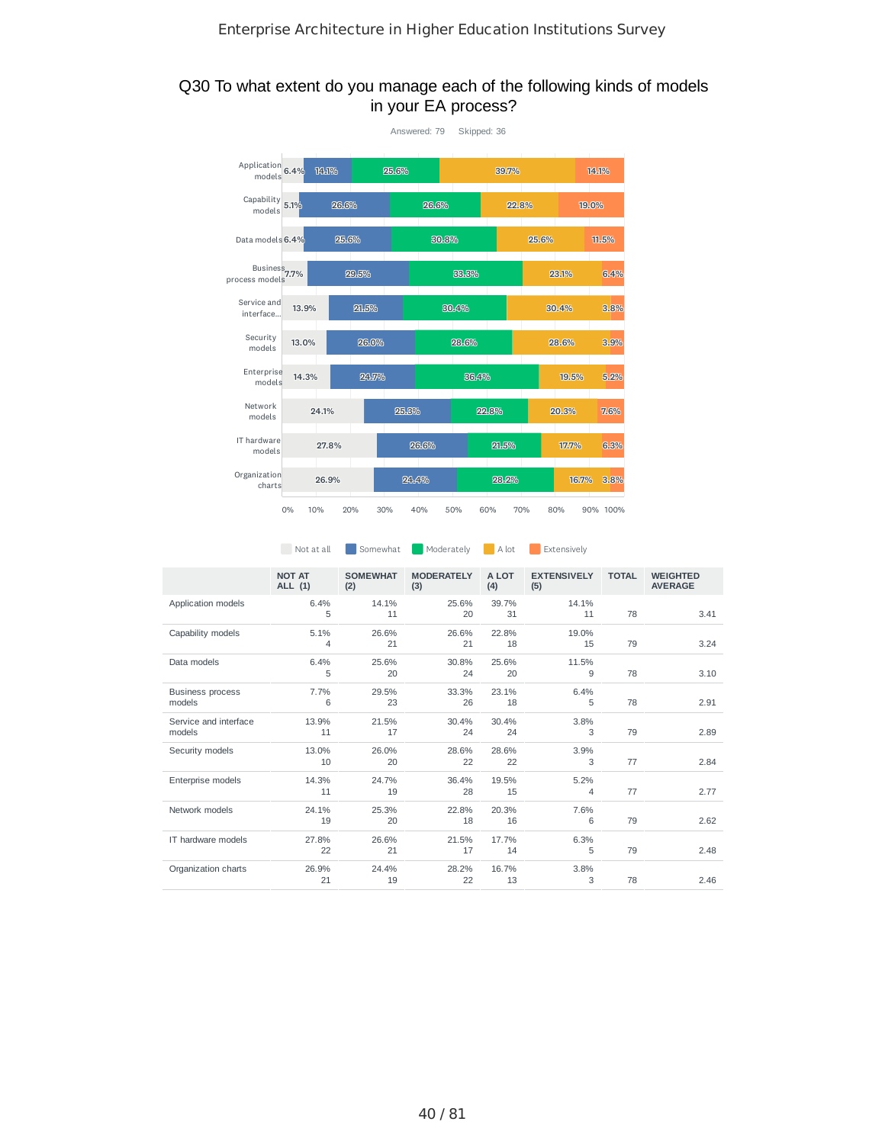### Q30 To what extent do you manage each of the following kinds of models in your EA process?



|                                   | Not at all               | Somewhat               | Moderately               | A lot        | Extensively               |              |                                   |
|-----------------------------------|--------------------------|------------------------|--------------------------|--------------|---------------------------|--------------|-----------------------------------|
|                                   | <b>NOT AT</b><br>ALL (1) | <b>SOMEWHAT</b><br>(2) | <b>MODERATELY</b><br>(3) | A LOT<br>(4) | <b>EXTENSIVELY</b><br>(5) | <b>TOTAL</b> | <b>WEIGHTED</b><br><b>AVERAGE</b> |
| Application models                | 6.4%<br>5                | 14.1%<br>11            | 25.6%<br>20              | 39.7%<br>31  | 14.1%<br>11               | 78           | 3.41                              |
| Capability models                 | 5.1%<br>$\overline{4}$   | 26.6%<br>21            | 26.6%<br>21              | 22.8%<br>18  | 19.0%<br>15               | 79           | 3.24                              |
| Data models                       | 6.4%<br>5                | 25.6%<br>20            | 30.8%<br>24              | 25.6%<br>20  | 11.5%<br>9                | 78           | 3.10                              |
| <b>Business process</b><br>models | 7.7%<br>6                | 29.5%<br>23            | 33.3%<br>26              | 23.1%<br>18  | 6.4%<br>5                 | 78           | 2.91                              |
| Service and interface<br>models   | 13.9%<br>11              | 21.5%<br>17            | 30.4%<br>24              | 30.4%<br>24  | 3.8%<br>3                 | 79           | 2.89                              |
| Security models                   | 13.0%<br>10              | 26.0%<br>20            | 28.6%<br>22              | 28.6%<br>22  | 3.9%<br>3                 | 77           | 2.84                              |
| Enterprise models                 | 14.3%<br>11              | 24.7%<br>19            | 36.4%<br>28              | 19.5%<br>15  | 5.2%<br>$\overline{4}$    | 77           | 2.77                              |
| Network models                    | 24.1%<br>19              | 25.3%<br>20            | 22.8%<br>18              | 20.3%<br>16  | 7.6%<br>6                 | 79           | 2.62                              |
| IT hardware models                | 27.8%<br>22              | 26.6%<br>21            | 21.5%<br>17              | 17.7%<br>14  | 6.3%<br>5                 | 79           | 2.48                              |
| Organization charts               | 26.9%<br>21              | 24.4%<br>19            | 28.2%<br>22              | 16.7%<br>13  | 3.8%<br>3                 | 78           | 2.46                              |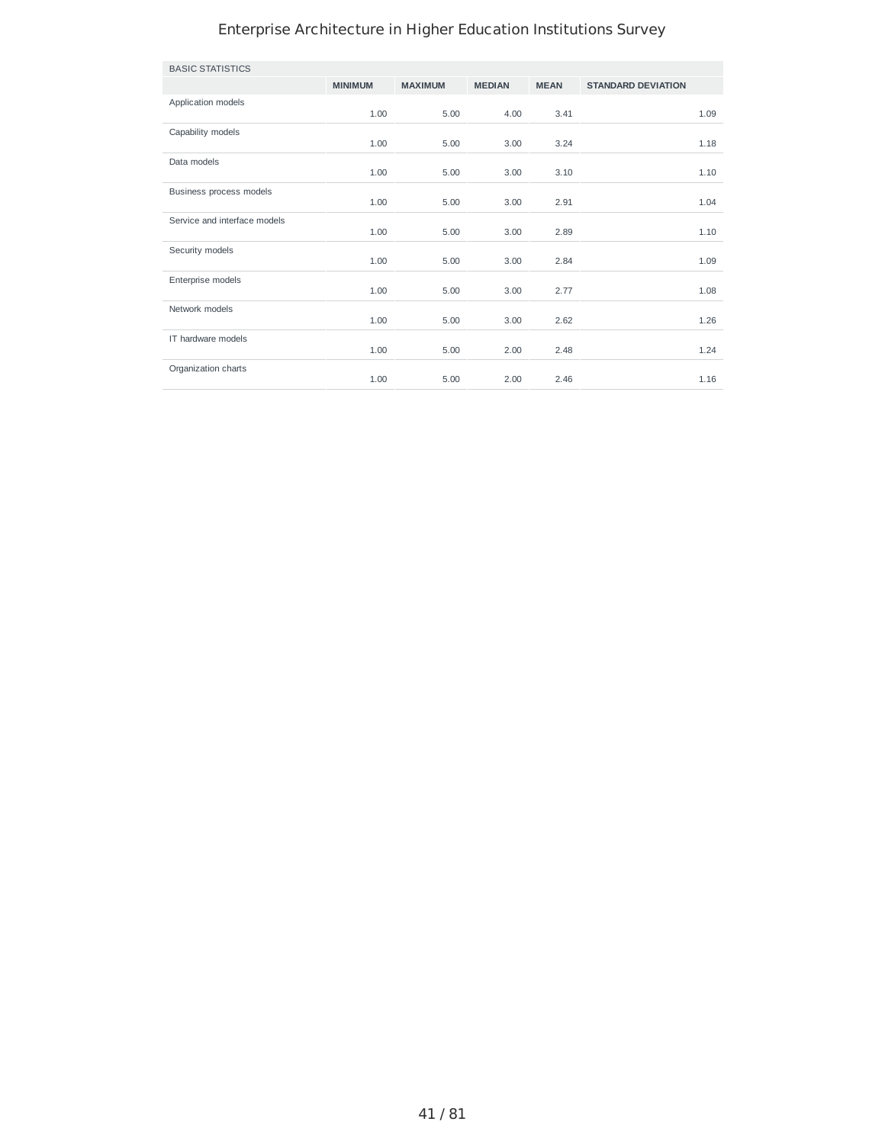| <b>BASIC STATISTICS</b>      |                |                |               |             |                           |      |
|------------------------------|----------------|----------------|---------------|-------------|---------------------------|------|
|                              | <b>MINIMUM</b> | <b>MAXIMUM</b> | <b>MEDIAN</b> | <b>MEAN</b> | <b>STANDARD DEVIATION</b> |      |
| Application models           | 1.00           | 5.00           | 4.00          | 3.41        |                           | 1.09 |
| Capability models            | 1.00           | 5.00           | 3.00          | 3.24        |                           | 1.18 |
| Data models                  | 1.00           | 5.00           | 3.00          | 3.10        |                           | 1.10 |
| Business process models      | 1.00           | 5.00           | 3.00          | 2.91        |                           | 1.04 |
| Service and interface models | 1.00           | 5.00           | 3.00          | 2.89        |                           | 1.10 |
| Security models              | 1.00           | 5.00           | 3.00          | 2.84        |                           | 1.09 |
| Enterprise models            | 1.00           | 5.00           | 3.00          | 2.77        |                           | 1.08 |
| Network models               | 1.00           | 5.00           | 3.00          | 2.62        |                           | 1.26 |
| IT hardware models           | 1.00           | 5.00           | 2.00          | 2.48        |                           | 1.24 |
| Organization charts          | 1.00           | 5.00           | 2.00          | 2.46        |                           | 1.16 |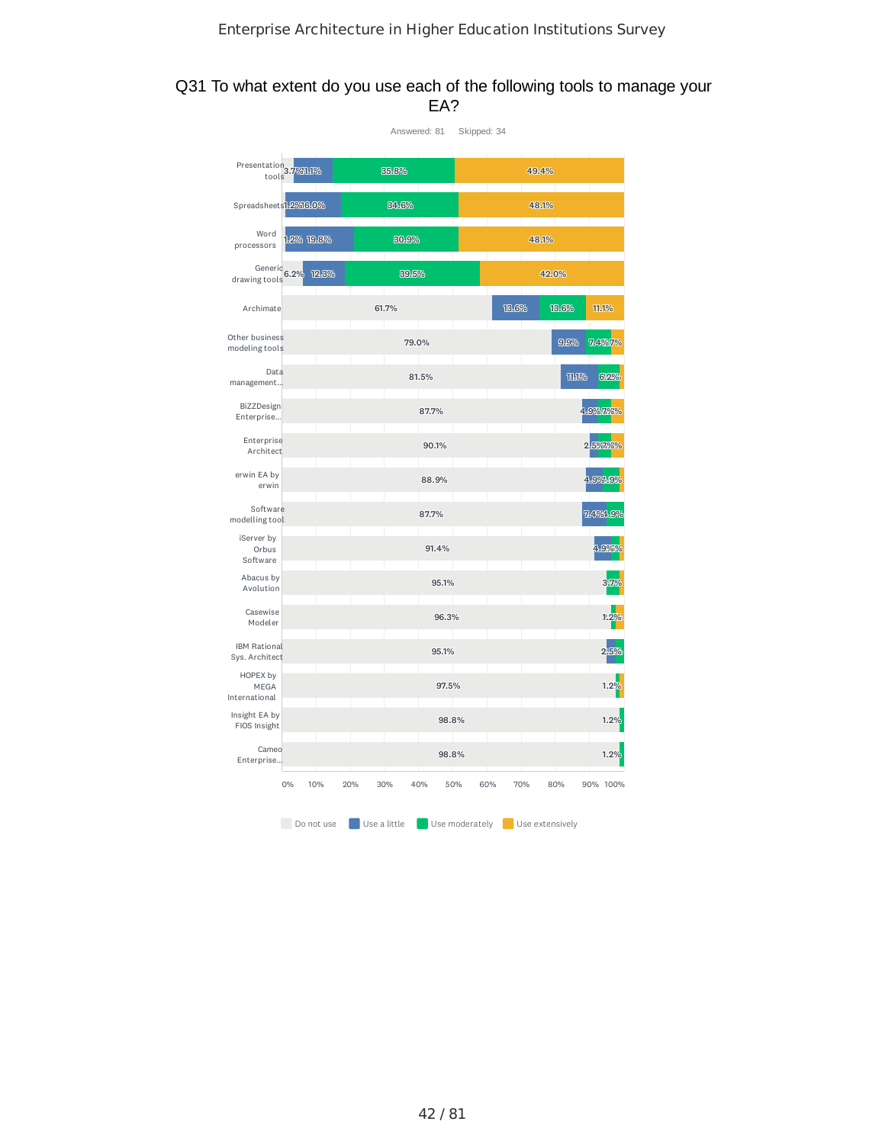### Q31 To what extent do you use each of the following tools to manage your EA?

|                                          |    |            |     |              | Answered: 81 |                | Skipped: 34 |       |                 |                    |           |
|------------------------------------------|----|------------|-----|--------------|--------------|----------------|-------------|-------|-----------------|--------------------|-----------|
| Presentation <sub>3.7%11%</sub><br>tools |    |            |     | 35.8%        |              |                |             |       | 49.4%           |                    |           |
| Spreadsheets1.2%16.0%                    |    |            |     | 34.6%        |              |                |             |       | 48.1%           |                    |           |
| Word<br>processors                       |    | 1.2% 19.8% |     | 30.9%        |              |                |             |       | 48.1%           |                    |           |
| Generic $6.2\%$<br>drawing tools         |    | 12.3%      |     |              | 39.5%        |                |             |       | 42.0%           |                    |           |
| Archimate                                |    |            |     | 61.7%        |              |                |             | 13.6% | 13.6%           |                    | 11.1%     |
| Other business<br>modeling tools         |    |            |     |              | 79.0%        |                |             |       | 9.9%            |                    | 7.4%7%    |
| Data<br>management                       |    |            |     |              | 81.5%        |                |             |       |                 | TILIP <sub>o</sub> | 612%      |
| BiZZDesign<br>Enterprise                 |    |            |     |              | 87.7%        |                |             |       |                 |                    | 4.9%7.9%% |
| Enterprise<br>Architect                  |    |            |     |              | 90.1%        |                |             |       |                 |                    | 2.5%7.%%  |
| erwin EA by<br>erwin                     |    |            |     |              | 88.9%        |                |             |       |                 |                    | 4.9%.9%   |
| Software<br>modelling tool               |    |            |     |              | 87.7%        |                |             |       |                 |                    | 7.49%1.9% |
| iServer by<br>Orbus<br>Software          |    |            |     |              | 91.4%        |                |             |       |                 |                    | 4.9%      |
| Abacus by<br>Avolution                   |    |            |     |              | 95.1%        |                |             |       |                 |                    |           |
| Casewise<br>Modeler                      |    |            |     |              |              | 96.3%          |             |       |                 |                    | 1.2%      |
| <b>IBM Rational</b><br>Sys. Architect    |    |            |     |              | 95.1%        |                |             |       |                 |                    | 2.5%      |
| HOPEX by<br>MEGA<br>International        |    |            |     |              |              | 97.5%          |             |       |                 |                    | 1.2       |
| Insight EA by<br>FIOS Insight            |    |            |     |              |              | 98.8%          |             |       |                 |                    | 1.29      |
| Cameo<br>Enterprise                      |    |            |     |              |              | 98.8%          |             |       |                 |                    | 1.2%      |
|                                          | 0% | 10%        | 20% | 30%          | 40%          | 50%            | 60%         | 70%   | 80%             |                    | 90% 100%  |
|                                          |    | Do not use |     | Use a little |              | Use moderately |             |       | Use extensively |                    |           |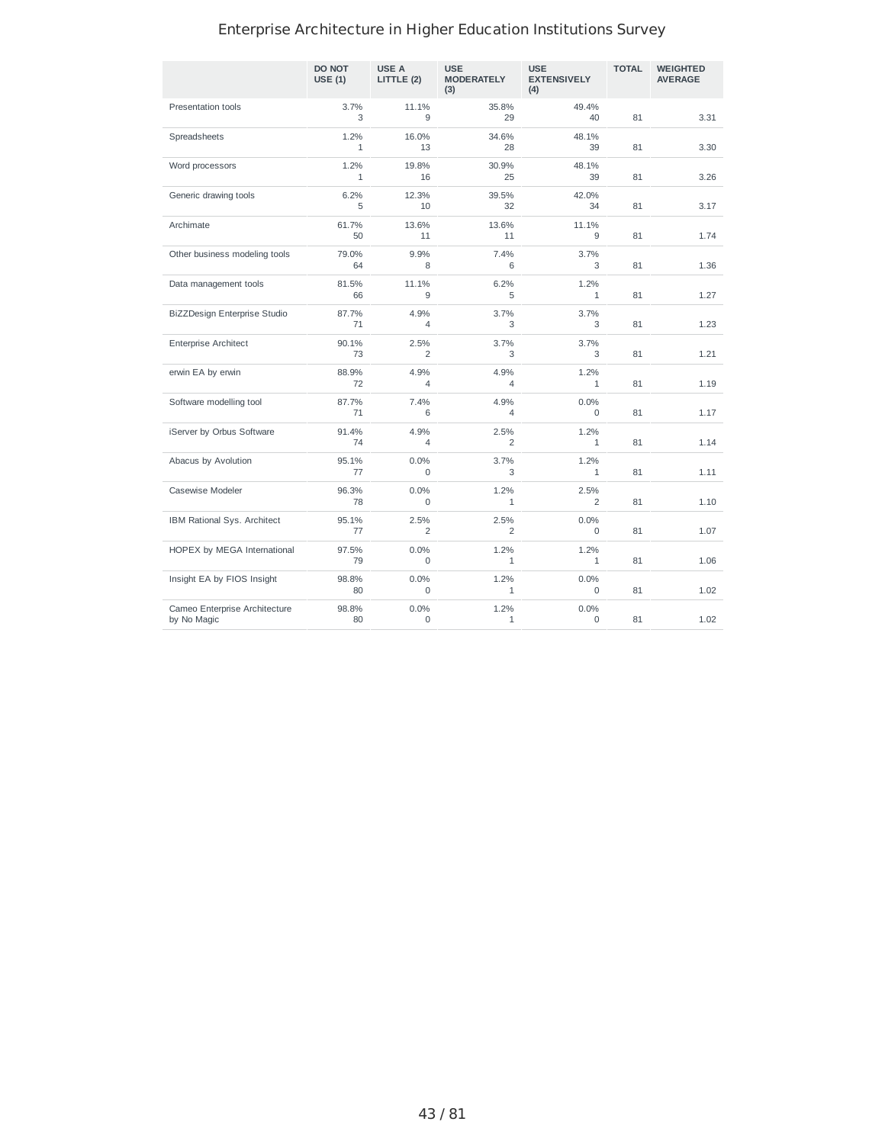|                                              | <b>DO NOT</b><br><b>USE (1)</b> | USE A<br>LITTLE (2)         | <b>USE</b><br><b>MODERATELY</b><br>(3) | <b>USE</b><br><b>EXTENSIVELY</b><br>(4) | <b>TOTAL</b> | <b>WEIGHTED</b><br><b>AVERAGE</b> |
|----------------------------------------------|---------------------------------|-----------------------------|----------------------------------------|-----------------------------------------|--------------|-----------------------------------|
| Presentation tools                           | 3.7%<br>3                       | 11.1%<br>9                  | 35.8%<br>29                            | 49.4%<br>40                             | 81           | 3.31                              |
| Spreadsheets                                 | 1.2%<br>$\mathbf{1}$            | 16.0%<br>13                 | 34.6%<br>28                            | 48.1%<br>39                             | 81           | 3.30                              |
| Word processors                              | 1.2%<br>$\mathbf{1}$            | 19.8%<br>16                 | 30.9%<br>25                            | 48.1%<br>39                             | 81           | 3.26                              |
| Generic drawing tools                        | 6.2%<br>5                       | 12.3%<br>10                 | 39.5%<br>32                            | 42.0%<br>34                             | 81           | 3.17                              |
| Archimate                                    | 61.7%<br>50                     | 13.6%<br>11                 | 13.6%<br>11                            | 11.1%<br>9                              | 81           | 1.74                              |
| Other business modeling tools                | 79.0%<br>64                     | 9.9%<br>8                   | 7.4%<br>6                              | 3.7%<br>3                               | 81           | 1.36                              |
| Data management tools                        | 81.5%<br>66                     | 11.1%<br>9                  | 6.2%<br>5                              | 1.2%<br>$\mathbf{1}$                    | 81           | 1.27                              |
| BiZZDesign Enterprise Studio                 | 87.7%<br>71                     | 4.9%<br>$\overline{4}$      | 3.7%<br>3                              | 3.7%<br>3                               | 81           | 1.23                              |
| <b>Enterprise Architect</b>                  | 90.1%<br>73                     | 2.5%<br>$\overline{c}$      | 3.7%<br>3                              | 3.7%<br>3                               | 81           | 1.21                              |
| erwin EA by erwin                            | 88.9%<br>72                     | 4.9%<br>4                   | 4.9%<br>$\overline{4}$                 | 1.2%<br>$\mathbf{1}$                    | 81           | 1.19                              |
| Software modelling tool                      | 87.7%<br>71                     | 7.4%<br>6                   | 4.9%<br>$\overline{4}$                 | 0.0%<br>$\Omega$                        | 81           | 1.17                              |
| iServer by Orbus Software                    | 91.4%<br>74                     | 4.9%<br>4                   | 2.5%<br>$\overline{2}$                 | 1.2%<br>$\mathbf{1}$                    | 81           | 1.14                              |
| Abacus by Avolution                          | 95.1%<br>77                     | 0.0%<br>0                   | 3.7%<br>3                              | 1.2%<br>$\mathbf{1}$                    | 81           | 1.11                              |
| Casewise Modeler                             | 96.3%<br>78                     | 0.0%<br>$\mathbf 0$         | 1.2%<br>1                              | 2.5%<br>2                               | 81           | 1.10                              |
| IBM Rational Sys. Architect                  | 95.1%<br>77                     | 2.5%<br>$\overline{c}$      | 2.5%<br>$\overline{2}$                 | 0.0%<br>$\mathbf 0$                     | 81           | 1.07                              |
| HOPEX by MEGA International                  | 97.5%<br>79                     | 0.0%<br>$\mathbf 0$         | 1.2%<br>$\mathbf{1}$                   | 1.2%<br>$\mathbf{1}$                    | 81           | 1.06                              |
| Insight EA by FIOS Insight                   | 98.8%<br>80                     | 0.0%<br>$\mathsf{O}\xspace$ | 1.2%<br>$1\,$                          | 0.0%<br>0                               | 81           | 1.02                              |
| Cameo Enterprise Architecture<br>by No Magic | 98.8%<br>80                     | 0.0%<br>0                   | 1.2%<br>$\mathbf{1}$                   | 0.0%<br>0                               | 81           | 1.02                              |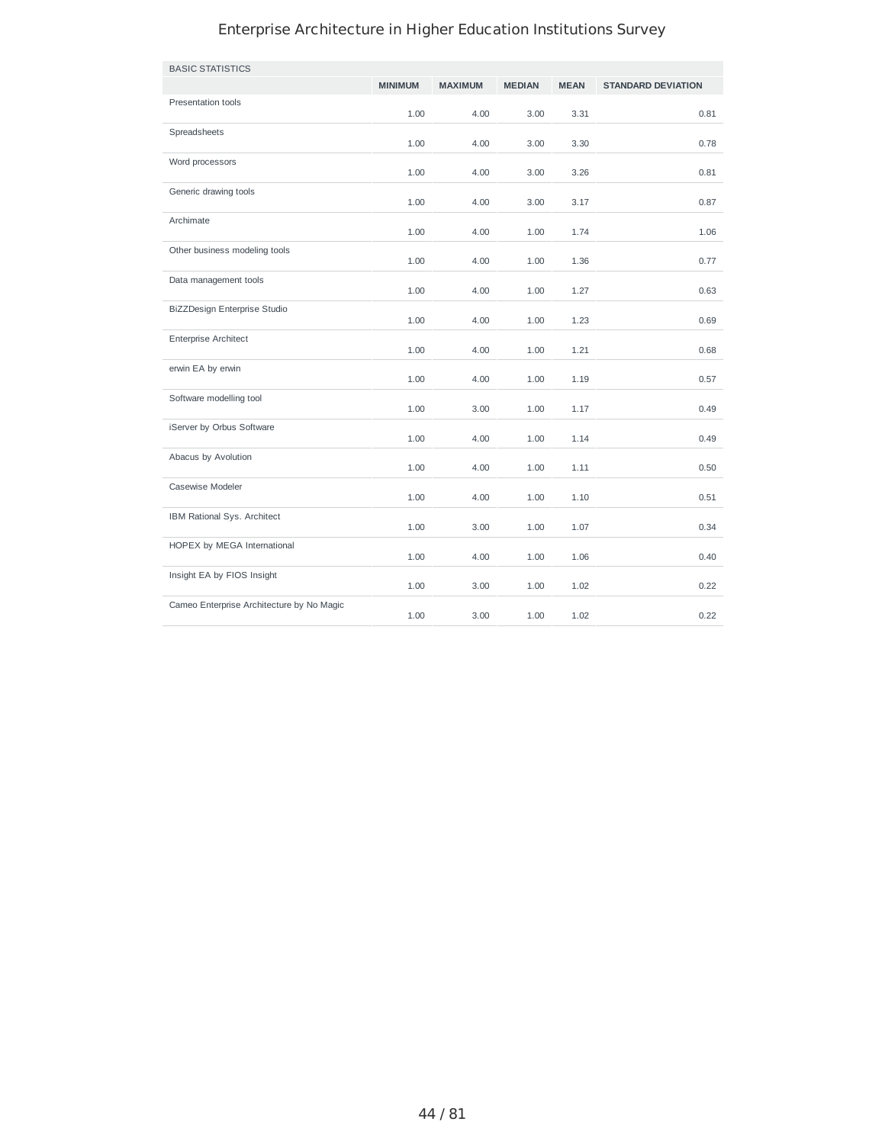| <b>BASIC STATISTICS</b>                   |                |                |               |             |                           |
|-------------------------------------------|----------------|----------------|---------------|-------------|---------------------------|
|                                           | <b>MINIMUM</b> | <b>MAXIMUM</b> | <b>MEDIAN</b> | <b>MEAN</b> | <b>STANDARD DEVIATION</b> |
| Presentation tools                        | 1.00           | 4.00           | 3.00          | 3.31        | 0.81                      |
| Spreadsheets                              | 1.00           | 4.00           | 3.00          | 3.30        | 0.78                      |
| Word processors                           | 1.00           | 4.00           | 3.00          | 3.26        | 0.81                      |
| Generic drawing tools                     | 1.00           | 4.00           | 3.00          | 3.17        | 0.87                      |
| Archimate                                 | 1.00           | 4.00           | 1.00          | 1.74        | 1.06                      |
| Other business modeling tools             | 1.00           | 4.00           | 1.00          | 1.36        | 0.77                      |
| Data management tools                     | 1.00           | 4.00           | 1.00          | 1.27        | 0.63                      |
| BiZZDesign Enterprise Studio              | 1.00           | 4.00           | 1.00          | 1.23        | 0.69                      |
| <b>Enterprise Architect</b>               | 1.00           | 4.00           | 1.00          | 1.21        | 0.68                      |
| erwin EA by erwin                         | 1.00           | 4.00           | 1.00          | 1.19        | 0.57                      |
| Software modelling tool                   | 1.00           | 3.00           | 1.00          | 1.17        | 0.49                      |
| iServer by Orbus Software                 | 1.00           | 4.00           | 1.00          | 1.14        | 0.49                      |
| Abacus by Avolution                       | 1.00           | 4.00           | 1.00          | 1.11        | 0.50                      |
| Casewise Modeler                          | 1.00           | 4.00           | 1.00          | 1.10        | 0.51                      |
| IBM Rational Sys. Architect               | 1.00           | 3.00           | 1.00          | 1.07        | 0.34                      |
| HOPEX by MEGA International               | 1.00           | 4.00           | 1.00          | 1.06        | 0.40                      |
| Insight EA by FIOS Insight                | 1.00           | 3.00           | 1.00          | 1.02        | 0.22                      |
| Cameo Enterprise Architecture by No Magic | 1.00           | 3.00           | 1.00          | 1.02        | 0.22                      |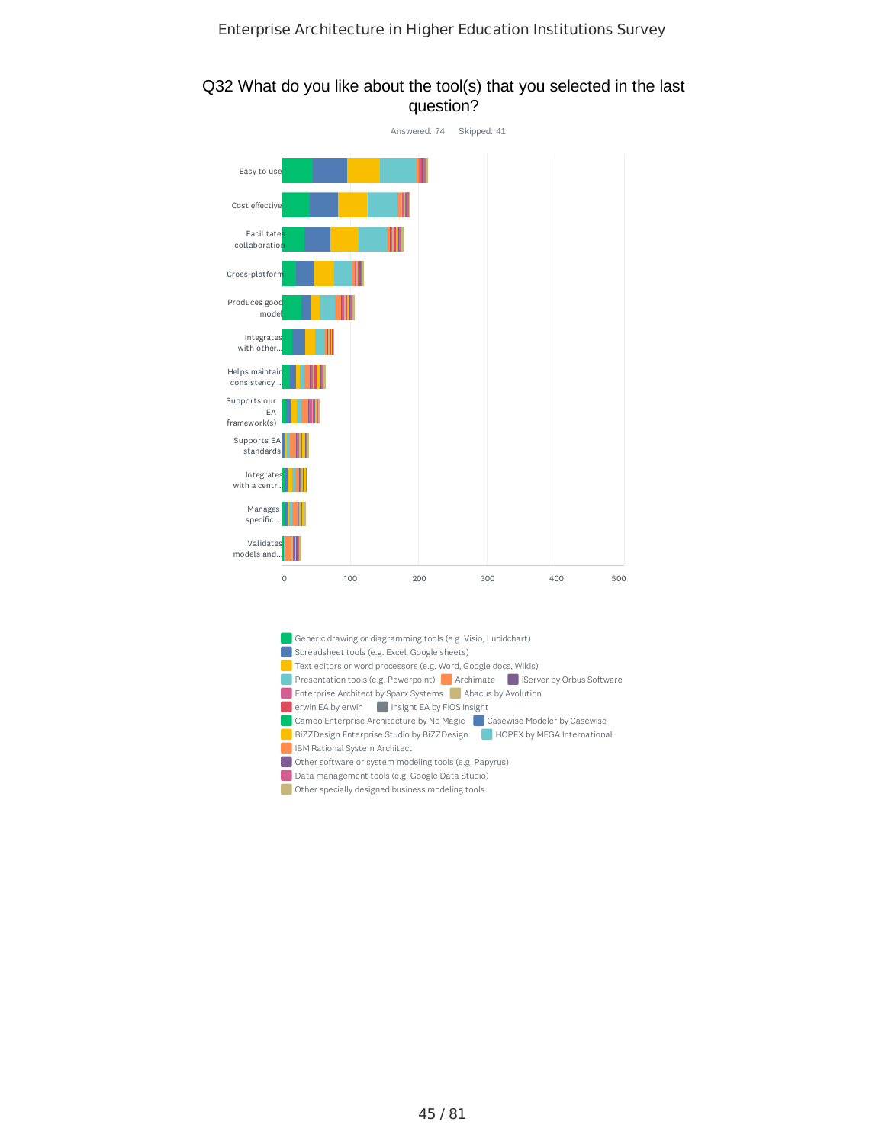

#### Q32 What do you like about the tool(s) that you selected in the last question?

- Spreadsheet tools (e.g. Excel, Google sheets) Text editors or word processors (e.g. Word, Google docs, Wikis) Presentation tools (e.g. Powerpoint) Archimate iserver by Orbus Software **Enterprise Architect by Sparx Systems** Abacus by Avolution erwin EA by erwin **Insight EA by FIOS Insight**
- Cameo Enterprise Architecture by No Magic **Casewise Modeler by Casewise** BiZZDesign Enterprise Studio by BiZZDesign HOPEX by MEGA International
- **IBM Rational System Architect**
- Other software or system modeling tools (e.g. Papyrus)
- Data management tools (e.g. Google Data Studio)
- **Other specially designed business modeling tools**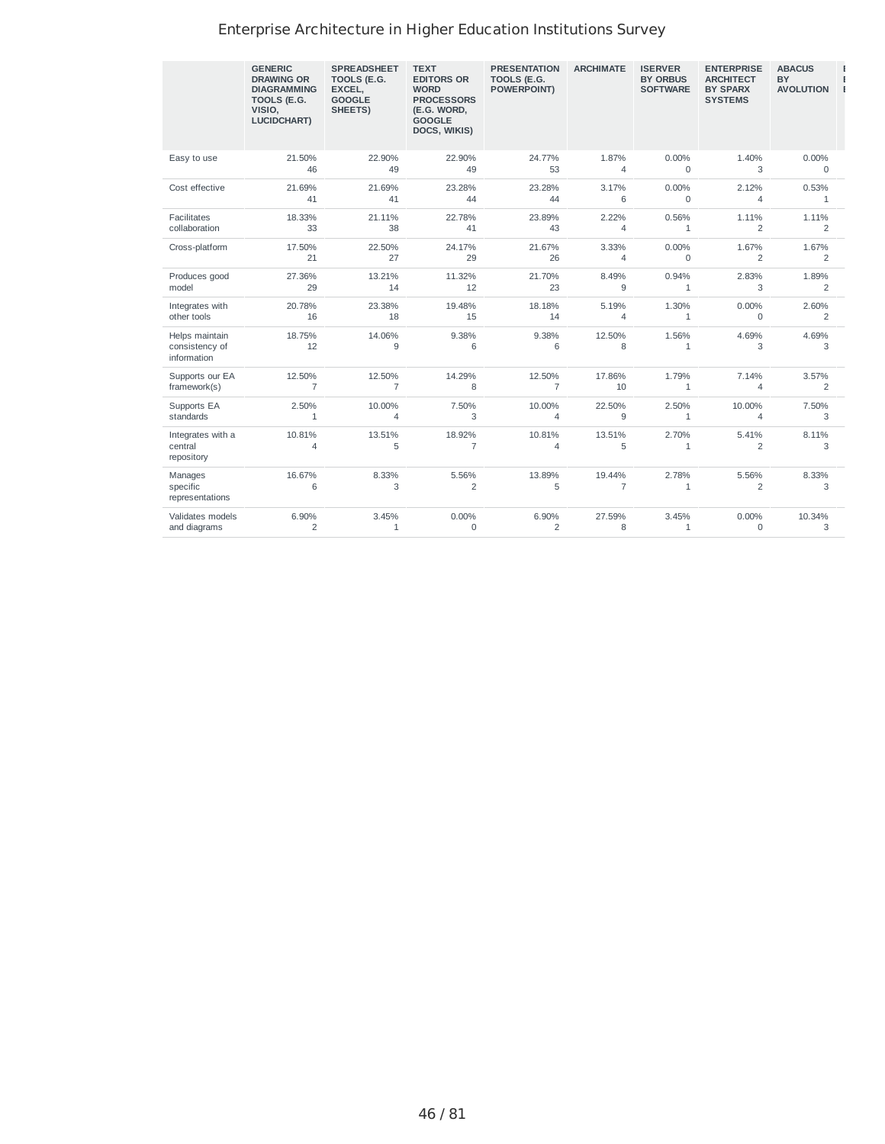|                                                 | <b>GENERIC</b><br><b>DRAWING OR</b><br><b>DIAGRAMMING</b><br>TOOLS (E.G.<br>VISIO,<br><b>LUCIDCHART)</b> | <b>SPREADSHEET</b><br>TOOLS (E.G.<br>EXCEL,<br><b>GOOGLE</b><br>SHEETS) | <b>TEXT</b><br><b>EDITORS OR</b><br><b>WORD</b><br><b>PROCESSORS</b><br>(E.G. WORD,<br><b>GOOGLE</b><br>DOCS, WIKIS) | <b>PRESENTATION</b><br>TOOLS (E.G.<br><b>POWERPOINT)</b> | <b>ARCHIMATE</b>         | <b>ISERVER</b><br><b>BY ORBUS</b><br><b>SOFTWARE</b> | <b>ENTERPRISE</b><br><b>ARCHITECT</b><br><b>BY SPARX</b><br><b>SYSTEMS</b> | <b>ABACUS</b><br><b>BY</b><br><b>AVOLUTION</b> |
|-------------------------------------------------|----------------------------------------------------------------------------------------------------------|-------------------------------------------------------------------------|----------------------------------------------------------------------------------------------------------------------|----------------------------------------------------------|--------------------------|------------------------------------------------------|----------------------------------------------------------------------------|------------------------------------------------|
| Easy to use                                     | 21.50%                                                                                                   | 22.90%                                                                  | 22.90%                                                                                                               | 24.77%                                                   | 1.87%                    | 0.00%                                                | 1.40%                                                                      | 0.00%                                          |
|                                                 | 46                                                                                                       | 49                                                                      | 49                                                                                                                   | 53                                                       | $\overline{4}$           | $\Omega$                                             | 3                                                                          | $\Omega$                                       |
| Cost effective                                  | 21.69%                                                                                                   | 21.69%                                                                  | 23.28%                                                                                                               | 23.28%                                                   | 3.17%                    | 0.00%                                                | 2.12%                                                                      | 0.53%                                          |
|                                                 | 41                                                                                                       | 41                                                                      | 44                                                                                                                   | 44                                                       | 6                        | $\mathbf 0$                                          | 4                                                                          | $\mathbf{1}$                                   |
| Facilitates                                     | 18.33%                                                                                                   | 21.11%                                                                  | 22.78%                                                                                                               | 23.89%                                                   | 2.22%                    | 0.56%                                                | 1.11%                                                                      | 1.11%                                          |
| collaboration                                   | 33                                                                                                       | 38                                                                      | 41                                                                                                                   | 43                                                       | $\overline{4}$           | $\mathbf{1}$                                         | $\overline{c}$                                                             | $\overline{2}$                                 |
| Cross-platform                                  | 17.50%                                                                                                   | 22.50%                                                                  | 24.17%                                                                                                               | 21.67%                                                   | 3.33%                    | 0.00%                                                | 1.67%                                                                      | 1.67%                                          |
|                                                 | 21                                                                                                       | 27                                                                      | 29                                                                                                                   | 26                                                       | $\overline{4}$           | $\mathbf 0$                                          | $\overline{2}$                                                             | $\overline{2}$                                 |
| Produces good                                   | 27.36%                                                                                                   | 13.21%                                                                  | 11.32%                                                                                                               | 21.70%                                                   | 8.49%                    | 0.94%                                                | 2.83%                                                                      | 1.89%                                          |
| model                                           | 29                                                                                                       | 14                                                                      | 12                                                                                                                   | 23                                                       | 9                        | $\mathbf{1}$                                         | 3                                                                          | 2                                              |
| Integrates with                                 | 20.78%                                                                                                   | 23.38%                                                                  | 19.48%                                                                                                               | 18.18%                                                   | 5.19%                    | 1.30%                                                | 0.00%                                                                      | 2.60%                                          |
| other tools                                     | 16                                                                                                       | 18                                                                      | 15                                                                                                                   | 14                                                       | 4                        | $\mathbf{1}$                                         | $\Omega$                                                                   | $\overline{2}$                                 |
| Helps maintain<br>consistency of<br>information | 18.75%<br>12                                                                                             | 14.06%<br>9                                                             | 9.38%<br>6                                                                                                           | 9.38%<br>6                                               | 12.50%<br>8              | 1.56%<br>$\mathbf{1}$                                | 4.69%<br>3                                                                 | 4.69%<br>3                                     |
| Supports our EA                                 | 12.50%                                                                                                   | 12.50%                                                                  | 14.29%                                                                                                               | 12.50%                                                   | 17.86%                   | 1.79%                                                | 7.14%                                                                      | 3.57%                                          |
| framework(s)                                    | $\overline{7}$                                                                                           | $\overline{7}$                                                          | 8                                                                                                                    | $\overline{7}$                                           | 10                       | $\mathbf{1}$                                         | 4                                                                          | $\overline{2}$                                 |
| Supports EA                                     | 2.50%                                                                                                    | 10.00%                                                                  | 7.50%                                                                                                                | 10.00%                                                   | 22.50%                   | 2.50%                                                | 10.00%                                                                     | 7.50%                                          |
| standards                                       | $\mathbf{1}$                                                                                             | $\overline{4}$                                                          | 3                                                                                                                    | $\overline{4}$                                           | 9                        | $\mathbf{1}$                                         | 4                                                                          | 3                                              |
| Integrates with a<br>central<br>repository      | 10.81%<br>$\overline{4}$                                                                                 | 13.51%<br>5                                                             | 18.92%<br>$\overline{7}$                                                                                             | 10.81%<br>4                                              | 13.51%<br>5              | 2.70%<br>$\mathbf{1}$                                | 5.41%<br>$\overline{2}$                                                    | 8.11%<br>3                                     |
| Manages<br>specific<br>representations          | 16.67%<br>6                                                                                              | 8.33%<br>3                                                              | 5.56%<br>$\overline{c}$                                                                                              | 13.89%<br>5                                              | 19.44%<br>$\overline{7}$ | 2.78%<br>$\mathbf{1}$                                | 5.56%<br>2                                                                 | 8.33%<br>3                                     |
| Validates models                                | 6.90%                                                                                                    | 3.45%                                                                   | $0.00\%$                                                                                                             | 6.90%                                                    | 27.59%                   | 3.45%                                                | 0.00%                                                                      | 10.34%                                         |
| and diagrams                                    | 2                                                                                                        | $\mathbf{1}$                                                            | $\mathbf 0$                                                                                                          | $\overline{2}$                                           | 8                        | $\mathbf{1}$                                         | $\mathbf 0$                                                                | 3                                              |

**E E E**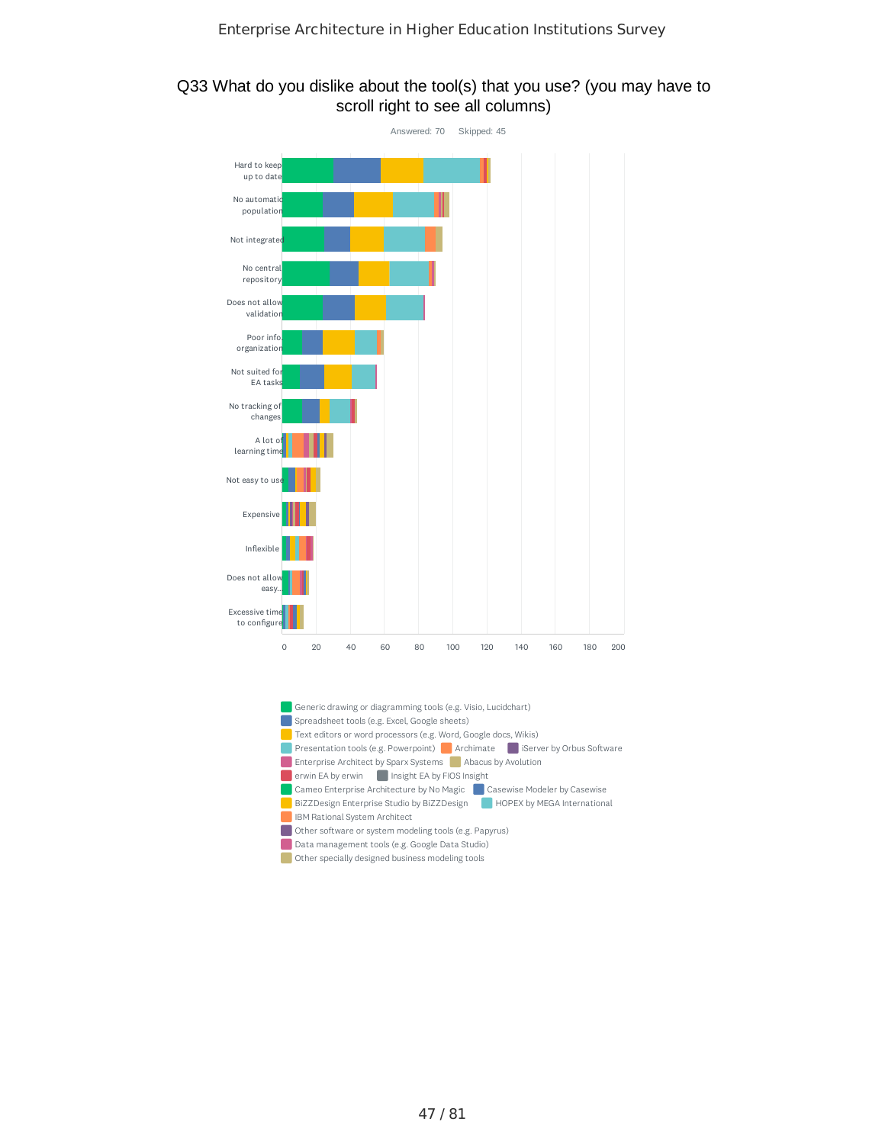#### Q33 What do you dislike about the tool(s) that you use? (you may have to scroll right to see all columns)



Data management tools (e.g. Google Data Studio)

Other specially designed business modeling tools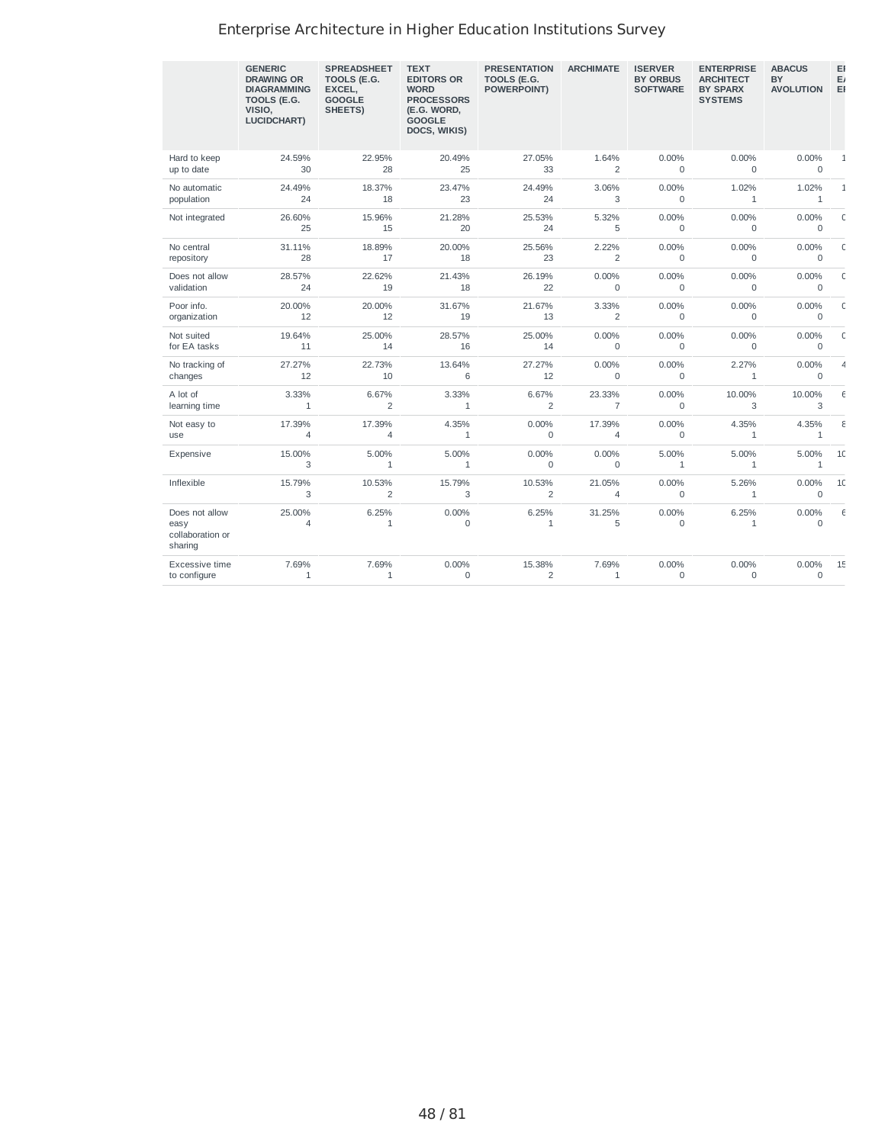|                                                       | <b>GENERIC</b><br><b>DRAWING OR</b><br><b>DIAGRAMMING</b><br>TOOLS (E.G.<br>VISIO.<br><b>LUCIDCHART)</b> | <b>SPREADSHEET</b><br>TOOLS (E.G.<br>EXCEL,<br><b>GOOGLE</b><br>SHEETS) | <b>TEXT</b><br><b>EDITORS OR</b><br><b>WORD</b><br><b>PROCESSORS</b><br>(E.G. WORD.<br><b>GOOGLE</b><br>DOCS, WIKIS) | <b>PRESENTATION</b><br>TOOLS (E.G.<br>POWERPOINT) | <b>ARCHIMATE</b>        | <b>ISERVER</b><br><b>BY ORBUS</b><br><b>SOFTWARE</b> | <b>ENTERPRISE</b><br><b>ARCHITECT</b><br><b>BY SPARX</b><br><b>SYSTEMS</b> | <b>ABACUS</b><br><b>BY</b><br><b>AVOLUTION</b> | EI<br>E,<br>EI |
|-------------------------------------------------------|----------------------------------------------------------------------------------------------------------|-------------------------------------------------------------------------|----------------------------------------------------------------------------------------------------------------------|---------------------------------------------------|-------------------------|------------------------------------------------------|----------------------------------------------------------------------------|------------------------------------------------|----------------|
| Hard to keep                                          | 24.59%                                                                                                   | 22.95%                                                                  | 20.49%                                                                                                               | 27.05%                                            | 1.64%                   | $0.00\%$                                             | 0.00%                                                                      | $0.00\%$                                       | $\mathbf{1}$   |
| up to date                                            | 30                                                                                                       | 28                                                                      | 25                                                                                                                   | 33                                                | $\overline{2}$          | $\mathbf 0$                                          | $\Omega$                                                                   | $\mathbf 0$                                    |                |
| No automatic                                          | 24.49%                                                                                                   | 18.37%                                                                  | 23.47%                                                                                                               | 24.49%                                            | 3.06%                   | 0.00%                                                | 1.02%                                                                      | 1.02%                                          | $\mathbf{1}$   |
| population                                            | 24                                                                                                       | 18                                                                      | 23                                                                                                                   | 24                                                | 3                       | 0                                                    | $1\,$                                                                      | $\mathbf{1}$                                   |                |
| Not integrated                                        | 26.60%<br>25                                                                                             | 15.96%<br>15                                                            | 21.28%<br>20                                                                                                         | 25.53%<br>24                                      | 5.32%<br>5              | 0.00%<br>0                                           | 0.00%<br>0                                                                 | 0.00%<br>$\mathbf 0$                           | $\mathsf{C}$   |
| No central                                            | 31.11%                                                                                                   | 18.89%                                                                  | 20.00%                                                                                                               | 25.56%                                            | 2.22%                   | 0.00%                                                | 0.00%                                                                      | $0.00\%$                                       | $\mathsf{C}$   |
| repository                                            | 28                                                                                                       | 17                                                                      | 18                                                                                                                   | 23                                                | 2                       | $\Omega$                                             | $\Omega$                                                                   | $\mathbf 0$                                    |                |
| Does not allow                                        | 28.57%                                                                                                   | 22.62%                                                                  | 21.43%                                                                                                               | 26.19%                                            | 0.00%                   | 0.00%                                                | 0.00%                                                                      | 0.00%                                          | $\mathsf{C}$   |
| validation                                            | 24                                                                                                       | 19                                                                      | 18                                                                                                                   | 22                                                | $\mathbf 0$             | 0                                                    | $\Omega$                                                                   | $\mathbf 0$                                    |                |
| Poor info.                                            | 20.00%                                                                                                   | 20.00%                                                                  | 31.67%                                                                                                               | 21.67%                                            | 3.33%                   | 0.00%                                                | 0.00%                                                                      | 0.00%                                          | $\mathsf{C}$   |
| organization                                          | 12                                                                                                       | 12                                                                      | 19                                                                                                                   | 13                                                | $\overline{c}$          | 0                                                    | 0                                                                          | $\mathbf 0$                                    |                |
| Not suited                                            | 19.64%                                                                                                   | 25.00%                                                                  | 28.57%                                                                                                               | 25.00%                                            | 0.00%                   | 0.00%                                                | 0.00%                                                                      | 0.00%                                          | $\mathsf{C}$   |
| for EA tasks                                          | 11                                                                                                       | 14                                                                      | 16                                                                                                                   | 14                                                | $\Omega$                | $\Omega$                                             | $\Omega$                                                                   | $\Omega$                                       |                |
| No tracking of                                        | 27.27%                                                                                                   | 22.73%                                                                  | 13.64%                                                                                                               | 27.27%                                            | 0.00%                   | 0.00%                                                | 2.27%                                                                      | 0.00%                                          | $\overline{4}$ |
| changes                                               | 12                                                                                                       | 10                                                                      | 6                                                                                                                    | 12                                                | $\mathbf 0$             | 0                                                    | $\mathbf{1}$                                                               | $\Omega$                                       |                |
| A lot of                                              | 3.33%                                                                                                    | 6.67%                                                                   | 3.33%                                                                                                                | 6.67%                                             | 23.33%                  | 0.00%                                                | 10.00%                                                                     | 10.00%                                         | $\epsilon$     |
| learning time                                         | $\mathbf{1}$                                                                                             | $\overline{c}$                                                          | $\mathbf{1}$                                                                                                         | $\overline{2}$                                    | $\overline{7}$          | $\mathbf 0$                                          | 3                                                                          | 3                                              |                |
| Not easy to                                           | 17.39%                                                                                                   | 17.39%                                                                  | 4.35%                                                                                                                | $0.00\%$                                          | 17.39%                  | 0.00%                                                | 4.35%                                                                      | 4.35%                                          | ε              |
| use                                                   | $\overline{4}$                                                                                           | $\overline{4}$                                                          | $\mathbf{1}$                                                                                                         | $\Omega$                                          | 4                       | $\Omega$                                             | $\mathbf{1}$                                                               | $\mathbf{1}$                                   |                |
| Expensive                                             | 15.00%<br>3                                                                                              | 5.00%<br>$\mathbf{1}$                                                   | 5.00%<br>$\mathbf{1}$                                                                                                | $0.00\%$<br>$\mathbf 0$                           | $0.00\%$<br>$\mathbf 0$ | 5.00%<br>$\mathbf 1$                                 | 5.00%<br>$\mathbf{1}$                                                      | 5.00%<br>$\mathbf{1}$                          | 1C             |
| Inflexible                                            | 15.79%<br>3                                                                                              | 10.53%<br>$\overline{c}$                                                | 15.79%<br>3                                                                                                          | 10.53%<br>2                                       | 21.05%<br>4             | 0.00%<br>0                                           | 5.26%<br>$1\,$                                                             | 0.00%<br>$\mathbf 0$                           | 1C             |
| Does not allow<br>easy<br>collaboration or<br>sharing | 25.00%<br>$\overline{4}$                                                                                 | 6.25%<br>$\mathbf{1}$                                                   | 0.00%<br>0                                                                                                           | 6.25%<br>1                                        | 31.25%<br>5             | $0.00\%$<br>0                                        | 6.25%<br>$\mathbf{1}$                                                      | 0.00%<br>$\mathbf 0$                           | $\epsilon$     |
| Excessive time                                        | 7.69%                                                                                                    | 7.69%                                                                   | $0.00\%$                                                                                                             | 15.38%                                            | 7.69%                   | 0.00%                                                | 0.00%                                                                      | 0.00%                                          | 15             |
| to configure                                          | $\mathbf{1}$                                                                                             | $\mathbf{1}$                                                            | 0                                                                                                                    | 2                                                 | $\mathbf{1}$            | 0                                                    | 0                                                                          | $\mathbf 0$                                    |                |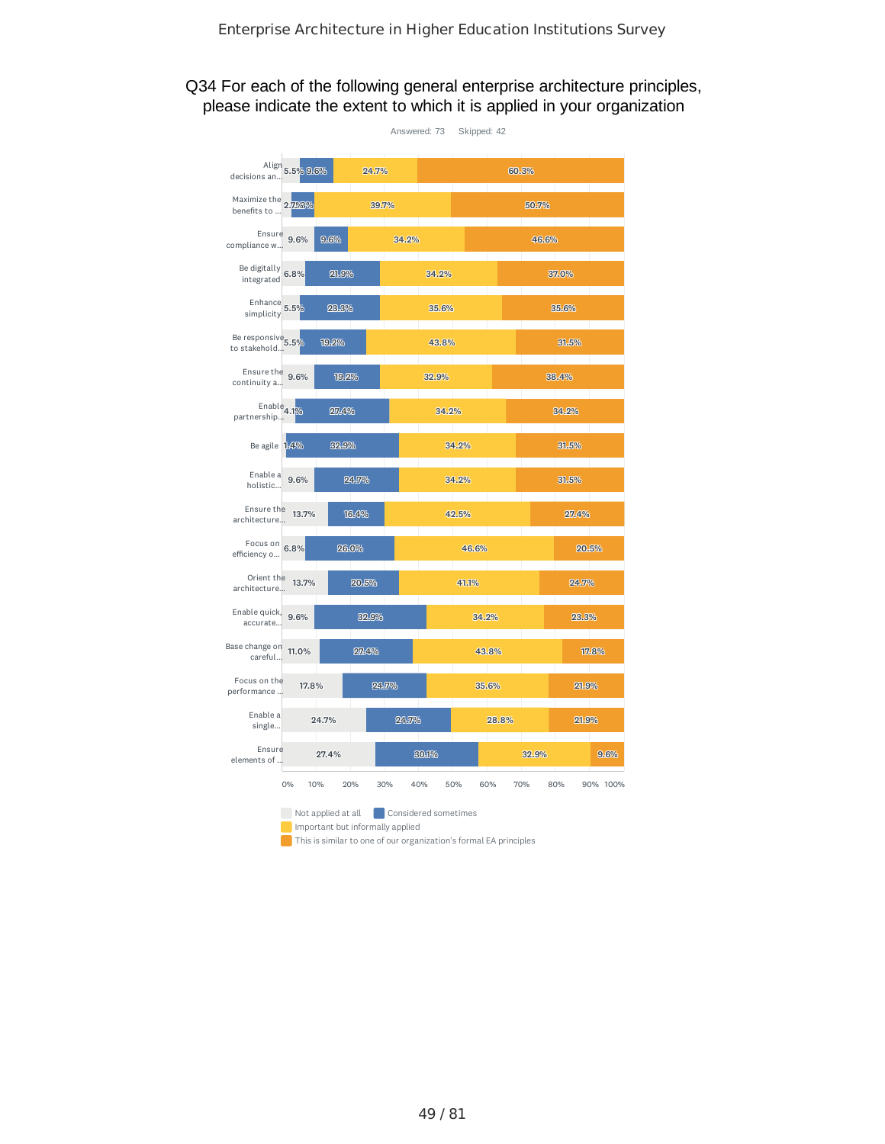### Q34 For each of the following general enterprise architecture principles, please indicate the extent to which it is applied in your organization

|                                               |                    |       | Answered: 73<br>Skipped: 42 |            |                 |
|-----------------------------------------------|--------------------|-------|-----------------------------|------------|-----------------|
| Align 5.5% 9.6%<br>decisions an               |                    | 24.7% |                             | 60.3%      |                 |
| Maximize the 2.796%                           |                    | 39.7% |                             | 50.7%      |                 |
| Ensure 9.6%<br>compliance w                   | 9.6%               | 34.2% |                             | 46.6%      |                 |
| Be digitally<br>integrated 6.8%               | 21.9%              |       | 34.2%                       |            | 37.0%           |
| Enhance $5.5\%$<br>simplicity                 | 23.3%              |       | 35.6%                       |            | 35.6%           |
| Be responsive <sub>5.5%</sub><br>to stakehold | 19.2%              |       | 43.8%                       |            | 31.5%           |
| Ensure the 9.6%<br>continuity a               | 19.2%              |       | 32.9%                       |            | 38.4%           |
| $\text{Enable}_{4.1\%}$<br>partnership        | 27.4%              |       | 34.2%                       |            | 34.2%           |
| Be agile 1.4%                                 | 32.9%              |       | 34.2%                       |            | 31.5%           |
| Enable a 9.6%<br>holistic                     | 24.7%              |       | 34.2%                       |            | 31.5%           |
| Ensure the 13.7%<br>architecture              | 16.4%              |       | 42.5%                       |            | 27.4%           |
| Focus on 6.8%<br>efficiency o                 | 26.0%              |       | 46.6%                       |            | 20.5%           |
| Orient the 13.7%<br>architecture              | 20.5%              |       | 41.1%                       |            | 24.7%           |
| Enable quick, 9.6%<br>accurate                |                    | 32.9% | 34.2%                       |            | 23.3%           |
| Base change on 11.0%<br>careful               |                    | 27.4% |                             | 43.8%      | 17.8%           |
| Focus on the<br>performance                   | 17.8%              | 24.7% |                             | 35.6%      | 21.9%           |
| Enable a<br>single                            | 24.7%              | 24.7% |                             | 28.8%      | 21.9%           |
| Ensure<br>elements of                         | 27.4%              |       | 30.1%                       | 32.9%      | 9.6%            |
| 0%                                            | 10%<br>20%         | 30%   | 40%<br>50%                  | 70%<br>60% | 80%<br>90% 100% |
|                                               | Not applied at all |       | Considered sometimes        |            |                 |

Important but informally applied

**This is similar to one of our organization's formal EA principles**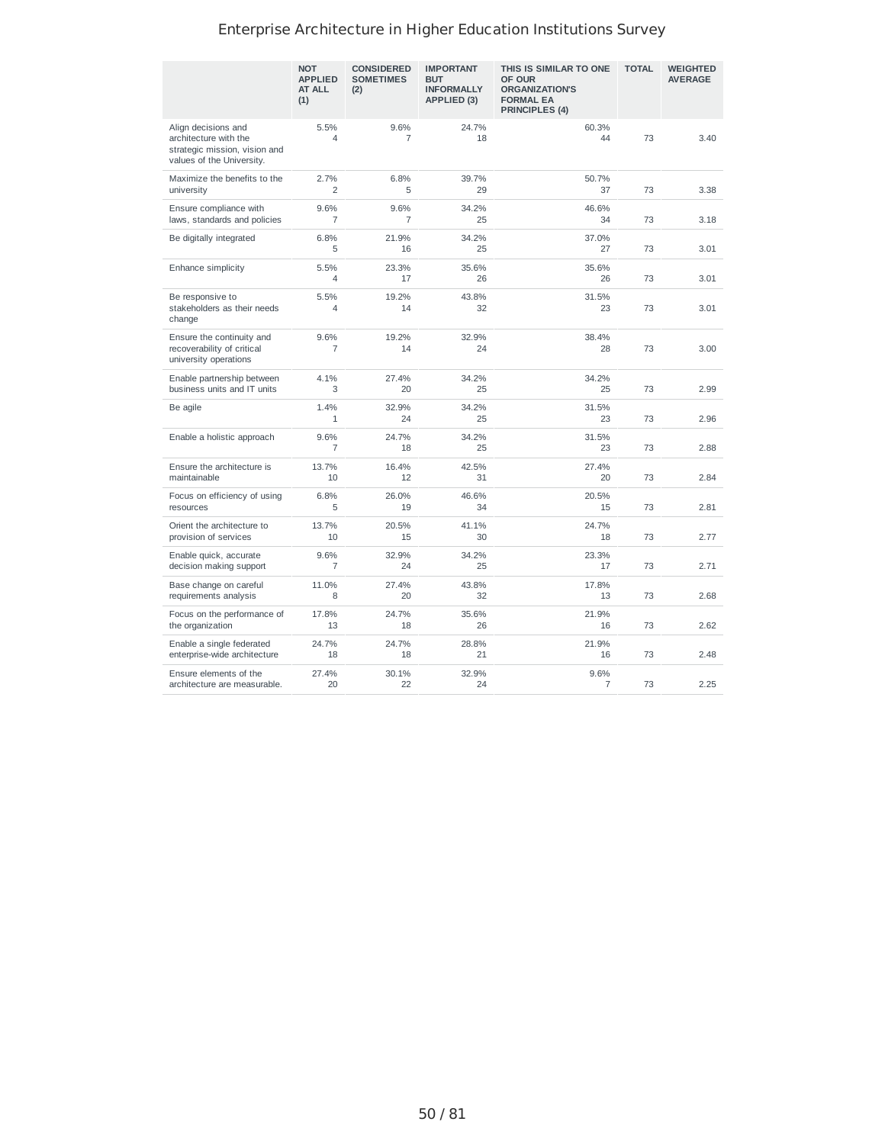|                                                                                                            | <b>NOT</b><br><b>APPLIED</b><br><b>AT ALL</b><br>(1) | <b>CONSIDERED</b><br><b>SOMETIMES</b><br>(2) | <b>IMPORTANT</b><br><b>BUT</b><br><b>INFORMALLY</b><br>APPLIED (3) | THIS IS SIMILAR TO ONE<br>OF OUR<br><b>ORGANIZATION'S</b><br><b>FORMAL EA</b><br>PRINCIPLES (4) | <b>TOTAL</b> | <b>WEIGHTED</b><br><b>AVERAGE</b> |
|------------------------------------------------------------------------------------------------------------|------------------------------------------------------|----------------------------------------------|--------------------------------------------------------------------|-------------------------------------------------------------------------------------------------|--------------|-----------------------------------|
| Align decisions and<br>architecture with the<br>strategic mission, vision and<br>values of the University. | 5.5%<br>4                                            | 9.6%<br>$\overline{7}$                       | 24.7%<br>18                                                        | 60.3%<br>44                                                                                     | 73           | 3.40                              |
| Maximize the benefits to the<br>university                                                                 | 2.7%<br>$\overline{c}$                               | 6.8%<br>5                                    | 39.7%<br>29                                                        | 50.7%<br>37                                                                                     | 73           | 3.38                              |
| Ensure compliance with<br>laws, standards and policies                                                     | 9.6%<br>7                                            | 9.6%<br>7                                    | 34.2%<br>25                                                        | 46.6%<br>34                                                                                     | 73           | 3.18                              |
| Be digitally integrated                                                                                    | 6.8%<br>5                                            | 21.9%<br>16                                  | 34.2%<br>25                                                        | 37.0%<br>27                                                                                     | 73           | 3.01                              |
| Enhance simplicity                                                                                         | 5.5%<br>4                                            | 23.3%<br>17                                  | 35.6%<br>26                                                        | 35.6%<br>26                                                                                     | 73           | 3.01                              |
| Be responsive to<br>stakeholders as their needs<br>change                                                  | 5.5%<br>4                                            | 19.2%<br>14                                  | 43.8%<br>32                                                        | 31.5%<br>23                                                                                     | 73           | 3.01                              |
| Ensure the continuity and<br>recoverability of critical<br>university operations                           | 9.6%<br>7                                            | 19.2%<br>14                                  | 32.9%<br>24                                                        | 38.4%<br>28                                                                                     | 73           | 3.00                              |
| Enable partnership between<br>business units and IT units                                                  | 4.1%<br>3                                            | 27.4%<br>20                                  | 34.2%<br>25                                                        | 34.2%<br>25                                                                                     | 73           | 2.99                              |
| Be agile                                                                                                   | 1.4%<br>$\mathbf{1}$                                 | 32.9%<br>24                                  | 34.2%<br>25                                                        | 31.5%<br>23                                                                                     | 73           | 2.96                              |
| Enable a holistic approach                                                                                 | 9.6%<br>7                                            | 24.7%<br>18                                  | 34.2%<br>25                                                        | 31.5%<br>23                                                                                     | 73           | 2.88                              |
| Ensure the architecture is<br>maintainable                                                                 | 13.7%<br>10                                          | 16.4%<br>12                                  | 42.5%<br>31                                                        | 27.4%<br>20                                                                                     | 73           | 2.84                              |
| Focus on efficiency of using<br>resources                                                                  | 6.8%<br>5                                            | 26.0%<br>19                                  | 46.6%<br>34                                                        | 20.5%<br>15                                                                                     | 73           | 2.81                              |
| Orient the architecture to<br>provision of services                                                        | 13.7%<br>10                                          | 20.5%<br>15                                  | 41.1%<br>30                                                        | 24.7%<br>18                                                                                     | 73           | 2.77                              |
| Enable quick, accurate<br>decision making support                                                          | 9.6%<br>7                                            | 32.9%<br>24                                  | 34.2%<br>25                                                        | 23.3%<br>17                                                                                     | 73           | 2.71                              |
| Base change on careful<br>requirements analysis                                                            | 11.0%<br>8                                           | 27.4%<br>20                                  | 43.8%<br>32                                                        | 17.8%<br>13                                                                                     | 73           | 2.68                              |
| Focus on the performance of<br>the organization                                                            | 17.8%<br>13                                          | 24.7%<br>18                                  | 35.6%<br>26                                                        | 21.9%<br>16                                                                                     | 73           | 2.62                              |
| Enable a single federated<br>enterprise-wide architecture                                                  | 24.7%<br>18                                          | 24.7%<br>18                                  | 28.8%<br>21                                                        | 21.9%<br>16                                                                                     | 73           | 2.48                              |
| Ensure elements of the<br>architecture are measurable.                                                     | 27.4%<br>20                                          | 30.1%<br>22                                  | 32.9%<br>24                                                        | 9.6%<br>7                                                                                       | 73           | 2.25                              |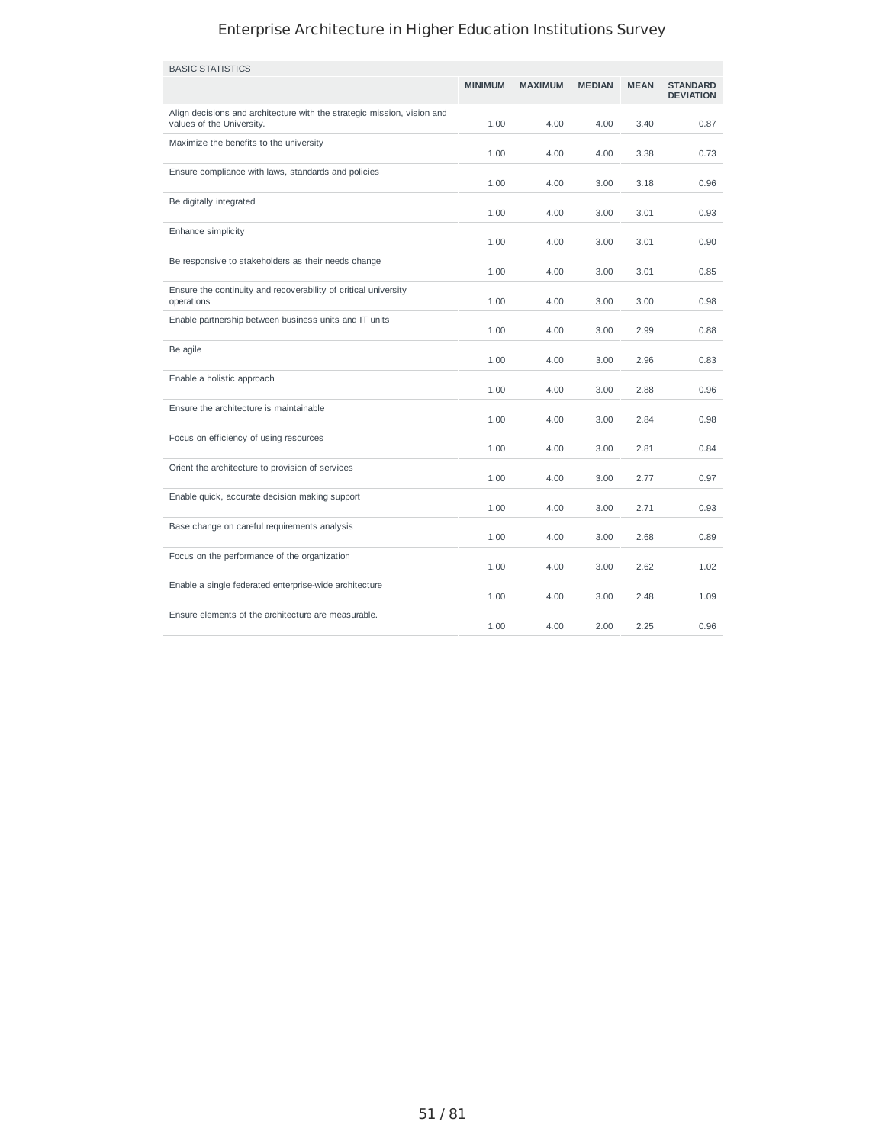| <b>BASIC STATISTICS</b>                                                                              |                |                |               |             |                                     |
|------------------------------------------------------------------------------------------------------|----------------|----------------|---------------|-------------|-------------------------------------|
|                                                                                                      | <b>MINIMUM</b> | <b>MAXIMUM</b> | <b>MEDIAN</b> | <b>MEAN</b> | <b>STANDARD</b><br><b>DEVIATION</b> |
| Align decisions and architecture with the strategic mission, vision and<br>values of the University. | 1.00           | 4.00           | 4.00          | 3.40        | 0.87                                |
| Maximize the benefits to the university                                                              | 1.00           | 4.00           | 4.00          | 3.38        | 0.73                                |
| Ensure compliance with laws, standards and policies                                                  | 1.00           | 4.00           | 3.00          | 3.18        | 0.96                                |
| Be digitally integrated                                                                              | 1.00           | 4.00           | 3.00          | 3.01        | 0.93                                |
| Enhance simplicity                                                                                   | 1.00           | 4.00           | 3.00          | 3.01        | 0.90                                |
| Be responsive to stakeholders as their needs change                                                  | 1.00           | 4.00           | 3.00          | 3.01        | 0.85                                |
| Ensure the continuity and recoverability of critical university<br>operations                        | 1.00           | 4.00           | 3.00          | 3.00        | 0.98                                |
| Enable partnership between business units and IT units                                               | 1.00           | 4.00           | 3.00          | 2.99        | 0.88                                |
| Be agile                                                                                             | 1.00           | 4.00           | 3.00          | 2.96        | 0.83                                |
| Enable a holistic approach                                                                           | 1.00           | 4.00           | 3.00          | 2.88        | 0.96                                |
| Ensure the architecture is maintainable                                                              | 1.00           | 4.00           | 3.00          | 2.84        | 0.98                                |
| Focus on efficiency of using resources                                                               | 1.00           | 4.00           | 3.00          | 2.81        | 0.84                                |
| Orient the architecture to provision of services                                                     | 1.00           | 4.00           | 3.00          | 2.77        | 0.97                                |
| Enable quick, accurate decision making support                                                       | 1.00           | 4.00           | 3.00          | 2.71        | 0.93                                |
| Base change on careful requirements analysis                                                         | 1.00           | 4.00           | 3.00          | 2.68        | 0.89                                |
| Focus on the performance of the organization                                                         | 1.00           | 4.00           | 3.00          | 2.62        | 1.02                                |
| Enable a single federated enterprise-wide architecture                                               | 1.00           | 4.00           | 3.00          | 2.48        | 1.09                                |
| Ensure elements of the architecture are measurable.                                                  | 1.00           | 4.00           | 2.00          | 2.25        | 0.96                                |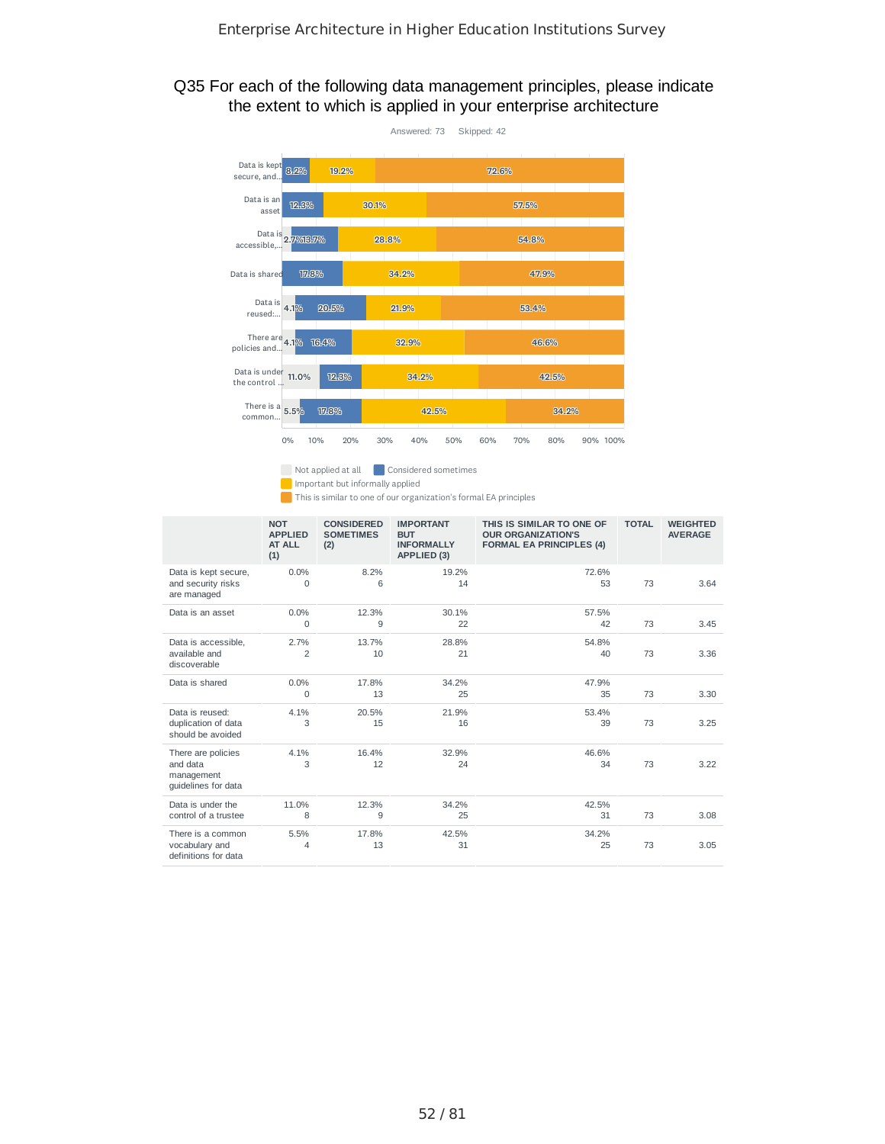### Q35 For each of the following data management principles, please indicate the extent to which is applied in your enterprise architecture



Not applied at all **Considered sometimes** 

**Important but informally applied** 

This is similar to one of our organization's formal EA principles

|                                                                     | <b>NOT</b><br><b>APPLIED</b><br>AT ALL<br>(1) | <b>CONSIDERED</b><br><b>SOMETIMES</b><br>(2) | <b>IMPORTANT</b><br><b>BUT</b><br><b>INFORMALLY</b><br>APPLIED (3) | THIS IS SIMILAR TO ONE OF<br><b>OUR ORGANIZATION'S</b><br><b>FORMAL EA PRINCIPLES (4)</b> | <b>TOTAL</b> | <b>WEIGHTED</b><br><b>AVERAGE</b> |
|---------------------------------------------------------------------|-----------------------------------------------|----------------------------------------------|--------------------------------------------------------------------|-------------------------------------------------------------------------------------------|--------------|-----------------------------------|
| Data is kept secure,<br>and security risks<br>are managed           | 0.0%<br>$\Omega$                              | 8.2%<br>6                                    | 19.2%<br>14                                                        | 72.6%<br>53                                                                               | 73           | 3.64                              |
| Data is an asset                                                    | 0.0%<br>$\Omega$                              | 12.3%<br>9                                   | 30.1%<br>22                                                        | 57.5%<br>42                                                                               | 73           | 3.45                              |
| Data is accessible.<br>available and<br>discoverable                | 2.7%<br>$\overline{2}$                        | 13.7%<br>10                                  | 28.8%<br>21                                                        | 54.8%<br>40                                                                               | 73           | 3.36                              |
| Data is shared                                                      | 0.0%<br>0                                     | 17.8%<br>13                                  | 34.2%<br>25                                                        | 47.9%<br>35                                                                               | 73           | 3.30                              |
| Data is reused:<br>duplication of data<br>should be avoided         | 4.1%<br>3                                     | 20.5%<br>15                                  | 21.9%<br>16                                                        | 53.4%<br>39                                                                               | 73           | 3.25                              |
| There are policies<br>and data<br>management<br>quidelines for data | 4.1%<br>3                                     | 16.4%<br>12                                  | 32.9%<br>24                                                        | 46.6%<br>34                                                                               | 73           | 3.22                              |
| Data is under the<br>control of a trustee                           | 11.0%<br>8                                    | 12.3%<br>9                                   | 34.2%<br>25                                                        | 42.5%<br>31                                                                               | 73           | 3.08                              |
| There is a common<br>vocabulary and<br>definitions for data         | 5.5%<br>4                                     | 17.8%<br>13                                  | 42.5%<br>31                                                        | 34.2%<br>25                                                                               | 73           | 3.05                              |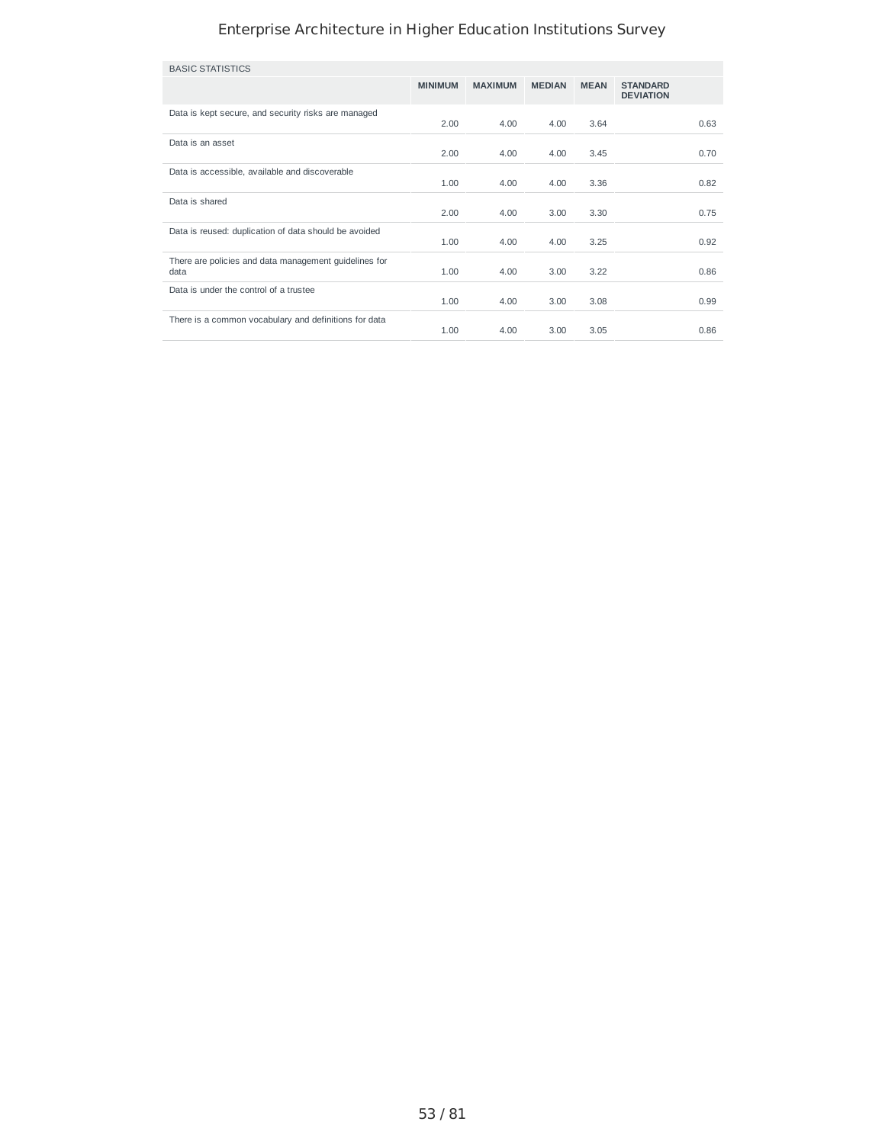| <b>BASIC STATISTICS</b>                                       |                |                |               |             |                                     |
|---------------------------------------------------------------|----------------|----------------|---------------|-------------|-------------------------------------|
|                                                               | <b>MINIMUM</b> | <b>MAXIMUM</b> | <b>MEDIAN</b> | <b>MEAN</b> | <b>STANDARD</b><br><b>DEVIATION</b> |
| Data is kept secure, and security risks are managed           | 2.00           | 4.00           | 4.00          | 3.64        | 0.63                                |
| Data is an asset                                              | 2.00           | 4.00           | 4.00          | 3.45        | 0.70                                |
| Data is accessible, available and discoverable                | 1.00           | 4.00           | 4.00          | 3.36        | 0.82                                |
| Data is shared                                                | 2.00           | 4.00           | 3.00          | 3.30        | 0.75                                |
| Data is reused: duplication of data should be avoided         | 1.00           | 4.00           | 4.00          | 3.25        | 0.92                                |
| There are policies and data management quidelines for<br>data | 1.00           | 4.00           | 3.00          | 3.22        | 0.86                                |
| Data is under the control of a trustee                        | 1.00           | 4.00           | 3.00          | 3.08        | 0.99                                |
| There is a common vocabulary and definitions for data         | 1.00           | 4.00           | 3.00          | 3.05        | 0.86                                |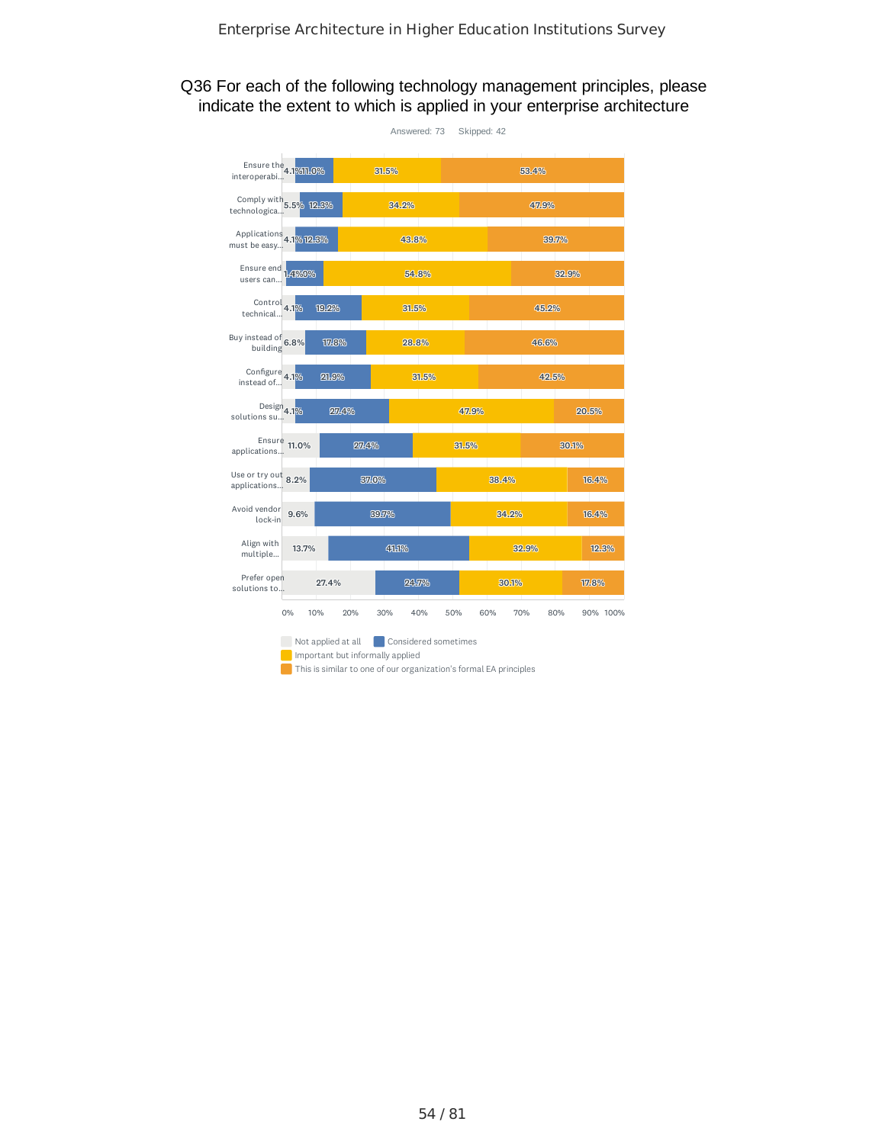### Q36 For each of the following technology management principles, please indicate the extent to which is applied in your enterprise architecture

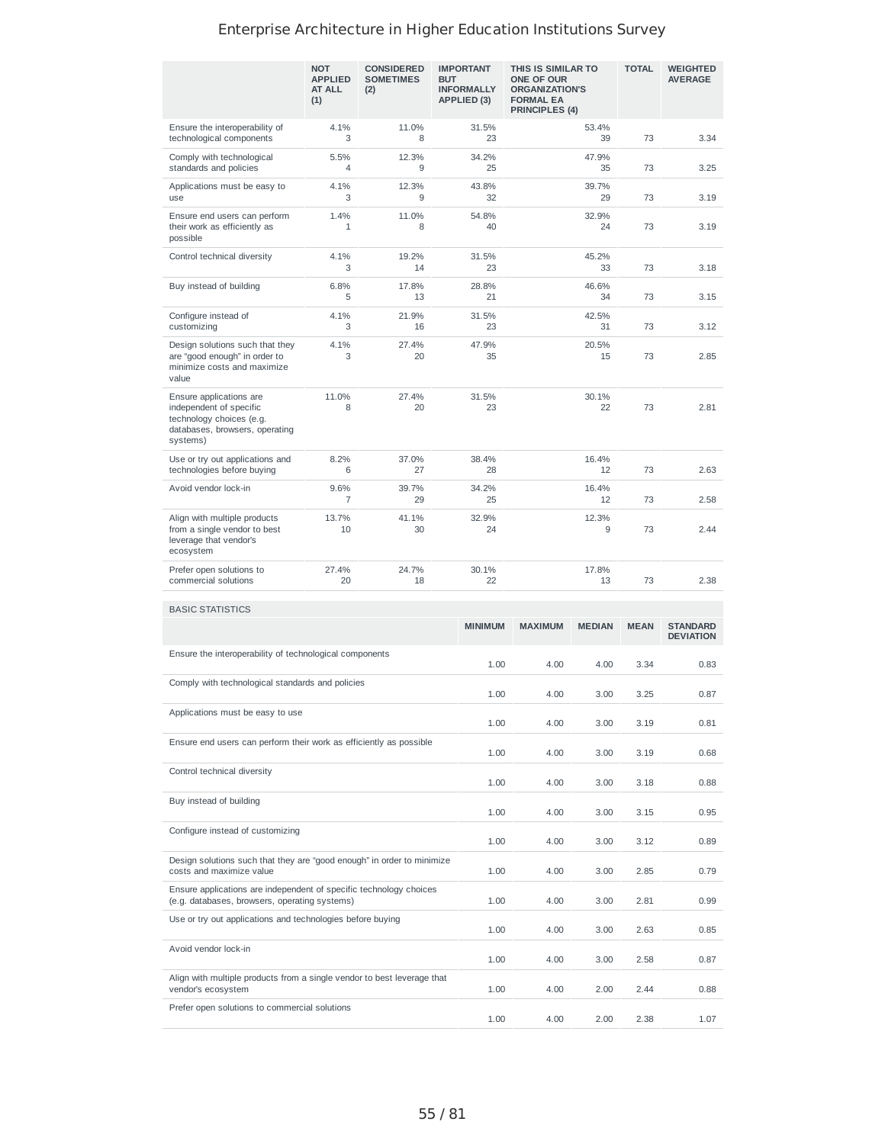|                                                                                                                              | <b>NOT</b><br><b>APPLIED</b><br>AT ALL<br>(1) | <b>CONSIDERED</b><br><b>SOMETIMES</b><br>(2) | <b>IMPORTANT</b><br><b>BUT</b><br><b>INFORMALLY</b><br>APPLIED (3) | THIS IS SIMILAR TO<br>ONE OF OUR<br><b>ORGANIZATION'S</b><br><b>FORMAL EA</b><br><b>PRINCIPLES (4)</b> |                   | <b>TOTAL</b> | <b>WEIGHTED</b><br><b>AVERAGE</b>   |
|------------------------------------------------------------------------------------------------------------------------------|-----------------------------------------------|----------------------------------------------|--------------------------------------------------------------------|--------------------------------------------------------------------------------------------------------|-------------------|--------------|-------------------------------------|
| Ensure the interoperability of<br>technological components                                                                   | 4.1%<br>3                                     | 11.0%<br>8                                   | 31.5%<br>23                                                        |                                                                                                        | 53.4%<br>39       | 73           | 3.34                                |
| Comply with technological<br>standards and policies                                                                          | 5.5%<br>4                                     | 12.3%<br>9                                   | 34.2%<br>25                                                        |                                                                                                        | 47.9%<br>35       | 73           | 3.25                                |
| Applications must be easy to<br>use                                                                                          | 4.1%<br>3                                     | 12.3%<br>9                                   | 43.8%<br>32                                                        |                                                                                                        | 39.7%<br>29       | 73           | 3.19                                |
| Ensure end users can perform<br>their work as efficiently as<br>possible                                                     | 1.4%<br>1                                     | 11.0%<br>8                                   | 54.8%<br>40                                                        |                                                                                                        | 32.9%<br>24       | 73           | 3.19                                |
| Control technical diversity                                                                                                  | 4.1%<br>3                                     | 19.2%<br>14                                  | 31.5%<br>23                                                        |                                                                                                        | 45.2%<br>33       | 73           | 3.18                                |
| Buy instead of building                                                                                                      | 6.8%<br>5                                     | 17.8%<br>13                                  | 28.8%<br>21                                                        |                                                                                                        | 46.6%<br>73<br>34 |              | 3.15                                |
| Configure instead of<br>customizing                                                                                          | 4.1%<br>3                                     | 21.9%<br>16                                  | 31.5%<br>23                                                        |                                                                                                        | 42.5%<br>31       | 73           | 3.12                                |
| Design solutions such that they<br>are "good enough" in order to<br>minimize costs and maximize<br>value                     | 4.1%<br>3                                     | 27.4%<br>20                                  | 47.9%<br>35                                                        |                                                                                                        | 20.5%<br>15       | 73           | 2.85                                |
| Ensure applications are<br>independent of specific<br>technology choices (e.g.<br>databases, browsers, operating<br>systems) | 11.0%<br>8                                    | 27.4%<br>20                                  | 31.5%<br>23                                                        | 30.1%<br>22                                                                                            |                   | 73           | 2.81                                |
| Use or try out applications and<br>technologies before buying                                                                | 8.2%<br>6                                     | 37.0%<br>27                                  | 38.4%<br>28                                                        |                                                                                                        | 16.4%<br>12       | 73           | 2.63                                |
| Avoid vendor lock-in                                                                                                         | 9.6%<br>7                                     | 39.7%<br>29                                  | 34.2%<br>25                                                        |                                                                                                        | 16.4%<br>12       | 73           | 2.58                                |
| Align with multiple products<br>from a single vendor to best<br>leverage that vendor's<br>ecosystem                          | 13.7%<br>10                                   | 41.1%<br>30                                  | 32.9%<br>24                                                        | 12.3%<br>9                                                                                             |                   | 73           | 2.44                                |
| Prefer open solutions to<br>commercial solutions                                                                             | 27.4%<br>20                                   | 24.7%<br>18                                  | 30.1%<br>22                                                        | 17.8%<br>13                                                                                            |                   | 73           | 2.38                                |
| <b>BASIC STATISTICS</b>                                                                                                      |                                               |                                              |                                                                    |                                                                                                        |                   |              |                                     |
|                                                                                                                              |                                               |                                              | <b>MINIMUM</b>                                                     | <b>MAXIMUM</b>                                                                                         | <b>MEDIAN</b>     | <b>MEAN</b>  | <b>STANDARD</b><br><b>DEVIATION</b> |
| Ensure the interoperability of technological components                                                                      |                                               |                                              | 1.00                                                               | 4.00                                                                                                   | 4.00              | 3.34         | 0.83                                |
| Comply with technological standards and policies                                                                             |                                               |                                              | 1.00                                                               | 4.00                                                                                                   | 3.00              | 3.25         | 0.87                                |
| Applications must be easy to use                                                                                             |                                               |                                              | 1.00                                                               | 4.00                                                                                                   | 3.00              | 3.19         | 0.81                                |
| Ensure end users can perform their work as efficiently as possible                                                           |                                               |                                              | 1.00                                                               | 4.00                                                                                                   | 3.00              | 3.19         | 0.68                                |
| Control technical diversity                                                                                                  |                                               |                                              | 1.00                                                               | 4.00                                                                                                   | 3.00              | 3.18         | 0.88                                |
| Buy instead of building                                                                                                      |                                               |                                              | 1.00                                                               | 4.00                                                                                                   | 3.00              | 3.15         | 0.95                                |
| Configure instead of customizing                                                                                             |                                               |                                              | 1.00                                                               | 4.00                                                                                                   | 3.00              | 3.12         | 0.89                                |
| Design solutions such that they are "good enough" in order to minimize<br>costs and maximize value                           |                                               |                                              | 1.00                                                               | 4.00                                                                                                   | 3.00              | 2.85         | 0.79                                |
| Ensure applications are independent of specific technology choices<br>(e.g. databases, browsers, operating systems)          |                                               |                                              | 1.00                                                               | 4.00                                                                                                   | 3.00              | 2.81         | 0.99                                |
| Use or try out applications and technologies before buying                                                                   |                                               |                                              | 1.00                                                               | 4.00                                                                                                   | 3.00              | 2.63         | 0.85                                |
| Avoid vendor lock-in                                                                                                         |                                               |                                              | 1.00                                                               | 4.00                                                                                                   | 3.00              | 2.58         | 0.87                                |
| Align with multiple products from a single vendor to best leverage that<br>vendor's ecosystem                                |                                               |                                              | 1.00                                                               | 4.00                                                                                                   | 2.00              | 2.44         | 0.88                                |
| Prefer open solutions to commercial solutions                                                                                |                                               |                                              | 1.00                                                               | 4.00                                                                                                   | 2.00              | 2.38         | 1.07                                |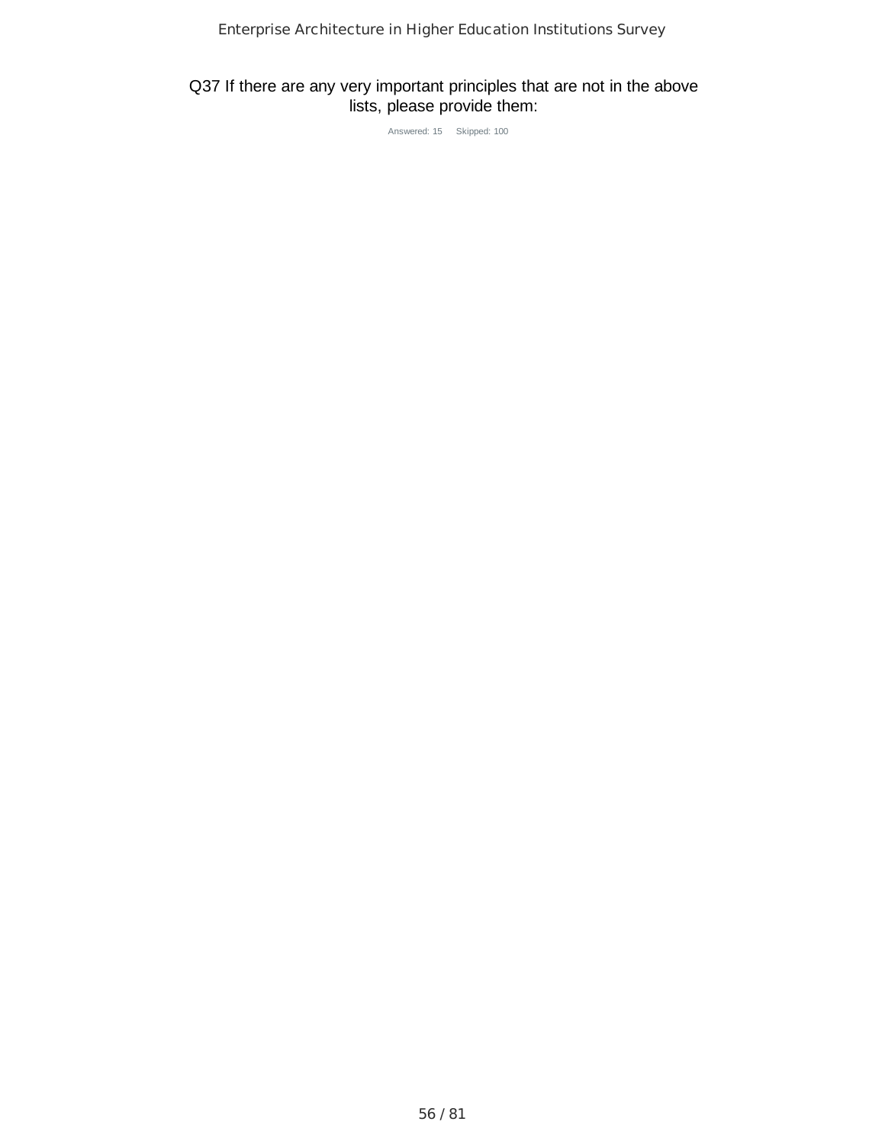### Q37 If there are any very important principles that are not in the above lists, please provide them:

Answered: 15 Skipped: 100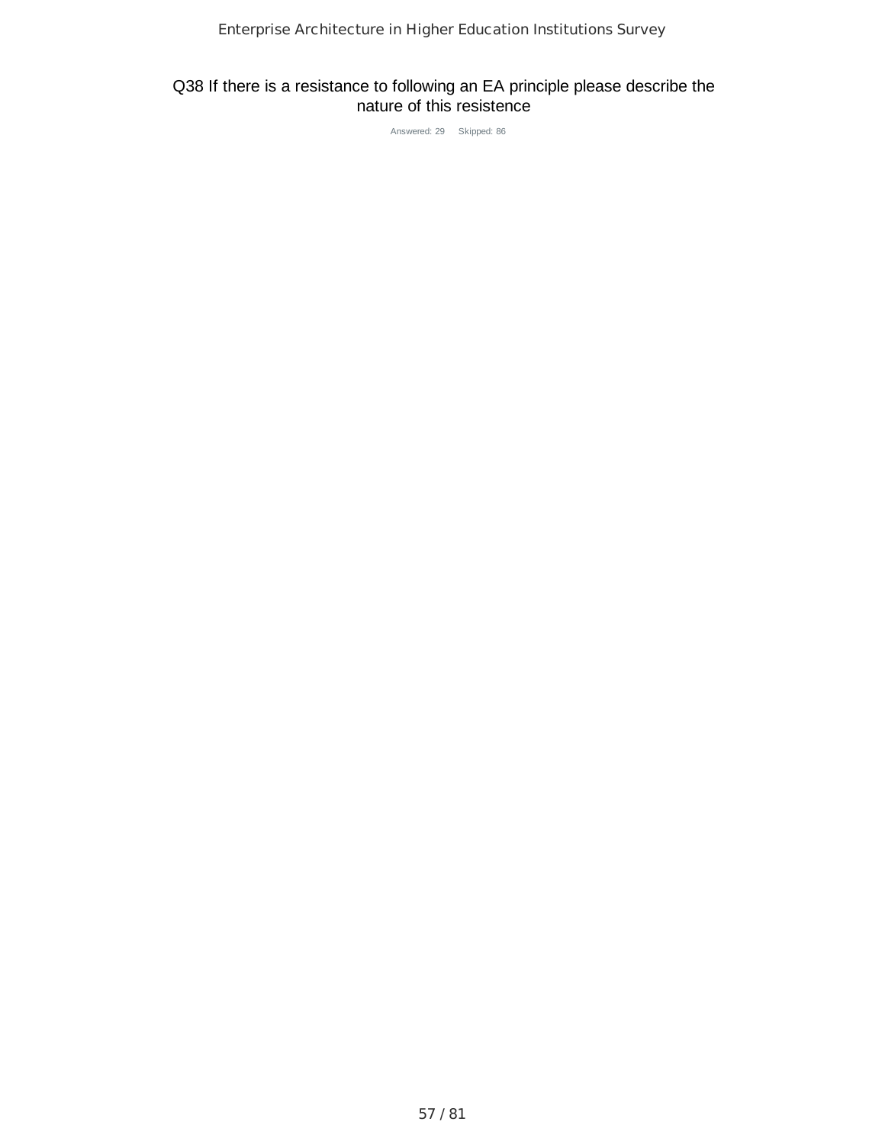### Q38 If there is a resistance to following an EA principle please describe the nature of this resistence

Answered: 29 Skipped: 86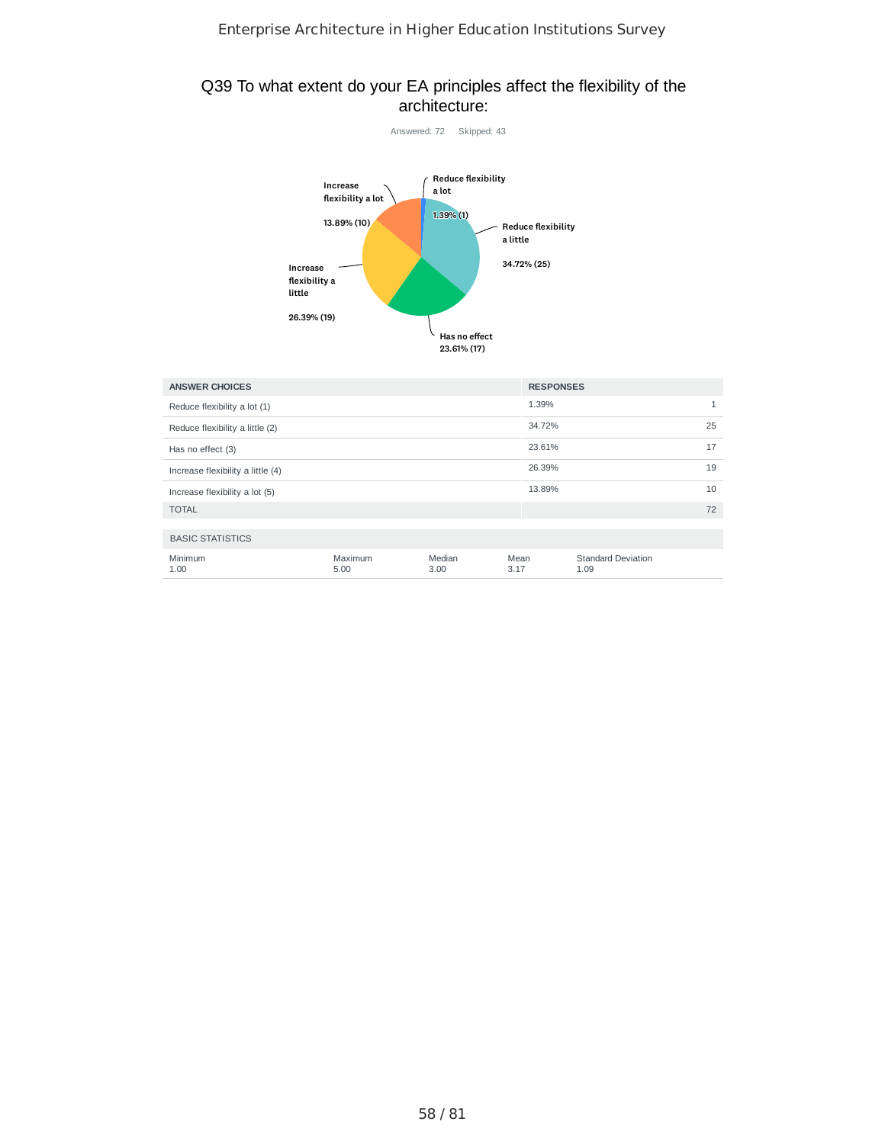#### Q39 To what extent do your EA principles affect the flexibility of the architecture:



| <b>ANSWER CHOICES</b>             | <b>RESPONSES</b> |                |              |        |                                   |    |  |
|-----------------------------------|------------------|----------------|--------------|--------|-----------------------------------|----|--|
| Reduce flexibility a lot (1)      |                  |                |              | 1.39%  |                                   |    |  |
| Reduce flexibility a little (2)   |                  |                |              | 34.72% |                                   | 25 |  |
| Has no effect (3)                 |                  |                |              | 23.61% |                                   | 17 |  |
| Increase flexibility a little (4) |                  |                |              | 26.39% |                                   | 19 |  |
| Increase flexibility a lot (5)    |                  |                |              | 13.89% |                                   | 10 |  |
| <b>TOTAL</b>                      |                  |                |              |        |                                   | 72 |  |
| <b>BASIC STATISTICS</b>           |                  |                |              |        |                                   |    |  |
| Minimum<br>1.00                   | Maximum<br>5.00  | Median<br>3.00 | Mean<br>3.17 |        | <b>Standard Deviation</b><br>1.09 |    |  |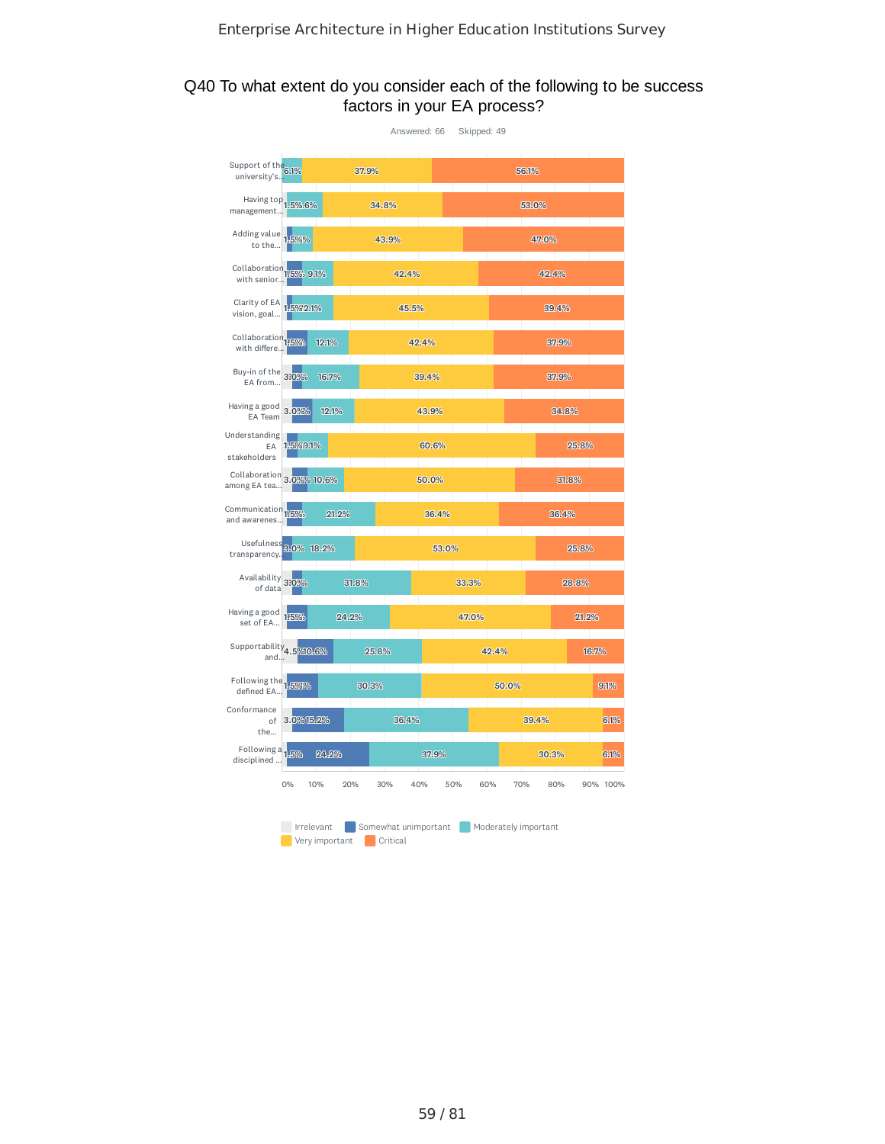### Q40 To what extent do you consider each of the following to be success factors in your EA process?

|                                                |            |                |       |          | Answered: 66 Skipped: 49 |       |                                           |       |       |          |
|------------------------------------------------|------------|----------------|-------|----------|--------------------------|-------|-------------------------------------------|-------|-------|----------|
| Support of the 6.1%<br>university's            |            |                | 37.9% |          |                          |       |                                           | 56.1% |       |          |
| Having top 1.5%.6%<br>management               |            |                | 34.8% |          |                          |       |                                           | 53.0% |       |          |
| Adding value 1.5%%                             |            |                |       | 43.9%    |                          |       |                                           | 47.0% |       |          |
| Collaboration 115% 9.1%<br>with senior         |            |                |       | 42.4%    |                          |       |                                           | 42.4% |       |          |
| Clarity of EA 1,5%2.1%<br>vision, goal         |            |                |       | 45.5%    |                          |       |                                           |       | 39.4% |          |
| Collaboration <sub>1</sub> 15%<br>with differe |            | 12.1%          |       |          | 42.4%                    |       |                                           |       | 37.9% |          |
| Buy-in of the 330%                             |            | 16.7%          |       |          | 39.4%                    |       |                                           |       | 37.9% |          |
| Having a good 3.0%%<br>EA Team                 |            | 12.1%          |       |          | 43.9%                    |       |                                           |       | 34.8% |          |
| Understanding<br>EA<br>stakeholders            | 1.5%9.1%   |                |       |          | 60.6%                    |       |                                           |       | 25.8% |          |
| Collaboration 3.0%% 10.6%<br>among EA tea      |            |                |       |          | 50.0%                    |       |                                           |       | 31.8% |          |
| Communication 1:5%<br>and awarenes             |            | 21.2%          |       |          | 36.4%                    |       |                                           |       | 36.4% |          |
| Usefulness 3.0% 18.2%<br>transparency.         |            |                |       |          | 53.0%                    |       |                                           |       | 25.8% |          |
| Availability 330%                              |            |                | 31.8% |          |                          | 33.3% |                                           |       | 28.8% |          |
| Having a good 16%<br>set of EA                 |            | 24.2%          |       |          |                          | 47.0% |                                           |       | 21.2% |          |
| Supportability <sub>4.5</sub> %10.6%<br>and    |            |                | 25.8% |          |                          |       | 42.4%                                     |       |       | 16.7%    |
| Following the 1.5%%<br>defined EA              |            |                | 30.3% |          |                          |       | 50.0%                                     |       |       | 9.1%     |
| Conformance<br>of<br>the                       | 3.0%15.2%  |                |       | 36.4%    |                          |       |                                           | 39.4% |       | 6.1%     |
| Following a 1.5%<br>disciplined                |            | 24.2%          |       |          | 37.9%                    |       |                                           | 30.3% |       | 6.1%     |
|                                                | $0\%$      | 10%<br>20%     |       | 30%      | 40%                      | 50%   | 60%<br>70%                                |       | 80%   | 90% 100% |
|                                                | Irrelevant | Very important |       | Critical |                          |       | Somewhat unimportant Moderately important |       |       |          |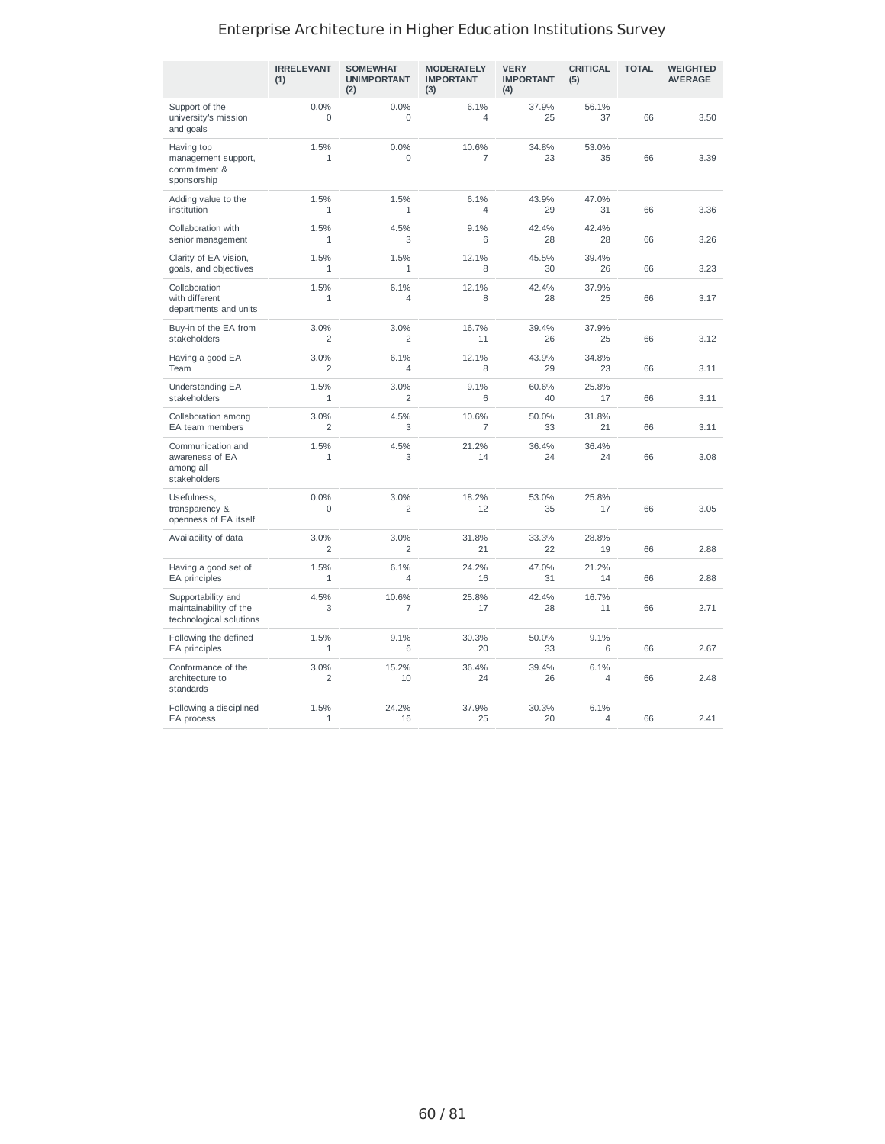|                                                                         | <b>IRRELEVANT</b><br>(1) | <b>SOMEWHAT</b><br><b>UNIMPORTANT</b><br>(2) | <b>MODERATELY</b><br><b>IMPORTANT</b><br>(3) | <b>VERY</b><br><b>IMPORTANT</b><br>(4) | <b>CRITICAL</b><br>(5) | <b>TOTAL</b> | <b>WEIGHTED</b><br><b>AVERAGE</b> |
|-------------------------------------------------------------------------|--------------------------|----------------------------------------------|----------------------------------------------|----------------------------------------|------------------------|--------------|-----------------------------------|
| Support of the<br>university's mission<br>and goals                     | 0.0%<br>0                | 0.0%<br>0                                    | 6.1%<br>4                                    | 37.9%<br>25                            | 56.1%<br>37            | 66           | 3.50                              |
| Having top<br>management support,<br>commitment &<br>sponsorship        | 1.5%<br>1                | 0.0%<br>0                                    | 10.6%<br>$\overline{7}$                      | 34.8%<br>23                            | 53.0%<br>35            | 66           | 3.39                              |
| Adding value to the<br>institution                                      | 1.5%<br>$\mathbf{1}$     | 1.5%<br>$\mathbf{1}$                         | 6.1%<br>$\overline{4}$                       | 43.9%<br>29                            | 47.0%<br>31            | 66           | 3.36                              |
| Collaboration with<br>senior management                                 | 1.5%<br>$\mathbf{1}$     | 4.5%<br>3                                    | 9.1%<br>6                                    | 42.4%<br>28                            | 42.4%<br>28            | 66           | 3.26                              |
| Clarity of EA vision,<br>goals, and objectives                          | 1.5%<br>$\mathbf{1}$     | 1.5%<br>1                                    | 12.1%<br>8                                   | 45.5%<br>30                            | 39.4%<br>26            | 66           | 3.23                              |
| Collaboration<br>with different<br>departments and units                | 1.5%<br>1                | 6.1%<br>4                                    | 12.1%<br>8                                   | 42.4%<br>28                            | 37.9%<br>25            | 66           | 3.17                              |
| Buy-in of the EA from<br>stakeholders                                   | 3.0%<br>$\overline{2}$   | 3.0%<br>2                                    | 16.7%<br>11                                  | 39.4%<br>26                            | 37.9%<br>25            | 66           | 3.12                              |
| Having a good EA<br>Team                                                | 3.0%<br>$\overline{2}$   | 6.1%<br>4                                    | 12.1%<br>8                                   | 43.9%<br>29                            | 34.8%<br>23            | 66           | 3.11                              |
| Understanding EA<br>stakeholders                                        | 1.5%<br>1                | 3.0%<br>2                                    | 9.1%<br>6                                    | 60.6%<br>40                            | 25.8%<br>17            | 66           | 3.11                              |
| Collaboration among<br>EA team members                                  | 3.0%<br>2                | 4.5%<br>3                                    | 10.6%<br>$\overline{7}$                      | 50.0%<br>33                            | 31.8%<br>21            | 66           | 3.11                              |
| Communication and<br>awareness of EA<br>among all<br>stakeholders       | 1.5%<br>1                | 4.5%<br>3                                    | 21.2%<br>14                                  | 36.4%<br>24                            | 36.4%<br>24            | 66           | 3.08                              |
| Usefulness,<br>transparency &<br>openness of EA itself                  | 0.0%<br>0                | 3.0%<br>2                                    | 18.2%<br>12                                  | 53.0%<br>35                            | 25.8%<br>17            | 66           | 3.05                              |
| Availability of data                                                    | 3.0%<br>$\overline{2}$   | 3.0%<br>$\overline{2}$                       | 31.8%<br>21                                  | 33.3%<br>22                            | 28.8%<br>19            | 66           | 2.88                              |
| Having a good set of<br>EA principles                                   | 1.5%<br>$\mathbf 1$      | 6.1%<br>4                                    | 24.2%<br>16                                  | 47.0%<br>31                            | 21.2%<br>14            | 66           | 2.88                              |
| Supportability and<br>maintainability of the<br>technological solutions | 4.5%<br>3                | 10.6%<br>7                                   | 25.8%<br>17                                  | 42.4%<br>28                            | 16.7%<br>11            | 66           | 2.71                              |
| Following the defined<br>EA principles                                  | 1.5%<br>$\mathbf{1}$     | 9.1%<br>6                                    | 30.3%<br>20                                  | 50.0%<br>33                            | 9.1%<br>6              | 66           | 2.67                              |
| Conformance of the<br>architecture to<br>standards                      | 3.0%<br>2                | 15.2%<br>10                                  | 36.4%<br>24                                  | 39.4%<br>26                            | 6.1%<br>4              | 66           | 2.48                              |
| Following a disciplined<br>EA process                                   | 1.5%<br>1                | 24.2%<br>16                                  | 37.9%<br>25                                  | 30.3%<br>20                            | 6.1%<br>$\overline{4}$ | 66           | 2.41                              |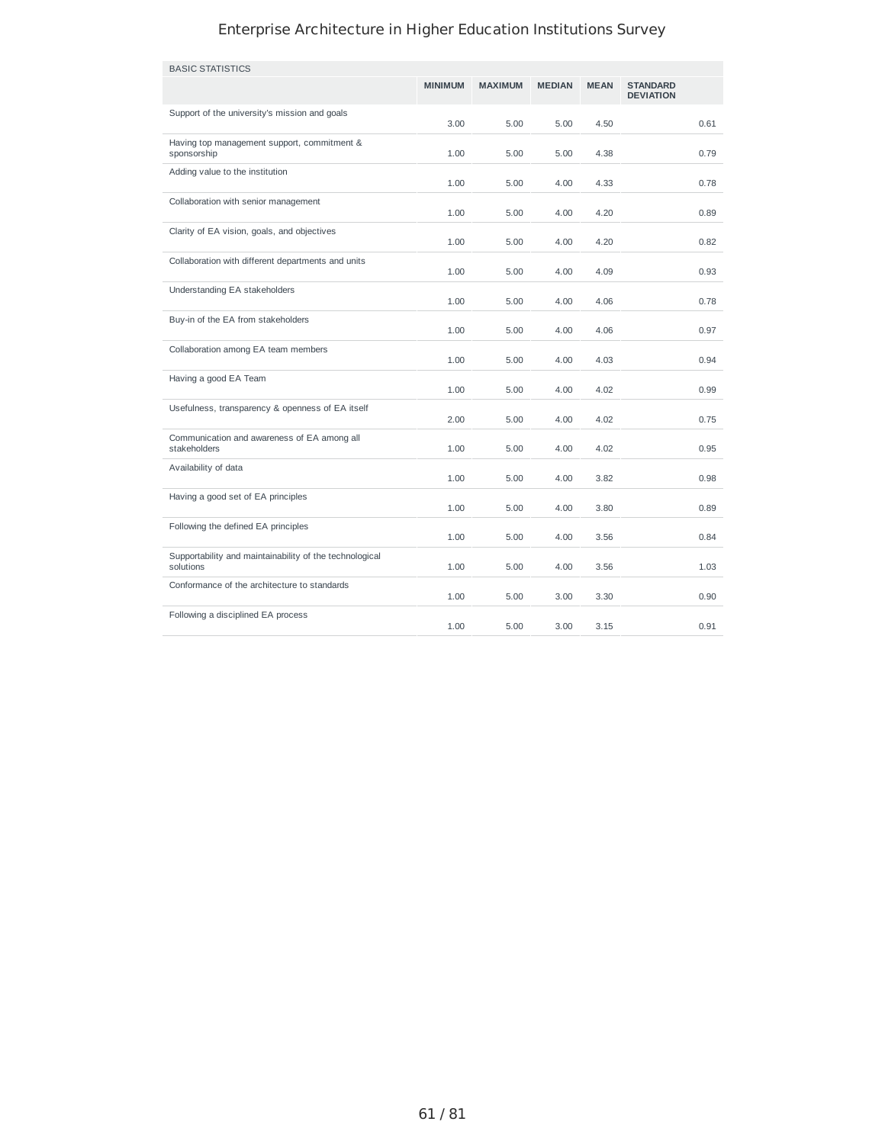| <b>BASIC STATISTICS</b>                                              |                |                |               |             |                                     |
|----------------------------------------------------------------------|----------------|----------------|---------------|-------------|-------------------------------------|
|                                                                      | <b>MINIMUM</b> | <b>MAXIMUM</b> | <b>MEDIAN</b> | <b>MEAN</b> | <b>STANDARD</b><br><b>DEVIATION</b> |
| Support of the university's mission and goals                        | 3.00           | 5.00           | 5.00          | 4.50        | 0.61                                |
| Having top management support, commitment &<br>sponsorship           | 1.00           | 5.00           | 5.00          | 4.38        | 0.79                                |
| Adding value to the institution                                      | 1.00           | 5.00           | 4.00          | 4.33        | 0.78                                |
| Collaboration with senior management                                 | 1.00           | 5.00           | 4.00          | 4.20        | 0.89                                |
| Clarity of EA vision, goals, and objectives                          | 1.00           | 5.00           | 4.00          | 4.20        | 0.82                                |
| Collaboration with different departments and units                   | 1.00           | 5.00           | 4.00          | 4.09        | 0.93                                |
| Understanding EA stakeholders                                        | 1.00           | 5.00           | 4.00          | 4.06        | 0.78                                |
| Buy-in of the EA from stakeholders                                   | 1.00           | 5.00           | 4.00          | 4.06        | 0.97                                |
| Collaboration among EA team members                                  | 1.00           | 5.00           | 4.00          | 4.03        | 0.94                                |
| Having a good EA Team                                                | 1.00           | 5.00           | 4.00          | 4.02        | 0.99                                |
| Usefulness, transparency & openness of EA itself                     | 2.00           | 5.00           | 4.00          | 4.02        | 0.75                                |
| Communication and awareness of EA among all<br>stakeholders          | 1.00           | 5.00           | 4.00          | 4.02        | 0.95                                |
| Availability of data                                                 | 1.00           | 5.00           | 4.00          | 3.82        | 0.98                                |
| Having a good set of EA principles                                   | 1.00           | 5.00           | 4.00          | 3.80        | 0.89                                |
| Following the defined EA principles                                  | 1.00           | 5.00           | 4.00          | 3.56        | 0.84                                |
| Supportability and maintainability of the technological<br>solutions | 1.00           | 5.00           | 4.00          | 3.56        | 1.03                                |
| Conformance of the architecture to standards                         | 1.00           | 5.00           | 3.00          | 3.30        | 0.90                                |
| Following a disciplined EA process                                   | 1.00           | 5.00           | 3.00          | 3.15        | 0.91                                |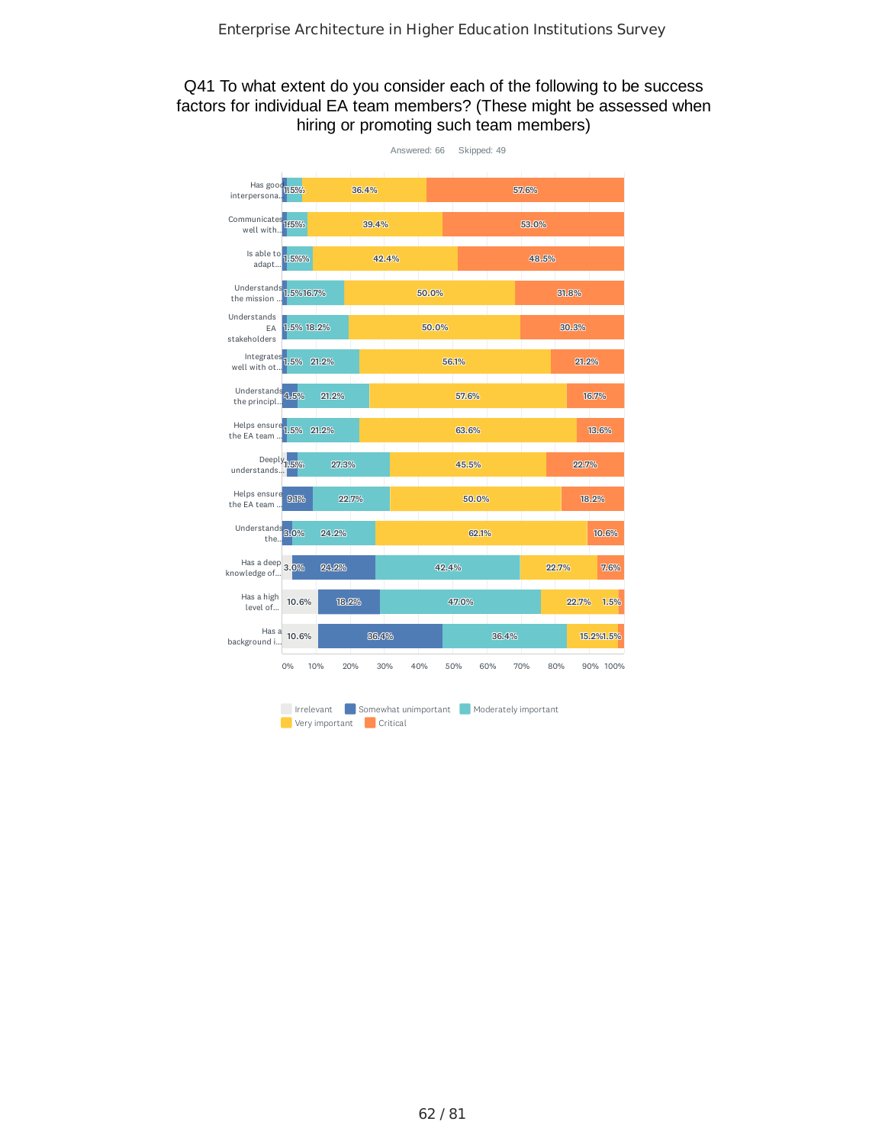### Q41 To what extent do you consider each of the following to be success factors for individual EA team members? (These might be assessed when hiring or promoting such team members)

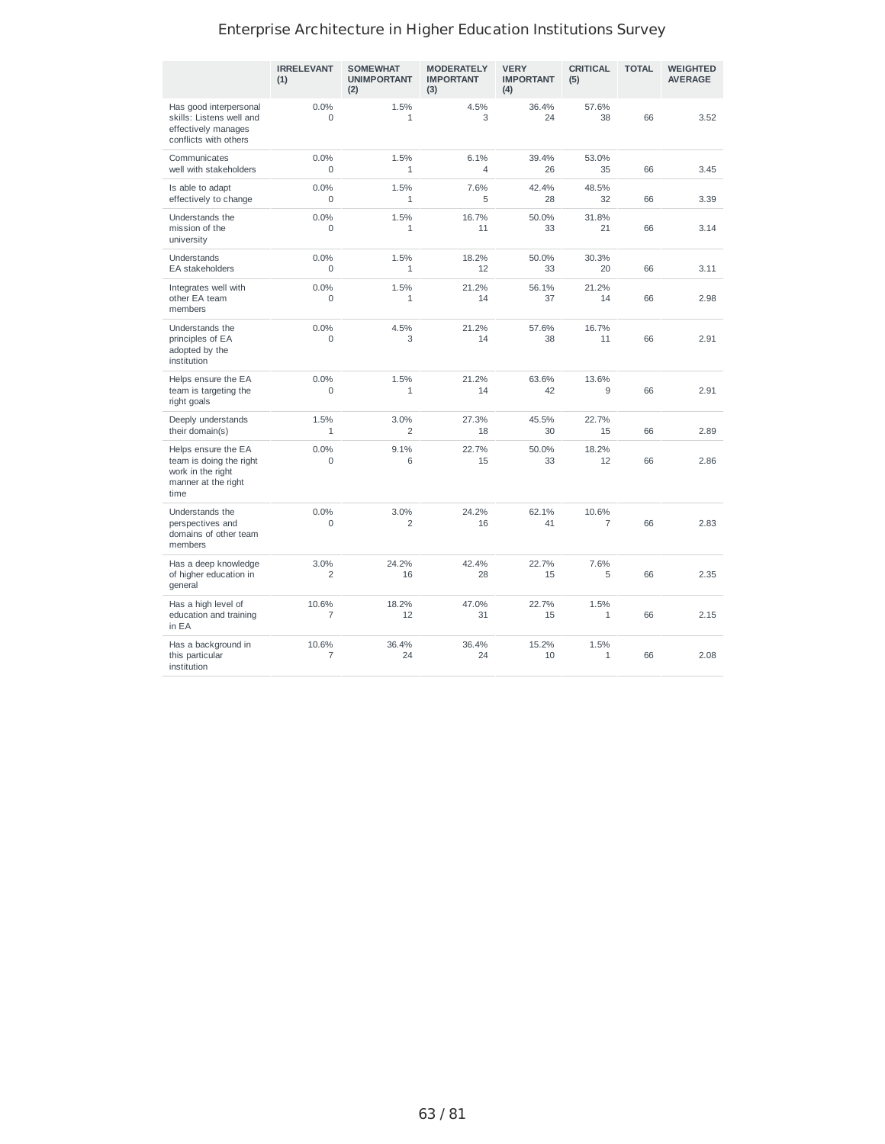|                                                                                                    | <b>IRRELEVANT</b><br>(1) | <b>SOMEWHAT</b><br><b>UNIMPORTANT</b><br>(2) | <b>MODERATELY</b><br><b>IMPORTANT</b><br>(3) | <b>VERY</b><br><b>IMPORTANT</b><br>(4) | <b>CRITICAL</b><br>(5)  | <b>TOTAL</b> | <b>WEIGHTED</b><br><b>AVERAGE</b> |
|----------------------------------------------------------------------------------------------------|--------------------------|----------------------------------------------|----------------------------------------------|----------------------------------------|-------------------------|--------------|-----------------------------------|
| Has good interpersonal<br>skills: Listens well and<br>effectively manages<br>conflicts with others | 0.0%<br>$\Omega$         | 1.5%<br>$\mathbf{1}$                         | 4.5%<br>3                                    | 36.4%<br>24                            | 57.6%<br>38             | 66           | 3.52                              |
| Communicates<br>well with stakeholders                                                             | 0.0%<br>$\Omega$         | 1.5%<br>$\mathbf{1}$                         | 6.1%<br>$\varDelta$                          | 39.4%<br>26                            | 53.0%<br>35             | 66           | 3.45                              |
| Is able to adapt<br>effectively to change                                                          | 0.0%<br>$\Omega$         | 1.5%<br>$\mathbf{1}$                         | 7.6%<br>5                                    | 42.4%<br>28                            | 48.5%<br>32             | 66           | 3.39                              |
| Understands the<br>mission of the<br>university                                                    | 0.0%<br>$\Omega$         | 1.5%<br>$\mathbf{1}$                         | 16.7%<br>11                                  | 50.0%<br>33                            | 31.8%<br>21             | 66           | 3.14                              |
| Understands<br>EA stakeholders                                                                     | 0.0%<br>$\Omega$         | 1.5%<br>1                                    | 18.2%<br>12                                  | 50.0%<br>33                            | 30.3%<br>20             | 66           | 3.11                              |
| Integrates well with<br>other EA team<br>members                                                   | 0.0%<br>0                | 1.5%<br>$\mathbf{1}$                         | 21.2%<br>14                                  | 56.1%<br>37                            | 21.2%<br>14             | 66           | 2.98                              |
| Understands the<br>principles of EA<br>adopted by the<br>institution                               | 0.0%<br>$\Omega$         | 4.5%<br>3                                    | 21.2%<br>14                                  | 57.6%<br>38                            | 16.7%<br>11             | 66           | 2.91                              |
| Helps ensure the EA<br>team is targeting the<br>right goals                                        | 0.0%<br>$\Omega$         | 1.5%<br>$\mathbf{1}$                         | 21.2%<br>14                                  | 63.6%<br>42                            | 13.6%<br>9              | 66           | 2.91                              |
| Deeply understands<br>their domain(s)                                                              | 1.5%<br>$\mathbf{1}$     | 3.0%<br>$\overline{c}$                       | 27.3%<br>18                                  | 45.5%<br>30                            | 22.7%<br>15             | 66           | 2.89                              |
| Helps ensure the EA<br>team is doing the right<br>work in the right<br>manner at the right<br>time | 0.0%<br>$\mathbf 0$      | 9.1%<br>6                                    | 22.7%<br>15                                  | 50.0%<br>33                            | 18.2%<br>12             | 66           | 2.86                              |
| Understands the<br>perspectives and<br>domains of other team<br>members                            | 0.0%<br>$\Omega$         | 3.0%<br>2                                    | 24.2%<br>16                                  | 62.1%<br>41                            | 10.6%<br>$\overline{7}$ | 66           | 2.83                              |
| Has a deep knowledge<br>of higher education in<br>general                                          | 3.0%<br>$\overline{c}$   | 24.2%<br>16                                  | 42.4%<br>28                                  | 22.7%<br>15                            | 7.6%<br>5               | 66           | 2.35                              |
| Has a high level of<br>education and training<br>in EA                                             | 10.6%<br>$\overline{7}$  | 18.2%<br>12                                  | 47.0%<br>31                                  | 22.7%<br>15                            | 1.5%<br>$\mathbf{1}$    | 66           | 2.15                              |
| Has a background in<br>this particular<br>institution                                              | 10.6%<br>$\overline{7}$  | 36.4%<br>24                                  | 36.4%<br>24                                  | 15.2%<br>10                            | 1.5%<br>$\mathbf{1}$    | 66           | 2.08                              |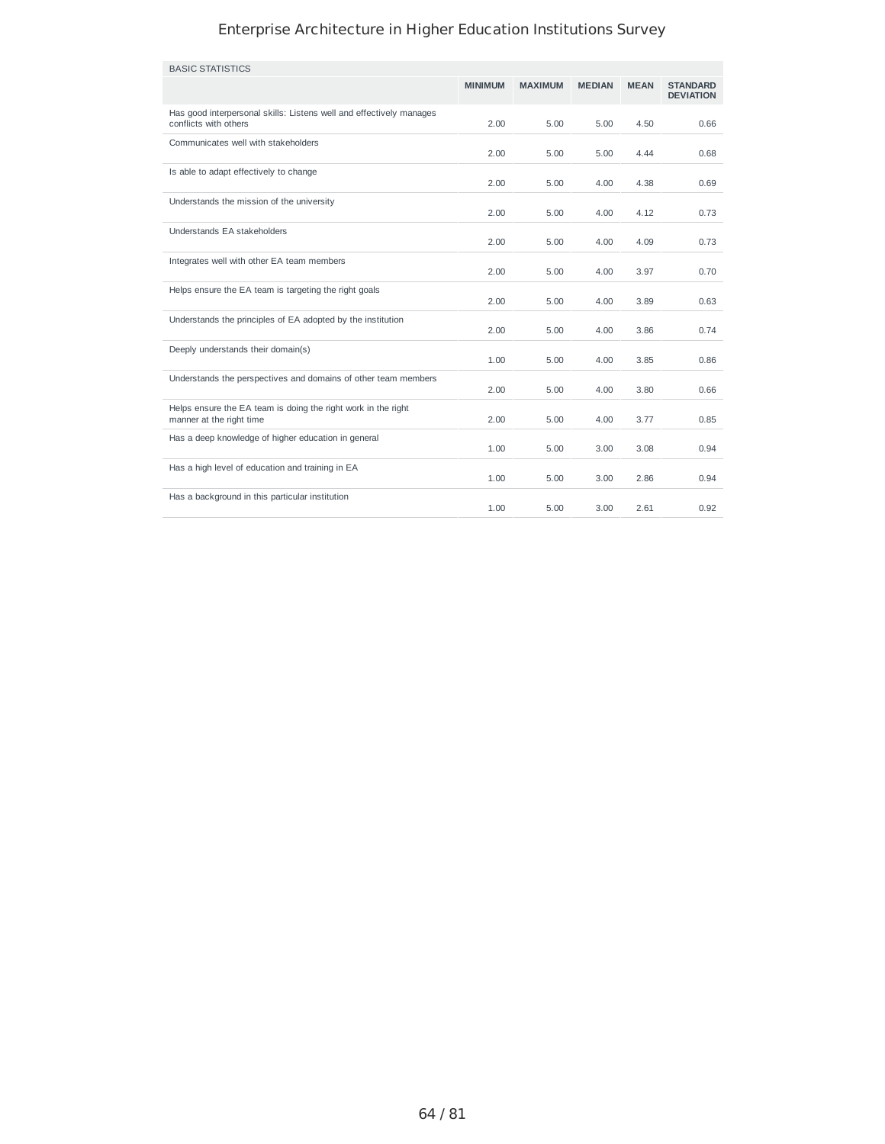| <b>BASIC STATISTICS</b>                                                                      |                |                |               |             |                                     |
|----------------------------------------------------------------------------------------------|----------------|----------------|---------------|-------------|-------------------------------------|
|                                                                                              | <b>MINIMUM</b> | <b>MAXIMUM</b> | <b>MEDIAN</b> | <b>MEAN</b> | <b>STANDARD</b><br><b>DEVIATION</b> |
| Has good interpersonal skills: Listens well and effectively manages<br>conflicts with others | 2.00           | 5.00           | 5.00          | 4.50        | 0.66                                |
| Communicates well with stakeholders                                                          | 2.00           | 5.00           | 5.00          | 4.44        | 0.68                                |
| Is able to adapt effectively to change                                                       | 2.00           | 5.00           | 4.00          | 4.38        | 0.69                                |
| Understands the mission of the university                                                    | 2.00           | 5.00           | 4.00          | 4.12        | 0.73                                |
| Understands EA stakeholders                                                                  | 2.00           | 5.00           | 4.00          | 4.09        | 0.73                                |
| Integrates well with other EA team members                                                   | 2.00           | 5.00           | 4.00          | 3.97        | 0.70                                |
| Helps ensure the EA team is targeting the right goals                                        | 2.00           | 5.00           | 4.00          | 3.89        | 0.63                                |
| Understands the principles of EA adopted by the institution                                  | 2.00           | 5.00           | 4.00          | 3.86        | 0.74                                |
| Deeply understands their domain(s)                                                           | 1.00           | 5.00           | 4.00          | 3.85        | 0.86                                |
| Understands the perspectives and domains of other team members                               | 2.00           | 5.00           | 4.00          | 3.80        | 0.66                                |
| Helps ensure the EA team is doing the right work in the right<br>manner at the right time    | 2.00           | 5.00           | 4.00          | 3.77        | 0.85                                |
| Has a deep knowledge of higher education in general                                          | 1.00           | 5.00           | 3.00          | 3.08        | 0.94                                |
| Has a high level of education and training in EA                                             | 1.00           | 5.00           | 3.00          | 2.86        | 0.94                                |
| Has a background in this particular institution                                              | 1.00           | 5.00           | 3.00          | 2.61        | 0.92                                |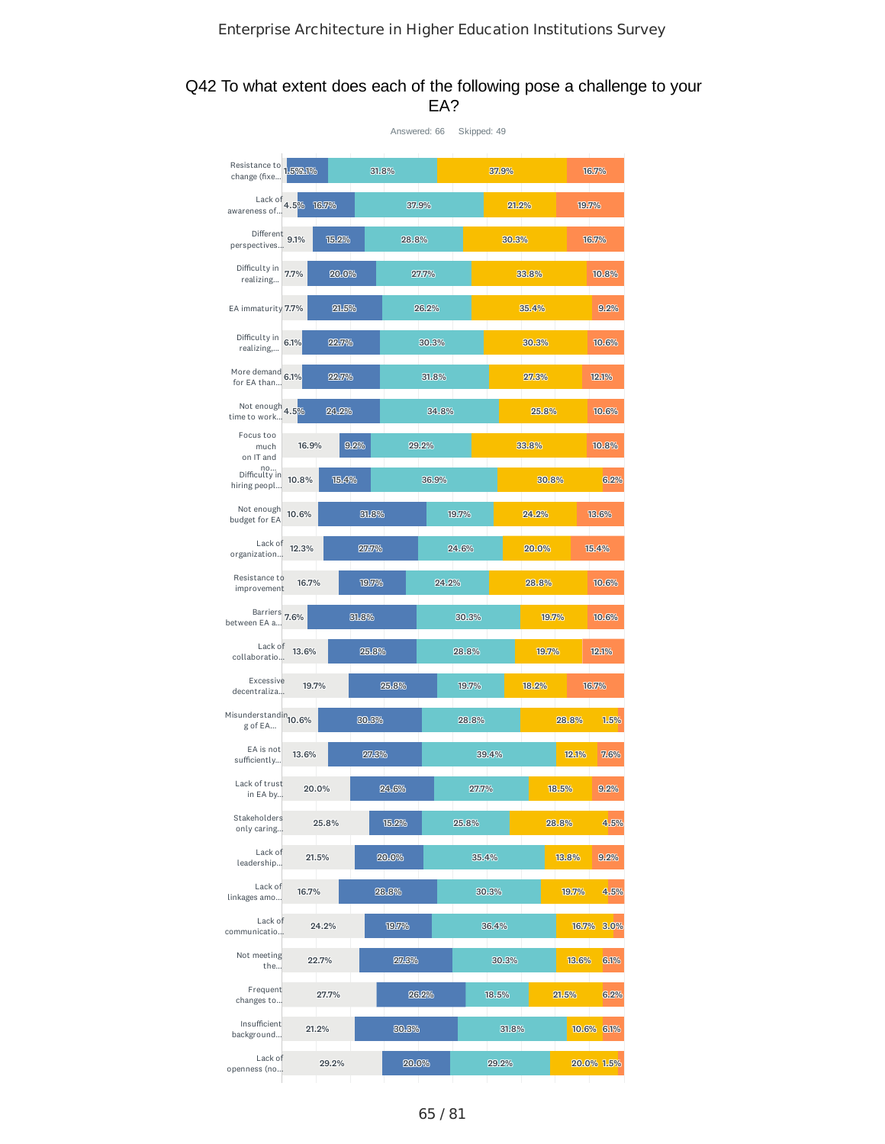### Q42 To what extent does each of the following pose a challenge to your EA?

|                                             |          |       |       | Answered: 66 | Skipped: 49 |       |       |       |            |
|---------------------------------------------|----------|-------|-------|--------------|-------------|-------|-------|-------|------------|
| Resistance to<br>change (fixe               | 1.592.1% |       | 31.8% |              |             | 37.9% |       |       | 16.7%      |
| Lack of $4.5\%$<br>awareness of             | 16.7%    |       |       | 37.9%        |             | 21.2% |       | 19.7% |            |
| Different<br>perspectives                   | 9.1%     | 15.2% | 28.8% |              |             | 30.3% |       |       | 16.7%      |
| Difficulty in<br>realizing                  | 7.7%     | 20.0% |       | 27.7%        | 33.8%       |       |       |       | 10.8%      |
| EA immaturity 7.7%                          |          | 21.5% |       | 26.2%        |             | 35.4% |       |       | 9.2%       |
| Difficulty in<br>realizing,                 | 6.1%     | 22.7% |       | 30.3%        |             |       | 30.3% |       | 10.6%      |
| More demand<br>for EA than                  | 6.1%     | 22.7% |       | 31.8%        |             |       | 27.3% |       | 12.1%      |
| Not enough 4.5%<br>time to work             |          | 24.2% |       | 34.8%        |             |       | 25.8% |       | 10.6%      |
| Focus too<br>much<br>on IT and              | 16.9%    | 9.2%  |       | 29.2%        |             |       | 33.8% |       | 10.8%      |
| no<br>Difficulty in<br>hiring peopl         | 10.8%    | 15.4% |       | 36.9%        |             |       | 30.8% |       | 6.2%       |
| Not enough<br>budget for EA                 | 10.6%    |       | 31.8% |              | 19.7%       |       | 24.2% |       | 13.6%      |
| Lack of<br>organization                     | 12.3%    |       | 27.7% |              | 24.6%       |       | 20.0% |       | 15.4%      |
| Resistance to<br>improvement                | 16.7%    |       | 19.7% | 24.2%        |             |       | 28.8% |       | 10.6%      |
| Barriers 7.6%<br>between EA a               |          | 31.8% |       |              | 30.3%       |       | 19.7% |       | 10.6%      |
| Lack of<br>collaboratio                     | 13.6%    |       | 25.8% |              | 28.8%       |       | 19.7% |       | 12.1%      |
| Excessive<br>decentraliza                   | 19.7%    |       | 25.8% |              | 19.7%       |       | 18.2% |       | 16.7%      |
| Misunderstandin <sub>10.6%</sub><br>g of EA |          |       | 30.3% |              | 28.8%       |       |       | 28.8% | 1.5%       |
| EA is not<br>sufficiently                   | 13.6%    |       | 27.3% |              | 39.4%       |       |       | 12.1% | 7.6%       |
| Lack of trust<br>in EA by                   | 20.0%    |       | 24.6% |              | 27.7%       |       |       | 18.5% | 9.2%       |
| Stakeholders<br>only caring                 |          | 25.8% | 15.2% |              | 25.8%       |       |       | 28.8% | 4.5%       |
| Lack of<br>leadership<br>Lack of            | 21.5%    |       | 20.0% |              | 35.4%       |       |       | 13.8% | 9.2%       |
| linkages amo<br>Lack of                     | 16.7%    |       | 28.8% |              | 30.3%       |       |       | 19.7% | 4.5%       |
| communicatio<br>Not meeting                 | 24.2%    |       | 19.7% |              |             | 36.4% |       |       | 16.7% 3.0% |
| the<br>Frequent                             | 22.7%    |       | 27.3% |              |             | 30.3% |       | 13.6% | 6.1%       |
| changes to<br>Insufficient                  |          | 27.7% |       | 26.2%        |             | 18.5% |       | 21.5% | 6.2%       |
| background<br>Lack of                       | 21.2%    |       | 30.3% |              |             | 31.8% |       |       | 10.6% 6.1% |
| openness (no                                |          | 29.2% | 20.0% |              |             | 29.2% |       |       | 20.0% 1.5% |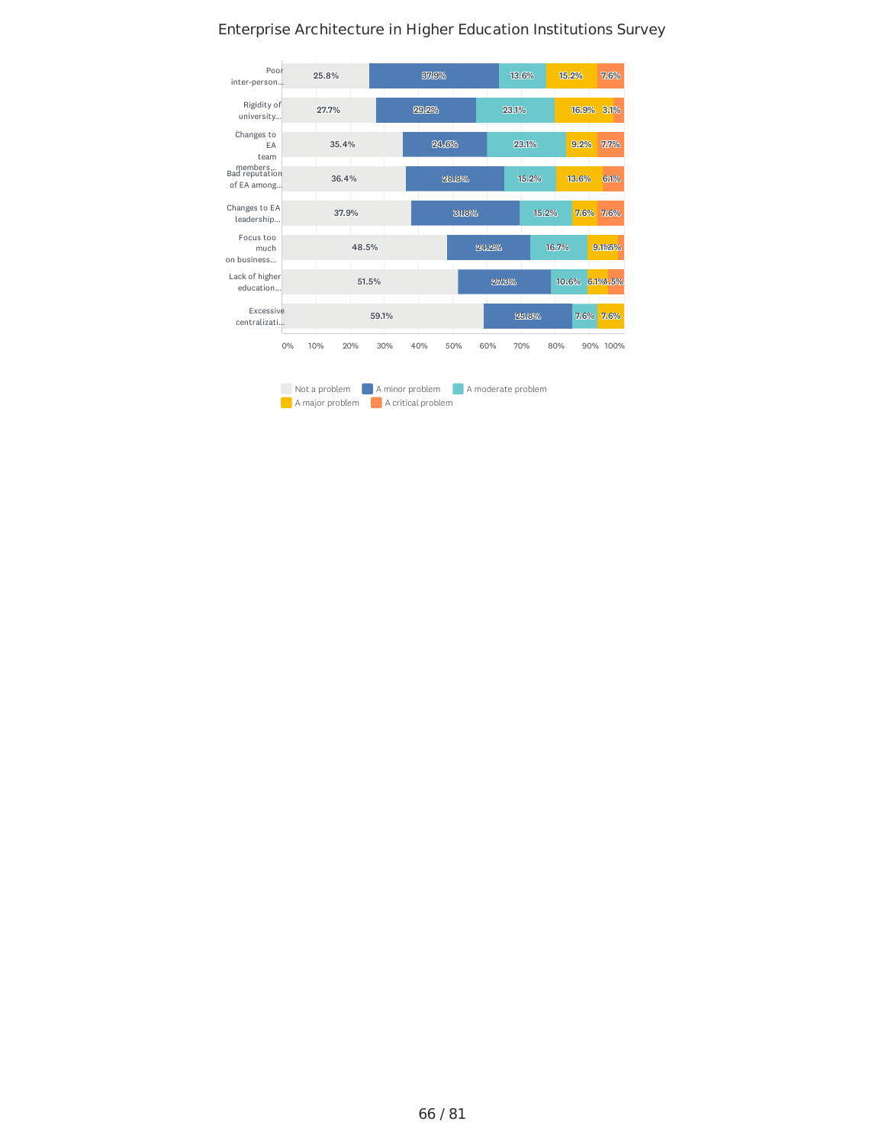

66 / 81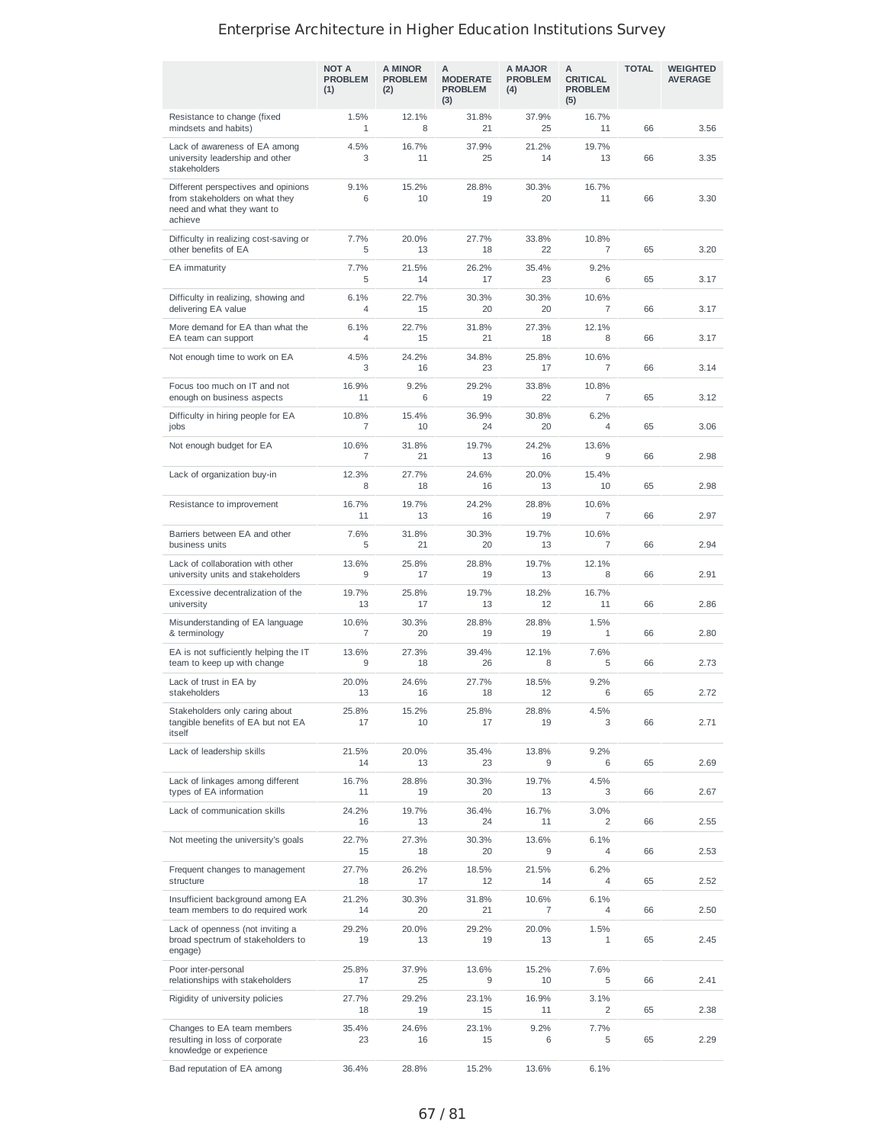|                                                                                                                | <b>NOT A</b><br><b>PROBLEM</b><br>(1) | A MINOR<br><b>PROBLEM</b><br>(2) | А<br><b>MODERATE</b><br><b>PROBLEM</b><br>(3) | A MAJOR<br><b>PROBLEM</b><br>(4) | A<br><b>CRITICAL</b><br><b>PROBLEM</b><br>(5) | <b>TOTAL</b> | <b>WEIGHTED</b><br><b>AVERAGE</b> |
|----------------------------------------------------------------------------------------------------------------|---------------------------------------|----------------------------------|-----------------------------------------------|----------------------------------|-----------------------------------------------|--------------|-----------------------------------|
| Resistance to change (fixed<br>mindsets and habits)                                                            | 1.5%<br>1                             | 12.1%<br>8                       | 31.8%<br>21                                   | 37.9%<br>25                      | 16.7%<br>11                                   | 66           | 3.56                              |
| Lack of awareness of EA among<br>university leadership and other<br>stakeholders                               | 4.5%<br>3                             | 16.7%<br>11                      | 37.9%<br>25                                   | 21.2%<br>14                      | 19.7%<br>13                                   | 66           | 3.35                              |
| Different perspectives and opinions<br>from stakeholders on what they<br>need and what they want to<br>achieve | 9.1%<br>6                             | 15.2%<br>10                      | 28.8%<br>19                                   | 30.3%<br>20                      | 16.7%<br>11                                   | 66           | 3.30                              |
| Difficulty in realizing cost-saving or<br>other benefits of EA                                                 | 7.7%<br>5                             | 20.0%<br>13                      | 27.7%<br>18                                   | 33.8%<br>22                      | 10.8%<br>7                                    | 65           | 3.20                              |
| EA immaturity                                                                                                  | 7.7%<br>5                             | 21.5%<br>14                      | 26.2%<br>17                                   | 35.4%<br>23                      | 9.2%<br>6                                     | 65           | 3.17                              |
| Difficulty in realizing, showing and<br>delivering EA value                                                    | 6.1%<br>4                             | 22.7%<br>15                      | 30.3%<br>20                                   | 30.3%<br>20                      | 10.6%<br>$\overline{7}$                       | 66           | 3.17                              |
| More demand for EA than what the<br>EA team can support                                                        | 6.1%<br>4                             | 22.7%<br>15                      | 31.8%<br>21                                   | 27.3%<br>18                      | 12.1%<br>8                                    | 66           | 3.17                              |
| Not enough time to work on EA                                                                                  | 4.5%<br>3                             | 24.2%<br>16                      | 34.8%<br>23                                   | 25.8%<br>17                      | 10.6%<br>$\overline{7}$                       | 66           | 3.14                              |
| Focus too much on IT and not<br>enough on business aspects                                                     | 16.9%<br>11                           | 9.2%<br>6                        | 29.2%<br>19                                   | 33.8%<br>22                      | 10.8%<br>7                                    | 65           | 3.12                              |
| Difficulty in hiring people for EA<br>jobs                                                                     | 10.8%<br>7                            | 15.4%<br>10                      | 36.9%<br>24                                   | 30.8%<br>20                      | 6.2%<br>$\overline{4}$                        | 65           | 3.06                              |
| Not enough budget for EA                                                                                       | 10.6%<br>7                            | 31.8%<br>21                      | 19.7%<br>13                                   | 24.2%<br>16                      | 13.6%<br>9                                    | 66           | 2.98                              |
| Lack of organization buy-in                                                                                    | 12.3%<br>8                            | 27.7%<br>18                      | 24.6%<br>16                                   | 20.0%<br>13                      | 15.4%<br>10                                   | 65           | 2.98                              |
| Resistance to improvement                                                                                      | 16.7%<br>11                           | 19.7%<br>13                      | 24.2%<br>16                                   | 28.8%<br>19                      | 10.6%<br>$\overline{7}$                       | 66           | 2.97                              |
| Barriers between EA and other<br>business units                                                                | 7.6%<br>5                             | 31.8%<br>21                      | 30.3%<br>20                                   | 19.7%<br>13                      | 10.6%<br>7                                    | 66           | 2.94                              |
| Lack of collaboration with other<br>university units and stakeholders                                          | 13.6%<br>9                            | 25.8%<br>17                      | 28.8%<br>19                                   | 19.7%<br>13                      | 12.1%<br>8                                    | 66           | 2.91                              |
| Excessive decentralization of the<br>university                                                                | 19.7%<br>13                           | 25.8%<br>17                      | 19.7%<br>13                                   | 18.2%<br>12                      | 16.7%<br>11                                   | 66           | 2.86                              |
| Misunderstanding of EA language<br>& terminology                                                               | 10.6%<br>7                            | 30.3%<br>20                      | 28.8%<br>19                                   | 28.8%<br>19                      | 1.5%<br>$\mathbf{1}$                          | 66           | 2.80                              |
| EA is not sufficiently helping the IT<br>team to keep up with change                                           | 13.6%<br>9                            | 27.3%<br>18                      | 39.4%<br>26                                   | 12.1%<br>8                       | 7.6%<br>5                                     | 66           | 2.73                              |
| Lack of trust in EA by<br>stakeholders                                                                         | 20.0%<br>13                           | 24.6%<br>16                      | 27.7%<br>18                                   | 18.5%<br>12                      | 9.2%<br>6                                     | 65           | 2.72                              |
| Stakeholders only caring about<br>tangible benefits of EA but not EA<br>itself                                 | 25.8%<br>17                           | 15.2%<br>10                      | 25.8%<br>17                                   | 28.8%<br>19                      | 4.5%<br>3                                     | 66           | 2.71                              |
| Lack of leadership skills                                                                                      | 21.5%<br>14                           | 20.0%<br>13                      | 35.4%<br>23                                   | 13.8%<br>9                       | 9.2%<br>6                                     | 65           | 2.69                              |
| Lack of linkages among different<br>types of EA information                                                    | 16.7%<br>11                           | 28.8%<br>19                      | 30.3%<br>20                                   | 19.7%<br>13                      | 4.5%<br>3                                     | 66           | 2.67                              |
| Lack of communication skills                                                                                   | 24.2%<br>16                           | 19.7%<br>13                      | 36.4%<br>24                                   | 16.7%<br>11                      | 3.0%<br>2                                     | 66           | 2.55                              |
| Not meeting the university's goals                                                                             | 22.7%<br>15                           | 27.3%<br>18                      | 30.3%<br>20                                   | 13.6%<br>9                       | 6.1%<br>4                                     | 66           | 2.53                              |
| Frequent changes to management<br>structure                                                                    | 27.7%<br>18                           | 26.2%<br>17                      | 18.5%<br>12                                   | 21.5%<br>14                      | 6.2%<br>4                                     | 65           | 2.52                              |
| Insufficient background among EA<br>team members to do required work                                           | 21.2%<br>14                           | 30.3%<br>20                      | 31.8%<br>21                                   | 10.6%<br>7                       | 6.1%<br>4                                     | 66           | 2.50                              |
| Lack of openness (not inviting a<br>broad spectrum of stakeholders to<br>engage)                               | 29.2%<br>19                           | 20.0%<br>13                      | 29.2%<br>19                                   | 20.0%<br>13                      | 1.5%<br>$\mathbf{1}$                          | 65           | 2.45                              |
| Poor inter-personal<br>relationships with stakeholders                                                         | 25.8%<br>17                           | 37.9%<br>25                      | 13.6%<br>9                                    | 15.2%<br>10                      | 7.6%<br>5                                     | 66           | 2.41                              |
| Rigidity of university policies                                                                                | 27.7%<br>18                           | 29.2%<br>19                      | 23.1%<br>15                                   | 16.9%<br>11                      | 3.1%<br>2                                     | 65           | 2.38                              |
| Changes to EA team members<br>resulting in loss of corporate<br>knowledge or experience                        | 35.4%<br>23                           | 24.6%<br>16                      | 23.1%<br>15                                   | 9.2%<br>6                        | 7.7%<br>5                                     | 65           | 2.29                              |
| Bad reputation of EA among                                                                                     | 36.4%                                 | 28.8%                            | 15.2%                                         | 13.6%                            | 6.1%                                          |              |                                   |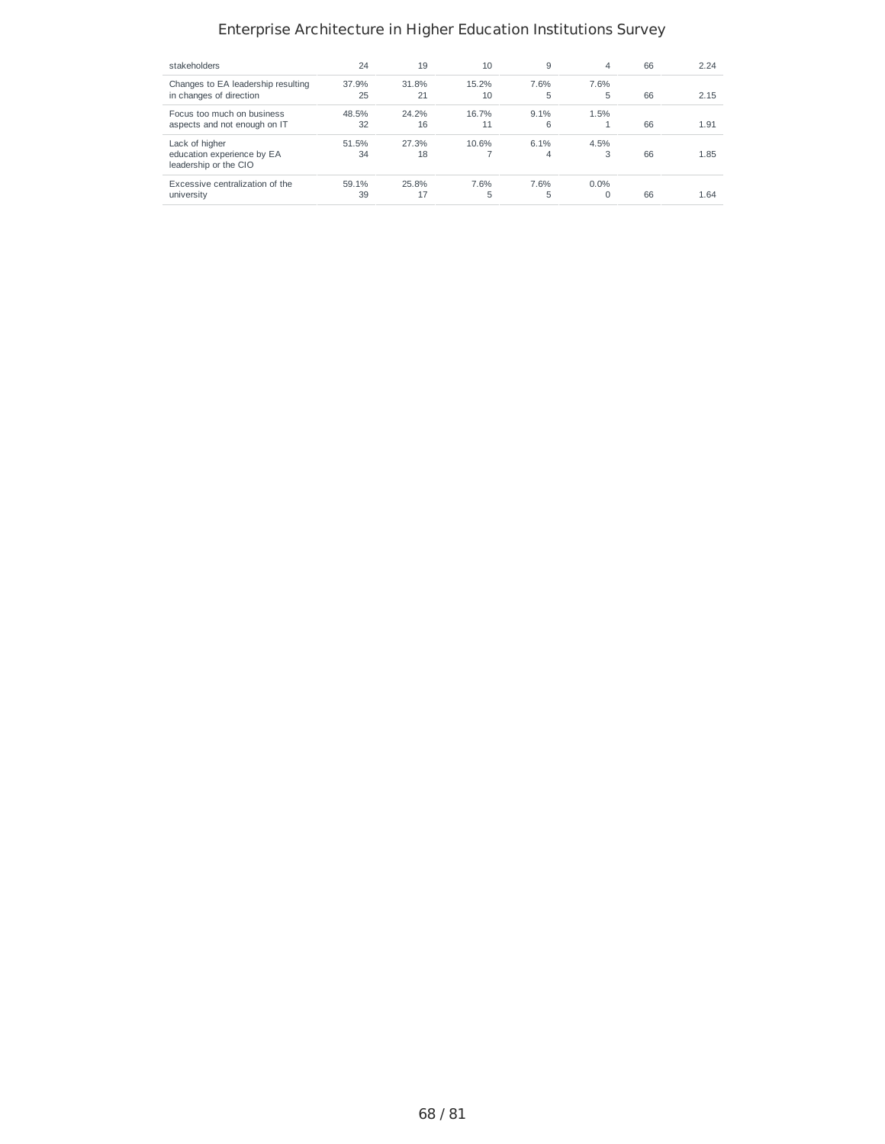| stakeholders                                        | 24    | 19    | 10    | 9       | 4       | 66 | 2.24 |
|-----------------------------------------------------|-------|-------|-------|---------|---------|----|------|
| Changes to EA leadership resulting                  | 37.9% | 31.8% | 15.2% | 7.6%    | 7.6%    |    |      |
| in changes of direction                             | 25    | 21    | 10    | 5       | 5       | 66 | 2.15 |
| Focus too much on business                          | 48.5% | 24.2% | 16.7% | $9.1\%$ | 1.5%    |    |      |
| aspects and not enough on IT                        | 32    | 16    | 11    | 6       |         | 66 | 1.91 |
| Lack of higher                                      | 51.5% | 27.3% | 10.6% | 6.1%    | 4.5%    |    |      |
| education experience by EA<br>leadership or the CIO | 34    | 18    |       | 4       | 3       | 66 | 1.85 |
| Excessive centralization of the                     | 59.1% | 25.8% | 7.6%  | 7.6%    | $0.0\%$ |    |      |
| university                                          | 39    | 17    | 5     | 5       | 0       | 66 | 1.64 |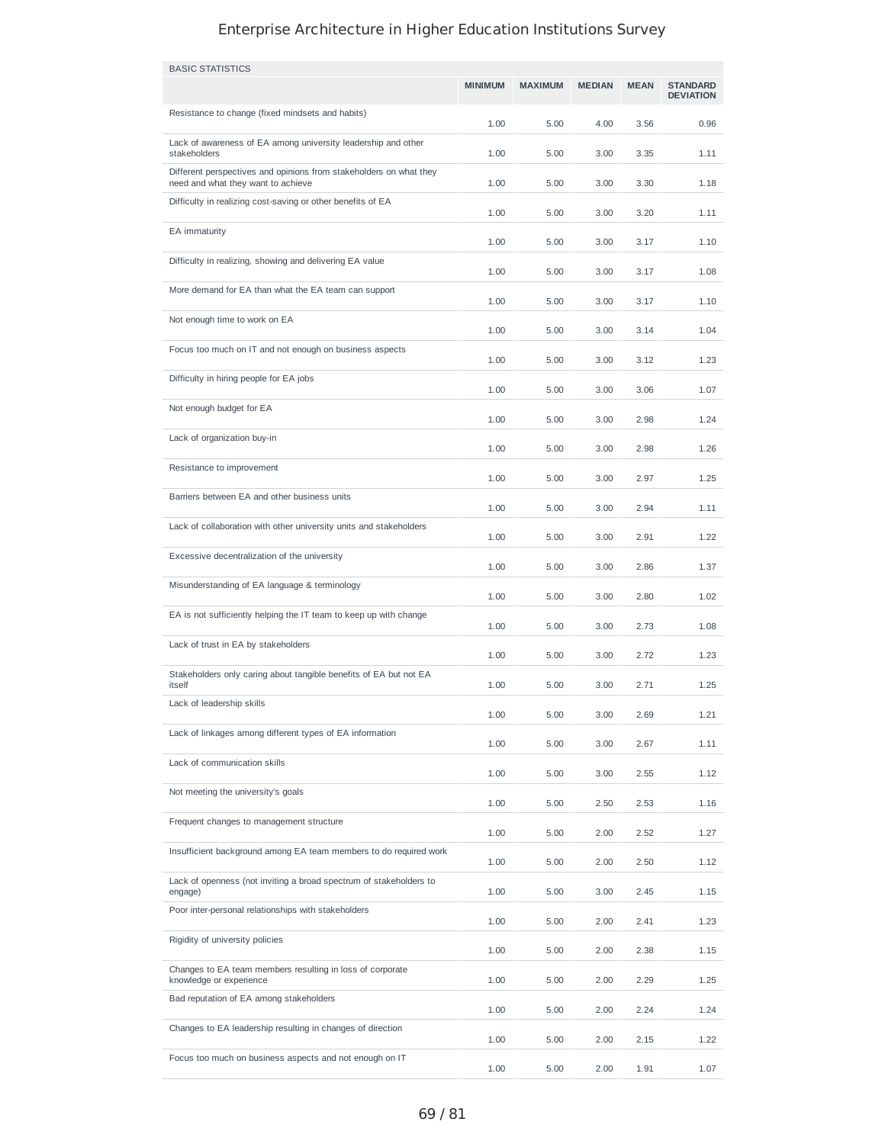| <b>BASIC STATISTICS</b>                                                                                  |                |                |               |             |                                     |
|----------------------------------------------------------------------------------------------------------|----------------|----------------|---------------|-------------|-------------------------------------|
|                                                                                                          | <b>MINIMUM</b> | <b>MAXIMUM</b> | <b>MEDIAN</b> | <b>MEAN</b> | <b>STANDARD</b><br><b>DEVIATION</b> |
| Resistance to change (fixed mindsets and habits)                                                         | 1.00           | 5.00           | 4.00          | 3.56        | 0.96                                |
| Lack of awareness of EA among university leadership and other<br>stakeholders                            | 1.00           | 5.00           | 3.00          | 3.35        | 1.11                                |
| Different perspectives and opinions from stakeholders on what they<br>need and what they want to achieve | 1.00           | 5.00           | 3.00          | 3.30        | 1.18                                |
| Difficulty in realizing cost-saving or other benefits of EA                                              | 1.00           | 5.00           | 3.00          | 3.20        | 1.11                                |
| EA immaturity                                                                                            | 1.00           | 5.00           | 3.00          | 3.17        | 1.10                                |
| Difficulty in realizing, showing and delivering EA value                                                 | 1.00           | 5.00           | 3.00          | 3.17        | 1.08                                |
| More demand for EA than what the EA team can support                                                     | 1.00           | 5.00           | 3.00          | 3.17        | 1.10                                |
| Not enough time to work on EA                                                                            | 1.00           | 5.00           | 3.00          | 3.14        | 1.04                                |
| Focus too much on IT and not enough on business aspects                                                  | 1.00           | 5.00           | 3.00          | 3.12        | 1.23                                |
| Difficulty in hiring people for EA jobs                                                                  | 1.00           | 5.00           | 3.00          | 3.06        | 1.07                                |
| Not enough budget for EA                                                                                 | 1.00           | 5.00           | 3.00          | 2.98        | 1.24                                |
| Lack of organization buy-in                                                                              | 1.00           | 5.00           | 3.00          | 2.98        | 1.26                                |
| Resistance to improvement                                                                                | 1.00           | 5.00           | 3.00          | 2.97        | 1.25                                |
| Barriers between EA and other business units                                                             | 1.00           | 5.00           | 3.00          | 2.94        | 1.11                                |
| Lack of collaboration with other university units and stakeholders                                       | 1.00           | 5.00           | 3.00          | 2.91        | 1.22                                |
| Excessive decentralization of the university                                                             | 1.00           | 5.00           | 3.00          | 2.86        | 1.37                                |
| Misunderstanding of EA language & terminology                                                            | 1.00           | 5.00           | 3.00          | 2.80        | 1.02                                |
| EA is not sufficiently helping the IT team to keep up with change                                        | 1.00           | 5.00           | 3.00          | 2.73        | 1.08                                |
| Lack of trust in EA by stakeholders                                                                      | 1.00           | 5.00           | 3.00          | 2.72        | 1.23                                |
| Stakeholders only caring about tangible benefits of EA but not EA                                        |                |                |               |             |                                     |
| itself<br>Lack of leadership skills                                                                      | 1.00           | 5.00           | 3.00          | 2.71        | 1.25                                |
| Lack of linkages among different types of EA information                                                 | 1.00           | 5.00           | 3.00          | 2.69        | 1.21                                |
| Lack of communication skills                                                                             | 1.00           | 5.00           | 3.00          | 2.67        | 1.11                                |
| Not meeting the university's goals                                                                       | 1.00           | 5.00           | 3.00          | 2.55        | 1.12                                |
| Frequent changes to management structure                                                                 | 1.00           | 5.00           | 2.50          | 2.53        | 1.16                                |
| Insufficient background among EA team members to do required work                                        | 1.00           | 5.00           | 2.00          | 2.52        | 1.27                                |
| Lack of openness (not inviting a broad spectrum of stakeholders to                                       | 1.00           | 5.00           | 2.00          | 2.50        | 1.12                                |
| engage)<br>Poor inter-personal relationships with stakeholders                                           | 1.00           | 5.00           | 3.00          | 2.45        | 1.15                                |
| Rigidity of university policies                                                                          | 1.00           | 5.00           | 2.00          | 2.41        | 1.23                                |
| Changes to EA team members resulting in loss of corporate                                                | 1.00           | 5.00           | 2.00          | 2.38        | 1.15                                |
| knowledge or experience<br>Bad reputation of EA among stakeholders                                       | 1.00           | 5.00           | 2.00          | 2.29        | 1.25                                |
| Changes to EA leadership resulting in changes of direction                                               | 1.00           | 5.00           | 2.00          | 2.24        | 1.24                                |
|                                                                                                          | 1.00           | 5.00           | 2.00          | 2.15        | 1.22                                |
| Focus too much on business aspects and not enough on IT                                                  | 1.00           | 5.00           | 2.00          | 1.91        | 1.07                                |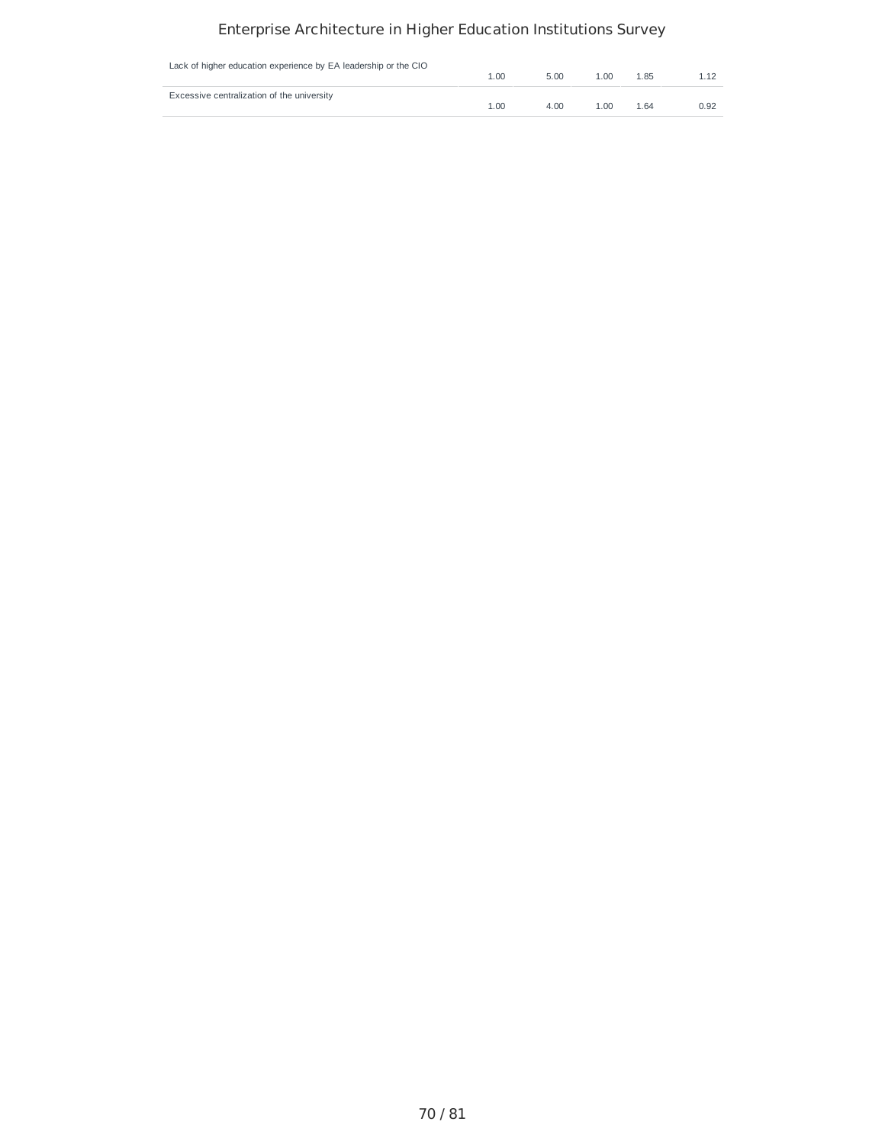| Lack of higher education experience by EA leadership or the CIO | 1.00 | 5.00 | 1.00 | 1.85 | 1.12 |
|-----------------------------------------------------------------|------|------|------|------|------|
| Excessive centralization of the university                      | 1.00 | 4.00 | 1.00 | 1.64 | 0.92 |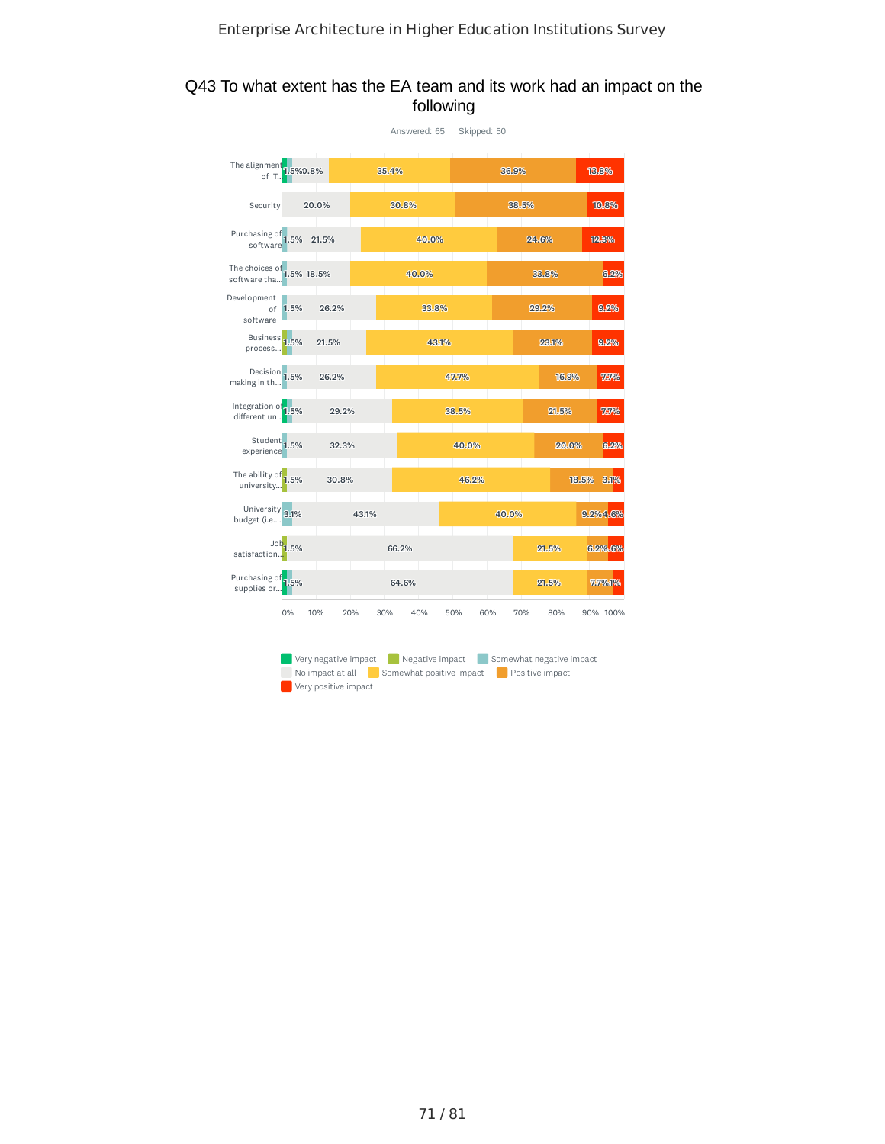### Q43 To what extent has the EA team and its work had an impact on the following

|                                                                                                                                                                |                        |            |       |       | Answered: 65 | Skipped: 50 |       |       |       |          |
|----------------------------------------------------------------------------------------------------------------------------------------------------------------|------------------------|------------|-------|-------|--------------|-------------|-------|-------|-------|----------|
| The alignment $\frac{1}{1.5\%0.8\%}$<br>of IT                                                                                                                  |                        |            |       | 35.4% |              |             | 36.9% |       |       | 18.8%    |
| Security                                                                                                                                                       |                        | 20.0%      |       | 30.8% |              |             |       | 38.5% |       | 10.8%    |
| Purchasing of 1.5%<br>software                                                                                                                                 |                        | 21.5%      |       |       | 40.0%        |             |       | 24.6% |       | 12.3%    |
| The choices of<br>software tha                                                                                                                                 | 1.5% 18.5%             |            |       |       | 40.0%        |             |       | 33.8% |       | 6.2%     |
| Development<br>of<br>software                                                                                                                                  | 1.5%                   | 26.2%      |       |       | 33.8%        |             |       | 29.2% |       | 9.2%     |
| <b>Business</b><br>process                                                                                                                                     | 1.5%                   | 21.5%      |       |       | 43.1%        |             |       | 23.1% |       | 9.2%     |
| Decision 1.5%<br>making in th                                                                                                                                  |                        | 26.2%      |       |       |              | 47.7%       |       |       | 16.9% | 7.7%     |
| Integration of<br>different un                                                                                                                                 | 1.5%                   | 29.2%      |       |       |              | 38.5%       |       |       | 21.5% | 7.7%     |
| Student <sub>1.5%</sub><br>experience                                                                                                                          |                        | 32.3%      |       |       |              | 40.0%       |       |       | 20.0% | 6.2%     |
| The ability of $\frac{1}{1.5\%}$<br>university                                                                                                                 |                        | 30.8%      |       |       |              | 46.2%       |       |       | 18.5% | 3.1%     |
| University 3.1%<br>budget (i.e                                                                                                                                 |                        |            | 43.1% |       |              |             | 40.0% |       |       | 9.2%4.6% |
| satisfaction.                                                                                                                                                  | $\mathsf{Job}_{1.5\%}$ |            |       | 66.2% |              |             |       | 21.5% |       | 6.2%.6%  |
| Purchasing of 1.5%<br>supplies or                                                                                                                              |                        |            |       | 64.6% |              |             |       | 21.5% |       | 7.7%1%   |
|                                                                                                                                                                | 0%                     | 10%<br>20% |       | 30%   | 40%          | 50%         | 60%   | 70%   | 80%   | 90% 100% |
| Very negative impact<br>Negative impact<br>Somewhat negative impact<br>No impact at all<br>Somewhat positive impact<br>Positive impact<br>Very positive impact |                        |            |       |       |              |             |       |       |       |          |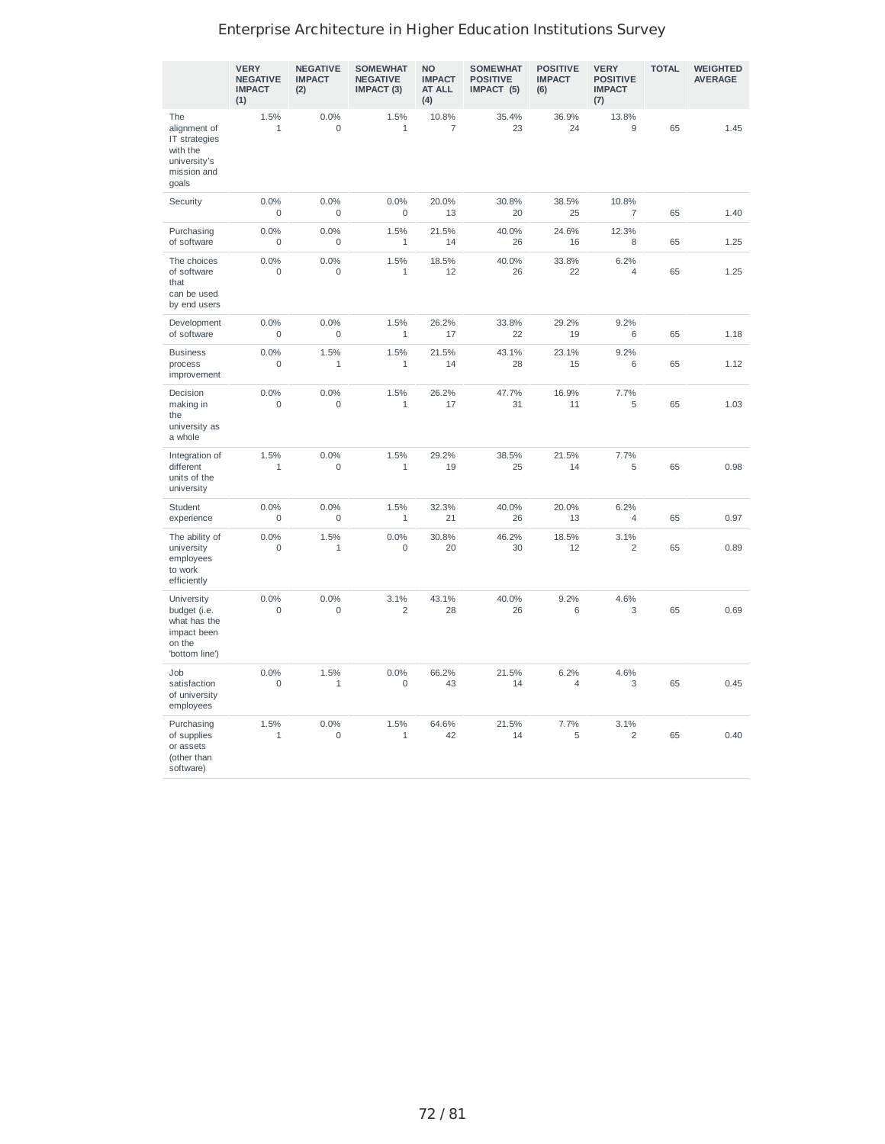|                                                                                          | <b>VERY</b><br><b>NEGATIVE</b><br><b>IMPACT</b><br>(1) | <b>NEGATIVE</b><br><b>IMPACT</b><br>(2) | <b>SOMEWHAT</b><br><b>NEGATIVE</b><br>IMPACT (3) | <b>NO</b><br><b>IMPACT</b><br>AT ALL<br>(4) | <b>SOMEWHAT</b><br><b>POSITIVE</b><br>IMPACT (5) | <b>POSITIVE</b><br><b>IMPACT</b><br>(6) | <b>VERY</b><br><b>POSITIVE</b><br><b>IMPACT</b><br>(7) | <b>TOTAL</b> | <b>WEIGHTED</b><br><b>AVERAGE</b> |
|------------------------------------------------------------------------------------------|--------------------------------------------------------|-----------------------------------------|--------------------------------------------------|---------------------------------------------|--------------------------------------------------|-----------------------------------------|--------------------------------------------------------|--------------|-----------------------------------|
| The<br>alignment of<br>IT strategies<br>with the<br>university's<br>mission and<br>goals | 1.5%<br>$\mathbf{1}$                                   | 0.0%<br>$\mathbf 0$                     | 1.5%<br>$\mathbf{1}$                             | 10.8%<br>$\overline{7}$                     | 35.4%<br>23                                      | 36.9%<br>24                             | 13.8%<br>9                                             | 65           | 1.45                              |
| Security                                                                                 | 0.0%<br>0                                              | 0.0%<br>$\mathbf 0$                     | 0.0%<br>$\mathsf{O}\xspace$                      | 20.0%<br>13                                 | 30.8%<br>20                                      | 38.5%<br>25                             | 10.8%<br>$\overline{7}$                                | 65           | 1.40                              |
| Purchasing<br>of software                                                                | 0.0%<br>0                                              | 0.0%<br>0                               | 1.5%<br>1                                        | 21.5%<br>14                                 | 40.0%<br>26                                      | 24.6%<br>16                             | 12.3%<br>8                                             | 65           | 1.25                              |
| The choices<br>of software<br>that<br>can be used<br>by end users                        | 0.0%<br>$\mathbf 0$                                    | 0.0%<br>$\mathbf 0$                     | 1.5%<br>$\mathbf{1}$                             | 18.5%<br>12                                 | 40.0%<br>26                                      | 33.8%<br>22                             | 6.2%<br>4                                              | 65           | 1.25                              |
| Development<br>of software                                                               | 0.0%<br>$\mathbf 0$                                    | 0.0%<br>$\mathbf 0$                     | 1.5%<br>$\mathbf{1}$                             | 26.2%<br>17                                 | 33.8%<br>22                                      | 29.2%<br>19                             | 9.2%<br>6                                              | 65           | 1.18                              |
| <b>Business</b><br>process<br>improvement                                                | 0.0%<br>0                                              | 1.5%<br>$\mathbf{1}$                    | 1.5%<br>$1\,$                                    | 21.5%<br>14                                 | 43.1%<br>28                                      | 23.1%<br>15                             | 9.2%<br>6                                              | 65           | 1.12                              |
| Decision<br>making in<br>the<br>university as<br>a whole                                 | 0.0%<br>$\mathbf 0$                                    | 0.0%<br>$\mathbf 0$                     | 1.5%<br>$1\,$                                    | 26.2%<br>17                                 | 47.7%<br>31                                      | 16.9%<br>11                             | 7.7%<br>5                                              | 65           | 1.03                              |
| Integration of<br>different<br>units of the<br>university                                | 1.5%<br>1                                              | 0.0%<br>$\mathbf 0$                     | 1.5%<br>$1\,$                                    | 29.2%<br>19                                 | 38.5%<br>25                                      | 21.5%<br>14                             | 7.7%<br>5                                              | 65           | 0.98                              |
| Student<br>experience                                                                    | 0.0%<br>0                                              | 0.0%<br>$\mathbf 0$                     | 1.5%<br>$\mathbf 1$                              | 32.3%<br>21                                 | 40.0%<br>26                                      | 20.0%<br>13                             | 6.2%<br>$\overline{4}$                                 | 65           | 0.97                              |
| The ability of<br>university<br>employees<br>to work<br>efficiently                      | 0.0%<br>0                                              | 1.5%<br>$\mathbf 1$                     | 0.0%<br>0                                        | 30.8%<br>20                                 | 46.2%<br>30                                      | 18.5%<br>12                             | 3.1%<br>$\overline{c}$                                 | 65           | 0.89                              |
| University<br>budget (i.e.<br>what has the<br>impact been<br>on the<br>'bottom line')    | 0.0%<br>$\mathbf 0$                                    | 0.0%<br>$\mathbf 0$                     | 3.1%<br>$\overline{c}$                           | 43.1%<br>28                                 | 40.0%<br>26                                      | 9.2%<br>6                               | 4.6%<br>3                                              | 65           | 0.69                              |
| Job<br>satisfaction<br>of university<br>employees                                        | 0.0%<br>0                                              | 1.5%<br>$1\,$                           | 0.0%<br>0                                        | 66.2%<br>43                                 | 21.5%<br>14                                      | 6.2%<br>$\overline{4}$                  | 4.6%<br>3                                              | 65           | 0.45                              |
| Purchasing<br>of supplies<br>or assets<br>(other than<br>software)                       | 1.5%<br>$1\,$                                          | 0.0%<br>$\mathbf 0$                     | 1.5%<br>$\mathbf 1$                              | 64.6%<br>42                                 | 21.5%<br>14                                      | 7.7%<br>5                               | 3.1%<br>$\overline{c}$                                 | 65           | 0.40                              |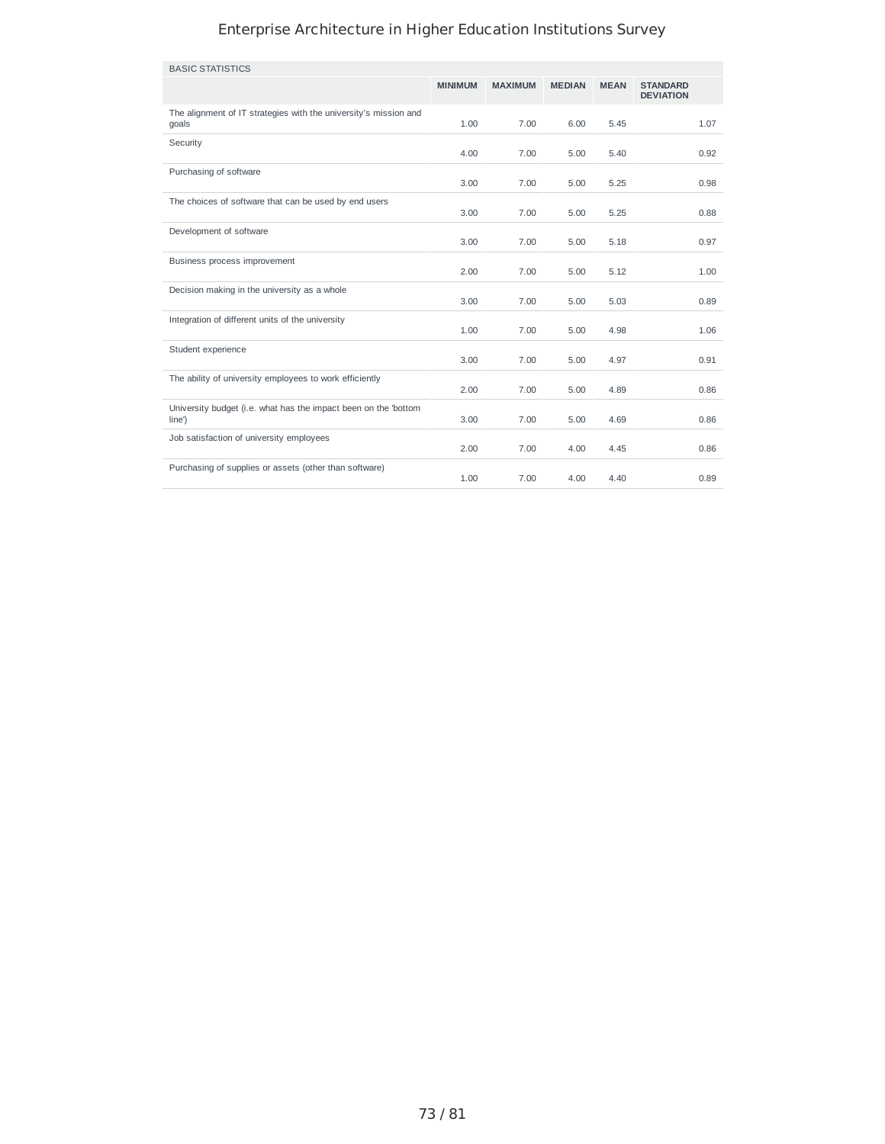| <b>BASIC STATISTICS</b>                                                   |                |                |               |             |                                     |
|---------------------------------------------------------------------------|----------------|----------------|---------------|-------------|-------------------------------------|
|                                                                           | <b>MINIMUM</b> | <b>MAXIMUM</b> | <b>MEDIAN</b> | <b>MEAN</b> | <b>STANDARD</b><br><b>DEVIATION</b> |
| The alignment of IT strategies with the university's mission and<br>goals | 1.00           | 7.00           | 6.00          | 5.45        | 1.07                                |
| Security                                                                  | 4.00           | 7.00           | 5.00          | 5.40        | 0.92                                |
| Purchasing of software                                                    | 3.00           | 7.00           | 5.00          | 5.25        | 0.98                                |
| The choices of software that can be used by end users                     | 3.00           | 7.00           | 5.00          | 5.25        | 0.88                                |
| Development of software                                                   | 3.00           | 7.00           | 5.00          | 5.18        | 0.97                                |
| Business process improvement                                              | 2.00           | 7.00           | 5.00          | 5.12        | 1.00                                |
| Decision making in the university as a whole                              | 3.00           | 7.00           | 5.00          | 5.03        | 0.89                                |
| Integration of different units of the university                          | 1.00           | 7.00           | 5.00          | 4.98        | 1.06                                |
| Student experience                                                        | 3.00           | 7.00           | 5.00          | 4.97        | 0.91                                |
| The ability of university employees to work efficiently                   | 2.00           | 7.00           | 5.00          | 4.89        | 0.86                                |
| University budget (i.e. what has the impact been on the 'bottom<br>line') | 3.00           | 7.00           | 5.00          | 4.69        | 0.86                                |
| Job satisfaction of university employees                                  | 2.00           | 7.00           | 4.00          | 4.45        | 0.86                                |
| Purchasing of supplies or assets (other than software)                    | 1.00           | 7.00           | 4.00          | 4.40        | 0.89                                |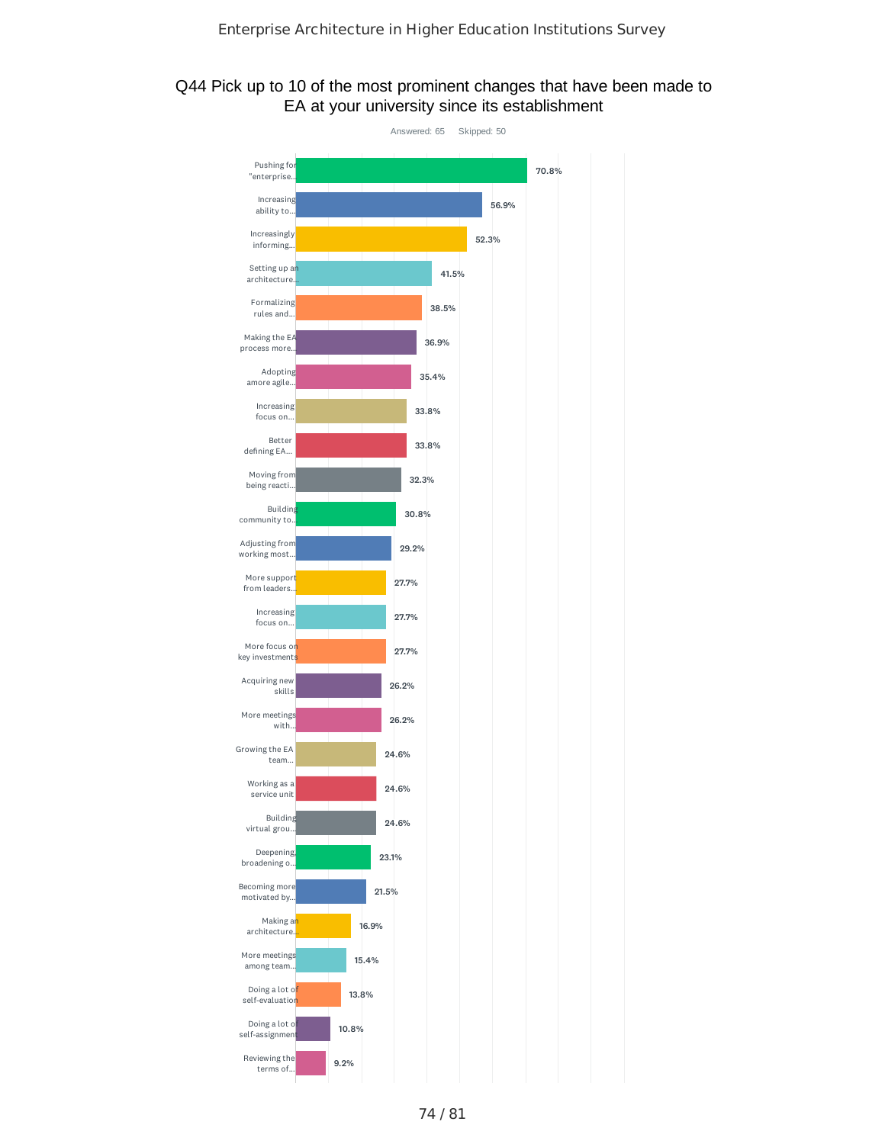### Q44 Pick up to 10 of the most prominent changes that have been made to EA at your university since its establishment

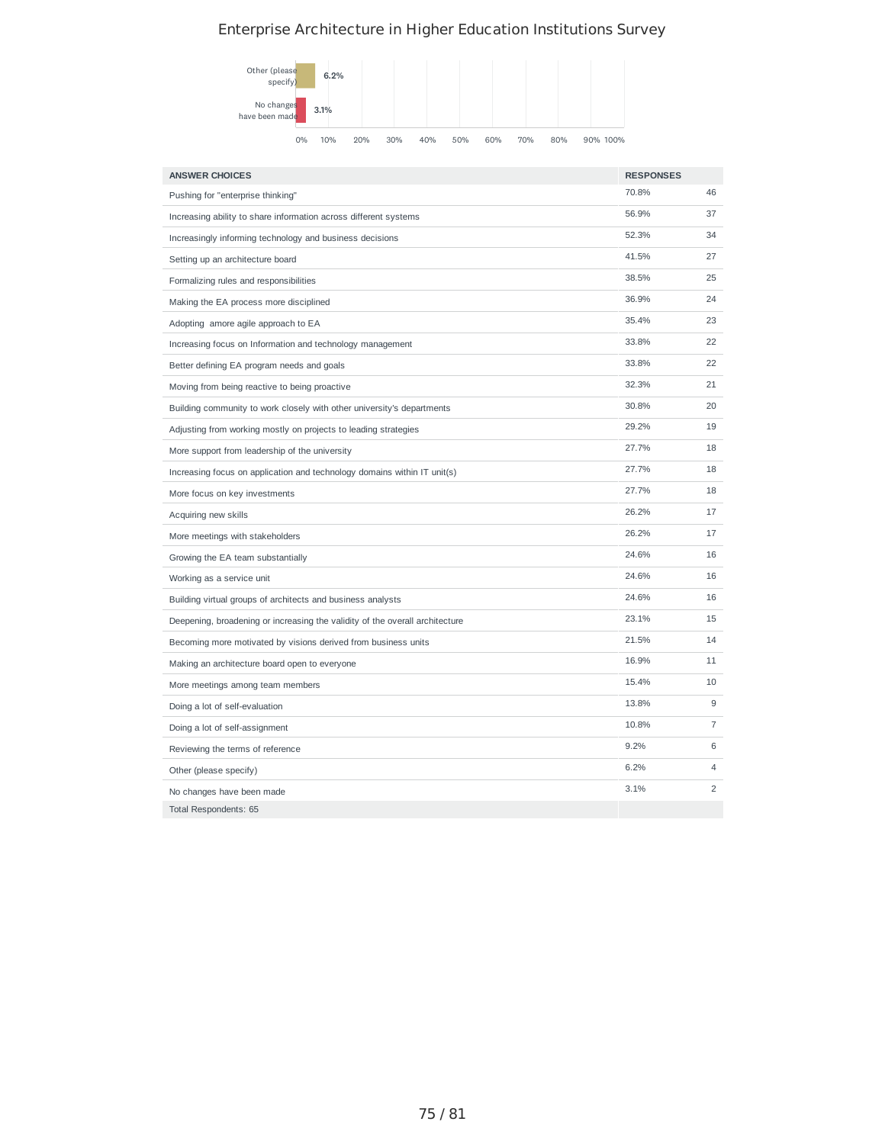

| <b>ANSWER CHOICES</b>                                                        | <b>RESPONSES</b> |                |
|------------------------------------------------------------------------------|------------------|----------------|
| Pushing for "enterprise thinking"                                            | 70.8%            | 46             |
| Increasing ability to share information across different systems             | 56.9%            | 37             |
| Increasingly informing technology and business decisions                     | 52.3%            | 34             |
| Setting up an architecture board                                             | 41.5%            | 27             |
| Formalizing rules and responsibilities                                       | 38.5%            | 25             |
| Making the EA process more disciplined                                       | 36.9%            | 24             |
| Adopting amore agile approach to EA                                          | 35.4%            | 23             |
| Increasing focus on Information and technology management                    | 33.8%            | 22             |
| Better defining EA program needs and goals                                   | 33.8%            | 22             |
| Moving from being reactive to being proactive                                | 32.3%            | 21             |
| Building community to work closely with other university's departments       | 30.8%            | 20             |
| Adjusting from working mostly on projects to leading strategies              | 29.2%            | 19             |
| More support from leadership of the university                               | 27.7%            | 18             |
| Increasing focus on application and technology domains within IT unit(s)     | 27.7%            | 18             |
| More focus on key investments                                                | 27.7%            | 18             |
| Acquiring new skills                                                         | 26.2%            | 17             |
| More meetings with stakeholders                                              | 26.2%            | 17             |
| Growing the EA team substantially                                            | 24.6%            | 16             |
| Working as a service unit                                                    | 24.6%            | 16             |
| Building virtual groups of architects and business analysts                  | 24.6%            | 16             |
| Deepening, broadening or increasing the validity of the overall architecture | 23.1%            | 15             |
| Becoming more motivated by visions derived from business units               | 21.5%            | 14             |
| Making an architecture board open to everyone                                | 16.9%            | 11             |
| More meetings among team members                                             | 15.4%            | 10             |
| Doing a lot of self-evaluation                                               | 13.8%            | 9              |
| Doing a lot of self-assignment                                               | 10.8%            | 7              |
| Reviewing the terms of reference                                             | 9.2%             | 6              |
| Other (please specify)                                                       | 6.2%             | 4              |
| No changes have been made                                                    | 3.1%             | $\overline{c}$ |
| Total Respondents: 65                                                        |                  |                |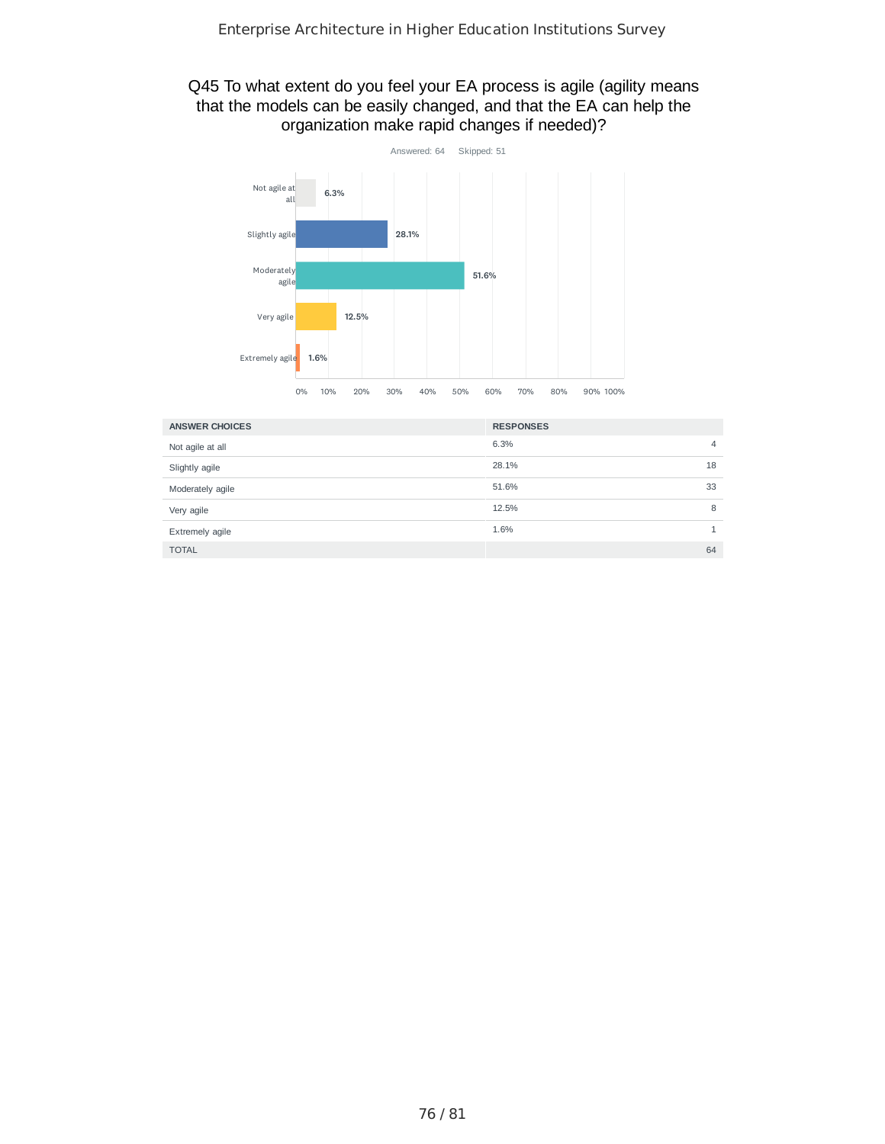### Q45 To what extent do you feel your EA process is agile (agility means that the models can be easily changed, and that the EA can help the organization make rapid changes if needed)?



| <b>ANSWER CHOICES</b> | <b>RESPONSES</b> |    |
|-----------------------|------------------|----|
| Not agile at all      | 6.3%             | 4  |
| Slightly agile        | 28.1%            | 18 |
| Moderately agile      | 51.6%            | 33 |
| Very agile            | 12.5%            | 8  |
| Extremely agile       | 1.6%             |    |
| <b>TOTAL</b>          |                  | 64 |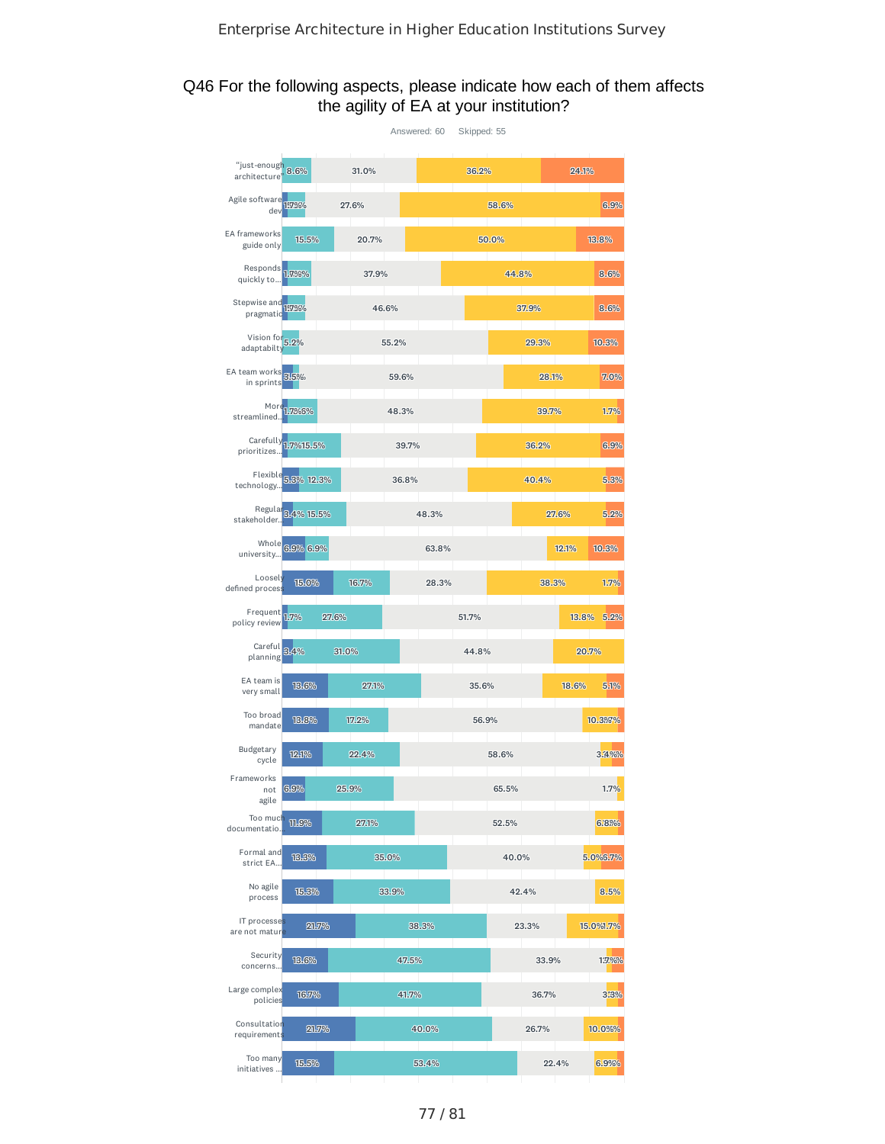#### Q46 For the following aspects, please indicate how each of them affects the agility of EA at your institution?

|                                    |                     |       | Answered: 60 |            | Skipped: 55 |       |       |       |           |
|------------------------------------|---------------------|-------|--------------|------------|-------------|-------|-------|-------|-----------|
| "just-enough 8.6%<br>architecture' |                     | 31.0% |              |            | 36.2%       |       |       | 24.1% |           |
| Agile software<br>dev              | 157.96%             | 27.6% |              |            |             | 58.6% |       |       | 6.9%      |
| EA frameworks<br>guide only        | 15.5%               | 20.7% |              |            |             | 50.0% |       |       | 13.8%     |
| Responds 1.7%%<br>quickly to       |                     | 37.9% |              |            |             | 44.8% |       |       | 8.6%      |
| Stepwise and<br>pragmatic          | 157.96%             | 46.6% |              |            |             |       | 37.9% |       | 8.6%      |
| Vision for<br>adaptabilty          | 5.2%                |       | 55.2%        |            |             |       | 29.3% |       | 10.3%     |
| EA team works<br>in sprints        | 3.5%                |       | 59.6%        |            |             |       | 28.1% |       | 7.0%      |
| More<br>streamlined                | 1.7%6%              |       | 48.3%        |            |             |       | 39.7% |       | 1.7%      |
| prioritizes                        | Carefully 1,7%15.5% |       | 39.7%        |            |             |       | 36.2% |       | 6.9%      |
| Flexible<br>technology.            | 5.3% 12.3%          |       | 36.8%        |            |             |       | 40.4% |       | 5.3%      |
| stakeholder.                       | Regula 3.4% 15.5%   |       |              | 48.3%      |             |       |       | 27.6% | 5.2%      |
| Whole<br>university                | 6.9% 6.9%           |       |              | 63.8%      |             |       |       | 12.1% | 10.3%     |
| Loosely<br>defined proces:         | 15.0%               | 16.7% |              | 28.3%      |             |       | 38.3% |       | 1.7%      |
| Frequent 1.7%<br>policy review     |                     | 27.6% |              |            | 51.7%       |       |       | 13.8% | 5.2%      |
| Careful<br>planning                | 3.4%                | 31.0% |              |            | 44.8%       |       |       |       | 20.7%     |
| EA team is<br>very small           | 13.6%               | 27.1% |              |            | 35.6%       |       |       | 18.6% | 5.1%      |
| Too broad<br>mandate               | 13.8%               | 17.2% |              |            | 56.9%       |       |       |       | 10.3%7%   |
| Budgetary<br>cycle                 | 12.1%               | 22.4% |              |            |             | 58.6% |       |       | 3.4%%     |
| Frameworks<br>not<br>agile         | 6.9%                | 25.9% |              |            |             | 65.5% |       |       | 1.7%      |
| Too much<br>documentatio.          | <b>TIL.9%</b>       | 27.1% |              |            |             | 52.5% |       |       | 6.8%%     |
| Formal and<br>strict EA            | 13.3%               |       | 35.0%        |            |             | 40.0% |       |       | 5.0%6.7%  |
| No agile<br>process                | 15.3%               |       | 33.9%        |            |             |       | 42.4% |       | 8.5%      |
| IT processes<br>are not mature     | 21.7%               |       |              | 38.3%      |             |       | 23.3% |       | 15.0%1.7% |
| Security<br>concerns               | 13.6%               |       | 47.5%        |            |             |       | 33.9% |       | 1.7.%%    |
| Large complex<br>policies          | 16.7%               |       | 41.7%        |            |             |       | 36.7% |       | 3.3%      |
| Consultation                       |                     |       |              | 40.0%      |             |       | 26.7% |       | 10.0%%    |
| requirements                       | 21.7%               |       |              |            |             |       |       |       |           |
| Too many<br>initiatives            | 15.5%               |       |              | 53.4%<br>٠ |             |       |       | 22.4% | 6.9%%     |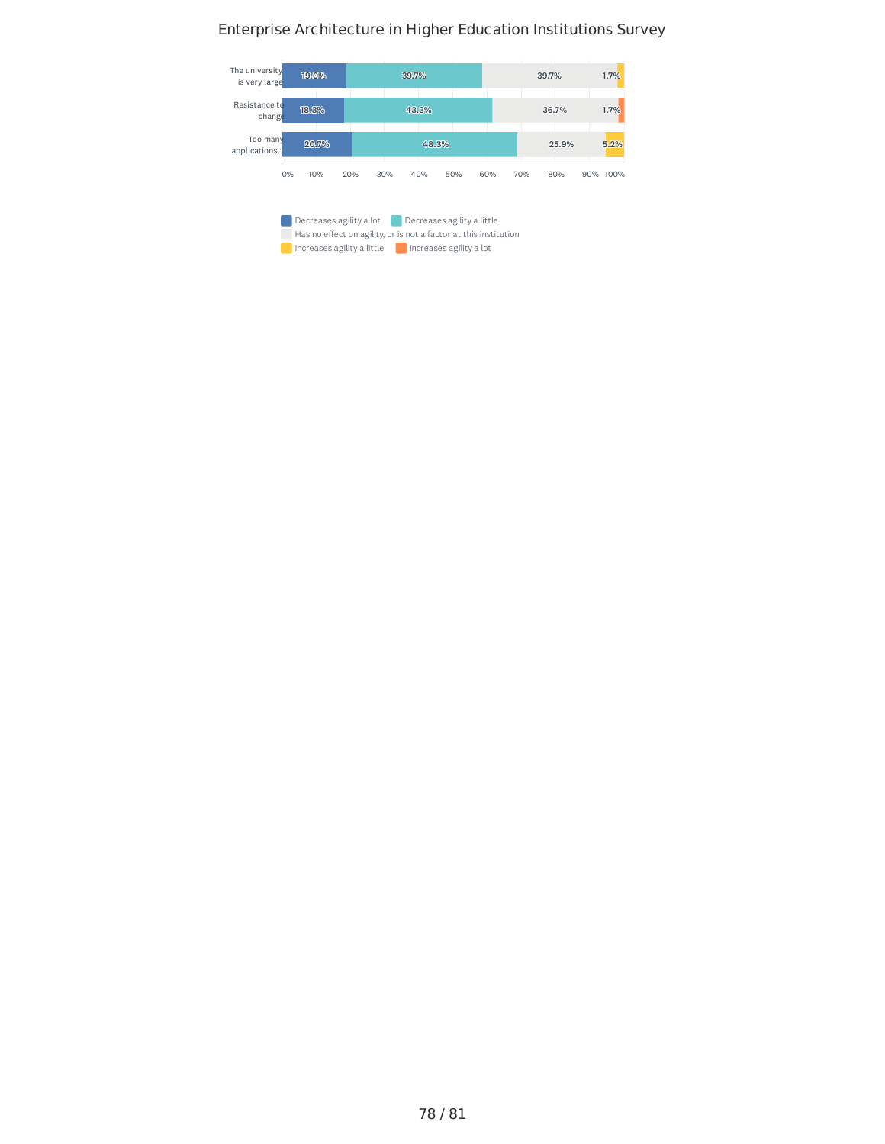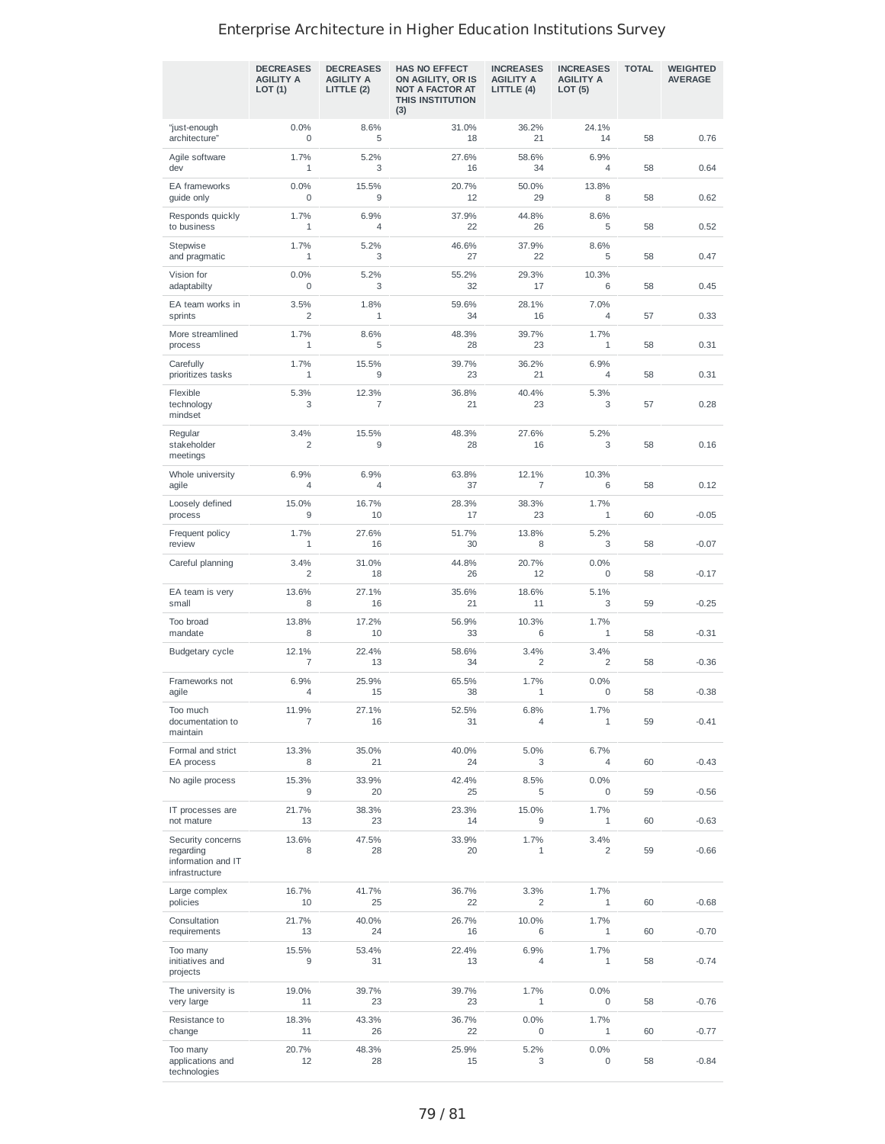|                                                                        | <b>DECREASES</b><br><b>AGILITY A</b><br>LOT(1) | <b>DECREASES</b><br><b>AGILITY A</b><br>LITTLE (2) | <b>HAS NO EFFECT</b><br>ON AGILITY, OR IS<br><b>NOT A FACTOR AT</b><br>THIS INSTITUTION<br>(3) | <b>INCREASES</b><br><b>AGILITY A</b><br>LITTLE (4) | <b>INCREASES</b><br><b>AGILITY A</b><br>LOT (5) | <b>TOTAL</b> | <b>WEIGHTED</b><br><b>AVERAGE</b> |
|------------------------------------------------------------------------|------------------------------------------------|----------------------------------------------------|------------------------------------------------------------------------------------------------|----------------------------------------------------|-------------------------------------------------|--------------|-----------------------------------|
| "just-enough<br>architecture"                                          | 0.0%<br>$\mathbf 0$                            | 8.6%<br>5                                          | 31.0%<br>18                                                                                    | 36.2%<br>21                                        | 24.1%<br>14                                     | 58           | 0.76                              |
| Agile software<br>dev                                                  | 1.7%<br>1                                      | 5.2%<br>3                                          | 27.6%<br>16                                                                                    | 58.6%<br>34                                        | 6.9%<br>$\overline{4}$                          | 58           | 0.64                              |
| EA frameworks<br>guide only                                            | 0.0%<br>$\mathbf 0$                            | 15.5%<br>9                                         | 20.7%<br>12                                                                                    | 50.0%<br>29                                        | 13.8%<br>8                                      | 58           | 0.62                              |
| Responds quickly<br>to business                                        | 1.7%<br>$\mathbf{1}$                           | 6.9%<br>4                                          | 37.9%<br>22                                                                                    | 44.8%<br>26                                        | 8.6%<br>5                                       | 58           | 0.52                              |
| Stepwise<br>and pragmatic                                              | 1.7%<br>$1\,$                                  | 5.2%<br>3                                          | 46.6%<br>27                                                                                    | 37.9%<br>22                                        | 8.6%<br>5                                       | 58           | 0.47                              |
| Vision for<br>adaptabilty                                              | 0.0%<br>$\mathbf 0$                            | 5.2%<br>3                                          | 55.2%<br>32                                                                                    | 29.3%<br>17                                        | 10.3%<br>6                                      | 58           | 0.45                              |
| EA team works in<br>sprints                                            | 3.5%<br>2                                      | 1.8%<br>$\mathbf{1}$                               | 59.6%<br>34                                                                                    | 28.1%<br>16                                        | 7.0%<br>$\overline{4}$                          | 57           | 0.33                              |
| More streamlined<br>process                                            | 1.7%<br>$\mathbf{1}$                           | 8.6%<br>5                                          | 48.3%<br>28                                                                                    | 39.7%<br>23                                        | 1.7%<br>1                                       | 58           | 0.31                              |
| Carefully<br>prioritizes tasks                                         | 1.7%<br>$\mathbf{1}$                           | 15.5%<br>9                                         | 39.7%<br>23                                                                                    | 36.2%<br>21                                        | 6.9%<br>$\overline{4}$                          | 58           | 0.31                              |
| Flexible<br>technology<br>mindset                                      | 5.3%<br>3                                      | 12.3%<br>7                                         | 36.8%<br>21                                                                                    | 40.4%<br>23                                        | 5.3%<br>3                                       | 57           | 0.28                              |
| Regular<br>stakeholder<br>meetings                                     | 3.4%<br>$\overline{2}$                         | 15.5%<br>9                                         | 48.3%<br>28                                                                                    | 27.6%<br>16                                        | 5.2%<br>3                                       | 58           | 0.16                              |
| Whole university<br>agile                                              | 6.9%<br>$\overline{4}$                         | 6.9%<br>4                                          | 63.8%<br>37                                                                                    | 12.1%<br>7                                         | 10.3%<br>6                                      | 58           | 0.12                              |
| Loosely defined<br>process                                             | 15.0%<br>9                                     | 16.7%<br>10                                        | 28.3%<br>17                                                                                    | 38.3%<br>23                                        | 1.7%<br>1                                       | 60           | $-0.05$                           |
| Frequent policy<br>review                                              | 1.7%<br>$\mathbf{1}$                           | 27.6%<br>16                                        | 51.7%<br>30                                                                                    | 13.8%<br>8                                         | 5.2%<br>3                                       | 58           | $-0.07$                           |
| Careful planning                                                       | 3.4%<br>2                                      | 31.0%<br>18                                        | 44.8%<br>26                                                                                    | 20.7%<br>12                                        | 0.0%<br>0                                       | 58           | $-0.17$                           |
| EA team is very<br>small                                               | 13.6%<br>8                                     | 27.1%<br>16                                        | 35.6%<br>21                                                                                    | 18.6%<br>11                                        | 5.1%<br>3                                       | 59           | $-0.25$                           |
| Too broad<br>mandate                                                   | 13.8%<br>8                                     | 17.2%<br>10                                        | 56.9%<br>33                                                                                    | 10.3%<br>6                                         | 1.7%<br>1                                       | 58           | $-0.31$                           |
| Budgetary cycle                                                        | 12.1%<br>7                                     | 22.4%<br>13                                        | 58.6%<br>34                                                                                    | 3.4%<br>2                                          | 3.4%<br>2                                       | 58           | $-0.36$                           |
| Frameworks not<br>agile                                                | 6.9%<br>$\overline{4}$                         | 25.9%<br>15                                        | 65.5%<br>38                                                                                    | 1.7%<br>1                                          | 0.0%<br>0                                       | 58           | $-0.38$                           |
| 100 much<br>documentation to<br>maintain                               | 11.9%<br>7                                     | 27.1%<br>16                                        | 52.5%<br>31                                                                                    | 6.8%<br>4                                          | 1.7%<br>$\mathbf{1}$                            | 59           | $-0.41$                           |
| Formal and strict<br>EA process                                        | 13.3%<br>8                                     | 35.0%<br>21                                        | 40.0%<br>24                                                                                    | 5.0%<br>3                                          | 6.7%<br>4                                       | 60           | $-0.43$                           |
| No agile process                                                       | 15.3%<br>9                                     | 33.9%<br>20                                        | 42.4%<br>25                                                                                    | 8.5%<br>5                                          | 0.0%<br>0                                       | 59           | $-0.56$                           |
| IT processes are<br>not mature                                         | 21.7%<br>13                                    | 38.3%<br>23                                        | 23.3%<br>14                                                                                    | 15.0%<br>9                                         | 1.7%<br>$\mathbf{1}$                            | 60           | $-0.63$                           |
| Security concerns<br>regarding<br>information and IT<br>infrastructure | 13.6%<br>8                                     | 47.5%<br>28                                        | 33.9%<br>20                                                                                    | 1.7%<br>1                                          | 3.4%<br>2                                       | 59           | $-0.66$                           |
| Large complex<br>policies                                              | 16.7%<br>10                                    | 41.7%<br>25                                        | 36.7%<br>22                                                                                    | 3.3%<br>2                                          | 1.7%<br>1                                       | 60           | $-0.68$                           |
| Consultation<br>requirements                                           | 21.7%<br>13                                    | 40.0%<br>24                                        | 26.7%<br>16                                                                                    | 10.0%<br>6                                         | 1.7%<br>$\mathbf{1}$                            | 60           | $-0.70$                           |
| Too many<br>initiatives and<br>projects                                | 15.5%<br>9                                     | 53.4%<br>31                                        | 22.4%<br>13                                                                                    | 6.9%<br>4                                          | 1.7%<br>1                                       | 58           | $-0.74$                           |
| The university is<br>very large                                        | 19.0%<br>11                                    | 39.7%<br>23                                        | 39.7%<br>23                                                                                    | 1.7%<br>1                                          | 0.0%<br>0                                       | 58           | $-0.76$                           |
| Resistance to<br>change                                                | 18.3%<br>11                                    | 43.3%<br>26                                        | 36.7%<br>22                                                                                    | 0.0%<br>0                                          | 1.7%<br>$\mathbf{1}$                            | 60           | $-0.77$                           |
| Too many<br>applications and<br>technologies                           | 20.7%<br>12                                    | 48.3%<br>28                                        | 25.9%<br>15                                                                                    | 5.2%<br>3                                          | 0.0%<br>0                                       | 58           | $-0.84$                           |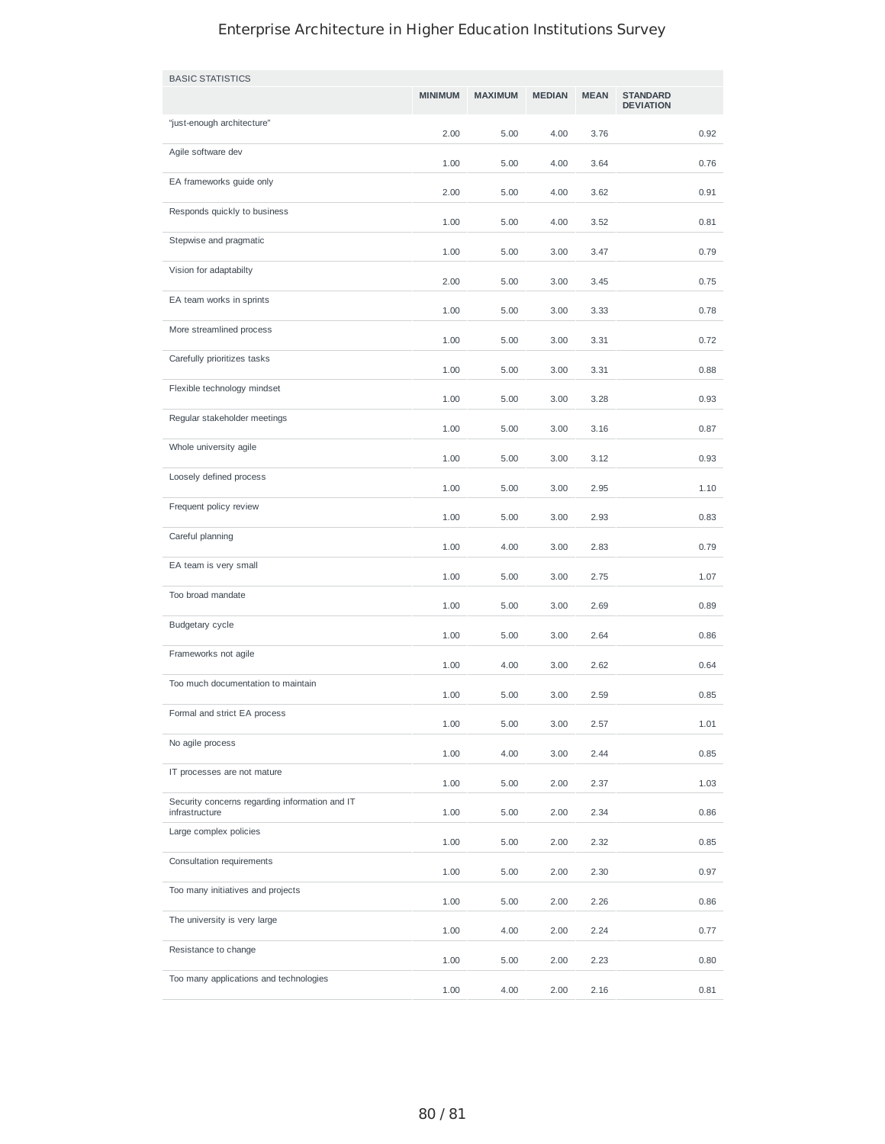| <b>BASIC STATISTICS</b>                                          |                |                |               |             |                                     |
|------------------------------------------------------------------|----------------|----------------|---------------|-------------|-------------------------------------|
|                                                                  | <b>MINIMUM</b> | <b>MAXIMUM</b> | <b>MEDIAN</b> | <b>MEAN</b> | <b>STANDARD</b><br><b>DEVIATION</b> |
| "just-enough architecture"                                       | 2.00           | 5.00           | 4.00          | 3.76        | 0.92                                |
| Agile software dev                                               | 1.00           | 5.00           | 4.00          | 3.64        | 0.76                                |
| EA frameworks guide only                                         | 2.00           | 5.00           | 4.00          | 3.62        | 0.91                                |
| Responds quickly to business                                     | 1.00           | 5.00           | 4.00          | 3.52        | 0.81                                |
| Stepwise and pragmatic                                           | 1.00           | 5.00           | 3.00          | 3.47        | 0.79                                |
| Vision for adaptabilty                                           | 2.00           | 5.00           | 3.00          | 3.45        | 0.75                                |
| EA team works in sprints                                         | 1.00           | 5.00           | 3.00          | 3.33        | 0.78                                |
| More streamlined process                                         | 1.00           | 5.00           | 3.00          | 3.31        | 0.72                                |
| Carefully prioritizes tasks                                      | 1.00           | 5.00           | 3.00          | 3.31        | 0.88                                |
| Flexible technology mindset                                      | 1.00           | 5.00           | 3.00          | 3.28        | 0.93                                |
| Regular stakeholder meetings                                     |                |                |               |             |                                     |
| Whole university agile                                           | 1.00           | 5.00           | 3.00          | 3.16        | 0.87                                |
| Loosely defined process                                          | 1.00           | 5.00           | 3.00          | 3.12        | 0.93                                |
| Frequent policy review                                           | 1.00           | 5.00           | 3.00          | 2.95        | 1.10                                |
| Careful planning                                                 | 1.00           | 5.00           | 3.00          | 2.93        | 0.83                                |
| EA team is very small                                            | 1.00           | 4.00           | 3.00          | 2.83        | 0.79                                |
| Too broad mandate                                                | 1.00           | 5.00           | 3.00          | 2.75        | 1.07                                |
| Budgetary cycle                                                  | 1.00           | 5.00           | 3.00          | 2.69        | 0.89                                |
| Frameworks not agile                                             | 1.00           | 5.00           | 3.00          | 2.64        | 0.86                                |
|                                                                  | 1.00           | 4.00           | 3.00          | 2.62        | 0.64                                |
| Too much documentation to maintain                               | 1.00           | 5.00           | 3.00          | 2.59        | 0.85                                |
| Formal and strict EA process                                     | 1.00           | 5.00           | 3.00          | 2.57        | 1.01                                |
| No agile process                                                 | 1.00           | 4.00           | 3.00          | 2.44        | 0.85                                |
| IT processes are not mature                                      | 1.00           | 5.00           | 2.00          | 2.37        | 1.03                                |
| Security concerns regarding information and IT<br>infrastructure | 1.00           | 5.00           | 2.00          | 2.34        | 0.86                                |
| Large complex policies                                           | 1.00           | 5.00           | 2.00          | 2.32        | 0.85                                |
| Consultation requirements                                        | 1.00           | 5.00           | 2.00          | 2.30        | 0.97                                |
| Too many initiatives and projects                                | 1.00           | 5.00           | 2.00          | 2.26        | 0.86                                |
| The university is very large                                     | 1.00           | 4.00           | 2.00          | 2.24        | 0.77                                |
| Resistance to change                                             | 1.00           | 5.00           | 2.00          | 2.23        | 0.80                                |
| Too many applications and technologies                           | 1.00           | 4.00           | 2.00          | 2.16        | 0.81                                |